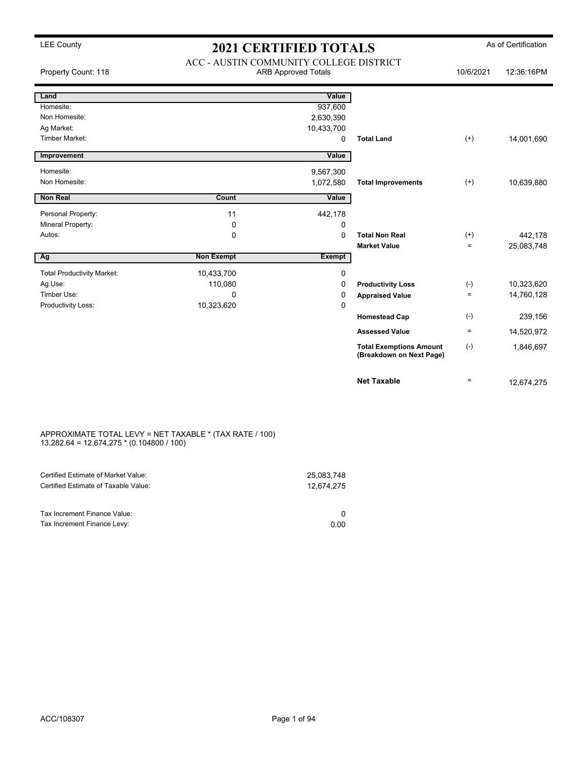|                                   | ACC - AUSTIN COMMUNITY COLLEGE DISTRICT |                            |                                                            |                    |            |
|-----------------------------------|-----------------------------------------|----------------------------|------------------------------------------------------------|--------------------|------------|
| Property Count: 118               |                                         | <b>ARB Approved Totals</b> |                                                            | 10/6/2021          | 12:36:16PM |
| Land                              |                                         | Value                      |                                                            |                    |            |
| Homesite:                         |                                         | 937,600                    |                                                            |                    |            |
| Non Homesite:                     |                                         | 2,630,390                  |                                                            |                    |            |
| Ag Market:                        |                                         | 10,433,700                 |                                                            |                    |            |
| Timber Market:                    |                                         | 0                          | <b>Total Land</b>                                          | $^{(+)}$           | 14,001,690 |
| Improvement                       |                                         | Value                      |                                                            |                    |            |
| Homesite:                         |                                         | 9,567,300                  |                                                            |                    |            |
| Non Homesite:                     |                                         | 1,072,580                  | <b>Total Improvements</b>                                  | $(+)$              | 10,639,880 |
| <b>Non Real</b>                   | Count                                   | Value                      |                                                            |                    |            |
| Personal Property:                | 11                                      | 442,178                    |                                                            |                    |            |
| Mineral Property:                 | $\mathbf 0$                             | 0                          |                                                            |                    |            |
| Autos:                            | 0                                       | 0                          | <b>Total Non Real</b>                                      | $^{(+)}$           | 442,178    |
|                                   |                                         |                            | <b>Market Value</b>                                        | $=$                | 25,083,748 |
| Ag                                | <b>Non Exempt</b>                       | <b>Exempt</b>              |                                                            |                    |            |
| <b>Total Productivity Market:</b> | 10,433,700                              | 0                          |                                                            |                    |            |
| Ag Use:                           | 110,080                                 | 0                          | <b>Productivity Loss</b>                                   | $(\textnormal{-})$ | 10,323,620 |
| Timber Use:                       | $\mathbf 0$                             | 0                          | <b>Appraised Value</b>                                     | $\equiv$           | 14,760,128 |
| Productivity Loss:                | 10,323,620                              | 0                          |                                                            |                    |            |
|                                   |                                         |                            | <b>Homestead Cap</b>                                       | $(-)$              | 239,156    |
|                                   |                                         |                            | <b>Assessed Value</b>                                      | $\equiv$           | 14,520,972 |
|                                   |                                         |                            | <b>Total Exemptions Amount</b><br>(Breakdown on Next Page) | $(-)$              | 1,846,697  |
|                                   |                                         |                            | <b>Net Taxable</b>                                         | $=$                | 12,674,275 |

#### APPROXIMATE TOTAL LEVY = NET TAXABLE \* (TAX RATE / 100) 13,282.64 = 12,674,275 \* (0.104800 / 100)

| Certified Estimate of Market Value:                         | 25,083,748 |
|-------------------------------------------------------------|------------|
| Certified Estimate of Taxable Value:                        | 12.674.275 |
| Tax Increment Finance Value:<br>Tax Increment Finance Levy: | 0.00       |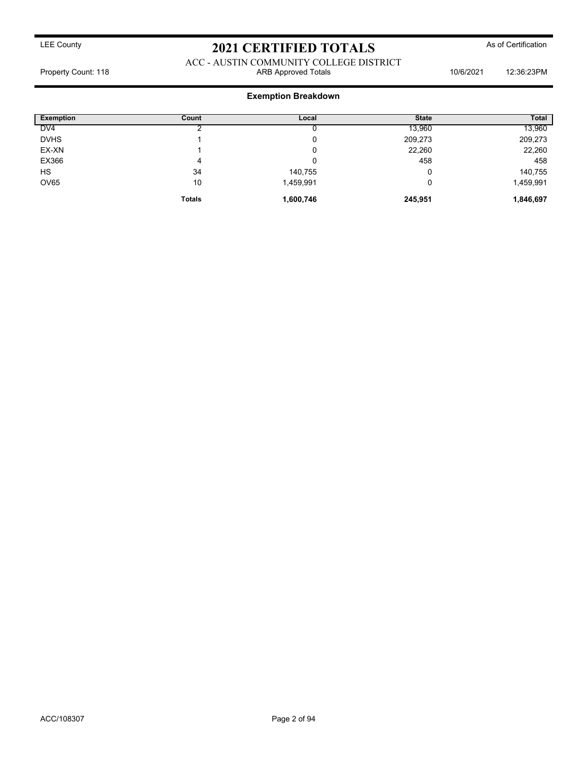ACC - AUSTIN COMMUNITY COLLEGE DISTRICT Property Count: 118 ARB Approved Totals 10/6/2021 12:36:23PM

| <b>Exemption</b> | Count         | Local     | <b>State</b> | <b>Total</b> |
|------------------|---------------|-----------|--------------|--------------|
| DV <sub>4</sub>  |               |           | 13,960       | 13,960       |
| <b>DVHS</b>      |               | υ         | 209,273      | 209,273      |
| EX-XN            |               | υ         | 22,260       | 22,260       |
| EX366            | 4             | u         | 458          | 458          |
| HS               | 34            | 140,755   | ι.           | 140,755      |
| <b>OV65</b>      | 10            | 1,459,991 | 0            | 1,459,991    |
|                  | <b>Totals</b> | 1,600,746 | 245,951      | 1,846,697    |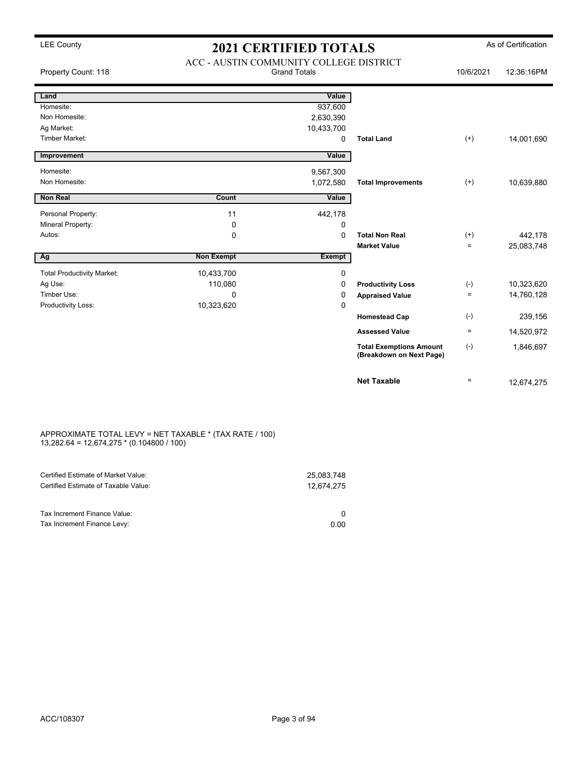| Property Count: 118               | ACC - AUSTIN COMMUNITY COLLEGE DISTRICT | <b>Grand Totals</b> |                                                            | 10/6/2021 | 12:36:16PM |
|-----------------------------------|-----------------------------------------|---------------------|------------------------------------------------------------|-----------|------------|
| Land                              |                                         | Value               |                                                            |           |            |
| Homesite:                         |                                         | 937,600             |                                                            |           |            |
| Non Homesite:                     |                                         | 2,630,390           |                                                            |           |            |
| Ag Market:                        |                                         | 10,433,700          |                                                            |           |            |
| Timber Market:                    |                                         | 0                   | <b>Total Land</b>                                          | $(+)$     | 14,001,690 |
| Improvement                       |                                         | Value               |                                                            |           |            |
| Homesite:                         |                                         | 9,567,300           |                                                            |           |            |
| Non Homesite:                     |                                         | 1,072,580           | <b>Total Improvements</b>                                  | $(+)$     | 10,639,880 |
| <b>Non Real</b>                   | Count                                   | Value               |                                                            |           |            |
| Personal Property:                | 11                                      | 442,178             |                                                            |           |            |
| Mineral Property:                 | $\mathbf 0$                             | 0                   |                                                            |           |            |
| Autos:                            | $\mathbf 0$                             | $\Omega$            | <b>Total Non Real</b>                                      | $(+)$     | 442,178    |
|                                   |                                         |                     | <b>Market Value</b>                                        | $=$       | 25,083,748 |
| Ag                                | <b>Non Exempt</b>                       | <b>Exempt</b>       |                                                            |           |            |
| <b>Total Productivity Market:</b> | 10,433,700                              | 0                   |                                                            |           |            |
| Ag Use:                           | 110,080                                 | 0                   | <b>Productivity Loss</b>                                   | $(-)$     | 10,323,620 |
| Timber Use:                       | 0                                       | 0                   | <b>Appraised Value</b>                                     | $=$       | 14,760,128 |
| Productivity Loss:                | 10,323,620                              | 0                   |                                                            |           |            |
|                                   |                                         |                     | <b>Homestead Cap</b>                                       | $(-)$     | 239,156    |
|                                   |                                         |                     | <b>Assessed Value</b>                                      | $\equiv$  | 14,520,972 |
|                                   |                                         |                     | <b>Total Exemptions Amount</b><br>(Breakdown on Next Page) | $(-)$     | 1,846,697  |
|                                   |                                         |                     | <b>Net Taxable</b>                                         | $=$       | 12,674,275 |

#### APPROXIMATE TOTAL LEVY = NET TAXABLE \* (TAX RATE / 100) 13,282.64 = 12,674,275 \* (0.104800 / 100)

| Certified Estimate of Market Value:                         | 25,083,748 |
|-------------------------------------------------------------|------------|
| Certified Estimate of Taxable Value:                        | 12.674.275 |
| Tax Increment Finance Value:<br>Tax Increment Finance Levy: | 0.00       |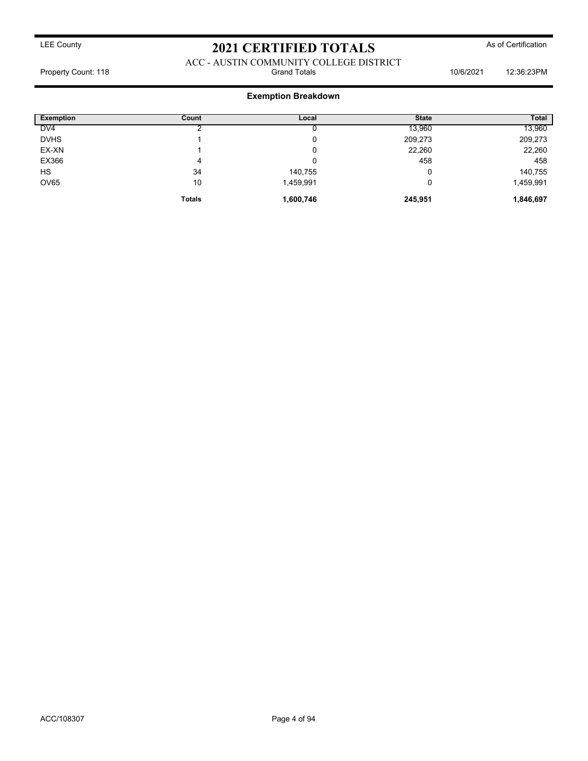ACC - AUSTIN COMMUNITY COLLEGE DISTRICT<br>Grand Totals Property Count: 118 **Property Count: 118** Crand Totals **10/6/2021** 12:36:23PM

| <b>Exemption</b> | Count         | Local     | <b>State</b> | <b>Total</b> |
|------------------|---------------|-----------|--------------|--------------|
| DV <sub>4</sub>  |               |           | 13,960       | 13,960       |
| <b>DVHS</b>      |               | u         | 209,273      | 209,273      |
| EX-XN            |               | v         | 22,260       | 22,260       |
| EX366            | 4             |           | 458          | 458          |
| HS               | 34            | 140,755   |              | 140,755      |
| <b>OV65</b>      | 10            | 1,459,991 |              | 1,459,991    |
|                  | <b>Totals</b> | 1,600,746 | 245,951      | 1,846,697    |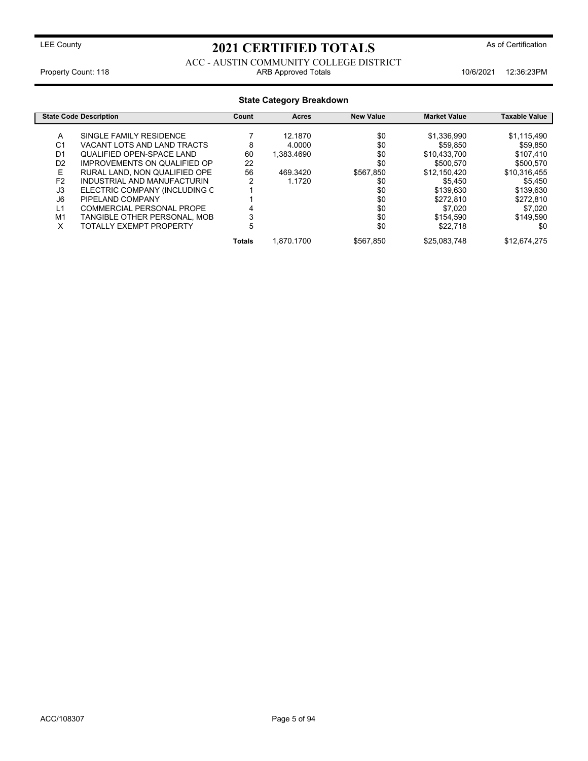ACC - AUSTIN COMMUNITY COLLEGE DISTRICT Property Count: 118 **ARB Approved Totals** 10/6/2021 12:36:23PM

| <b>State Category Breakdown</b>  |                                                                         |             |                    |                  |                           |                         |
|----------------------------------|-------------------------------------------------------------------------|-------------|--------------------|------------------|---------------------------|-------------------------|
|                                  | <b>State Code Description</b>                                           | Count       | Acres              | <b>New Value</b> | <b>Market Value</b>       | Taxable Value           |
| A<br>C <sub>1</sub>              | SINGLE FAMILY RESIDENCE<br>VACANT LOTS AND LAND TRACTS                  | 8           | 12.1870<br>4.0000  | \$0<br>\$0       | \$1,336,990<br>\$59,850   | \$1,115,490<br>\$59.850 |
| D <sub>1</sub><br>D <sub>2</sub> | <b>QUALIFIED OPEN-SPACE LAND</b><br><b>IMPROVEMENTS ON QUALIFIED OP</b> | 60<br>22    | 1.383.4690         | \$0<br>\$0       | \$10.433.700<br>\$500.570 | \$107.410<br>\$500,570  |
| Е<br>F <sub>2</sub>              | RURAL LAND. NON QUALIFIED OPE<br>INDUSTRIAL AND MANUFACTURIN            | 56<br>2     | 469.3420<br>1.1720 | \$567.850<br>\$0 | \$12.150.420<br>\$5.450   | \$10,316,455<br>\$5.450 |
| J3<br>J6                         | ELECTRIC COMPANY (INCLUDING C<br>PIPELAND COMPANY                       |             |                    | \$0<br>\$0       | \$139,630<br>\$272.810    | \$139,630<br>\$272,810  |
| L1<br>M1                         | COMMERCIAL PERSONAL PROPE<br>TANGIBLE OTHER PERSONAL, MOB               | 3           |                    | \$0<br>\$0       | \$7.020<br>\$154,590      | \$7,020<br>\$149.590    |
| x                                | TOTALLY EXEMPT PROPERTY                                                 | 5<br>Totals | 1.870.1700         | \$0<br>\$567.850 | \$22,718<br>\$25,083,748  | \$0<br>\$12.674.275     |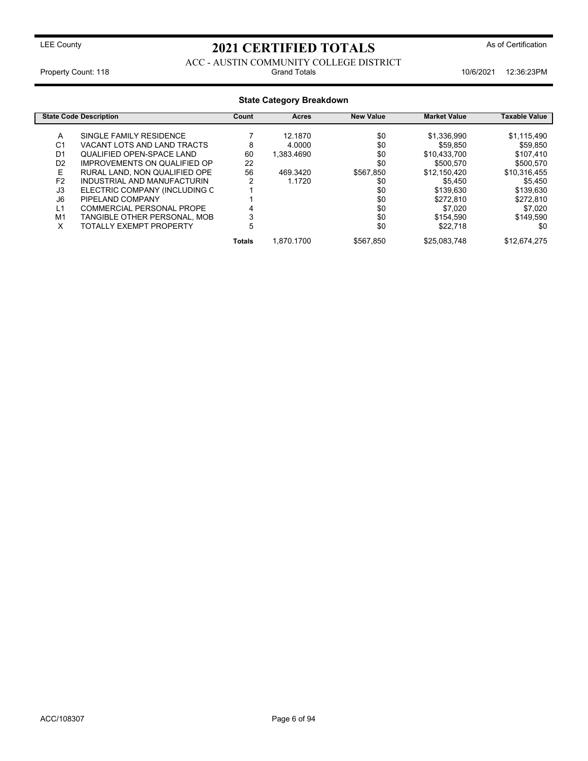ACC - AUSTIN COMMUNITY COLLEGE DISTRICT Property Count: 118 **Property Count: 118** Crand Totals **10/6/2021** 12:36:23PM

| <b>State Category Breakdown</b> |                               |               |            |                  |                     |               |
|---------------------------------|-------------------------------|---------------|------------|------------------|---------------------|---------------|
|                                 | <b>State Code Description</b> | Count         | Acres      | <b>New Value</b> | <b>Market Value</b> | Taxable Value |
| A                               | SINGLE FAMILY RESIDENCE       |               | 12.1870    | \$0              | \$1,336,990         | \$1,115,490   |
| C <sub>1</sub>                  | VACANT LOTS AND LAND TRACTS   | 8             | 4.0000     | \$0              | \$59.850            | \$59.850      |
| D <sub>1</sub>                  | QUALIFIED OPEN-SPACE LAND     | 60            | 1.383.4690 | \$0              | \$10.433.700        | \$107.410     |
| D <sub>2</sub>                  | IMPROVEMENTS ON QUALIFIED OP  | 22            |            | \$0              | \$500.570           | \$500,570     |
| E                               | RURAL LAND. NON QUALIFIED OPE | 56            | 469.3420   | \$567,850        | \$12.150.420        | \$10,316,455  |
| F <sub>2</sub>                  | INDUSTRIAL AND MANUFACTURIN   | ົ             | 1.1720     | \$0              | \$5.450             | \$5,450       |
| J3                              | ELECTRIC COMPANY (INCLUDING C |               |            | \$0              | \$139,630           | \$139,630     |
| J6                              | PIPELAND COMPANY              |               |            | \$0              | \$272,810           | \$272,810     |
| L1                              | COMMERCIAL PERSONAL PROPE     |               |            | \$0              | \$7.020             | \$7,020       |
| M <sub>1</sub>                  | TANGIBLE OTHER PERSONAL, MOB  |               |            | \$0              | \$154,590           | \$149.590     |
| X                               | TOTALLY EXEMPT PROPERTY       | 5             |            | \$0              | \$22,718            | \$0           |
|                                 |                               | <b>Totals</b> | 1.870.1700 | \$567.850        | \$25,083,748        | \$12,674,275  |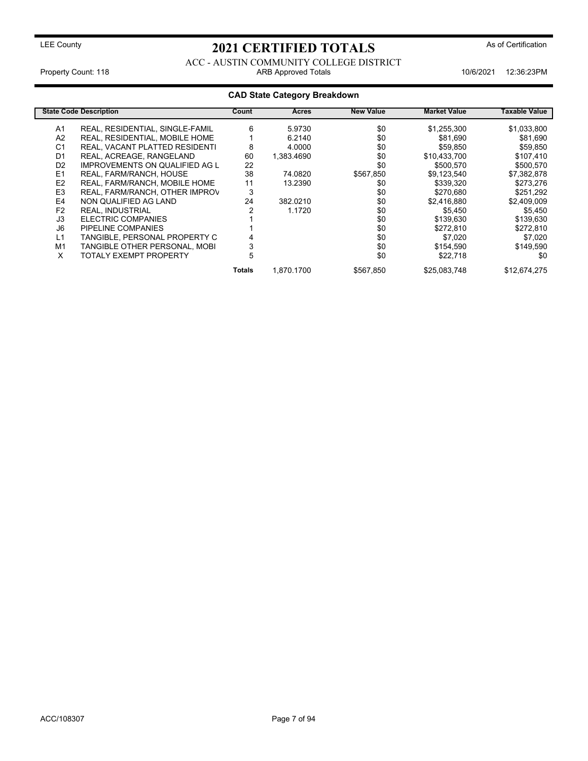ACC - AUSTIN COMMUNITY COLLEGE DISTRICT Property Count: 118 **ARB Approved Totals** 10/6/2021 12:36:23PM

|                | <b>State Code Description</b>         | Count  | Acres      | <b>New Value</b> | <b>Market Value</b> | Taxable Value |
|----------------|---------------------------------------|--------|------------|------------------|---------------------|---------------|
| A1             | REAL, RESIDENTIAL, SINGLE-FAMIL       | 6      | 5.9730     | \$0              | \$1,255,300         | \$1,033,800   |
| A <sub>2</sub> | REAL, RESIDENTIAL, MOBILE HOME        |        | 6.2140     | \$0              | \$81,690            | \$81,690      |
| C <sub>1</sub> | REAL, VACANT PLATTED RESIDENTI        | 8      | 4.0000     | \$0              | \$59,850            | \$59,850      |
| D <sub>1</sub> | REAL, ACREAGE, RANGELAND              | 60     | 1.383.4690 | \$0              | \$10,433,700        | \$107,410     |
| D <sub>2</sub> | <b>IMPROVEMENTS ON QUALIFIED AG L</b> | 22     |            | \$0              | \$500.570           | \$500,570     |
| E <sub>1</sub> | REAL, FARM/RANCH, HOUSE               | 38     | 74.0820    | \$567,850        | \$9,123,540         | \$7,382,878   |
| E <sub>2</sub> | REAL, FARM/RANCH, MOBILE HOME         | 11     | 13.2390    | \$0              | \$339,320           | \$273,276     |
| E <sub>3</sub> | REAL, FARM/RANCH, OTHER IMPROV        | 3      |            | \$0              | \$270,680           | \$251,292     |
| E4             | NON QUALIFIED AG LAND                 | 24     | 382.0210   | \$0              | \$2,416,880         | \$2,409,009   |
| F <sub>2</sub> | <b>REAL. INDUSTRIAL</b>               |        | 1.1720     | \$0              | \$5,450             | \$5,450       |
| J3             | ELECTRIC COMPANIES                    |        |            | \$0              | \$139,630           | \$139,630     |
| J6             | PIPELINE COMPANIES                    |        |            | \$0              | \$272,810           | \$272,810     |
| L1             | TANGIBLE, PERSONAL PROPERTY C         |        |            | \$0              | \$7,020             | \$7,020       |
| M1             | TANGIBLE OTHER PERSONAL, MOBI         | 3      |            | \$0              | \$154,590           | \$149.590     |
| X              | <b>TOTALY EXEMPT PROPERTY</b>         | 5      |            | \$0              | \$22,718            | \$0           |
|                |                                       | Totals | 1.870.1700 | \$567.850        | \$25,083,748        | \$12,674,275  |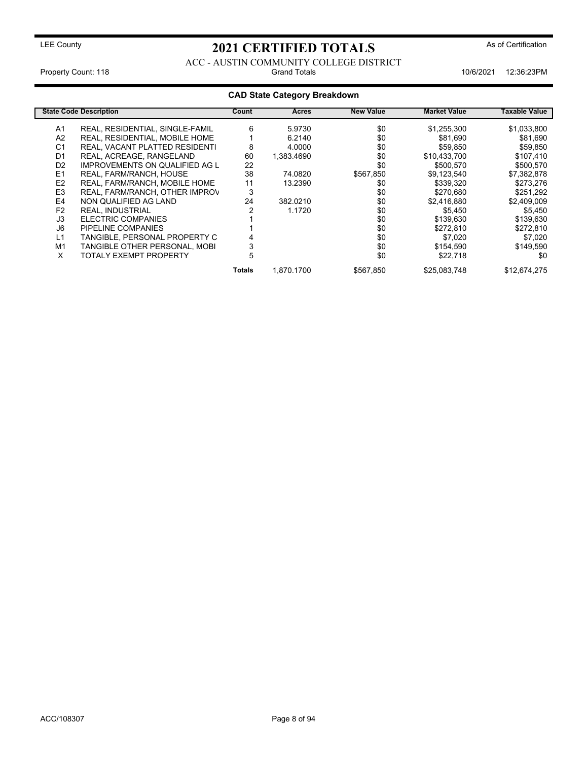#### ACC - AUSTIN COMMUNITY COLLEGE DISTRICT Property Count: 118 **Property Count: 118** Crand Totals **10/6/2021** 12:36:23PM

|                | <b>State Code Description</b>         | Count  | <b>Acres</b> | <b>New Value</b> | <b>Market Value</b> | <b>Taxable Value</b> |
|----------------|---------------------------------------|--------|--------------|------------------|---------------------|----------------------|
| A1             | REAL, RESIDENTIAL, SINGLE-FAMIL       | 6      | 5.9730       | \$0              | \$1,255,300         | \$1,033,800          |
| A2             | REAL, RESIDENTIAL, MOBILE HOME        |        | 6.2140       | \$0              | \$81,690            | \$81,690             |
| C <sub>1</sub> | REAL, VACANT PLATTED RESIDENTI        | 8      | 4.0000       | \$0              | \$59,850            | \$59,850             |
| D <sub>1</sub> | REAL, ACREAGE, RANGELAND              | 60     | 1,383.4690   | \$0              | \$10,433,700        | \$107,410            |
| D <sub>2</sub> | <b>IMPROVEMENTS ON QUALIFIED AG L</b> | 22     |              | \$0              | \$500.570           | \$500,570            |
| E1             | REAL, FARM/RANCH, HOUSE               | 38     | 74.0820      | \$567,850        | \$9,123,540         | \$7,382,878          |
| E <sub>2</sub> | REAL, FARM/RANCH, MOBILE HOME         | 11     | 13.2390      | \$0              | \$339,320           | \$273,276            |
| E <sub>3</sub> | REAL, FARM/RANCH, OTHER IMPROV        | 3      |              | \$0              | \$270,680           | \$251,292            |
| E4             | NON QUALIFIED AG LAND                 | 24     | 382.0210     | \$0              | \$2,416,880         | \$2,409,009          |
| F <sub>2</sub> | <b>REAL, INDUSTRIAL</b>               |        | 1.1720       | \$0              | \$5,450             | \$5,450              |
| J3             | ELECTRIC COMPANIES                    |        |              | \$0              | \$139,630           | \$139,630            |
| J6             | PIPELINE COMPANIES                    |        |              | \$0              | \$272,810           | \$272,810            |
| L1             | TANGIBLE, PERSONAL PROPERTY C         |        |              | \$0              | \$7,020             | \$7,020              |
| M1             | TANGIBLE OTHER PERSONAL, MOBI         | 3      |              | \$0              | \$154,590           | \$149,590            |
| X              | <b>TOTALY EXEMPT PROPERTY</b>         | 5      |              | \$0              | \$22,718            | \$0                  |
|                |                                       | Totals | 1.870.1700   | \$567,850        | \$25,083,748        | \$12,674,275         |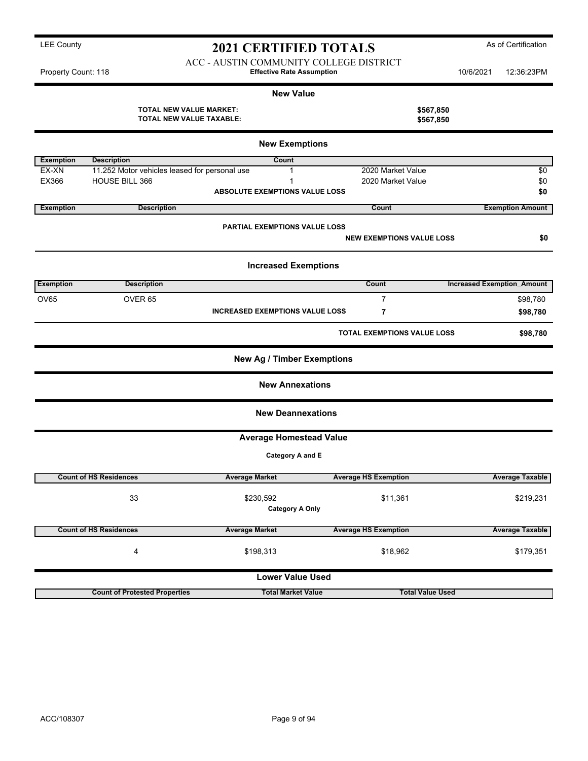ACC - AUSTIN COMMUNITY COLLEGE DISTRICT Property Count: 118 **Effective Rate Assumption** 10/6/2021 12:36:23PM

|                  |                                                                   | <b>New Value</b>                           |                                    |                         |                                   |
|------------------|-------------------------------------------------------------------|--------------------------------------------|------------------------------------|-------------------------|-----------------------------------|
|                  | <b>TOTAL NEW VALUE MARKET:</b><br><b>TOTAL NEW VALUE TAXABLE:</b> |                                            |                                    | \$567,850<br>\$567,850  |                                   |
|                  |                                                                   | <b>New Exemptions</b>                      |                                    |                         |                                   |
| <b>Exemption</b> | <b>Description</b>                                                | Count                                      |                                    |                         |                                   |
| EX-XN            | 11.252 Motor vehicles leased for personal use                     | 1                                          | 2020 Market Value                  |                         | $\sqrt{6}$                        |
| EX366            | HOUSE BILL 366                                                    | 1<br><b>ABSOLUTE EXEMPTIONS VALUE LOSS</b> | 2020 Market Value                  |                         | \$0<br>\$0                        |
| <b>Exemption</b> | <b>Description</b>                                                |                                            | Count                              |                         | <b>Exemption Amount</b>           |
|                  |                                                                   | <b>PARTIAL EXEMPTIONS VALUE LOSS</b>       |                                    |                         |                                   |
|                  |                                                                   |                                            | <b>NEW EXEMPTIONS VALUE LOSS</b>   |                         | \$0                               |
|                  |                                                                   | <b>Increased Exemptions</b>                |                                    |                         |                                   |
| <b>Exemption</b> | <b>Description</b>                                                |                                            | Count                              |                         | <b>Increased Exemption Amount</b> |
| OV65             | OVER <sub>65</sub>                                                |                                            | $\overline{7}$                     |                         | \$98,780                          |
|                  |                                                                   | <b>INCREASED EXEMPTIONS VALUE LOSS</b>     | 7                                  |                         | \$98,780                          |
|                  |                                                                   |                                            | <b>TOTAL EXEMPTIONS VALUE LOSS</b> |                         | \$98,780                          |
|                  |                                                                   | <b>New Ag / Timber Exemptions</b>          |                                    |                         |                                   |
|                  |                                                                   | <b>New Annexations</b>                     |                                    |                         |                                   |
|                  |                                                                   | <b>New Deannexations</b>                   |                                    |                         |                                   |
|                  |                                                                   | <b>Average Homestead Value</b>             |                                    |                         |                                   |
|                  |                                                                   | Category A and E                           |                                    |                         |                                   |
|                  | <b>Count of HS Residences</b>                                     | <b>Average Market</b>                      | <b>Average HS Exemption</b>        |                         | <b>Average Taxable</b>            |
|                  | 33                                                                | \$230,592<br><b>Category A Only</b>        | \$11,361                           |                         | \$219,231                         |
|                  | <b>Count of HS Residences</b>                                     | <b>Average Market</b>                      | <b>Average HS Exemption</b>        |                         | <b>Average Taxable</b>            |
|                  | 4                                                                 | \$198,313                                  | \$18,962                           |                         | \$179,351                         |
|                  |                                                                   | <b>Lower Value Used</b>                    |                                    |                         |                                   |
|                  | <b>Count of Protested Properties</b>                              | <b>Total Market Value</b>                  |                                    | <b>Total Value Used</b> |                                   |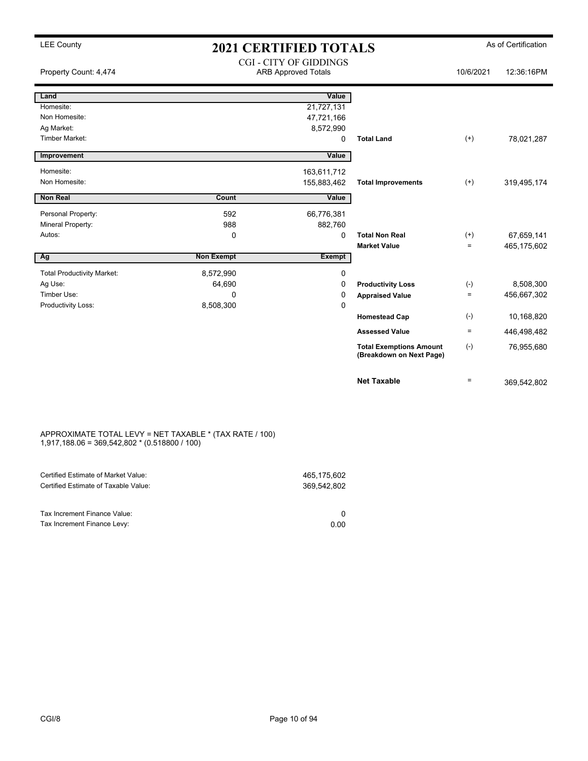| <b>LEE County</b>                 | <b>2021 CERTIFIED TOTALS</b> |                                                             |                                                            | As of Certification |             |  |
|-----------------------------------|------------------------------|-------------------------------------------------------------|------------------------------------------------------------|---------------------|-------------|--|
| Property Count: 4,474             |                              | <b>CGI - CITY OF GIDDINGS</b><br><b>ARB Approved Totals</b> |                                                            | 10/6/2021           | 12:36:16PM  |  |
| Land                              |                              | Value                                                       |                                                            |                     |             |  |
| Homesite:                         |                              | 21,727,131                                                  |                                                            |                     |             |  |
| Non Homesite:                     |                              | 47,721,166                                                  |                                                            |                     |             |  |
| Ag Market:                        |                              | 8,572,990                                                   |                                                            |                     |             |  |
| Timber Market:                    |                              | 0                                                           | <b>Total Land</b>                                          | $(+)$               | 78,021,287  |  |
| Improvement                       |                              | Value                                                       |                                                            |                     |             |  |
| Homesite:                         |                              | 163,611,712                                                 |                                                            |                     |             |  |
| Non Homesite:                     |                              | 155,883,462                                                 | <b>Total Improvements</b>                                  | $(+)$               | 319,495,174 |  |
| <b>Non Real</b>                   | Count                        | Value                                                       |                                                            |                     |             |  |
| Personal Property:                | 592                          | 66,776,381                                                  |                                                            |                     |             |  |
| Mineral Property:                 | 988                          | 882,760                                                     |                                                            |                     |             |  |
| Autos:                            | 0                            | 0                                                           | <b>Total Non Real</b>                                      | $^{(+)}$            | 67,659,141  |  |
|                                   |                              |                                                             | <b>Market Value</b>                                        | $\equiv$            | 465,175,602 |  |
| Ag                                | <b>Non Exempt</b>            | <b>Exempt</b>                                               |                                                            |                     |             |  |
| <b>Total Productivity Market:</b> | 8,572,990                    | 0                                                           |                                                            |                     |             |  |
| Ag Use:                           | 64,690                       | 0                                                           | <b>Productivity Loss</b>                                   | $(\cdot)$           | 8,508,300   |  |
| Timber Use:                       | $\mathbf{0}$                 | 0                                                           | <b>Appraised Value</b>                                     | $=$                 | 456,667,302 |  |
| Productivity Loss:                | 8,508,300                    | $\mathbf 0$                                                 |                                                            |                     |             |  |
|                                   |                              |                                                             | <b>Homestead Cap</b>                                       | $(\text{-})$        | 10,168,820  |  |
|                                   |                              |                                                             | <b>Assessed Value</b>                                      | $\equiv$            | 446,498,482 |  |
|                                   |                              |                                                             | <b>Total Exemptions Amount</b><br>(Breakdown on Next Page) | $(-)$               | 76,955,680  |  |
|                                   |                              |                                                             | <b>Net Taxable</b>                                         | $\equiv$            | 369,542,802 |  |

#### APPROXIMATE TOTAL LEVY = NET TAXABLE \* (TAX RATE / 100) 1,917,188.06 = 369,542,802 \* (0.518800 / 100)

| Certified Estimate of Market Value:<br>Certified Estimate of Taxable Value: | 465.175.602<br>369.542.802 |
|-----------------------------------------------------------------------------|----------------------------|
| Tax Increment Finance Value:<br>Tax Increment Finance Levy:                 | 0.00                       |
|                                                                             |                            |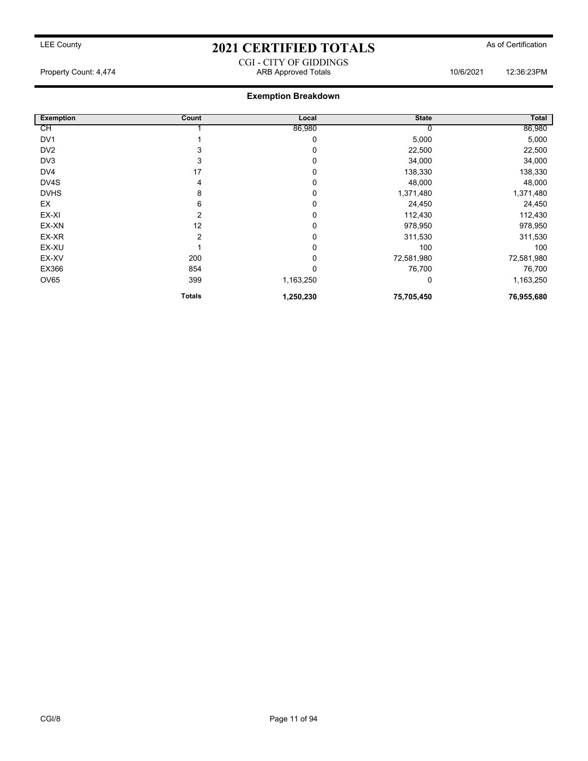CGI - CITY OF GIDDINGS Property Count: 4,474 ARB Approved Totals 10/6/2021 12:36:23PM

| <b>Exemption</b> | Count         | Local     | <b>State</b> | Total      |
|------------------|---------------|-----------|--------------|------------|
| СH               |               | 86,980    |              | 86,980     |
| DV <sub>1</sub>  |               | 0         | 5,000        | 5,000      |
| DV <sub>2</sub>  | 3             | 0         | 22,500       | 22,500     |
| DV3              | 3             | 0         | 34,000       | 34,000     |
| DV4              | 17            | 0         | 138,330      | 138,330    |
| DV4S             | 4             | 0         | 48,000       | 48,000     |
| <b>DVHS</b>      | 8             | 0         | 1,371,480    | 1,371,480  |
| EX               | 6             | 0         | 24,450       | 24,450     |
| EX-XI            | 2             | 0         | 112,430      | 112,430    |
| EX-XN            | 12            | 0         | 978,950      | 978,950    |
| EX-XR            | 2             | 0         | 311,530      | 311,530    |
| EX-XU            |               | 0         | 100          | 100        |
| EX-XV            | 200           | 0         | 72,581,980   | 72,581,980 |
| EX366            | 854           | 0         | 76,700       | 76,700     |
| OV65             | 399           | 1,163,250 | 0            | 1,163,250  |
|                  | <b>Totals</b> | 1,250,230 | 75,705,450   | 76,955,680 |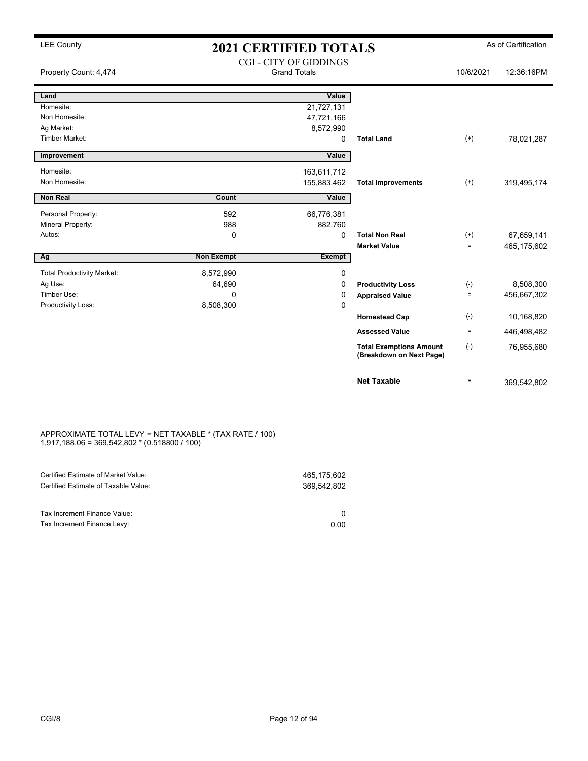| <b>LEE County</b>                 | <b>2021 CERTIFIED TOTALS</b> |                                                      |                                                            |                   | As of Certification |
|-----------------------------------|------------------------------|------------------------------------------------------|------------------------------------------------------------|-------------------|---------------------|
| Property Count: 4,474             |                              | <b>CGI - CITY OF GIDDINGS</b><br><b>Grand Totals</b> |                                                            | 10/6/2021         | 12:36:16PM          |
| Land                              |                              | Value                                                |                                                            |                   |                     |
| Homesite:                         |                              | 21,727,131                                           |                                                            |                   |                     |
| Non Homesite:                     |                              | 47,721,166                                           |                                                            |                   |                     |
| Ag Market:                        |                              | 8,572,990                                            |                                                            |                   |                     |
| <b>Timber Market:</b>             |                              | 0                                                    | <b>Total Land</b>                                          | $^{(+)}$          | 78,021,287          |
| Improvement                       |                              | Value                                                |                                                            |                   |                     |
| Homesite:                         |                              | 163,611,712                                          |                                                            |                   |                     |
| Non Homesite:                     |                              | 155,883,462                                          | <b>Total Improvements</b>                                  | $^{(+)}$          | 319,495,174         |
| <b>Non Real</b>                   | Count                        | Value                                                |                                                            |                   |                     |
| Personal Property:                | 592                          | 66,776,381                                           |                                                            |                   |                     |
| Mineral Property:                 | 988                          | 882,760                                              |                                                            |                   |                     |
| Autos:                            | 0                            | $\mathbf 0$                                          | <b>Total Non Real</b>                                      | $^{(+)}$          | 67,659,141          |
|                                   |                              |                                                      | <b>Market Value</b>                                        | $=$               | 465,175,602         |
| Ag                                | <b>Non Exempt</b>            | <b>Exempt</b>                                        |                                                            |                   |                     |
| <b>Total Productivity Market:</b> | 8,572,990                    | 0                                                    |                                                            |                   |                     |
| Ag Use:                           | 64,690                       | $\Omega$                                             | <b>Productivity Loss</b>                                   | $(\text{-})$      | 8,508,300           |
| Timber Use:                       | $\Omega$                     | 0                                                    | <b>Appraised Value</b>                                     | $=$               | 456,667,302         |
| Productivity Loss:                | 8,508,300                    | 0                                                    |                                                            |                   |                     |
|                                   |                              |                                                      | <b>Homestead Cap</b>                                       | $(\text{-})$      | 10,168,820          |
|                                   |                              |                                                      | <b>Assessed Value</b>                                      | $\equiv$          | 446,498,482         |
|                                   |                              |                                                      | <b>Total Exemptions Amount</b><br>(Breakdown on Next Page) | $(-)$             | 76,955,680          |
|                                   |                              |                                                      | <b>Net Taxable</b>                                         | $\qquad \qquad =$ | 369,542,802         |

#### APPROXIMATE TOTAL LEVY = NET TAXABLE \* (TAX RATE / 100) 1,917,188.06 = 369,542,802 \* (0.518800 / 100)

| Certified Estimate of Market Value:                         | 465.175.602 |
|-------------------------------------------------------------|-------------|
| Certified Estimate of Taxable Value:                        | 369.542.802 |
| Tax Increment Finance Value:<br>Tax Increment Finance Levy: | 0.00        |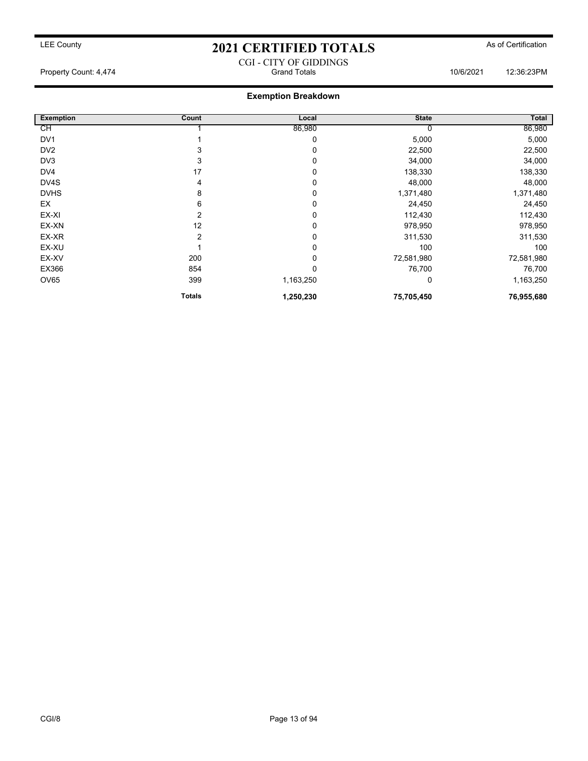#### CGI - CITY OF GIDDINGS Property Count: 4,474 Grand Totals 10/6/2021 12:36:23PM

| <b>Exemption</b> | Count         | Local     | <b>State</b> | Total      |
|------------------|---------------|-----------|--------------|------------|
| СH               |               | 86,980    |              | 86,980     |
| DV <sub>1</sub>  |               | 0         | 5,000        | 5,000      |
| DV <sub>2</sub>  | 3             | 0         | 22,500       | 22,500     |
| DV3              | 3             | 0         | 34,000       | 34,000     |
| DV4              | 17            | 0         | 138,330      | 138,330    |
| DV4S             | 4             | 0         | 48,000       | 48,000     |
| <b>DVHS</b>      | 8             | 0         | 1,371,480    | 1,371,480  |
| EX               | 6             | 0         | 24,450       | 24,450     |
| EX-XI            | 2             | 0         | 112,430      | 112,430    |
| EX-XN            | 12            | 0         | 978,950      | 978,950    |
| EX-XR            | 2             | 0         | 311,530      | 311,530    |
| EX-XU            |               | 0         | 100          | 100        |
| EX-XV            | 200           | 0         | 72,581,980   | 72,581,980 |
| EX366            | 854           | 0         | 76,700       | 76,700     |
| <b>OV65</b>      | 399           | 1,163,250 | 0            | 1,163,250  |
|                  | <b>Totals</b> | 1,250,230 | 75,705,450   | 76,955,680 |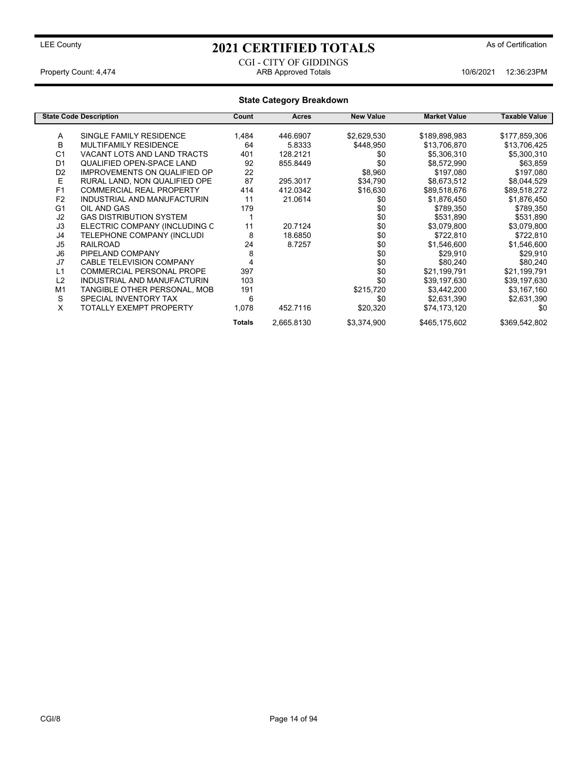#### CGI - CITY OF GIDDINGS Property Count: 4,474 ARB Approved Totals 10/6/2021 12:36:23PM

|                | <b>State Code Description</b>       | Count         | <b>Acres</b> | <b>New Value</b> | <b>Market Value</b> | Taxable Value |
|----------------|-------------------------------------|---------------|--------------|------------------|---------------------|---------------|
| Α              | SINGLE FAMILY RESIDENCE             | 1,484         | 446.6907     | \$2,629,530      | \$189,898,983       | \$177,859,306 |
| B              |                                     |               |              |                  |                     |               |
|                | <b>MULTIFAMILY RESIDENCE</b>        | 64            | 5.8333       | \$448,950        | \$13,706,870        | \$13,706,425  |
| C <sub>1</sub> | VACANT LOTS AND LAND TRACTS         | 401           | 128.2121     | \$0              | \$5,306,310         | \$5,300,310   |
| D <sub>1</sub> | QUALIFIED OPEN-SPACE LAND           | 92            | 855.8449     | \$0              | \$8,572,990         | \$63,859      |
| D <sub>2</sub> | <b>IMPROVEMENTS ON QUALIFIED OP</b> | 22            |              | \$8,960          | \$197,080           | \$197,080     |
| Е              | RURAL LAND, NON QUALIFIED OPE       | 87            | 295.3017     | \$34,790         | \$8,673,512         | \$8,044,529   |
| F <sub>1</sub> | <b>COMMERCIAL REAL PROPERTY</b>     | 414           | 412.0342     | \$16,630         | \$89,518,676        | \$89,518,272  |
| F <sub>2</sub> | INDUSTRIAL AND MANUFACTURIN         | 11            | 21.0614      | \$0              | \$1,876,450         | \$1,876,450   |
| G <sub>1</sub> | OIL AND GAS                         | 179           |              | \$0              | \$789,350           | \$789,350     |
| J2             | <b>GAS DISTRIBUTION SYSTEM</b>      |               |              | \$0              | \$531,890           | \$531,890     |
| J3             | ELECTRIC COMPANY (INCLUDING C       | 11            | 20.7124      | \$0              | \$3,079,800         | \$3,079,800   |
| J4             | TELEPHONE COMPANY (INCLUDI          | 8             | 18.6850      | \$0              | \$722,810           | \$722,810     |
| J5             | <b>RAILROAD</b>                     | 24            | 8.7257       | \$0              | \$1,546,600         | \$1,546,600   |
| J6             | PIPELAND COMPANY                    | 8             |              | \$0              | \$29,910            | \$29,910      |
| J7             | <b>CABLE TELEVISION COMPANY</b>     | 4             |              | \$0              | \$80,240            | \$80,240      |
| L1             | COMMERCIAL PERSONAL PROPE           | 397           |              | \$0              | \$21,199,791        | \$21,199,791  |
| L2             | <b>INDUSTRIAL AND MANUFACTURIN</b>  | 103           |              | \$0              | \$39,197,630        | \$39,197,630  |
| M <sub>1</sub> | TANGIBLE OTHER PERSONAL, MOB        | 191           |              | \$215,720        | \$3,442,200         | \$3,167,160   |
| S              | SPECIAL INVENTORY TAX               | 6             |              | \$0              | \$2,631,390         | \$2,631,390   |
| X              | <b>TOTALLY EXEMPT PROPERTY</b>      |               | 452.7116     |                  |                     | \$0           |
|                |                                     | 1,078         |              | \$20,320         | \$74,173,120        |               |
|                |                                     | <b>Totals</b> | 2,665.8130   | \$3,374,900      | \$465,175,602       | \$369,542,802 |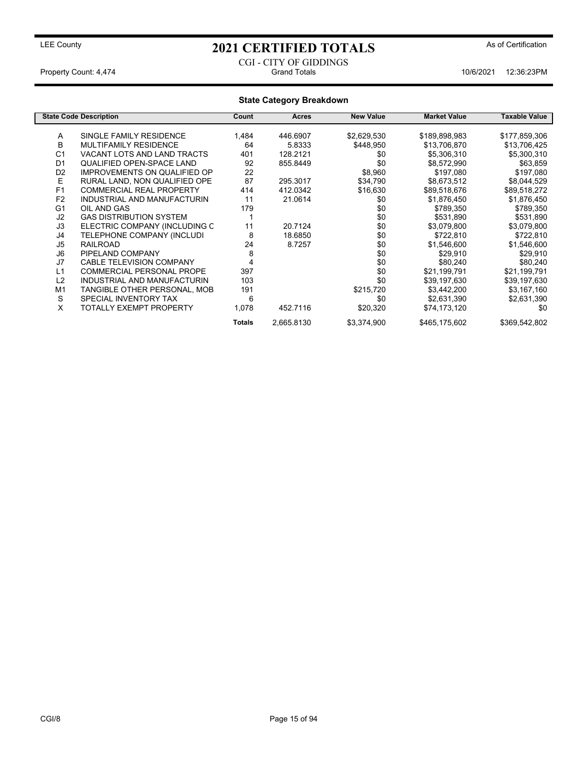#### CGI - CITY OF GIDDINGS Property Count: 4,474 Grand Totals 10/6/2021 12:36:23PM

|                | <b>State Code Description</b>       | Count         | Acres      | <b>New Value</b> | <b>Market Value</b> | Taxable Value |
|----------------|-------------------------------------|---------------|------------|------------------|---------------------|---------------|
| A              | SINGLE FAMILY RESIDENCE             | 1,484         | 446.6907   | \$2,629,530      | \$189,898,983       | \$177,859,306 |
| В              | MULTIFAMILY RESIDENCE               | 64            | 5.8333     | \$448,950        |                     |               |
|                |                                     |               |            |                  | \$13,706,870        | \$13,706,425  |
| C <sub>1</sub> | VACANT LOTS AND LAND TRACTS         | 401           | 128.2121   | \$0              | \$5,306,310         | \$5,300,310   |
| D <sub>1</sub> | QUALIFIED OPEN-SPACE LAND           | 92            | 855.8449   | \$0              | \$8,572,990         | \$63,859      |
| D <sub>2</sub> | <b>IMPROVEMENTS ON QUALIFIED OP</b> | 22            |            | \$8,960          | \$197,080           | \$197,080     |
| Е              | RURAL LAND, NON QUALIFIED OPE       | 87            | 295.3017   | \$34,790         | \$8,673,512         | \$8,044,529   |
| F <sub>1</sub> | <b>COMMERCIAL REAL PROPERTY</b>     | 414           | 412.0342   | \$16,630         | \$89,518,676        | \$89,518,272  |
| F <sub>2</sub> | INDUSTRIAL AND MANUFACTURIN         | 11            | 21.0614    | \$0              | \$1,876,450         | \$1,876,450   |
| G <sub>1</sub> | OIL AND GAS                         | 179           |            | \$0              | \$789,350           | \$789,350     |
| J2             | <b>GAS DISTRIBUTION SYSTEM</b>      |               |            | \$0              | \$531,890           | \$531,890     |
| J3             | ELECTRIC COMPANY (INCLUDING C       | 11            | 20.7124    | \$0              | \$3,079,800         | \$3,079,800   |
| J4             | TELEPHONE COMPANY (INCLUDI          | 8             | 18.6850    | \$0              | \$722,810           | \$722,810     |
| J <sub>5</sub> | <b>RAILROAD</b>                     | 24            | 8.7257     | \$0              | \$1,546,600         | \$1,546,600   |
| J <sub>6</sub> | PIPELAND COMPANY                    | 8             |            | \$0              | \$29,910            | \$29,910      |
| J7             | <b>CABLE TELEVISION COMPANY</b>     | 4             |            | \$0              | \$80,240            | \$80,240      |
| L1             | COMMERCIAL PERSONAL PROPE           | 397           |            | \$0              | \$21,199,791        | \$21,199,791  |
| L2             | INDUSTRIAL AND MANUFACTURIN         | 103           |            | \$0              | \$39,197,630        | \$39,197,630  |
| M <sub>1</sub> | TANGIBLE OTHER PERSONAL, MOB        | 191           |            | \$215,720        | \$3,442,200         | \$3,167,160   |
| S              | SPECIAL INVENTORY TAX               | 6             |            | \$0              | \$2,631,390         | \$2,631,390   |
| X              | TOTALLY EXEMPT PROPERTY             | 1,078         | 452.7116   | \$20,320         | \$74,173,120        | \$0           |
|                |                                     | <b>Totals</b> | 2,665.8130 | \$3,374,900      | \$465,175,602       | \$369,542,802 |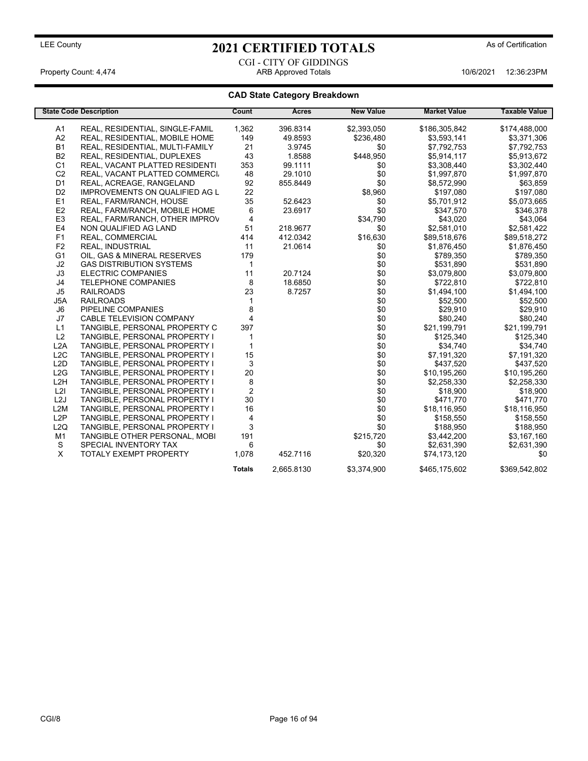CGI - CITY OF GIDDINGS Property Count: 4,474 **ARB Approved Totals** 10/6/2021 12:36:23PM

|                  | <b>State Code Description</b>         | Count          | <b>Acres</b> | <b>New Value</b> | <b>Market Value</b> | <b>Taxable Value</b> |
|------------------|---------------------------------------|----------------|--------------|------------------|---------------------|----------------------|
| A <sub>1</sub>   | REAL, RESIDENTIAL, SINGLE-FAMIL       | 1,362          | 396.8314     | \$2,393,050      | \$186,305,842       | \$174,488,000        |
| A2               | REAL, RESIDENTIAL, MOBILE HOME        | 149            | 49.8593      | \$236,480        | \$3,593,141         | \$3,371,306          |
| <b>B1</b>        | REAL, RESIDENTIAL, MULTI-FAMILY       | 21             | 3.9745       | \$0              | \$7,792,753         | \$7,792,753          |
| <b>B2</b>        | REAL, RESIDENTIAL, DUPLEXES           | 43             | 1.8588       | \$448,950        | \$5,914,117         | \$5,913,672          |
| C <sub>1</sub>   | REAL, VACANT PLATTED RESIDENTI        | 353            | 99.1111      | \$0              | \$3,308,440         | \$3,302,440          |
| C <sub>2</sub>   | REAL, VACANT PLATTED COMMERCI         | 48             | 29.1010      | \$0              | \$1,997,870         | \$1,997,870          |
| D <sub>1</sub>   | REAL, ACREAGE, RANGELAND              | 92             | 855.8449     | \$0              | \$8,572,990         | \$63,859             |
| D <sub>2</sub>   | <b>IMPROVEMENTS ON QUALIFIED AG L</b> | 22             |              | \$8,960          | \$197,080           | \$197,080            |
| E1               | REAL, FARM/RANCH, HOUSE               | 35             | 52.6423      | \$0              | \$5,701,912         | \$5,073,665          |
| E <sub>2</sub>   | REAL, FARM/RANCH, MOBILE HOME         | 6              | 23.6917      | \$0              | \$347,570           | \$346,378            |
| E <sub>3</sub>   | REAL, FARM/RANCH, OTHER IMPROV        | $\overline{4}$ |              | \$34,790         | \$43,020            | \$43,064             |
| E4               | NON QUALIFIED AG LAND                 | 51             | 218.9677     | \$0              | \$2,581,010         | \$2,581,422          |
| F <sub>1</sub>   | REAL, COMMERCIAL                      | 414            | 412.0342     | \$16,630         | \$89,518,676        | \$89,518,272         |
| F <sub>2</sub>   | <b>REAL, INDUSTRIAL</b>               | 11             | 21.0614      | \$0              | \$1,876,450         | \$1,876,450          |
| G <sub>1</sub>   | OIL, GAS & MINERAL RESERVES           | 179            |              | \$0              | \$789,350           | \$789,350            |
| J <sub>2</sub>   | <b>GAS DISTRIBUTION SYSTEMS</b>       | $\mathbf{1}$   |              | \$0              | \$531,890           | \$531,890            |
| J3               | <b>ELECTRIC COMPANIES</b>             | 11             | 20.7124      | \$0              | \$3,079,800         | \$3,079,800          |
| J4               | <b>TELEPHONE COMPANIES</b>            | 8              | 18.6850      | \$0              | \$722,810           | \$722,810            |
| J <sub>5</sub>   | <b>RAILROADS</b>                      | 23             | 8.7257       | \$0              | \$1,494,100         | \$1,494,100          |
| J5A              | <b>RAILROADS</b>                      |                |              | \$0              | \$52,500            | \$52,500             |
| J <sub>6</sub>   | PIPELINE COMPANIES                    | 8              |              | \$0              | \$29,910            | \$29,910             |
| J7               | CABLE TELEVISION COMPANY              | 4              |              | \$0              | \$80,240            | \$80,240             |
| L1               | TANGIBLE, PERSONAL PROPERTY C         | 397            |              | \$0              | \$21,199,791        | \$21,199,791         |
| L2               | TANGIBLE, PERSONAL PROPERTY I         | 1              |              | \$0              | \$125,340           | \$125,340            |
| L2A              | TANGIBLE, PERSONAL PROPERTY I         | $\mathbf{1}$   |              | \$0              | \$34,740            | \$34,740             |
| L2C              | TANGIBLE, PERSONAL PROPERTY I         | 15             |              | \$0              | \$7,191,320         | \$7,191,320          |
| L <sub>2</sub> D | TANGIBLE, PERSONAL PROPERTY I         | 3              |              | \$0              | \$437,520           | \$437,520            |
| L2G              | TANGIBLE, PERSONAL PROPERTY I         | 20             |              | \$0              | \$10,195,260        | \$10,195,260         |
| L <sub>2</sub> H | TANGIBLE, PERSONAL PROPERTY I         | 8              |              | \$0              | \$2,258,330         | \$2,258,330          |
| L2I              | TANGIBLE, PERSONAL PROPERTY I         | $\overline{2}$ |              | \$0              | \$18,900            | \$18,900             |
| L <sub>2</sub> J | TANGIBLE, PERSONAL PROPERTY I         | 30             |              | \$0              | \$471,770           | \$471,770            |
| L2M              | TANGIBLE, PERSONAL PROPERTY I         | 16             |              | \$0              | \$18,116,950        | \$18,116,950         |
| L2P              | TANGIBLE, PERSONAL PROPERTY I         | $\overline{4}$ |              | \$0              | \$158,550           | \$158,550            |
| L2Q              | TANGIBLE, PERSONAL PROPERTY I         | 3              |              | \$0              | \$188,950           | \$188,950            |
| M1               | TANGIBLE OTHER PERSONAL, MOBI         | 191            |              | \$215,720        | \$3,442,200         | \$3,167,160          |
| S                | SPECIAL INVENTORY TAX                 | 6              |              | \$0              | \$2,631,390         | \$2,631,390          |
| X                | <b>TOTALY EXEMPT PROPERTY</b>         | 1,078          | 452.7116     | \$20,320         | \$74,173,120        | \$0                  |
|                  |                                       | <b>Totals</b>  | 2.665.8130   | \$3,374,900      | \$465.175.602       | \$369,542,802        |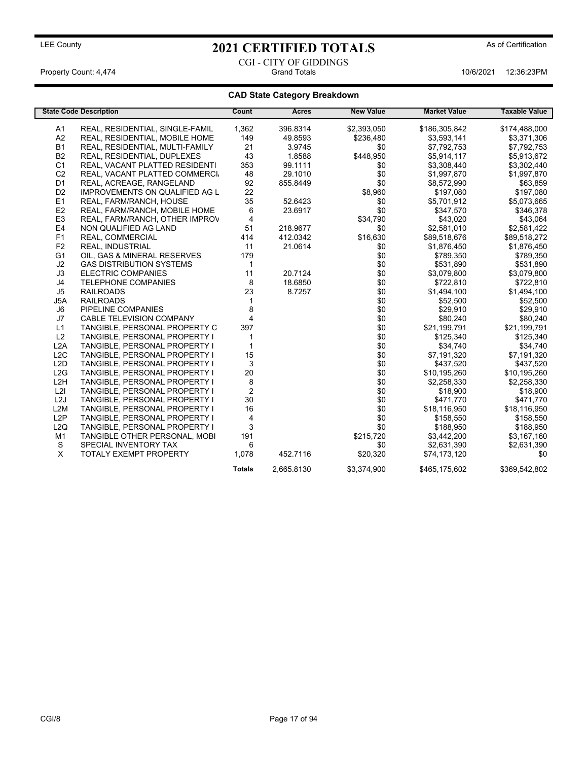CGI - CITY OF GIDDINGS Property Count: 4,474 Grand Totals 10/6/2021 12:36:23PM

|                  | <b>State Code Description</b>         | Count          | Acres      | <b>New Value</b> | <b>Market Value</b> | <b>Taxable Value</b> |
|------------------|---------------------------------------|----------------|------------|------------------|---------------------|----------------------|
| A <sub>1</sub>   | REAL, RESIDENTIAL, SINGLE-FAMIL       | 1,362          | 396.8314   | \$2,393,050      | \$186,305,842       | \$174,488,000        |
| A2               | REAL, RESIDENTIAL, MOBILE HOME        | 149            | 49.8593    | \$236,480        | \$3,593,141         | \$3,371,306          |
| <b>B1</b>        | REAL, RESIDENTIAL, MULTI-FAMILY       | 21             | 3.9745     | \$0              | \$7,792,753         | \$7,792,753          |
| <b>B2</b>        | REAL, RESIDENTIAL, DUPLEXES           | 43             | 1.8588     | \$448,950        | \$5,914,117         | \$5,913,672          |
| C <sub>1</sub>   | REAL, VACANT PLATTED RESIDENTI        | 353            | 99.1111    | \$0              | \$3,308,440         | \$3,302,440          |
| C <sub>2</sub>   | REAL, VACANT PLATTED COMMERCI         | 48             | 29.1010    | \$0              | \$1,997,870         | \$1,997,870          |
| D <sub>1</sub>   | REAL, ACREAGE, RANGELAND              | 92             | 855.8449   | \$0              | \$8,572,990         | \$63,859             |
| D <sub>2</sub>   | <b>IMPROVEMENTS ON QUALIFIED AG L</b> | 22             |            | \$8,960          | \$197,080           | \$197,080            |
| E1               | REAL, FARM/RANCH, HOUSE               | 35             | 52.6423    | \$0              | \$5,701,912         | \$5,073,665          |
| E <sub>2</sub>   | REAL, FARM/RANCH, MOBILE HOME         | 6              | 23.6917    | \$0              | \$347,570           | \$346,378            |
| E <sub>3</sub>   | REAL, FARM/RANCH, OTHER IMPROV        | $\overline{4}$ |            | \$34,790         | \$43,020            | \$43,064             |
| E <sub>4</sub>   | NON QUALIFIED AG LAND                 | 51             | 218.9677   | \$0              | \$2,581,010         | \$2,581,422          |
| F <sub>1</sub>   | REAL, COMMERCIAL                      | 414            | 412.0342   | \$16,630         | \$89,518,676        | \$89,518,272         |
| F <sub>2</sub>   | <b>REAL, INDUSTRIAL</b>               | 11             | 21.0614    | \$0              | \$1,876,450         | \$1,876,450          |
| G <sub>1</sub>   | OIL, GAS & MINERAL RESERVES           | 179            |            | \$0              | \$789,350           | \$789,350            |
| J2               | <b>GAS DISTRIBUTION SYSTEMS</b>       | $\mathbf{1}$   |            | \$0              | \$531,890           | \$531,890            |
| J3               | <b>ELECTRIC COMPANIES</b>             | 11             | 20.7124    | \$0              | \$3,079,800         | \$3,079,800          |
| J4               | <b>TELEPHONE COMPANIES</b>            | 8              | 18.6850    | \$0              | \$722,810           | \$722,810            |
| J5               | <b>RAILROADS</b>                      | 23             | 8.7257     | \$0              | \$1,494,100         | \$1,494,100          |
| J5A              | <b>RAILROADS</b>                      |                |            | \$0              | \$52,500            | \$52,500             |
| J6               | PIPELINE COMPANIES                    | 8              |            | \$0              | \$29,910            | \$29,910             |
| J7               | CABLE TELEVISION COMPANY              | 4              |            | \$0              | \$80,240            | \$80,240             |
| L1               | TANGIBLE, PERSONAL PROPERTY C         | 397            |            | \$0              | \$21,199,791        | \$21,199,791         |
| L2               | TANGIBLE, PERSONAL PROPERTY I         | $\mathbf{1}$   |            | \$0              | \$125,340           | \$125,340            |
| L2A              | TANGIBLE, PERSONAL PROPERTY I         | $\mathbf 1$    |            | \$0              | \$34,740            | \$34,740             |
| L2C              | TANGIBLE, PERSONAL PROPERTY I         | 15             |            | \$0              | \$7,191,320         | \$7,191,320          |
| L <sub>2</sub> D | TANGIBLE, PERSONAL PROPERTY I         | 3              |            | \$0              | \$437,520           | \$437,520            |
| L2G              | TANGIBLE, PERSONAL PROPERTY I         | 20             |            | \$0              | \$10,195,260        | \$10,195,260         |
| L <sub>2</sub> H | TANGIBLE, PERSONAL PROPERTY I         | 8              |            | \$0              | \$2,258,330         | \$2,258,330          |
| L2I              | TANGIBLE, PERSONAL PROPERTY I         | 2              |            | \$0              | \$18,900            | \$18,900             |
| L2J              | TANGIBLE, PERSONAL PROPERTY I         | 30             |            | \$0              | \$471,770           | \$471,770            |
| L <sub>2</sub> M | TANGIBLE, PERSONAL PROPERTY I         | 16             |            | \$0              | \$18,116,950        | \$18,116,950         |
| L2P              | TANGIBLE, PERSONAL PROPERTY I         | 4              |            | \$0              | \$158,550           | \$158,550            |
| L2Q              | TANGIBLE, PERSONAL PROPERTY I         | 3              |            | \$0              | \$188,950           | \$188,950            |
| M <sub>1</sub>   | TANGIBLE OTHER PERSONAL, MOBI         | 191            |            | \$215,720        | \$3,442,200         | \$3,167,160          |
| S                | SPECIAL INVENTORY TAX                 | 6              |            | \$0              | \$2,631,390         | \$2,631,390          |
| X                | <b>TOTALY EXEMPT PROPERTY</b>         | 1,078          | 452.7116   | \$20,320         | \$74,173,120        | \$0                  |
|                  |                                       | <b>Totals</b>  | 2.665.8130 | \$3.374.900      | \$465,175,602       | \$369,542,802        |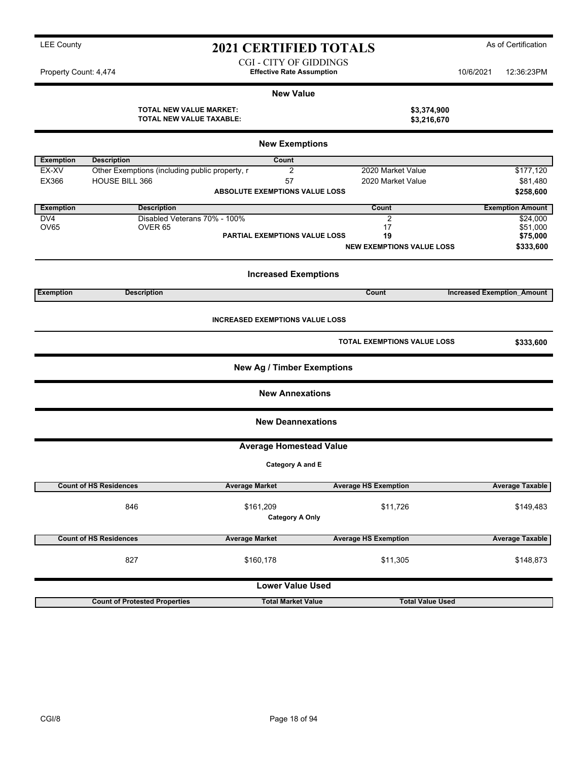| <b>2021 CERTIFIED TOTALS</b> | As of Certification |
|------------------------------|---------------------|
|                              |                     |

CGI - CITY OF GIDDINGS Property Count: 4,474 **Effective Rate Assumption** 10/6/2021 12:36:23PM

#### **New Value**

**TOTAL NEW VALUE MARKET: \$3,374,900 TOTAL NEW VALUE TAXABLE: \$3,216,670**

| <b>New Exemptions</b> |                                                |                                        |                                    |                                   |  |
|-----------------------|------------------------------------------------|----------------------------------------|------------------------------------|-----------------------------------|--|
| <b>Exemption</b>      | <b>Description</b>                             | Count                                  |                                    |                                   |  |
| EX-XV                 | Other Exemptions (including public property, r | 2                                      | 2020 Market Value                  | \$177,120                         |  |
| EX366                 | <b>HOUSE BILL 366</b>                          | 57                                     | 2020 Market Value                  | \$81,480                          |  |
|                       |                                                | <b>ABSOLUTE EXEMPTIONS VALUE LOSS</b>  |                                    | \$258,600                         |  |
|                       |                                                |                                        |                                    |                                   |  |
| <b>Exemption</b>      | <b>Description</b>                             |                                        | Count                              | <b>Exemption Amount</b>           |  |
| DV4                   | Disabled Veterans 70% - 100%                   |                                        | $\overline{2}$                     | \$24,000                          |  |
| <b>OV65</b>           | OVER <sub>65</sub>                             |                                        | 17                                 | \$51,000                          |  |
|                       |                                                | <b>PARTIAL EXEMPTIONS VALUE LOSS</b>   | 19                                 | \$75,000                          |  |
|                       |                                                |                                        | <b>NEW EXEMPTIONS VALUE LOSS</b>   | \$333,600                         |  |
|                       |                                                | <b>Increased Exemptions</b>            |                                    |                                   |  |
| <b>Exemption</b>      | <b>Description</b>                             |                                        | Count                              | <b>Increased Exemption Amount</b> |  |
|                       |                                                | <b>INCREASED EXEMPTIONS VALUE LOSS</b> |                                    |                                   |  |
|                       |                                                |                                        | <b>TOTAL EXEMPTIONS VALUE LOSS</b> | \$333,600                         |  |
|                       |                                                | <b>New Ag / Timber Exemptions</b>      |                                    |                                   |  |
|                       |                                                | <b>New Annexations</b>                 |                                    |                                   |  |
|                       |                                                | <b>New Deannexations</b>               |                                    |                                   |  |
|                       |                                                | <b>Average Homestead Value</b>         |                                    |                                   |  |
|                       |                                                | Category A and E                       |                                    |                                   |  |
|                       | <b>Count of HS Residences</b>                  | <b>Average Market</b>                  | <b>Average HS Exemption</b>        | <b>Average Taxable</b>            |  |
|                       | 846                                            | \$161,209<br><b>Category A Only</b>    | \$11,726                           | \$149,483                         |  |
|                       | <b>Count of HS Residences</b>                  | <b>Average Market</b>                  | <b>Average HS Exemption</b>        | <b>Average Taxable</b>            |  |
|                       | 827                                            | \$160,178                              | \$11,305                           | \$148,873                         |  |
|                       |                                                | <b>Lower Value Used</b>                |                                    |                                   |  |
|                       | <b>Count of Protested Properties</b>           | <b>Total Market Value</b>              | <b>Total Value Used</b>            |                                   |  |
|                       |                                                |                                        |                                    |                                   |  |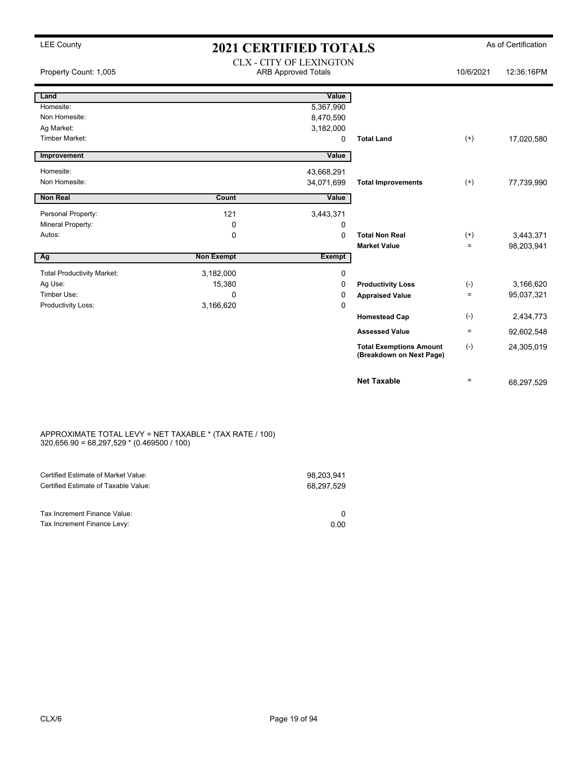| Property Count: 1,005             |                   | <b>CLX - CITY OF LEXINGTON</b><br><b>ARB Approved Totals</b> |                                                            | 10/6/2021    | 12:36:16PM |
|-----------------------------------|-------------------|--------------------------------------------------------------|------------------------------------------------------------|--------------|------------|
| Land                              |                   | Value                                                        |                                                            |              |            |
| Homesite:                         |                   | 5,367,990                                                    |                                                            |              |            |
| Non Homesite:                     |                   | 8,470,590                                                    |                                                            |              |            |
| Ag Market:                        |                   | 3,182,000                                                    |                                                            |              |            |
| Timber Market:                    |                   | 0                                                            | <b>Total Land</b>                                          | $^{(+)}$     | 17,020,580 |
| Improvement                       |                   | Value                                                        |                                                            |              |            |
| Homesite:                         |                   | 43,668,291                                                   |                                                            |              |            |
| Non Homesite:                     |                   | 34,071,699                                                   | <b>Total Improvements</b>                                  | $(+)$        | 77,739,990 |
| <b>Non Real</b>                   | Count             | Value                                                        |                                                            |              |            |
| Personal Property:                | 121               | 3,443,371                                                    |                                                            |              |            |
| Mineral Property:                 | 0                 | 0                                                            |                                                            |              |            |
| Autos:                            | 0                 | 0                                                            | <b>Total Non Real</b>                                      | $(+)$        | 3,443,371  |
|                                   |                   |                                                              | <b>Market Value</b>                                        | $=$          | 98,203,941 |
| Ag                                | <b>Non Exempt</b> | Exempt                                                       |                                                            |              |            |
| <b>Total Productivity Market:</b> | 3,182,000         | 0                                                            |                                                            |              |            |
| Ag Use:                           | 15,380            | 0                                                            | <b>Productivity Loss</b>                                   | $(\text{-})$ | 3,166,620  |
| Timber Use:                       | $\mathbf 0$       | 0                                                            | <b>Appraised Value</b>                                     | $\equiv$     | 95,037,321 |
| Productivity Loss:                | 3,166,620         | $\mathbf 0$                                                  |                                                            |              |            |
|                                   |                   |                                                              | <b>Homestead Cap</b>                                       | $(-)$        | 2,434,773  |
|                                   |                   |                                                              | <b>Assessed Value</b>                                      | $\equiv$     | 92,602,548 |
|                                   |                   |                                                              | <b>Total Exemptions Amount</b><br>(Breakdown on Next Page) | $(-)$        | 24,305,019 |
|                                   |                   |                                                              | <b>Net Taxable</b>                                         | $=$          | 68,297,529 |

#### APPROXIMATE TOTAL LEVY = NET TAXABLE \* (TAX RATE / 100) 320,656.90 = 68,297,529 \* (0.469500 / 100)

| Certified Estimate of Market Value:<br>Certified Estimate of Taxable Value: | 98.203.941<br>68,297,529 |
|-----------------------------------------------------------------------------|--------------------------|
| Tax Increment Finance Value:                                                |                          |
| Tax Increment Finance Levy:                                                 | 0.00                     |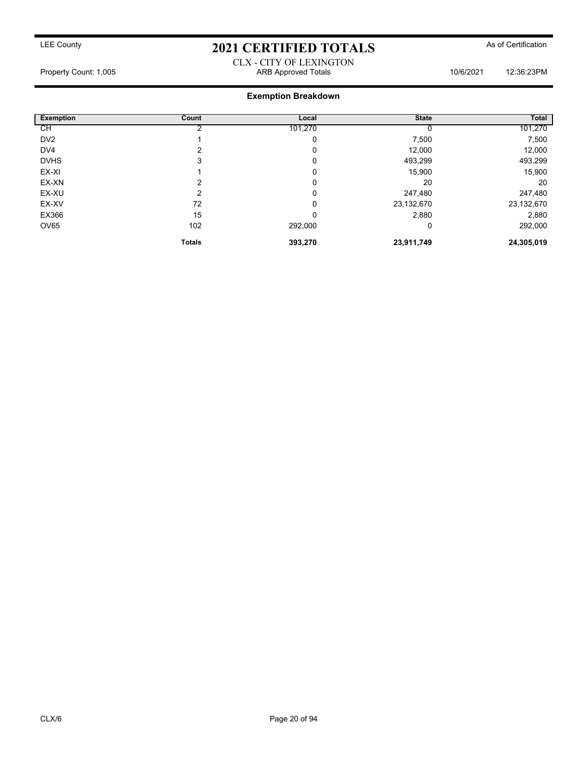#### CLX - CITY OF LEXINGTON Property Count: 1,005 ARB Approved Totals 10/6/2021 12:36:23PM

| <b>Exemption</b> | Count         | Local   | <b>State</b> | Total      |
|------------------|---------------|---------|--------------|------------|
| СH               |               | 101,270 |              | 101,270    |
| DV <sub>2</sub>  |               | 0       | 7,500        | 7,500      |
| DV4              | າ             | 0       | 12,000       | 12,000     |
| <b>DVHS</b>      | 3             | 0       | 493,299      | 493,299    |
| EX-XI            |               | 0       | 15,900       | 15,900     |
| EX-XN            | 2             | 0       | 20           | 20         |
| EX-XU            | າ             | 0       | 247,480      | 247,480    |
| EX-XV            | 72            | 0       | 23,132,670   | 23,132,670 |
| EX366            | 15            | 0       | 2,880        | 2,880      |
| OV65             | 102           | 292,000 | 0            | 292,000    |
|                  | <b>Totals</b> | 393,270 | 23,911,749   | 24,305,019 |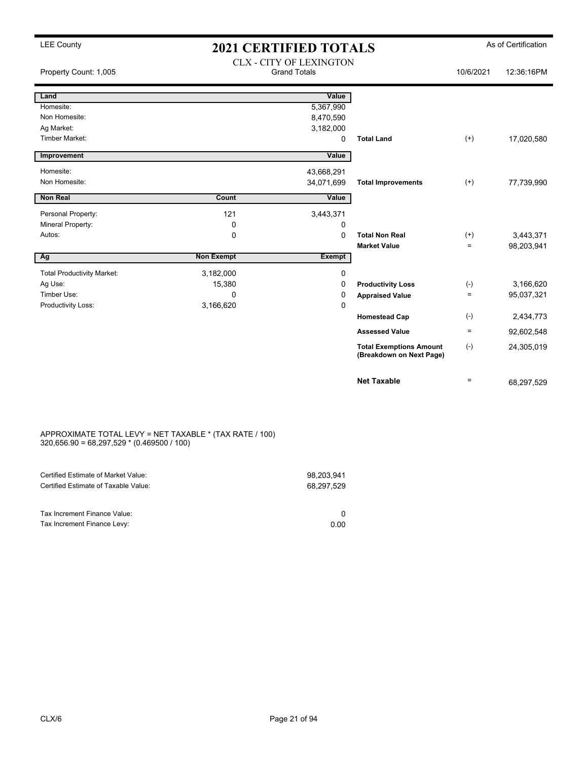## LEE County **2021 CERTIFIED TOTALS** As of Certification CLX - CITY OF LEXINGTON

| Property Count: 1,005             |                   | ULA - UII I UF LEAINUTUN<br><b>Grand Totals</b> |                                                            | 10/6/2021 | 12:36:16PM |
|-----------------------------------|-------------------|-------------------------------------------------|------------------------------------------------------------|-----------|------------|
| Land                              |                   | Value                                           |                                                            |           |            |
| Homesite:                         |                   | 5,367,990                                       |                                                            |           |            |
| Non Homesite:                     |                   | 8,470,590                                       |                                                            |           |            |
| Ag Market:                        |                   | 3,182,000                                       |                                                            |           |            |
| <b>Timber Market:</b>             |                   | 0                                               | <b>Total Land</b>                                          | $^{(+)}$  | 17,020,580 |
| Improvement                       |                   | Value                                           |                                                            |           |            |
| Homesite:                         |                   | 43,668,291                                      |                                                            |           |            |
| Non Homesite:                     |                   | 34,071,699                                      | <b>Total Improvements</b>                                  | $^{(+)}$  | 77,739,990 |
| <b>Non Real</b>                   | Count             | Value                                           |                                                            |           |            |
| Personal Property:                | 121               | 3,443,371                                       |                                                            |           |            |
| Mineral Property:                 | 0                 | 0                                               |                                                            |           |            |
| Autos:                            | 0                 | $\mathbf 0$                                     | <b>Total Non Real</b>                                      | $^{(+)}$  | 3,443,371  |
|                                   |                   |                                                 | <b>Market Value</b>                                        | $=$       | 98,203,941 |
| Ag                                | <b>Non Exempt</b> | <b>Exempt</b>                                   |                                                            |           |            |
| <b>Total Productivity Market:</b> | 3,182,000         | 0                                               |                                                            |           |            |
| Ag Use:                           | 15,380            | 0                                               | <b>Productivity Loss</b>                                   | $(-)$     | 3,166,620  |
| Timber Use:                       | 0                 | 0                                               | <b>Appraised Value</b>                                     | $\equiv$  | 95,037,321 |
| Productivity Loss:                | 3,166,620         | 0                                               |                                                            |           |            |
|                                   |                   |                                                 | <b>Homestead Cap</b>                                       | $(-)$     | 2,434,773  |
|                                   |                   |                                                 | <b>Assessed Value</b>                                      | $\equiv$  | 92,602,548 |
|                                   |                   |                                                 | <b>Total Exemptions Amount</b><br>(Breakdown on Next Page) | $(-)$     | 24,305,019 |
|                                   |                   |                                                 | <b>Net Taxable</b>                                         | $\equiv$  | 68,297,529 |

#### APPROXIMATE TOTAL LEVY = NET TAXABLE \* (TAX RATE / 100) 320,656.90 = 68,297,529 \* (0.469500 / 100)

| Certified Estimate of Market Value:                         | 98,203,941 |
|-------------------------------------------------------------|------------|
| Certified Estimate of Taxable Value:                        | 68,297,529 |
| Tax Increment Finance Value:<br>Tax Increment Finance Levy: | 0.00       |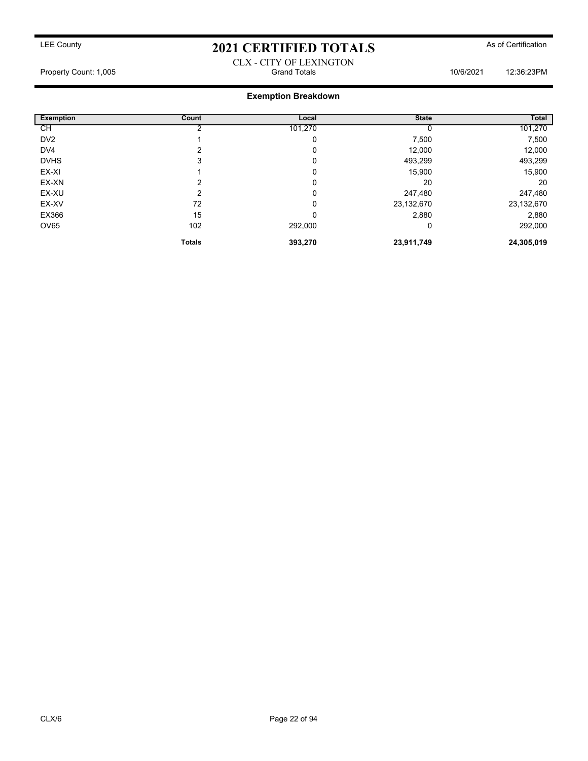#### CLX - CITY OF LEXINGTON Property Count: 1,005 Grand Totals 10/6/2021 12:36:23PM

| <b>Exemption</b> | Count         | Local   | <b>State</b> | Total      |
|------------------|---------------|---------|--------------|------------|
| СH               |               | 101,270 |              | 101,270    |
| DV <sub>2</sub>  |               | 0       | 7,500        | 7,500      |
| DV4              | າ             | 0       | 12,000       | 12,000     |
| <b>DVHS</b>      | 3             | 0       | 493,299      | 493,299    |
| EX-XI            |               | 0       | 15,900       | 15,900     |
| EX-XN            | っ             | 0       | 20           | 20         |
| EX-XU            | ົ             | 0       | 247,480      | 247,480    |
| EX-XV            | 72            | 0       | 23,132,670   | 23,132,670 |
| EX366            | 15            | 0       | 2,880        | 2,880      |
| OV65             | 102           | 292,000 | 0            | 292,000    |
|                  | <b>Totals</b> | 393,270 | 23,911,749   | 24,305,019 |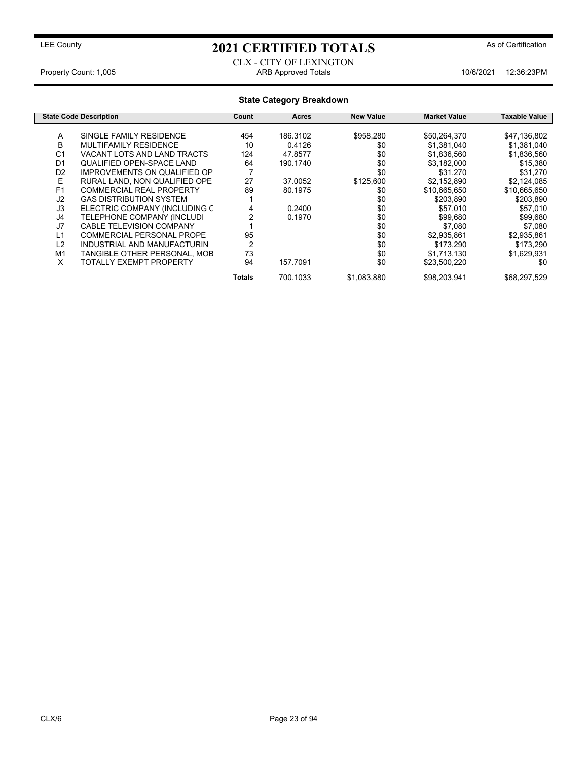#### CLX - CITY OF LEXINGTON Property Count: 1,005 **ARB Approved Totals** 10/6/2021 12:36:23PM

#### **State Category Breakdown State Code Description Count Acres New Value Market Value Taxable Value** A SINGLE FAMILY RESIDENCE 454 186.3102 \$958,280 \$50,264,370 \$47,136,802<br>B MULTIFAMILY RESIDENCE 10 0.4126 \$0 \$1.381.040 \$1.381.040 B MULTIFAMILY RESIDENCE 10 0.4126 \$0 \$1,381,040 \$1,381,040 C1 VACANT LOTS AND LAND TRACTS 124 47.8577 \$0 \$1,836,560 \$1,836,560 \$1,836,560<br>D1 QUALIFIED OPEN-SPACE LAND 64 190.1740 \$0 \$3,182,000 \$15,380 QUALIFIED OPEN-SPACE LAND D2 IMPROVEMENTS ON QUALIFIED OP 7<br>
E RURAL LAND, NON QUALIFIED OPE 27 37.0052 \$125,600 \$2,152,890 \$2,124,085 E RURAL LAND, NON QUALIFIED OPE 27 37.0052 \$125,600 \$2,152,890 \$2,124,085<br>
F1 COMMERCIAL REAL PROPERTY 89 80.1975 \$0 \$10,665,650 \$10,665,650 F1 COMMERCIAL REAL PROPERTY 89 80.1975 \$0 \$10,665,650 \$10,665,650 J2 GAS DISTRIBUTION SYSTEM 1 \$0 \$203,890 \$203,890 J3 ELECTRIC COMPANY (INCLUDING C 4 0.2400 \$0 \$57,010 \$57,010 J4 TELEPHONE COMPANY (INCLUDI 2 0.1970 \$0 \$99,680 \$99,680 CABLE TELEVISION COMPANY L1 COMMERCIAL PERSONAL PROPE 95 \$0 \$2,935,861 \$2,935,861 L2 INDUSTRIAL AND MANUFACTURIN 2 \$0 \$173,290 \$173,290 TANGIBLE OTHER PERSONAL, MOB 73<br>TOTALLY EXEMPT PROPERTY 94 X TOTALLY EXEMPT PROPERTY 94 157.7091 \$0 \$23,500,220 \$0 **Totals** 700.1033 \$1,083,880 \$98,203,941 \$68,297,529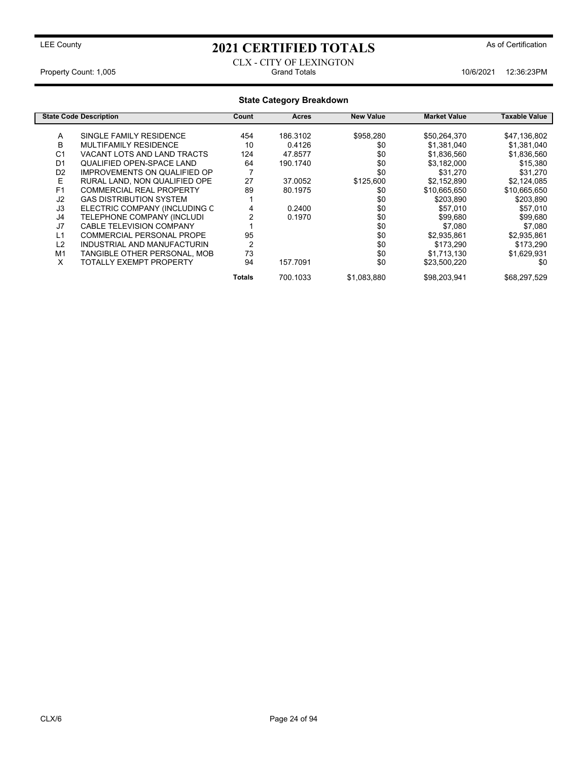#### CLX - CITY OF LEXINGTON Property Count: 1,005 Crand Totals 10/6/2021 12:36:23PM

| <b>State Category Breakdown</b> |                                     |        |              |                  |                     |               |
|---------------------------------|-------------------------------------|--------|--------------|------------------|---------------------|---------------|
|                                 | <b>State Code Description</b>       | Count  | <b>Acres</b> | <b>New Value</b> | <b>Market Value</b> | Taxable Value |
| A                               | SINGLE FAMILY RESIDENCE             | 454    | 186.3102     | \$958,280        | \$50,264,370        | \$47,136,802  |
| B                               | MULTIFAMILY RESIDENCE               | 10     | 0.4126       | \$0              | \$1,381,040         | \$1,381,040   |
| C <sub>1</sub>                  | VACANT LOTS AND LAND TRACTS         | 124    | 47.8577      | \$0              | \$1,836,560         | \$1,836,560   |
| D <sub>1</sub>                  | <b>QUALIFIED OPEN-SPACE LAND</b>    | 64     | 190.1740     | \$0              | \$3,182,000         | \$15,380      |
| D <sub>2</sub>                  | <b>IMPROVEMENTS ON QUALIFIED OP</b> |        |              | \$0              | \$31,270            | \$31,270      |
| Е                               | RURAL LAND, NON QUALIFIED OPE       | 27     | 37.0052      | \$125,600        | \$2,152,890         | \$2,124,085   |
| F <sub>1</sub>                  | <b>COMMERCIAL REAL PROPERTY</b>     | 89     | 80.1975      | \$0              | \$10,665,650        | \$10,665,650  |
| J2                              | <b>GAS DISTRIBUTION SYSTEM</b>      |        |              | \$0              | \$203,890           | \$203,890     |
| J3                              | ELECTRIC COMPANY (INCLUDING C       | 4      | 0.2400       | \$0              | \$57,010            | \$57,010      |
| J4                              | TELEPHONE COMPANY (INCLUDI          |        | 0.1970       | \$0              | \$99,680            | \$99,680      |
| J7                              | <b>CABLE TELEVISION COMPANY</b>     |        |              | \$0              | \$7,080             | \$7,080       |
| L1                              | COMMERCIAL PERSONAL PROPE           | 95     |              | \$0              | \$2,935,861         | \$2,935,861   |
| L2                              | INDUSTRIAL AND MANUFACTURIN         | 2      |              | \$0              | \$173,290           | \$173,290     |
| M1                              | TANGIBLE OTHER PERSONAL, MOB        | 73     |              | \$0              | \$1,713,130         | \$1,629,931   |
| X                               | <b>TOTALLY EXEMPT PROPERTY</b>      | 94     | 157.7091     | \$0              | \$23,500,220        | \$0           |
|                                 |                                     | Totals | 700.1033     | \$1,083,880      | \$98,203,941        | \$68,297,529  |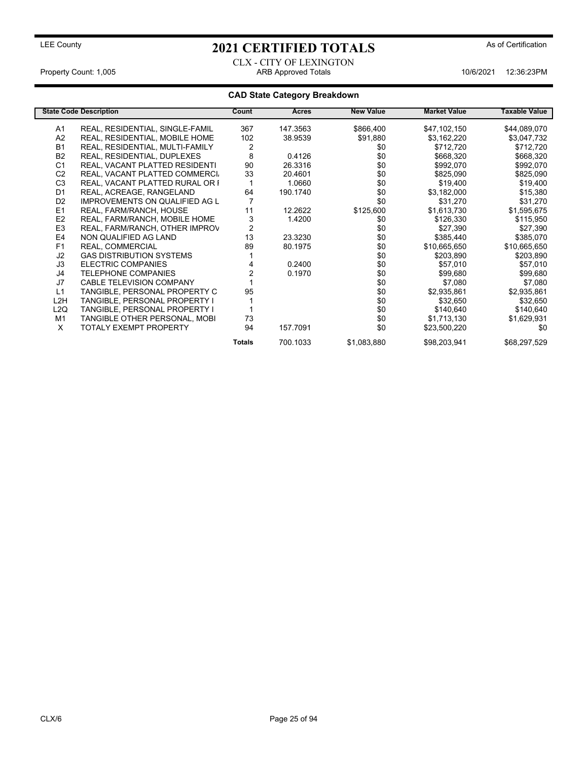#### CLX - CITY OF LEXINGTON Property Count: 1,005 **ARB Approved Totals** 10/6/2021 12:36:23PM

|                  | <b>State Code Description</b>         | Count         | <b>Acres</b> | <b>New Value</b> | <b>Market Value</b> | <b>Taxable Value</b> |
|------------------|---------------------------------------|---------------|--------------|------------------|---------------------|----------------------|
| A1               | REAL, RESIDENTIAL, SINGLE-FAMIL       | 367           | 147.3563     | \$866,400        | \$47,102,150        | \$44,089,070         |
| A <sub>2</sub>   | REAL, RESIDENTIAL, MOBILE HOME        | 102           | 38.9539      | \$91,880         | \$3,162,220         | \$3,047,732          |
| <b>B1</b>        | REAL, RESIDENTIAL, MULTI-FAMILY       | 2             |              | \$0              | \$712,720           | \$712,720            |
| B <sub>2</sub>   | REAL, RESIDENTIAL, DUPLEXES           | 8             | 0.4126       | \$0              | \$668,320           | \$668,320            |
| C <sub>1</sub>   | REAL, VACANT PLATTED RESIDENTI        | 90            | 26.3316      | \$0              | \$992,070           | \$992,070            |
| C <sub>2</sub>   | REAL, VACANT PLATTED COMMERCI         | 33            | 20.4601      | \$0              | \$825,090           | \$825,090            |
| C <sub>3</sub>   | REAL, VACANT PLATTED RURAL OR I       |               | 1.0660       | \$0              | \$19,400            | \$19,400             |
| D <sub>1</sub>   | REAL, ACREAGE, RANGELAND              | 64            | 190.1740     | \$0              | \$3,182,000         | \$15,380             |
| D <sub>2</sub>   | <b>IMPROVEMENTS ON QUALIFIED AG L</b> |               |              | \$0              | \$31,270            | \$31,270             |
| E1               | REAL, FARM/RANCH, HOUSE               | 11            | 12.2622      | \$125,600        | \$1,613,730         | \$1,595,675          |
| E <sub>2</sub>   | REAL, FARM/RANCH, MOBILE HOME         | 3             | 1.4200       | \$0              | \$126,330           | \$115,950            |
| E <sub>3</sub>   | REAL, FARM/RANCH, OTHER IMPROV        | 2             |              | \$0              | \$27,390            | \$27,390             |
| E <sub>4</sub>   | NON QUALIFIED AG LAND                 | 13            | 23.3230      | \$0              | \$385,440           | \$385,070            |
| F1               | REAL, COMMERCIAL                      | 89            | 80.1975      | \$0              | \$10,665,650        | \$10,665,650         |
| J <sub>2</sub>   | <b>GAS DISTRIBUTION SYSTEMS</b>       |               |              | \$0              | \$203,890           | \$203,890            |
| J3               | ELECTRIC COMPANIES                    |               | 0.2400       | \$0              | \$57,010            | \$57,010             |
| J4               | <b>TELEPHONE COMPANIES</b>            |               | 0.1970       | \$0              | \$99,680            | \$99,680             |
| J7               | <b>CABLE TELEVISION COMPANY</b>       |               |              | \$0              | \$7,080             | \$7,080              |
| L1               | TANGIBLE, PERSONAL PROPERTY C         | 95            |              | \$0              | \$2,935,861         | \$2,935,861          |
| L <sub>2</sub> H | TANGIBLE, PERSONAL PROPERTY I         |               |              | \$0              | \$32,650            | \$32,650             |
| L2Q              | TANGIBLE, PERSONAL PROPERTY I         |               |              | \$0              | \$140,640           | \$140,640            |
| M <sub>1</sub>   | TANGIBLE OTHER PERSONAL, MOBI         | 73            |              | \$0              | \$1,713,130         | \$1,629,931          |
| X                | TOTALY EXEMPT PROPERTY                | 94            | 157.7091     | \$0              | \$23,500,220        | \$0                  |
|                  |                                       | <b>Totals</b> | 700.1033     | \$1,083,880      | \$98,203,941        | \$68,297,529         |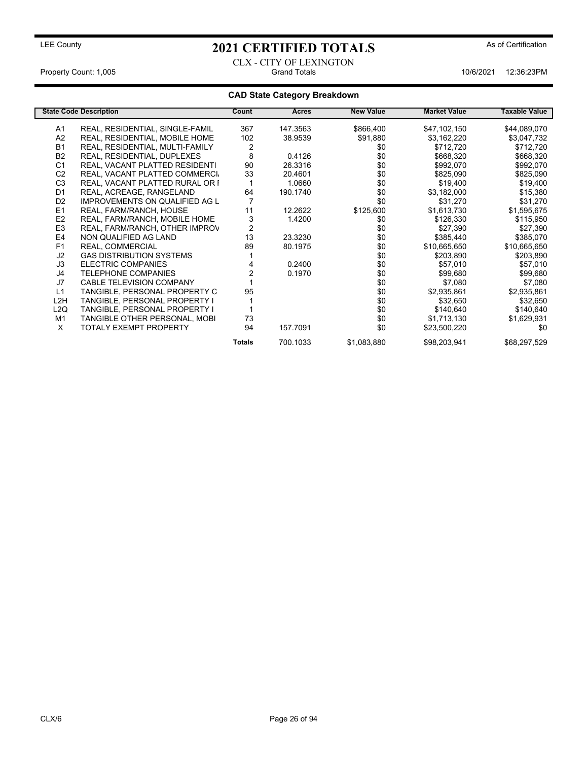### CLX - CITY OF LEXINGTON Property Count: 1,005 Crand Totals 10/6/2021 12:36:23PM

|                 | <b>State Code Description</b>         | Count  | <b>Acres</b> | <b>New Value</b> | <b>Market Value</b> | <b>Taxable Value</b> |
|-----------------|---------------------------------------|--------|--------------|------------------|---------------------|----------------------|
| A1              | REAL, RESIDENTIAL, SINGLE-FAMIL       | 367    | 147.3563     | \$866,400        | \$47,102,150        | \$44,089,070         |
| A <sub>2</sub>  | REAL, RESIDENTIAL, MOBILE HOME        | 102    | 38.9539      | \$91,880         | \$3,162,220         | \$3,047,732          |
| <b>B1</b>       | REAL, RESIDENTIAL, MULTI-FAMILY       | 2      |              | \$0              | \$712,720           | \$712,720            |
| <b>B2</b>       | REAL, RESIDENTIAL, DUPLEXES           | 8      | 0.4126       | \$0              | \$668,320           | \$668,320            |
| C <sub>1</sub>  | REAL, VACANT PLATTED RESIDENTI        | 90     | 26.3316      | \$0              | \$992,070           | \$992,070            |
| C <sub>2</sub>  | REAL, VACANT PLATTED COMMERCI         | 33     | 20.4601      | \$0              | \$825,090           | \$825,090            |
| C <sub>3</sub>  | REAL, VACANT PLATTED RURAL OR F       |        | 1.0660       | \$0              | \$19,400            | \$19,400             |
| D <sub>1</sub>  | REAL, ACREAGE, RANGELAND              | 64     | 190.1740     | \$0              | \$3,182,000         | \$15,380             |
| D <sub>2</sub>  | <b>IMPROVEMENTS ON QUALIFIED AG L</b> |        |              | \$0              | \$31,270            | \$31,270             |
| E <sub>1</sub>  | REAL, FARM/RANCH, HOUSE               | 11     | 12.2622      | \$125,600        | \$1,613,730         | \$1,595,675          |
| E <sub>2</sub>  | REAL, FARM/RANCH, MOBILE HOME         | 3      | 1.4200       | \$0              | \$126,330           | \$115,950            |
| E <sub>3</sub>  | REAL, FARM/RANCH, OTHER IMPROV        |        |              | \$0              | \$27,390            | \$27,390             |
| E4              | NON QUALIFIED AG LAND                 | 13     | 23.3230      | \$0              | \$385,440           | \$385,070            |
| F <sub>1</sub>  | REAL, COMMERCIAL                      | 89     | 80.1975      | \$0              | \$10,665,650        | \$10,665,650         |
| J <sub>2</sub>  | <b>GAS DISTRIBUTION SYSTEMS</b>       |        |              | \$0              | \$203,890           | \$203,890            |
| J3              | ELECTRIC COMPANIES                    |        | 0.2400       | \$0              | \$57,010            | \$57,010             |
| J4              | <b>TELEPHONE COMPANIES</b>            |        | 0.1970       | \$0              | \$99,680            | \$99,680             |
| J7              | <b>CABLE TELEVISION COMPANY</b>       |        |              | \$0              | \$7,080             | \$7,080              |
| L1              | TANGIBLE, PERSONAL PROPERTY C         | 95     |              | \$0              | \$2,935,861         | \$2,935,861          |
| L2H             | TANGIBLE, PERSONAL PROPERTY I         |        |              | \$0              | \$32,650            | \$32,650             |
| L <sub>2Q</sub> | TANGIBLE, PERSONAL PROPERTY I         |        |              | \$0              | \$140,640           | \$140,640            |
| M1              | TANGIBLE OTHER PERSONAL, MOBI         | 73     |              | \$0              | \$1,713,130         | \$1,629,931          |
| X               | <b>TOTALY EXEMPT PROPERTY</b>         | 94     | 157.7091     | \$0              | \$23,500,220        | \$0                  |
|                 |                                       | Totals | 700.1033     | \$1,083,880      | \$98,203,941        | \$68,297,529         |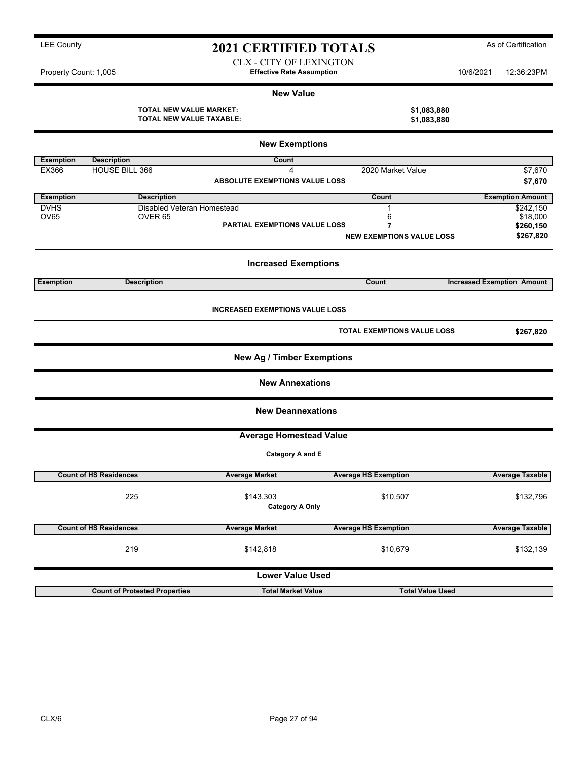CLX - CITY OF LEXINGTON Property Count: 1,005 **Effective Rate Assumption** 10/6/2021 12:36:23PM

#### **New Value**

| TOTAL NEW VALUE MARKET:  | \$1,083,880 |
|--------------------------|-------------|
| TOTAL NEW VALUE TAXABLE: | \$1,083,880 |

|                  | <b>New Exemptions</b>                |                                        |                                       |                                   |  |  |  |  |
|------------------|--------------------------------------|----------------------------------------|---------------------------------------|-----------------------------------|--|--|--|--|
| <b>Exemption</b> | <b>Description</b>                   | Count                                  |                                       |                                   |  |  |  |  |
| EX366            | HOUSE BILL 366                       | 4                                      | 2020 Market Value                     | \$7,670                           |  |  |  |  |
|                  |                                      | <b>ABSOLUTE EXEMPTIONS VALUE LOSS</b>  |                                       | \$7,670                           |  |  |  |  |
| <b>Exemption</b> | <b>Description</b>                   |                                        | Count                                 | <b>Exemption Amount</b>           |  |  |  |  |
| <b>DVHS</b>      | Disabled Veteran Homestead           |                                        | $\mathbf{1}$                          | \$242,150                         |  |  |  |  |
| <b>OV65</b>      | OVER <sub>65</sub>                   |                                        | 6                                     | \$18,000                          |  |  |  |  |
|                  |                                      | PARTIAL EXEMPTIONS VALUE LOSS          | 7<br><b>NEW EXEMPTIONS VALUE LOSS</b> | \$260,150<br>\$267,820            |  |  |  |  |
|                  |                                      | <b>Increased Exemptions</b>            |                                       |                                   |  |  |  |  |
| <b>Exemption</b> | <b>Description</b>                   |                                        | Count                                 | <b>Increased Exemption Amount</b> |  |  |  |  |
|                  |                                      | <b>INCREASED EXEMPTIONS VALUE LOSS</b> |                                       |                                   |  |  |  |  |
|                  |                                      |                                        | TOTAL EXEMPTIONS VALUE LOSS           | \$267,820                         |  |  |  |  |
|                  |                                      | <b>New Ag / Timber Exemptions</b>      |                                       |                                   |  |  |  |  |
|                  |                                      | <b>New Annexations</b>                 |                                       |                                   |  |  |  |  |
|                  |                                      | <b>New Deannexations</b>               |                                       |                                   |  |  |  |  |
|                  |                                      | <b>Average Homestead Value</b>         |                                       |                                   |  |  |  |  |
|                  |                                      | Category A and E                       |                                       |                                   |  |  |  |  |
|                  | <b>Count of HS Residences</b>        | <b>Average Market</b>                  | <b>Average HS Exemption</b>           | <b>Average Taxable</b>            |  |  |  |  |
|                  | 225                                  | \$143,303<br><b>Category A Only</b>    | \$10,507                              | \$132,796                         |  |  |  |  |
|                  | <b>Count of HS Residences</b>        | <b>Average Market</b>                  | <b>Average HS Exemption</b>           | <b>Average Taxable</b>            |  |  |  |  |
|                  | 219                                  | \$142,818                              | \$10,679                              | \$132,139                         |  |  |  |  |
|                  |                                      | <b>Lower Value Used</b>                |                                       |                                   |  |  |  |  |
|                  | <b>Count of Protested Properties</b> | <b>Total Market Value</b>              | <b>Total Value Used</b>               |                                   |  |  |  |  |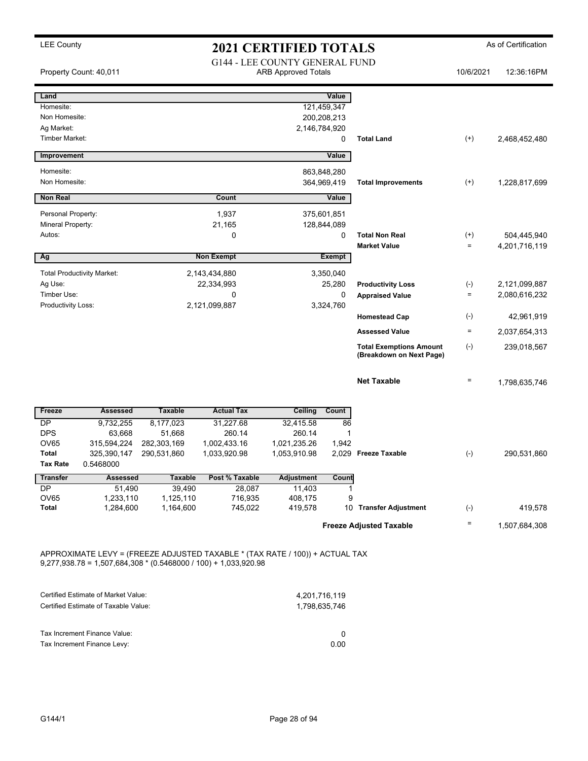|                                                                    | Property Count: 40,011                                         |                                                   |                                                                                                                                                   | <b>G144 - LEE COUNTY GENERAL FUND</b><br><b>ARB Approved Totals</b> |                                                           |                                                            | 10/6/2021                      | 12:36:16PM                     |
|--------------------------------------------------------------------|----------------------------------------------------------------|---------------------------------------------------|---------------------------------------------------------------------------------------------------------------------------------------------------|---------------------------------------------------------------------|-----------------------------------------------------------|------------------------------------------------------------|--------------------------------|--------------------------------|
| Land<br>Homesite:<br>Non Homesite:<br>Ag Market:<br>Timber Market: |                                                                |                                                   |                                                                                                                                                   |                                                                     | Value<br>121,459,347<br>200,208,213<br>2,146,784,920<br>0 | <b>Total Land</b>                                          | $^{(+)}$                       | 2,468,452,480                  |
| Improvement                                                        |                                                                |                                                   |                                                                                                                                                   |                                                                     | <b>Value</b>                                              |                                                            |                                |                                |
| Homesite:<br>Non Homesite:                                         |                                                                |                                                   |                                                                                                                                                   |                                                                     | 863,848,280<br>364,969,419                                | <b>Total Improvements</b>                                  | $^{(+)}$                       | 1,228,817,699                  |
| <b>Non Real</b>                                                    |                                                                |                                                   | Count                                                                                                                                             |                                                                     | Value                                                     |                                                            |                                |                                |
| Personal Property:<br>Mineral Property:                            |                                                                |                                                   | 1,937<br>21,165                                                                                                                                   |                                                                     | 375,601,851<br>128,844,089                                |                                                            |                                |                                |
| Autos:<br>Ag                                                       |                                                                |                                                   | 0<br><b>Non Exempt</b>                                                                                                                            |                                                                     | 0<br><b>Exempt</b>                                        | <b>Total Non Real</b><br><b>Market Value</b>               | $^{(+)}$<br>$\equiv$           | 504,445,940<br>4,201,716,119   |
| Ag Use:<br>Timber Use:                                             | <b>Total Productivity Market:</b>                              |                                                   | 2,143,434,880<br>22,334,993<br>0                                                                                                                  |                                                                     | 3,350,040<br>25,280<br>0                                  | <b>Productivity Loss</b><br><b>Appraised Value</b>         | $(\textnormal{-})$<br>$\equiv$ | 2,121,099,887<br>2,080,616,232 |
| Productivity Loss:                                                 |                                                                |                                                   | 2,121,099,887                                                                                                                                     |                                                                     | 3,324,760                                                 | <b>Homestead Cap</b>                                       | $(-)$                          | 42,961,919                     |
|                                                                    |                                                                |                                                   |                                                                                                                                                   |                                                                     |                                                           | <b>Assessed Value</b>                                      | $\equiv$                       | 2,037,654,313                  |
|                                                                    |                                                                |                                                   |                                                                                                                                                   |                                                                     |                                                           | <b>Total Exemptions Amount</b><br>(Breakdown on Next Page) | $(-)$                          | 239,018,567                    |
|                                                                    |                                                                |                                                   |                                                                                                                                                   |                                                                     |                                                           | <b>Net Taxable</b>                                         | $\equiv$                       | 1,798,635,746                  |
| Freeze                                                             | <b>Assessed</b>                                                | <b>Taxable</b>                                    | <b>Actual Tax</b>                                                                                                                                 | Ceiling                                                             | Count                                                     |                                                            |                                |                                |
| DP<br><b>DPS</b><br>OV65<br><b>Total</b><br><b>Tax Rate</b>        | 9,732,255<br>63,668<br>315,594,224<br>325,390,147<br>0.5468000 | 8,177,023<br>51,668<br>282,303,169<br>290,531,860 | 31,227.68<br>260.14<br>1,002,433.16<br>1,033,920.98                                                                                               | 32,415.58<br>260.14<br>1,021,235.26<br>1,053,910.98                 | 86<br>1<br>1,942<br>2,029                                 | <b>Freeze Taxable</b>                                      | $(-)$                          | 290,531,860                    |
| <b>Transfer</b>                                                    | <b>Assessed</b>                                                | <b>Taxable</b>                                    | Post % Taxable                                                                                                                                    | <b>Adjustment</b>                                                   | Count                                                     |                                                            |                                |                                |
| DP<br>OV65<br>Total                                                | 51,490<br>1,233,110<br>1,284,600                               | 39,490<br>1,125,110<br>1,164,600                  | 28,087<br>716,935<br>745,022                                                                                                                      | 11,403<br>408,175<br>419,578                                        | $\mathbf{1}$<br>9                                         | 10 Transfer Adjustment                                     | $(-)$                          | 419,578                        |
|                                                                    |                                                                |                                                   |                                                                                                                                                   |                                                                     |                                                           | <b>Freeze Adjusted Taxable</b>                             | $\equiv$                       | 1,507,684,308                  |
|                                                                    | Certified Estimate of Market Value:                            |                                                   | APPROXIMATE LEVY = (FREEZE ADJUSTED TAXABLE * (TAX RATE / 100)) + ACTUAL TAX<br>$9,277,938.78 = 1,507,684,308 * (0.5468000 / 100) + 1,033,920.98$ |                                                                     | 4,201,716,119                                             |                                                            |                                |                                |
|                                                                    | Certified Estimate of Taxable Value:                           |                                                   |                                                                                                                                                   |                                                                     | 1,798,635,746                                             |                                                            |                                |                                |
|                                                                    | Tax Increment Finance Value:<br>Tax Increment Finance Levy:    |                                                   |                                                                                                                                                   |                                                                     | 0<br>0.00                                                 |                                                            |                                |                                |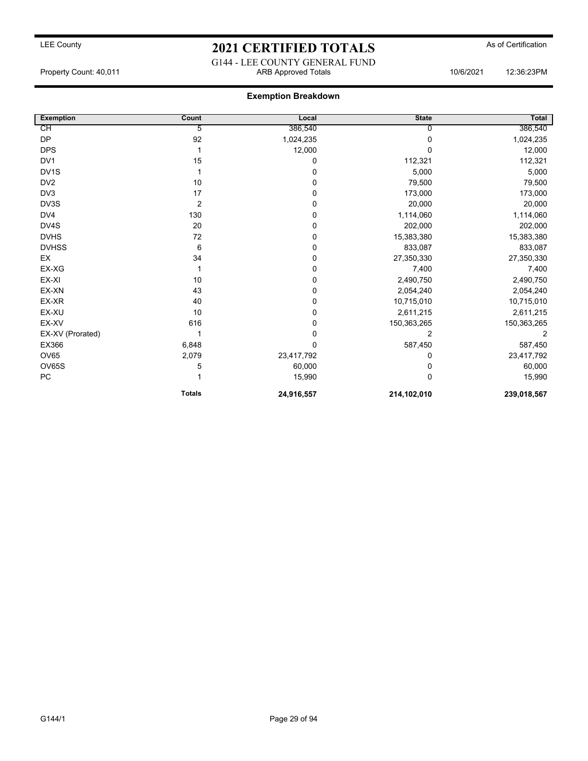G144 - LEE COUNTY GENERAL FUND Property Count: 40,011 ARB Approved Totals 10/6/2021 12:36:23PM

| <b>Exemption</b> | Count          | Local       | <b>State</b> | Total       |
|------------------|----------------|-------------|--------------|-------------|
| CH               | 5              | 386,540     |              | 386,540     |
| <b>DP</b>        | 92             | 1,024,235   | O            | 1,024,235   |
| <b>DPS</b>       |                | 12,000      | U            | 12,000      |
| DV <sub>1</sub>  | 15             | 0           | 112,321      | 112,321     |
| DV1S             |                | 0           | 5,000        | 5,000       |
| DV <sub>2</sub>  | 10             | 0           | 79,500       | 79,500      |
| DV <sub>3</sub>  | 17             | 0           | 173,000      | 173,000     |
| DV3S             | $\overline{2}$ | $\mathbf 0$ | 20,000       | 20,000      |
| DV4              | 130            | 0           | 1,114,060    | 1,114,060   |
| DV4S             | 20             | 0           | 202,000      | 202,000     |
| <b>DVHS</b>      | 72             | 0           | 15,383,380   | 15,383,380  |
| <b>DVHSS</b>     | 6              | 0           | 833,087      | 833,087     |
| EX               | 34             | 0           | 27,350,330   | 27,350,330  |
| EX-XG            |                | 0           | 7,400        | 7,400       |
| EX-XI            | 10             | 0           | 2,490,750    | 2,490,750   |
| EX-XN            | 43             | 0           | 2,054,240    | 2,054,240   |
| EX-XR            | 40             | 0           | 10,715,010   | 10,715,010  |
| EX-XU            | 10             | 0           | 2,611,215    | 2,611,215   |
| EX-XV            | 616            | 0           | 150,363,265  | 150,363,265 |
| EX-XV (Prorated) |                | 0           | 2            | 2           |
| EX366            | 6,848          | $\mathbf 0$ | 587,450      | 587,450     |
| <b>OV65</b>      | 2,079          | 23,417,792  | 0            | 23,417,792  |
| OV65S            | 5              | 60,000      | 0            | 60,000      |
| ${\sf PC}$       |                | 15,990      | O            | 15,990      |
|                  | <b>Totals</b>  | 24,916,557  | 214,102,010  | 239,018,567 |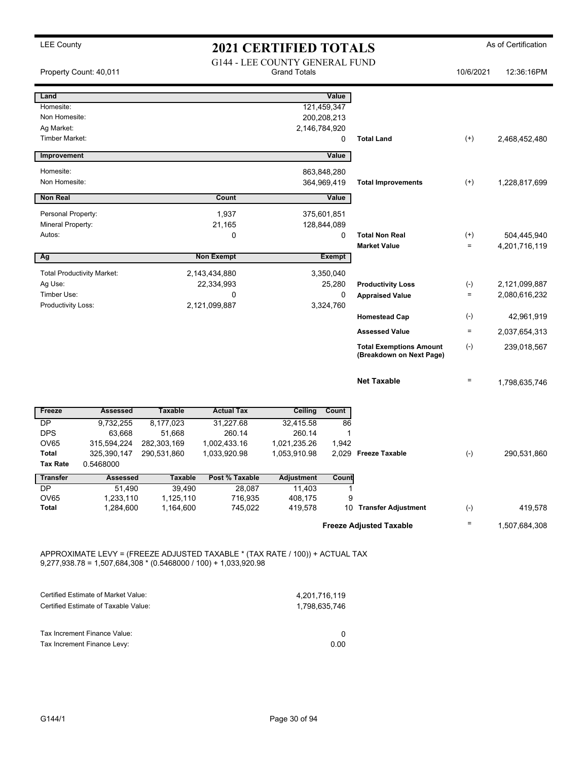|                                    | Property Count: 40,011               |                     |                                                                                                                                                   | <b>G144 - LEE COUNTY GENERAL FUND</b><br><b>Grand Totals</b> |                   |                                | 10/6/2021          | 12:36:16PM    |
|------------------------------------|--------------------------------------|---------------------|---------------------------------------------------------------------------------------------------------------------------------------------------|--------------------------------------------------------------|-------------------|--------------------------------|--------------------|---------------|
| Land                               |                                      |                     |                                                                                                                                                   |                                                              | Value             |                                |                    |               |
| Homesite:                          |                                      |                     |                                                                                                                                                   |                                                              | 121,459,347       |                                |                    |               |
| Non Homesite:                      |                                      |                     |                                                                                                                                                   |                                                              | 200,208,213       |                                |                    |               |
| Ag Market:                         |                                      |                     |                                                                                                                                                   |                                                              | 2,146,784,920     |                                |                    |               |
| <b>Timber Market:</b>              |                                      |                     |                                                                                                                                                   |                                                              | 0                 | <b>Total Land</b>              | $^{(+)}$           | 2,468,452,480 |
| Improvement                        |                                      |                     |                                                                                                                                                   |                                                              | Value             |                                |                    |               |
| Homesite:                          |                                      |                     |                                                                                                                                                   |                                                              | 863,848,280       |                                |                    |               |
| Non Homesite:                      |                                      |                     |                                                                                                                                                   |                                                              | 364,969,419       | <b>Total Improvements</b>      | $^{(+)}$           | 1,228,817,699 |
| <b>Non Real</b>                    |                                      |                     | Count                                                                                                                                             |                                                              | Value             |                                |                    |               |
| Personal Property:                 |                                      |                     | 1,937                                                                                                                                             |                                                              | 375,601,851       |                                |                    |               |
| Mineral Property:                  |                                      |                     | 21,165                                                                                                                                            |                                                              | 128,844,089       |                                |                    |               |
| Autos:                             |                                      |                     | 0                                                                                                                                                 |                                                              | 0                 | <b>Total Non Real</b>          | $^{(+)}$           | 504,445,940   |
|                                    |                                      |                     |                                                                                                                                                   |                                                              |                   | <b>Market Value</b>            | $\equiv$           | 4,201,716,119 |
| Ag                                 |                                      |                     | <b>Non Exempt</b>                                                                                                                                 |                                                              | <b>Exempt</b>     |                                |                    |               |
|                                    | <b>Total Productivity Market:</b>    |                     | 2,143,434,880                                                                                                                                     |                                                              | 3,350,040         |                                |                    |               |
| Ag Use:                            |                                      |                     | 22,334,993                                                                                                                                        |                                                              | 25,280            | <b>Productivity Loss</b>       | $(-)$              | 2,121,099,887 |
| Timber Use:<br>Productivity Loss:  |                                      | 0<br>2,121,099,887  |                                                                                                                                                   | 0<br>3,324,760                                               |                   | <b>Appraised Value</b>         | $\equiv$           | 2,080,616,232 |
|                                    |                                      |                     |                                                                                                                                                   |                                                              |                   | <b>Homestead Cap</b>           | $(\textnormal{-})$ | 42,961,919    |
|                                    |                                      |                     |                                                                                                                                                   |                                                              |                   | <b>Assessed Value</b>          | $\equiv$           | 2,037,654,313 |
|                                    |                                      |                     |                                                                                                                                                   |                                                              |                   | <b>Total Exemptions Amount</b> | $(-)$              | 239,018,567   |
|                                    |                                      |                     |                                                                                                                                                   |                                                              |                   | (Breakdown on Next Page)       |                    |               |
|                                    |                                      |                     |                                                                                                                                                   |                                                              |                   | <b>Net Taxable</b>             | $\qquad \qquad =$  | 1,798,635,746 |
| Freeze                             | <b>Assessed</b>                      | <b>Taxable</b>      | <b>Actual Tax</b>                                                                                                                                 | Ceiling                                                      | Count             |                                |                    |               |
| DP                                 | 9,732,255                            | 8,177,023           | 31,227.68                                                                                                                                         | 32,415.58                                                    | 86                |                                |                    |               |
| <b>DPS</b>                         | 63,668                               | 51,668              | 260.14                                                                                                                                            | 260.14                                                       | 1                 |                                |                    |               |
| OV65                               | 315,594,224                          | 282,303,169         | 1,002,433.16                                                                                                                                      | 1,021,235.26                                                 | 1,942             |                                |                    |               |
| <b>Total</b>                       | 325,390,147                          | 290,531,860         | 1,033,920.98                                                                                                                                      | 1,053,910.98                                                 |                   | 2,029 Freeze Taxable           | $(-)$              | 290,531,860   |
| <b>Tax Rate</b><br><b>Transfer</b> | 0.5468000<br><b>Assessed</b>         | <b>Taxable</b>      | Post % Taxable                                                                                                                                    | <b>Adjustment</b>                                            | Count             |                                |                    |               |
|                                    |                                      |                     |                                                                                                                                                   |                                                              |                   |                                |                    |               |
| DP<br>OV65                         | 51,490<br>1,233,110                  | 39,490<br>1,125,110 | 28,087<br>716,935                                                                                                                                 | 11,403<br>408,175                                            | $\mathbf{1}$<br>9 |                                |                    |               |
| Total                              | 1,284,600                            | 1,164,600           | 745,022                                                                                                                                           | 419,578                                                      |                   | 10 Transfer Adjustment         | $(-)$              | 419,578       |
|                                    |                                      |                     |                                                                                                                                                   |                                                              |                   | <b>Freeze Adjusted Taxable</b> | $\quad \  \  =$    | 1,507,684,308 |
|                                    |                                      |                     |                                                                                                                                                   |                                                              |                   |                                |                    |               |
|                                    |                                      |                     | APPROXIMATE LEVY = (FREEZE ADJUSTED TAXABLE * (TAX RATE / 100)) + ACTUAL TAX<br>$9,277,938.78 = 1,507,684,308 * (0.5468000 / 100) + 1,033,920.98$ |                                                              |                   |                                |                    |               |
|                                    |                                      |                     |                                                                                                                                                   |                                                              |                   |                                |                    |               |
|                                    | Certified Estimate of Market Value:  |                     |                                                                                                                                                   |                                                              | 4,201,716,119     |                                |                    |               |
|                                    | Certified Estimate of Taxable Value: |                     |                                                                                                                                                   |                                                              | 1,798,635,746     |                                |                    |               |
|                                    | Tax Increment Finance Value:         |                     |                                                                                                                                                   |                                                              | 0                 |                                |                    |               |
|                                    | Tax Increment Finance Levy:          |                     |                                                                                                                                                   |                                                              | 0.00              |                                |                    |               |
|                                    |                                      |                     |                                                                                                                                                   |                                                              |                   |                                |                    |               |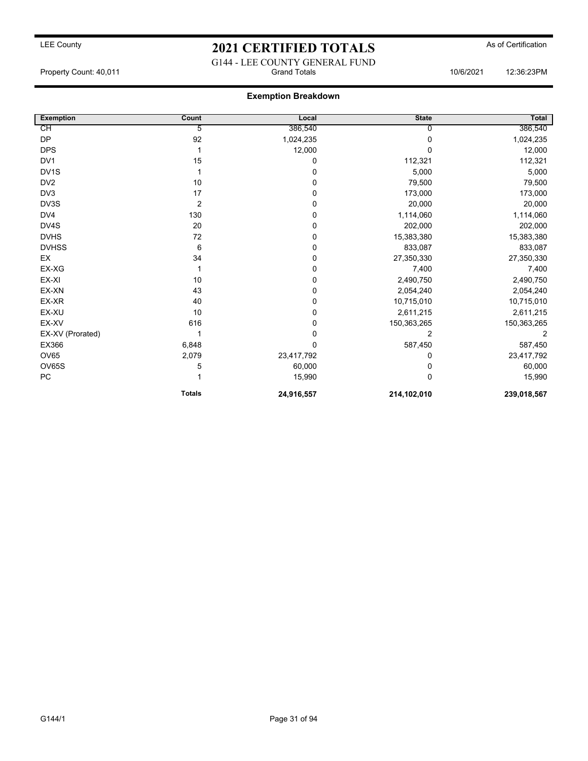## LEE County **2021 CERTIFIED TOTALS** As of Certification G144 - LEE COUNTY GENERAL FUND

Property Count: 40,011 Grand Totals 10/6/2021 12:36:23PM

| <b>Exemption</b> | Count          | Local      | <b>State</b> | Total       |
|------------------|----------------|------------|--------------|-------------|
| СH               | 5              | 386,540    |              | 386,540     |
| <b>DP</b>        | 92             | 1,024,235  | $\Omega$     | 1,024,235   |
| <b>DPS</b>       |                | 12,000     | <sup>0</sup> | 12,000      |
| DV <sub>1</sub>  | 15             | 0          | 112,321      | 112,321     |
| DV1S             |                | 0          | 5,000        | 5,000       |
| DV <sub>2</sub>  | 10             | 0          | 79,500       | 79,500      |
| DV <sub>3</sub>  | 17             | 0          | 173,000      | 173,000     |
| DV3S             | $\overline{2}$ | 0          | 20,000       | 20,000      |
| DV4              | 130            | 0          | 1,114,060    | 1,114,060   |
| DV4S             | 20             | 0          | 202,000      | 202,000     |
| <b>DVHS</b>      | 72             | 0          | 15,383,380   | 15,383,380  |
| <b>DVHSS</b>     | 6              | 0          | 833,087      | 833,087     |
| EX               | 34             | 0          | 27,350,330   | 27,350,330  |
| EX-XG            |                | 0          | 7,400        | 7,400       |
| EX-XI            | 10             | 0          | 2,490,750    | 2,490,750   |
| EX-XN            | 43             | 0          | 2,054,240    | 2,054,240   |
| EX-XR            | 40             | 0          | 10,715,010   | 10,715,010  |
| EX-XU            | 10             | 0          | 2,611,215    | 2,611,215   |
| EX-XV            | 616            | 0          | 150,363,265  | 150,363,265 |
| EX-XV (Prorated) |                | 0          | 2            | 2           |
| EX366            | 6,848          | 0          | 587,450      | 587,450     |
| OV65             | 2,079          | 23,417,792 | 0            | 23,417,792  |
| <b>OV65S</b>     | 5              | 60,000     | $\Omega$     | 60,000      |
| PC               |                | 15,990     | $\Omega$     | 15,990      |
|                  | <b>Totals</b>  | 24,916,557 | 214,102,010  | 239,018,567 |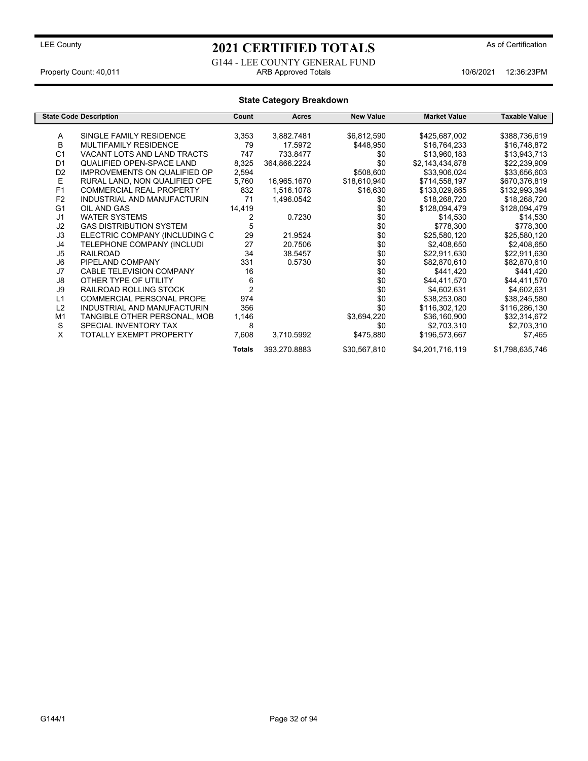G144 - LEE COUNTY GENERAL FUND Property Count: 40,011 ARB Approved Totals 10/6/2021 12:36:23PM

|                | <b>State Code Description</b>       | Count          | Acres        | <b>New Value</b> | <b>Market Value</b> | Taxable Value   |
|----------------|-------------------------------------|----------------|--------------|------------------|---------------------|-----------------|
|                |                                     |                |              |                  |                     |                 |
| Α              | SINGLE FAMILY RESIDENCE             | 3,353          | 3,882.7481   | \$6,812,590      | \$425,687,002       | \$388,736,619   |
| B              | <b>MULTIFAMILY RESIDENCE</b>        | 79             | 17.5972      | \$448,950        | \$16,764,233        | \$16,748,872    |
| C <sub>1</sub> | VACANT LOTS AND LAND TRACTS         | 747            | 733.8477     | \$0              | \$13,960,183        | \$13,943,713    |
| D <sub>1</sub> | <b>QUALIFIED OPEN-SPACE LAND</b>    | 8,325          | 364,866.2224 | \$0              | \$2,143,434,878     | \$22,239,909    |
| D <sub>2</sub> | <b>IMPROVEMENTS ON QUALIFIED OP</b> | 2,594          |              | \$508,600        | \$33,906,024        | \$33,656,603    |
| Е              | RURAL LAND, NON QUALIFIED OPE       | 5,760          | 16,965.1670  | \$18,610,940     | \$714,558,197       | \$670,376,819   |
| F <sub>1</sub> | <b>COMMERCIAL REAL PROPERTY</b>     | 832            | 1,516.1078   | \$16,630         | \$133,029,865       | \$132,993,394   |
| F <sub>2</sub> | INDUSTRIAL AND MANUFACTURIN         | 71             | 1,496.0542   | \$0              | \$18,268,720        | \$18,268,720    |
| G <sub>1</sub> | OIL AND GAS                         | 14,419         |              | \$0              | \$128,094,479       | \$128,094,479   |
| J <sub>1</sub> | <b>WATER SYSTEMS</b>                | 2              | 0.7230       | \$0              | \$14,530            | \$14,530        |
| J <sub>2</sub> | <b>GAS DISTRIBUTION SYSTEM</b>      | 5              |              | \$0              | \$778,300           | \$778,300       |
| J3             | ELECTRIC COMPANY (INCLUDING C       | 29             | 21.9524      | \$0              | \$25,580,120        | \$25,580,120    |
| J4             | TELEPHONE COMPANY (INCLUDI          | 27             | 20.7506      | \$0              | \$2,408,650         | \$2,408,650     |
| J <sub>5</sub> | RAILROAD                            | 34             | 38.5457      | \$0              | \$22,911,630        | \$22,911,630    |
| J6             | PIPELAND COMPANY                    | 331            | 0.5730       | \$0              | \$82,870,610        | \$82,870,610    |
| J7             | <b>CABLE TELEVISION COMPANY</b>     | 16             |              | \$0              | \$441,420           | \$441,420       |
| J8             | OTHER TYPE OF UTILITY               | 6              |              | \$0              | \$44,411,570        | \$44,411,570    |
| J9             | RAILROAD ROLLING STOCK              | $\overline{2}$ |              | \$0              | \$4,602,631         | \$4,602,631     |
| L1             | COMMERCIAL PERSONAL PROPE           | 974            |              | \$0              | \$38,253,080        | \$38,245,580    |
| L2             | INDUSTRIAL AND MANUFACTURIN         | 356            |              | \$0              | \$116,302,120       | \$116,286,130   |
| M <sub>1</sub> | TANGIBLE OTHER PERSONAL, MOB        | 1,146          |              | \$3,694,220      | \$36,160,900        | \$32,314,672    |
| S              | SPECIAL INVENTORY TAX               | 8              |              | \$0              | \$2,703,310         | \$2,703,310     |
| X              | TOTALLY EXEMPT PROPERTY             | 7,608          | 3,710.5992   | \$475,880        | \$196,573,667       | \$7,465         |
|                |                                     | Totals         | 393,270.8883 | \$30,567,810     | \$4,201,716,119     | \$1,798,635,746 |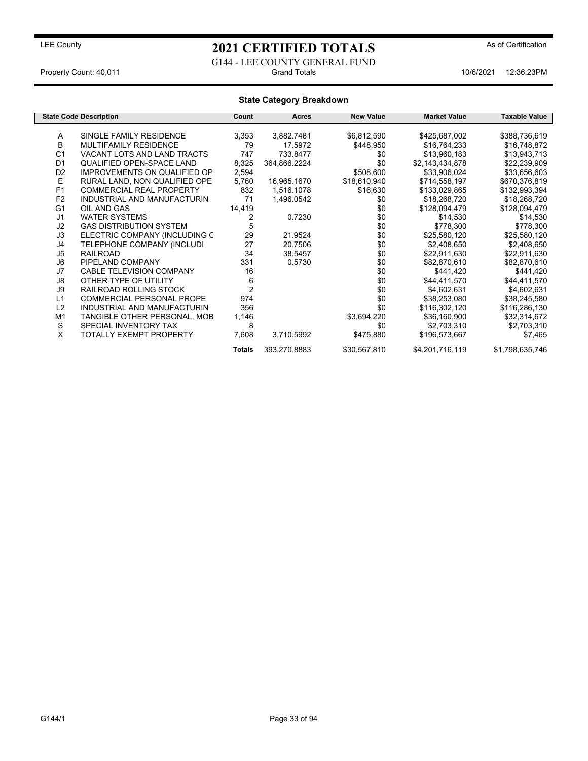G144 - LEE COUNTY GENERAL FUND

**Totals** 393,270.8883 \$30,567,810 \$4,201,716,119 \$1,798,635,746

Property Count: 40,011 **Property Count: 40,011** Crand Totals 10/6/2021 12:36:23PM

#### **State Category Breakdown State Code Description Count Acres New Value Market Value Taxable Value** A SINGLE FAMILY RESIDENCE 3,353 3,882.7481 \$6,812,590 \$425,687,002 \$388,736,619<br>B MULTIFAMILY RESIDENCE 79 17.5972 \$448.950 \$16.764.233 \$16.748.872 B MULTIFAMILY RESIDENCE 79 17.5972 \$448,950 \$16,764,233 \$16,748,872 C1 VACANT LOTS AND LAND TRACTS 747 733.8477 \$0 \$13,960,183 \$13,943,713<br>D1 QUALIFIED OPEN-SPACE LAND 8,325 364,866.2224 \$0 \$2,143,434,878 \$22,239,909 QUALIFIED OPEN-SPACE LAND D2 IMPROVEMENTS ON QUALIFIED OP 2,594 \$508,600 \$33,906,024 \$33,656,603<br>E RURAL LAND, NON QUALIFIED OPE 5,760 16,965.1670 \$18,610,940 \$714,558,197 \$670,376,819 E RURAL LAND, NON QUALIFIED OPE 5,760 16,965.1670 \$18,610,940 \$714,558,197 \$670,376,819<br>F1 COMMERCIAL REAL PROPERTY 832 1,516.1078 \$16,630 \$133,029,865 \$132,993,394 F1 COMMERCIAL REAL PROPERTY 832 1,516.1078 \$16,630 \$133,029,865 \$132,993,394<br>F2 INDUSTRIAL AND MANUFACTURIN 71 1,496.0542 \$0 \$18,268,720 \$18,268,720 F2 INDUSTRIAL AND MANUFACTURIN 71 1,496.0542 \$0 \$18,268,720 \$18,268,720 G1 OIL AND GAS 14,419 \$0 \$128,094,479 \$128,094,479 J1 WATER SYSTEMS 2 0.7230 \$0 \$14,530 \$14,530 GAS DISTRIBUTION SYSTEM 5 \$0 \$0 \$78.500 \$7878,300 \$78.300 \$78.300 \$778,300 \$778,300 \$778,300 \$778,300 \$778,300 J3 ELECTRIC COMPANY (INCLUDING C 29 21.9524 \$0 \$25,580,120 \$25,580,120 J4 TELEPHONE COMPANY (INCLUDI 27 20.7506 \$0 \$2,408,650 \$2,408,650 J5 RAILROAD 34 38.5457 \$0 \$22,911,630 \$22,911,630 J6 PIPELAND COMPANY 331 0.5730 \$0 \$82,870,610 \$82,870,610 J7 CABLE TELEVISION COMPANY 16 16 50 \$441,420 \$441,420 \$441,420 J8 OTHER TYPE OF UTILITY 6 \$0 \$44,411,570 \$44,411,570 RAILROAD ROLLING STOCK 2<br>COMMERCIAL PERSONAL PROPE 974 L1 COMMERCIAL PERSONAL PROPE 974 \$0 \$38,253,080 \$38,245,580 L2 INDUSTRIAL AND MANUFACTURIN 356 \$0 \$116,302,120 \$116,286,130 TANGIBLE OTHER PERSONAL, MOB S SPECIAL INVENTORY TAX 8 \$0 \$2,703,310 \$2,703,310 TOTALLY EXEMPT PROPERTY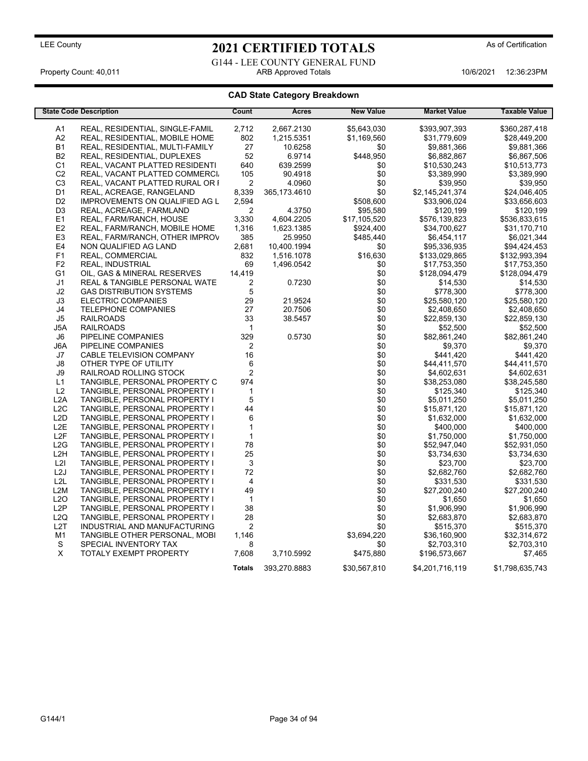G144 - LEE COUNTY GENERAL FUND Property Count: 40,011 ARB Approved Totals 10/6/2021 12:36:23PM

| <b>State Code Description</b> |                                          | Count                   | <b>Acres</b>   | <b>New Value</b> | <b>Market Value</b> | <b>Taxable Value</b> |
|-------------------------------|------------------------------------------|-------------------------|----------------|------------------|---------------------|----------------------|
| A1                            | REAL, RESIDENTIAL, SINGLE-FAMIL          | 2,712                   | 2,667.2130     | \$5,643,030      | \$393,907,393       | \$360,287,418        |
| A <sub>2</sub>                | REAL, RESIDENTIAL, MOBILE HOME           | 802                     | 1,215.5351     | \$1,169,560      | \$31,779,609        | \$28,449,200         |
| <b>B1</b>                     | REAL, RESIDENTIAL, MULTI-FAMILY          | 27                      | 10.6258        | \$0              | \$9,881,366         | \$9,881,366          |
| <b>B2</b>                     | REAL, RESIDENTIAL, DUPLEXES              | 52                      | 6.9714         | \$448,950        | \$6,882,867         | \$6,867,506          |
| C <sub>1</sub>                | REAL, VACANT PLATTED RESIDENTI           | 640                     | 639.2599       | \$0              | \$10,530,243        | \$10,513,773         |
| C <sub>2</sub>                | REAL, VACANT PLATTED COMMERCI.           | 105                     | 90.4918        | \$0              | \$3,389,990         | \$3,389,990          |
| C <sub>3</sub>                | REAL, VACANT PLATTED RURAL OR I          | 2                       | 4.0960         | \$0              | \$39,950            | \$39,950             |
| D <sub>1</sub>                | REAL, ACREAGE, RANGELAND                 | 8,339                   | 365, 173. 4610 | \$0              | \$2,145,241,374     | \$24,046,405         |
| D <sub>2</sub>                | IMPROVEMENTS ON QUALIFIED AG L           | 2,594                   |                | \$508,600        | \$33,906,024        | \$33,656,603         |
| D <sub>3</sub>                | REAL, ACREAGE, FARMLAND                  | $\overline{2}$          | 4.3750         | \$95,580         | \$120,199           | \$120,199            |
| E1                            | REAL, FARM/RANCH, HOUSE                  | 3.330                   | 4.604.2205     | \$17,105,520     | \$576,139,823       | \$536,833,615        |
| E <sub>2</sub>                | REAL, FARM/RANCH, MOBILE HOME            | 1,316                   | 1,623.1385     | \$924,400        | \$34,700,627        | \$31,170,710         |
| E <sub>3</sub>                | REAL, FARM/RANCH, OTHER IMPROV           | 385                     | 25.9950        | \$485,440        | \$6,454,117         | \$6,021,344          |
| E4                            | NON QUALIFIED AG LAND                    | 2,681                   | 10,400.1994    | \$0              | \$95,336,935        | \$94,424,453         |
| F1                            | REAL, COMMERCIAL                         | 832                     | 1,516.1078     | \$16,630         | \$133,029,865       | \$132,993,394        |
| F <sub>2</sub>                | <b>REAL, INDUSTRIAL</b>                  | 69                      | 1,496.0542     | \$0              | \$17,753,350        | \$17,753,350         |
| G <sub>1</sub>                | OIL, GAS & MINERAL RESERVES              | 14,419                  |                | \$0              | \$128,094,479       | \$128,094,479        |
| J1                            | <b>REAL &amp; TANGIBLE PERSONAL WATE</b> | 2                       | 0.7230         | \$0              | \$14,530            | \$14,530             |
| J <sub>2</sub>                | <b>GAS DISTRIBUTION SYSTEMS</b>          | 5                       |                | \$0              | \$778,300           | \$778,300            |
| J3                            | <b>ELECTRIC COMPANIES</b>                | 29                      | 21.9524        | \$0              | \$25,580,120        | \$25,580,120         |
| J4                            | <b>TELEPHONE COMPANIES</b>               | 27                      | 20.7506        | \$0              | \$2,408,650         | \$2,408,650          |
| J <sub>5</sub>                | <b>RAILROADS</b>                         | 33                      | 38.5457        | \$0              | \$22,859,130        | \$22,859,130         |
| J5A                           | <b>RAILROADS</b>                         | $\mathbf{1}$            |                | \$0              | \$52,500            | \$52,500             |
| J6                            | PIPELINE COMPANIES                       | 329                     | 0.5730         | \$0              | \$82,861,240        | \$82,861,240         |
| J6A                           | PIPELINE COMPANIES                       | 2                       |                | \$0              | \$9,370             | \$9,370              |
| J7                            | CABLE TELEVISION COMPANY                 | 16                      |                | \$0              | \$441,420           | \$441.420            |
| J8                            | OTHER TYPE OF UTILITY                    | 6                       |                | \$0              | \$44,411,570        | \$44,411,570         |
| J9                            | RAILROAD ROLLING STOCK                   | $\overline{\mathbf{c}}$ |                | \$0              | \$4,602,631         | \$4,602,631          |
| L1                            | TANGIBLE, PERSONAL PROPERTY C            | 974                     |                | \$0              | \$38,253,080        | \$38,245,580         |
| L2                            | TANGIBLE, PERSONAL PROPERTY I            | $\mathbf{1}$            |                | \$0              | \$125,340           | \$125,340            |
| L <sub>2</sub> A              | TANGIBLE, PERSONAL PROPERTY I            | $\mathbf 5$             |                | \$0              | \$5,011,250         | \$5,011,250          |
| L2C                           | TANGIBLE, PERSONAL PROPERTY I            | 44                      |                | \$0              | \$15,871,120        | \$15,871,120         |
| L <sub>2</sub> D              | TANGIBLE, PERSONAL PROPERTY I            | 6                       |                | \$0              | \$1,632,000         | \$1,632,000          |
| L <sub>2</sub> E              | TANGIBLE, PERSONAL PROPERTY I            | $\mathbf{1}$            |                | \$0              | \$400,000           | \$400,000            |
| L <sub>2</sub> F              | TANGIBLE, PERSONAL PROPERTY I            | $\mathbf{1}$            |                | \$0              | \$1,750,000         | \$1,750,000          |
| L2G                           | TANGIBLE, PERSONAL PROPERTY I            | 78                      |                | \$0              | \$52,947,040        | \$52,931,050         |
| L <sub>2</sub> H              | TANGIBLE, PERSONAL PROPERTY I            | 25                      |                | \$0              | \$3,734,630         | \$3,734,630          |
| L2I                           | TANGIBLE, PERSONAL PROPERTY I            | 3                       |                | \$0              | \$23,700            | \$23,700             |
| L2J                           | TANGIBLE, PERSONAL PROPERTY I            | 72                      |                | \$0              | \$2,682,760         | \$2,682,760          |
| L <sub>2</sub> L              | TANGIBLE, PERSONAL PROPERTY I            | 4                       |                | \$0              | \$331,530           | \$331,530            |
| L <sub>2</sub> M              | TANGIBLE, PERSONAL PROPERTY I            | 49                      |                | \$0              | \$27,200,240        | \$27,200,240         |
| L2O                           | TANGIBLE, PERSONAL PROPERTY I            | $\mathbf{1}$            |                | \$0              | \$1,650             | \$1,650              |
| L <sub>2</sub> P              | TANGIBLE, PERSONAL PROPERTY I            | 38                      |                | \$0              | \$1,906,990         | \$1,906,990          |
| L2Q                           | TANGIBLE, PERSONAL PROPERTY I            | 28                      |                | \$0              | \$2,683,870         | \$2,683,870          |
| L <sub>2</sub> T              | INDUSTRIAL AND MANUFACTURING             | $\overline{\mathbf{c}}$ |                | \$0              | \$515,370           | \$515,370            |
| M <sub>1</sub>                | TANGIBLE OTHER PERSONAL, MOBI            | 1,146                   |                | \$3,694,220      | \$36,160,900        | \$32,314,672         |
| S                             | SPECIAL INVENTORY TAX                    | 8                       |                | \$0              | \$2,703,310         | \$2,703,310          |
| $\mathsf X$                   | TOTALY EXEMPT PROPERTY                   | 7,608                   | 3,710.5992     | \$475,880        | \$196,573,667       | \$7,465              |
|                               |                                          | <b>Totals</b>           | 393,270.8883   | \$30,567,810     | \$4,201,716,119     | \$1,798,635,743      |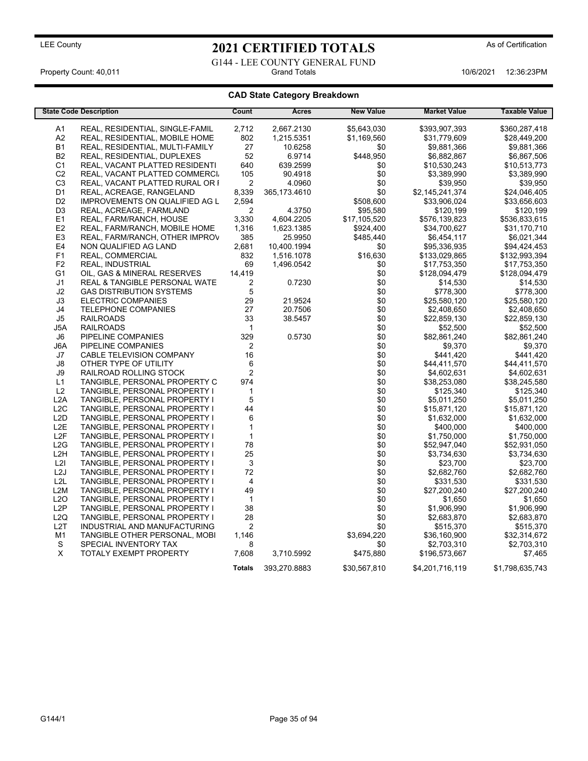G144 - LEE COUNTY GENERAL FUND<br>Grand Totals

Property Count: 40,011 **Accord 12:36:23PM** Grand Totals 10/6/2021 12:36:23PM

| <b>State Code Description</b> |                                       | Count                   | <b>Acres</b>   | <b>New Value</b> | <b>Market Value</b> | <b>Taxable Value</b> |
|-------------------------------|---------------------------------------|-------------------------|----------------|------------------|---------------------|----------------------|
| A1                            | REAL, RESIDENTIAL, SINGLE-FAMIL       | 2,712                   | 2,667.2130     | \$5,643,030      | \$393,907,393       | \$360,287,418        |
| A <sub>2</sub>                | REAL, RESIDENTIAL, MOBILE HOME        | 802                     | 1,215.5351     | \$1,169,560      | \$31,779,609        | \$28,449,200         |
| <b>B1</b>                     | REAL, RESIDENTIAL, MULTI-FAMILY       | 27                      | 10.6258        | \$0              | \$9,881,366         | \$9,881,366          |
| <b>B2</b>                     | REAL, RESIDENTIAL, DUPLEXES           | 52                      | 6.9714         | \$448,950        | \$6,882,867         | \$6,867,506          |
| C <sub>1</sub>                | REAL, VACANT PLATTED RESIDENTI        | 640                     | 639.2599       | \$0              | \$10,530,243        | \$10,513,773         |
| C <sub>2</sub>                | REAL, VACANT PLATTED COMMERCI.        | 105                     | 90.4918        | \$0              | \$3,389,990         | \$3,389,990          |
| C <sub>3</sub>                | REAL, VACANT PLATTED RURAL OR I       | $\overline{2}$          | 4.0960         | \$0              | \$39,950            | \$39,950             |
| D <sub>1</sub>                | REAL, ACREAGE, RANGELAND              | 8,339                   | 365, 173. 4610 | \$0              | \$2,145,241,374     | \$24,046,405         |
| D <sub>2</sub>                | <b>IMPROVEMENTS ON QUALIFIED AG L</b> | 2,594                   |                | \$508,600        | \$33,906,024        | \$33,656,603         |
| D <sub>3</sub>                | REAL, ACREAGE, FARMLAND               | $\overline{2}$          | 4.3750         | \$95,580         | \$120,199           | \$120,199            |
| E1                            | REAL, FARM/RANCH, HOUSE               | 3,330                   | 4,604.2205     | \$17,105,520     | \$576,139,823       | \$536,833,615        |
| E2                            | REAL, FARM/RANCH, MOBILE HOME         | 1,316                   | 1,623.1385     | \$924,400        | \$34,700,627        | \$31,170,710         |
| E <sub>3</sub>                | REAL, FARM/RANCH, OTHER IMPROV        | 385                     | 25.9950        | \$485,440        | \$6,454,117         | \$6,021,344          |
| E4                            | NON QUALIFIED AG LAND                 | 2,681                   | 10,400.1994    | \$0              | \$95,336,935        | \$94,424,453         |
| F1                            | REAL, COMMERCIAL                      | 832                     | 1,516.1078     | \$16,630         | \$133,029,865       | \$132,993,394        |
| F <sub>2</sub>                | <b>REAL, INDUSTRIAL</b>               | 69                      | 1,496.0542     | \$0              | \$17,753,350        | \$17,753,350         |
| G <sub>1</sub>                | OIL, GAS & MINERAL RESERVES           | 14,419                  |                | \$0              | \$128,094,479       | \$128,094,479        |
| J1                            | REAL & TANGIBLE PERSONAL WATE         | $\overline{2}$          | 0.7230         | \$0              | \$14,530            | \$14,530             |
| J2                            | <b>GAS DISTRIBUTION SYSTEMS</b>       | 5                       |                | \$0              | \$778,300           | \$778,300            |
| J3                            | <b>ELECTRIC COMPANIES</b>             | 29                      | 21.9524        | \$0              | \$25,580,120        | \$25,580,120         |
| J4                            | <b>TELEPHONE COMPANIES</b>            | 27                      | 20.7506        | \$0              | \$2,408,650         | \$2,408,650          |
| J5                            | <b>RAILROADS</b>                      | 33                      | 38.5457        | \$0              | \$22,859,130        | \$22,859,130         |
| J5A                           | <b>RAILROADS</b>                      | $\mathbf{1}$            |                | \$0              | \$52,500            | \$52,500             |
| J6                            | PIPELINE COMPANIES                    | 329                     | 0.5730         | \$0              | \$82,861,240        | \$82,861,240         |
| J6A                           | PIPELINE COMPANIES                    | $\boldsymbol{2}$        |                | \$0              | \$9,370             | \$9,370              |
| J7                            | CABLE TELEVISION COMPANY              | 16                      |                | \$0              | \$441,420           | \$441,420            |
| J8                            | OTHER TYPE OF UTILITY                 | 6                       |                | \$0              | \$44,411,570        | \$44,411,570         |
| J9                            | RAILROAD ROLLING STOCK                | $\overline{c}$          |                | \$0              | \$4,602,631         | \$4,602,631          |
| L1                            | TANGIBLE, PERSONAL PROPERTY C         | 974                     |                | \$0              | \$38,253,080        | \$38,245,580         |
| L2                            | TANGIBLE, PERSONAL PROPERTY I         | $\mathbf{1}$            |                | \$0              | \$125,340           | \$125,340            |
| L2A                           | TANGIBLE, PERSONAL PROPERTY I         | $\mathbf 5$             |                | \$0              | \$5,011,250         | \$5,011,250          |
| L2C                           | TANGIBLE, PERSONAL PROPERTY I         | 44                      |                | \$0              | \$15,871,120        | \$15,871,120         |
| L <sub>2</sub> D              | TANGIBLE, PERSONAL PROPERTY I         | $\,6$                   |                | \$0              | \$1,632,000         | \$1,632,000          |
| L <sub>2</sub> E              | TANGIBLE, PERSONAL PROPERTY I         | $\mathbf{1}$            |                | \$0              | \$400,000           | \$400,000            |
| L <sub>2F</sub>               | TANGIBLE, PERSONAL PROPERTY I         | $\mathbf{1}$            |                | \$0              | \$1,750,000         | \$1,750,000          |
| L2G                           | TANGIBLE, PERSONAL PROPERTY I         | 78                      |                | \$0              | \$52,947,040        | \$52,931,050         |
| L <sub>2</sub> H              | TANGIBLE, PERSONAL PROPERTY I         | 25                      |                | \$0              | \$3,734,630         | \$3,734,630          |
| L2I                           | TANGIBLE, PERSONAL PROPERTY I         | $\mathsf 3$             |                | \$0              | \$23,700            | \$23,700             |
| L <sub>2</sub> J              | TANGIBLE, PERSONAL PROPERTY I         | 72                      |                | \$0              | \$2,682,760         | \$2,682,760          |
| L2L                           | TANGIBLE, PERSONAL PROPERTY I         | $\overline{\mathbf{4}}$ |                | \$0              | \$331,530           | \$331,530            |
| L <sub>2</sub> M              | TANGIBLE, PERSONAL PROPERTY I         | 49                      |                | \$0              | \$27,200,240        | \$27,200,240         |
| L2O                           | TANGIBLE, PERSONAL PROPERTY I         | $\mathbf{1}$            |                | \$0              | \$1,650             | \$1,650              |
| L2P                           | TANGIBLE, PERSONAL PROPERTY I         | 38                      |                | \$0              | \$1,906,990         | \$1,906,990          |
| L2Q                           | TANGIBLE, PERSONAL PROPERTY I         | 28                      |                | \$0              | \$2,683,870         | \$2,683,870          |
| L <sub>2</sub> T              | INDUSTRIAL AND MANUFACTURING          | $\mathbf 2$             |                | \$0              | \$515,370           | \$515,370            |
| M <sub>1</sub>                | TANGIBLE OTHER PERSONAL, MOBI         | 1,146                   |                | \$3,694,220      | \$36,160,900        | \$32,314,672         |
| S                             | SPECIAL INVENTORY TAX                 | 8                       |                | \$0              | \$2,703,310         | \$2,703,310          |
| $\mathsf X$                   | TOTALY EXEMPT PROPERTY                | 7,608                   | 3,710.5992     | \$475,880        | \$196,573,667       | \$7,465              |
|                               |                                       |                         |                |                  |                     |                      |
|                               |                                       | <b>Totals</b>           | 393,270.8883   | \$30,567,810     | \$4,201,716,119     | \$1,798,635,743      |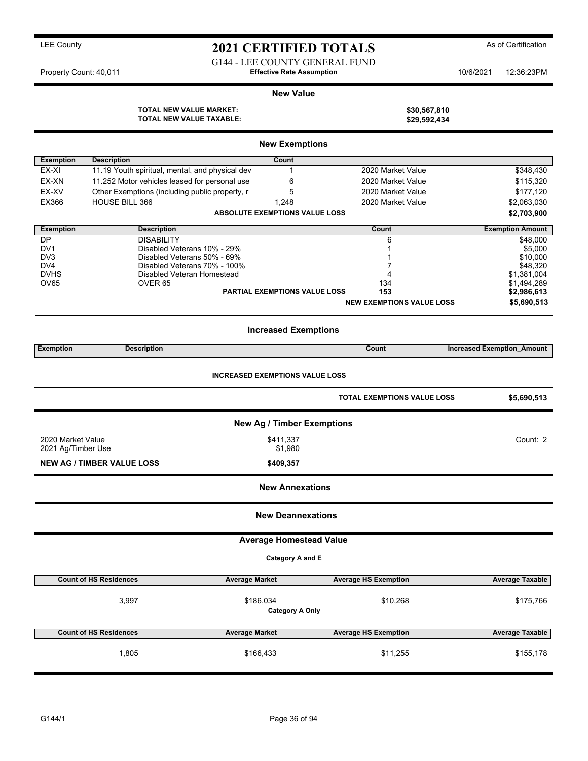## LEE County **2021 CERTIFIED TOTALS** As of Certification G144 - LEE COUNTY GENERAL FUND

Property Count: 40,011 **Effective Rate Assumption Effective Rate Assumption** 10/6/2021 12:36:23PM

#### **New Value**

**TOTAL NEW VALUE MARKET: \$30,567,810 TOTAL NEW VALUE TAXABLE: \$29,592,434**

| <b>New Exemptions</b>                                                                       |                                                             |                                       |                                  |                                   |  |  |  |  |
|---------------------------------------------------------------------------------------------|-------------------------------------------------------------|---------------------------------------|----------------------------------|-----------------------------------|--|--|--|--|
| <b>Exemption</b>                                                                            | <b>Description</b>                                          | Count                                 |                                  |                                   |  |  |  |  |
| EX-XI                                                                                       | 11.19 Youth spiritual, mental, and physical dev             | 1                                     | 2020 Market Value                | \$348,430                         |  |  |  |  |
| EX-XN                                                                                       | 11.252 Motor vehicles leased for personal use               | 6                                     | 2020 Market Value                | \$115,320                         |  |  |  |  |
| EX-XV                                                                                       | Other Exemptions (including public property, r              | 5                                     | 2020 Market Value                | \$177,120                         |  |  |  |  |
| EX366                                                                                       | <b>HOUSE BILL 366</b>                                       | 1,248                                 | 2020 Market Value                | \$2,063,030                       |  |  |  |  |
|                                                                                             |                                                             | <b>ABSOLUTE EXEMPTIONS VALUE LOSS</b> |                                  | \$2,703,900                       |  |  |  |  |
| <b>Exemption</b>                                                                            | <b>Description</b>                                          |                                       | Count                            | <b>Exemption Amount</b>           |  |  |  |  |
| DP                                                                                          | <b>DISABILITY</b>                                           |                                       | 6                                | \$48,000                          |  |  |  |  |
| DV <sub>1</sub>                                                                             | Disabled Veterans 10% - 29%                                 |                                       | 1                                | \$5,000                           |  |  |  |  |
| DV <sub>3</sub><br>DV4                                                                      | Disabled Veterans 50% - 69%<br>Disabled Veterans 70% - 100% |                                       | 7                                | \$10,000<br>\$48,320              |  |  |  |  |
| <b>DVHS</b>                                                                                 | Disabled Veteran Homestead                                  |                                       | 4                                | \$1,381,004                       |  |  |  |  |
| OV65                                                                                        | OVER <sub>65</sub>                                          |                                       | 134                              | \$1,494,289                       |  |  |  |  |
|                                                                                             |                                                             | <b>PARTIAL EXEMPTIONS VALUE LOSS</b>  | 153                              | \$2,986,613                       |  |  |  |  |
|                                                                                             |                                                             |                                       | <b>NEW EXEMPTIONS VALUE LOSS</b> | \$5,690,513                       |  |  |  |  |
|                                                                                             |                                                             | <b>Increased Exemptions</b>           |                                  |                                   |  |  |  |  |
| <b>Exemption</b>                                                                            | <b>Description</b>                                          |                                       | Count                            | <b>Increased Exemption Amount</b> |  |  |  |  |
| <b>INCREASED EXEMPTIONS VALUE LOSS</b><br><b>TOTAL EXEMPTIONS VALUE LOSS</b><br>\$5,690,513 |                                                             |                                       |                                  |                                   |  |  |  |  |
|                                                                                             |                                                             | <b>New Ag / Timber Exemptions</b>     |                                  |                                   |  |  |  |  |
| 2020 Market Value                                                                           | Count: 2                                                    |                                       |                                  |                                   |  |  |  |  |
| 2021 Ag/Timber Use                                                                          |                                                             | \$1,980                               |                                  |                                   |  |  |  |  |
|                                                                                             | <b>NEW AG / TIMBER VALUE LOSS</b>                           | \$409,357                             |                                  |                                   |  |  |  |  |
| <b>New Annexations</b>                                                                      |                                                             |                                       |                                  |                                   |  |  |  |  |
|                                                                                             |                                                             | <b>New Deannexations</b>              |                                  |                                   |  |  |  |  |
|                                                                                             |                                                             | <b>Average Homestead Value</b>        |                                  |                                   |  |  |  |  |
|                                                                                             |                                                             | Category A and E                      |                                  |                                   |  |  |  |  |
|                                                                                             | <b>Count of HS Residences</b><br><b>Average Market</b>      |                                       | <b>Average HS Exemption</b>      | <b>Average Taxable</b>            |  |  |  |  |
|                                                                                             | 3,997                                                       | \$186,034<br><b>Category A Only</b>   | \$10,268                         | \$175,766                         |  |  |  |  |
|                                                                                             | <b>Count of HS Residences</b><br><b>Average Market</b>      |                                       | <b>Average HS Exemption</b>      | <b>Average Taxable</b>            |  |  |  |  |
|                                                                                             | 1,805                                                       | \$166,433                             | \$11,255                         | \$155,178                         |  |  |  |  |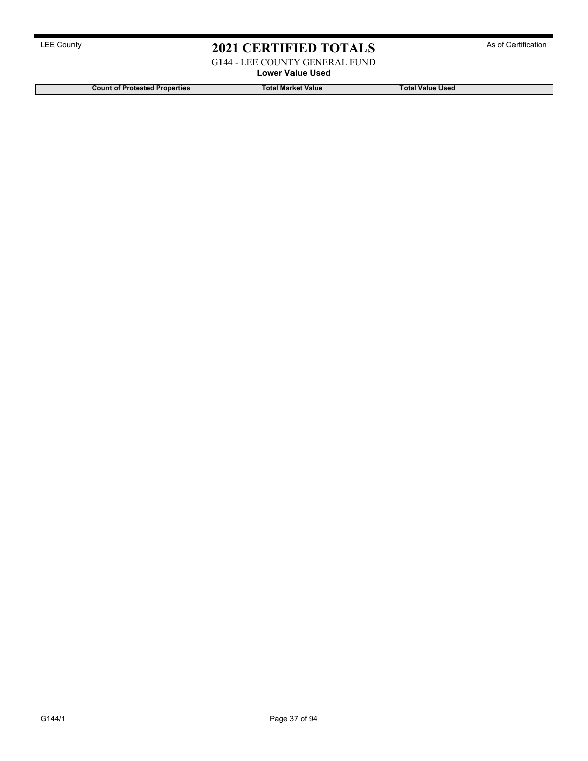G144 - LEE COUNTY GENERAL FUND

**Lower Value Used**

**Count of Protested Properties Total Market Value Total Value Used**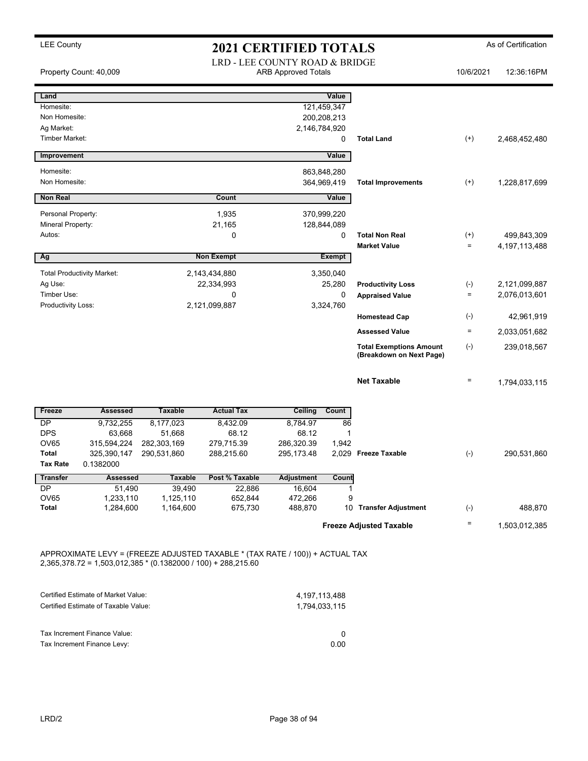| Value<br>121,459,347<br>200,208,213<br>2,146,784,920<br>0<br>Value<br>863,848,280<br>364,969,419<br>Value<br>370,999,220 | <b>Total Land</b><br><b>Total Improvements</b> | $^{(+)}$<br>$^{(+)}$                                                                                                                                                                                                                                | 2,468,452,480                                        |
|--------------------------------------------------------------------------------------------------------------------------|------------------------------------------------|-----------------------------------------------------------------------------------------------------------------------------------------------------------------------------------------------------------------------------------------------------|------------------------------------------------------|
|                                                                                                                          |                                                |                                                                                                                                                                                                                                                     |                                                      |
|                                                                                                                          |                                                |                                                                                                                                                                                                                                                     |                                                      |
|                                                                                                                          |                                                |                                                                                                                                                                                                                                                     |                                                      |
|                                                                                                                          |                                                |                                                                                                                                                                                                                                                     |                                                      |
|                                                                                                                          |                                                |                                                                                                                                                                                                                                                     |                                                      |
|                                                                                                                          |                                                |                                                                                                                                                                                                                                                     |                                                      |
|                                                                                                                          |                                                |                                                                                                                                                                                                                                                     |                                                      |
|                                                                                                                          |                                                |                                                                                                                                                                                                                                                     | 1,228,817,699                                        |
|                                                                                                                          |                                                |                                                                                                                                                                                                                                                     |                                                      |
|                                                                                                                          |                                                |                                                                                                                                                                                                                                                     |                                                      |
| 128,844,089                                                                                                              |                                                |                                                                                                                                                                                                                                                     |                                                      |
| 0                                                                                                                        | <b>Total Non Real</b>                          | $^{(+)}$                                                                                                                                                                                                                                            | 499,843,309                                          |
|                                                                                                                          | <b>Market Value</b>                            | $\equiv$                                                                                                                                                                                                                                            | 4,197,113,488                                        |
| <b>Exempt</b>                                                                                                            |                                                |                                                                                                                                                                                                                                                     |                                                      |
| 3,350,040                                                                                                                |                                                |                                                                                                                                                                                                                                                     |                                                      |
| 25,280                                                                                                                   | <b>Productivity Loss</b>                       | $(\textnormal{-})$                                                                                                                                                                                                                                  | 2,121,099,887                                        |
| 0                                                                                                                        | <b>Appraised Value</b>                         | $\quad =$                                                                                                                                                                                                                                           | 2,076,013,601                                        |
| 3,324,760                                                                                                                |                                                |                                                                                                                                                                                                                                                     |                                                      |
|                                                                                                                          |                                                |                                                                                                                                                                                                                                                     | 42,961,919                                           |
|                                                                                                                          |                                                |                                                                                                                                                                                                                                                     | 2,033,051,682                                        |
|                                                                                                                          | (Breakdown on Next Page)                       |                                                                                                                                                                                                                                                     | 239,018,567                                          |
|                                                                                                                          | <b>Net Taxable</b>                             | $\qquad \qquad =$                                                                                                                                                                                                                                   | 1,794,033,115                                        |
| Count                                                                                                                    |                                                |                                                                                                                                                                                                                                                     |                                                      |
|                                                                                                                          |                                                |                                                                                                                                                                                                                                                     |                                                      |
| 1                                                                                                                        |                                                |                                                                                                                                                                                                                                                     |                                                      |
|                                                                                                                          |                                                |                                                                                                                                                                                                                                                     |                                                      |
|                                                                                                                          |                                                | $(-)$                                                                                                                                                                                                                                               | 290,531,860                                          |
|                                                                                                                          |                                                |                                                                                                                                                                                                                                                     |                                                      |
|                                                                                                                          |                                                |                                                                                                                                                                                                                                                     |                                                      |
|                                                                                                                          |                                                |                                                                                                                                                                                                                                                     |                                                      |
|                                                                                                                          |                                                | $(\textnormal{-})$                                                                                                                                                                                                                                  | 488,870                                              |
|                                                                                                                          |                                                | $\equiv$                                                                                                                                                                                                                                            | 1,503,012,385                                        |
|                                                                                                                          | 86<br>1,942<br>Count<br>$\mathbf 1$<br>9       | <b>Homestead Cap</b><br><b>Assessed Value</b><br><b>Total Exemptions Amount</b><br>2,029 Freeze Taxable<br>10 Transfer Adjustment<br><b>Freeze Adjusted Taxable</b><br>APPROXIMATE LEVY = (FREEZE ADJUSTED TAXABLE * (TAX RATE / 100)) + ACTUAL TAX | $(\textnormal{-})$<br>$\equiv$<br>$(\textnormal{-})$ |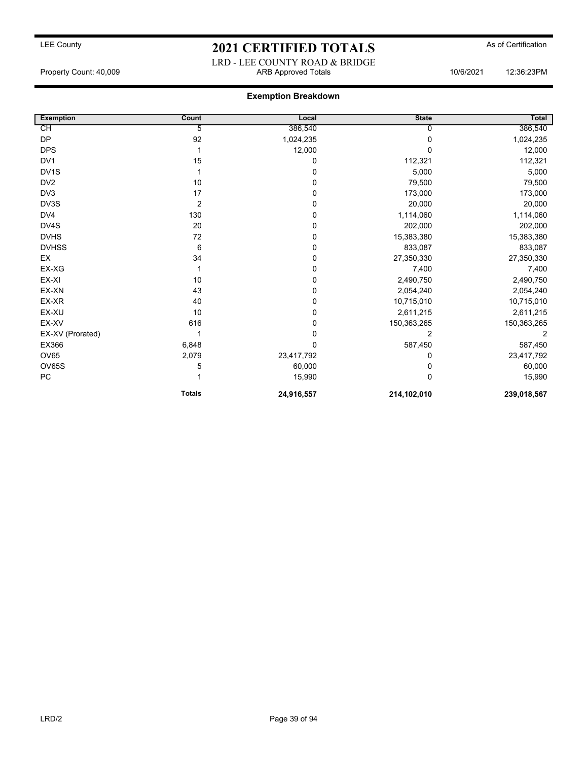## LRD - LEE COUNTY ROAD & BRIDGE Property Count: 40,009 ARB Approved Totals 10/6/2021 12:36:23PM

| <b>Exemption</b>  | Count          | Local      | <b>State</b> | Total       |
|-------------------|----------------|------------|--------------|-------------|
| CH                | 5              | 386,540    |              | 386,540     |
| <b>DP</b>         | 92             | 1,024,235  | $\Omega$     | 1,024,235   |
| <b>DPS</b>        |                | 12,000     | U            | 12,000      |
| DV <sub>1</sub>   | 15             | 0          | 112,321      | 112,321     |
| DV <sub>1</sub> S |                | 0          | 5,000        | 5,000       |
| DV <sub>2</sub>   | 10             | 0          | 79,500       | 79,500      |
| DV3               | 17             | 0          | 173,000      | 173,000     |
| DV3S              | $\overline{2}$ | 0          | 20,000       | 20,000      |
| DV4               | 130            | 0          | 1,114,060    | 1,114,060   |
| DV4S              | 20             | 0          | 202,000      | 202,000     |
| <b>DVHS</b>       | 72             | 0          | 15,383,380   | 15,383,380  |
| <b>DVHSS</b>      | 6              | 0          | 833,087      | 833,087     |
| EX                | 34             | 0          | 27,350,330   | 27,350,330  |
| EX-XG             |                | 0          | 7,400        | 7,400       |
| EX-XI             | 10             | 0          | 2,490,750    | 2,490,750   |
| EX-XN             | 43             | 0          | 2,054,240    | 2,054,240   |
| EX-XR             | 40             | 0          | 10,715,010   | 10,715,010  |
| EX-XU             | 10             | 0          | 2,611,215    | 2,611,215   |
| EX-XV             | 616            | 0          | 150,363,265  | 150,363,265 |
| EX-XV (Prorated)  |                | 0          | 2            | 2           |
| EX366             | 6,848          | $\Omega$   | 587,450      | 587,450     |
| OV65              | 2,079          | 23,417,792 | 0            | 23,417,792  |
| OV65S             | 5              | 60,000     | 0            | 60,000      |
| PC                |                | 15,990     | $\Omega$     | 15,990      |
|                   | <b>Totals</b>  | 24,916,557 | 214,102,010  | 239,018,567 |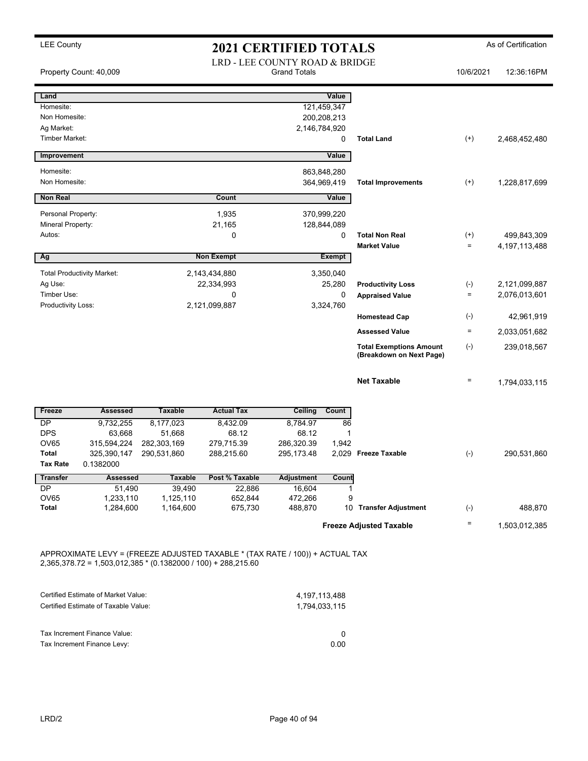| Property Count: 40,009                       |                                                                             |                        | LRD - LEE COUNTY ROAD & BRIDGE                                                                                                                  | <b>Grand Totals</b> |                                   |                                                            | 10/6/2021          | 12:36:16PM                     |
|----------------------------------------------|-----------------------------------------------------------------------------|------------------------|-------------------------------------------------------------------------------------------------------------------------------------------------|---------------------|-----------------------------------|------------------------------------------------------------|--------------------|--------------------------------|
| Land                                         |                                                                             |                        |                                                                                                                                                 |                     | Value                             |                                                            |                    |                                |
| Homesite:                                    |                                                                             |                        |                                                                                                                                                 |                     | 121,459,347                       |                                                            |                    |                                |
| Non Homesite:                                |                                                                             |                        |                                                                                                                                                 |                     | 200,208,213                       |                                                            |                    |                                |
| Ag Market:<br><b>Timber Market:</b>          |                                                                             |                        |                                                                                                                                                 |                     | 2,146,784,920<br>0                | <b>Total Land</b>                                          | $^{(+)}$           | 2,468,452,480                  |
|                                              |                                                                             |                        |                                                                                                                                                 |                     |                                   |                                                            |                    |                                |
| Improvement                                  |                                                                             |                        |                                                                                                                                                 |                     | Value                             |                                                            |                    |                                |
| Homesite:<br>Non Homesite:                   |                                                                             |                        |                                                                                                                                                 |                     | 863,848,280<br>364,969,419        | <b>Total Improvements</b>                                  | $^{(+)}$           | 1,228,817,699                  |
| <b>Non Real</b>                              |                                                                             |                        | Count                                                                                                                                           |                     | Value                             |                                                            |                    |                                |
| Personal Property:                           |                                                                             |                        | 1,935                                                                                                                                           |                     | 370,999,220                       |                                                            |                    |                                |
| Mineral Property:                            |                                                                             |                        | 21,165                                                                                                                                          |                     | 128,844,089                       |                                                            |                    |                                |
| Autos:                                       |                                                                             |                        | 0                                                                                                                                               |                     | 0                                 | <b>Total Non Real</b>                                      | $^{(+)}$           | 499,843,309                    |
| Ag                                           |                                                                             |                        | <b>Non Exempt</b>                                                                                                                               |                     | <b>Exempt</b>                     | <b>Market Value</b>                                        | $\equiv$           | 4, 197, 113, 488               |
|                                              |                                                                             |                        |                                                                                                                                                 |                     |                                   |                                                            |                    |                                |
| <b>Total Productivity Market:</b><br>Ag Use: |                                                                             |                        | 2,143,434,880                                                                                                                                   |                     | 3,350,040<br>25,280               |                                                            |                    |                                |
| Timber Use:                                  |                                                                             |                        | 22,334,993<br>0                                                                                                                                 |                     | 0                                 | <b>Productivity Loss</b><br><b>Appraised Value</b>         | $(-)$<br>$\equiv$  | 2,121,099,887<br>2,076,013,601 |
| Productivity Loss:                           |                                                                             |                        | 2,121,099,887                                                                                                                                   |                     | 3,324,760                         |                                                            |                    |                                |
|                                              |                                                                             |                        |                                                                                                                                                 |                     |                                   | <b>Homestead Cap</b>                                       | $(\textnormal{-})$ | 42,961,919                     |
|                                              |                                                                             |                        |                                                                                                                                                 |                     |                                   | <b>Assessed Value</b>                                      | $\equiv$           | 2,033,051,682                  |
|                                              |                                                                             |                        |                                                                                                                                                 |                     |                                   | <b>Total Exemptions Amount</b><br>(Breakdown on Next Page) | $(-)$              | 239,018,567                    |
|                                              |                                                                             |                        |                                                                                                                                                 |                     |                                   | <b>Net Taxable</b>                                         | $\quad \  \  =$    | 1,794,033,115                  |
| Freeze                                       | <b>Assessed</b>                                                             | <b>Taxable</b>         | <b>Actual Tax</b>                                                                                                                               | <b>Ceiling</b>      | Count                             |                                                            |                    |                                |
| DP                                           | 9,732,255                                                                   | 8,177,023              | 8,432.09                                                                                                                                        | 8,784.97            | 86                                |                                                            |                    |                                |
| <b>DPS</b><br>OV65                           | 63,668<br>315,594,224                                                       | 51,668<br>282,303,169  | 68.12<br>279,715.39                                                                                                                             | 68.12<br>286,320.39 | $\mathbf 1$<br>1,942              |                                                            |                    |                                |
| <b>Total</b>                                 | 325,390,147                                                                 | 290,531,860            | 288,215.60                                                                                                                                      | 295, 173.48         |                                   | 2,029 Freeze Taxable                                       | $(-)$              | 290,531,860                    |
| <b>Tax Rate</b>                              | 0.1382000                                                                   |                        |                                                                                                                                                 |                     |                                   |                                                            |                    |                                |
| <b>Transfer</b>                              | <b>Assessed</b>                                                             | <b>Taxable</b>         | Post % Taxable                                                                                                                                  | <b>Adjustment</b>   | Count                             |                                                            |                    |                                |
| DP                                           | 51,490                                                                      | 39,490                 | 22,886                                                                                                                                          | 16,604              | $\mathbf{1}$                      |                                                            |                    |                                |
| OV65<br>Total                                | 1,233,110<br>1,284,600                                                      | 1,125,110<br>1,164,600 | 652,844<br>675,730                                                                                                                              | 472,266<br>488,870  | 9                                 | 10 Transfer Adjustment                                     | $(-)$              | 488,870                        |
|                                              |                                                                             |                        |                                                                                                                                                 |                     |                                   |                                                            |                    |                                |
|                                              |                                                                             |                        |                                                                                                                                                 |                     |                                   | <b>Freeze Adjusted Taxable</b>                             | $\quad \  \  =$    | 1,503,012,385                  |
|                                              |                                                                             |                        | APPROXIMATE LEVY = (FREEZE ADJUSTED TAXABLE * (TAX RATE / 100)) + ACTUAL TAX<br>$2,365,378.72 = 1,503,012,385 * (0.1382000 / 100) + 288,215.60$ |                     |                                   |                                                            |                    |                                |
|                                              | Certified Estimate of Market Value:<br>Certified Estimate of Taxable Value: |                        |                                                                                                                                                 |                     | 4, 197, 113, 488<br>1,794,033,115 |                                                            |                    |                                |
|                                              | Tax Increment Finance Value:                                                |                        |                                                                                                                                                 |                     | 0                                 |                                                            |                    |                                |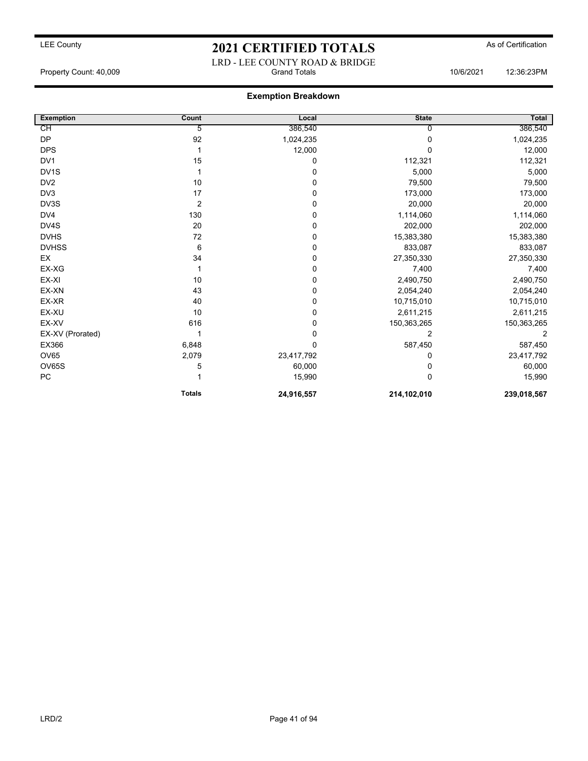### LRD - LEE COUNTY ROAD & BRIDGE Property Count: 40,009 Grand Totals 10/6/2021 12:36:23PM

| <b>Exemption</b>  | Count          | Local       | <b>State</b> | Total       |
|-------------------|----------------|-------------|--------------|-------------|
| CН                | 5              | 386,540     | 0            | 386,540     |
| <b>DP</b>         | 92             | 1,024,235   | 0            | 1,024,235   |
| <b>DPS</b>        |                | 12,000      | $\Omega$     | 12,000      |
| DV <sub>1</sub>   | 15             | 0           | 112,321      | 112,321     |
| DV <sub>1</sub> S |                | 0           | 5,000        | 5,000       |
| DV <sub>2</sub>   | 10             | 0           | 79,500       | 79,500      |
| DV <sub>3</sub>   | 17             | 0           | 173,000      | 173,000     |
| DV3S              | $\overline{2}$ | 0           | 20,000       | 20,000      |
| DV4               | 130            | 0           | 1,114,060    | 1,114,060   |
| DV4S              | 20             | 0           | 202,000      | 202,000     |
| <b>DVHS</b>       | 72             | 0           | 15,383,380   | 15,383,380  |
| <b>DVHSS</b>      | 6              | 0           | 833,087      | 833,087     |
| EX                | 34             | 0           | 27,350,330   | 27,350,330  |
| EX-XG             |                | 0           | 7,400        | 7,400       |
| EX-XI             | 10             | 0           | 2,490,750    | 2,490,750   |
| EX-XN             | 43             | 0           | 2,054,240    | 2,054,240   |
| EX-XR             | 40             | 0           | 10,715,010   | 10,715,010  |
| EX-XU             | 10             | 0           | 2,611,215    | 2,611,215   |
| EX-XV             | 616            | 0           | 150,363,265  | 150,363,265 |
| EX-XV (Prorated)  |                | $\Omega$    | 2            | 2           |
| EX366             | 6,848          | $\mathbf 0$ | 587,450      | 587,450     |
| <b>OV65</b>       | 2,079          | 23,417,792  | 0            | 23,417,792  |
| OV65S             | 5              | 60,000      | 0            | 60,000      |
| PC                |                | 15,990      | $\Omega$     | 15,990      |
|                   | <b>Totals</b>  | 24,916,557  | 214,102,010  | 239,018,567 |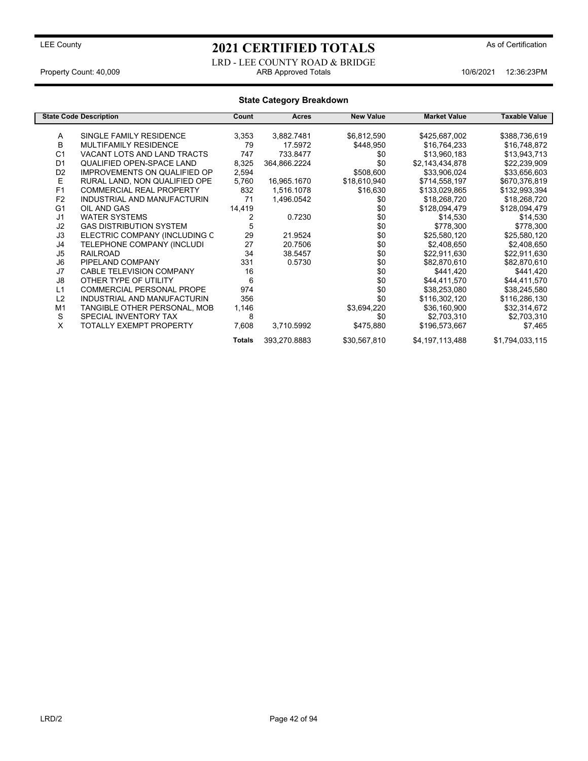LRD - LEE COUNTY ROAD & BRIDGE Property Count: 40,009 ARB Approved Totals 10/6/2021 12:36:23PM

## **State Category Breakdown**

|                | <b>State Code Description</b>       | Count         | Acres        | <b>New Value</b> | <b>Market Value</b> | Taxable Value   |
|----------------|-------------------------------------|---------------|--------------|------------------|---------------------|-----------------|
|                |                                     |               |              |                  |                     |                 |
| Α              | SINGLE FAMILY RESIDENCE             | 3,353         | 3,882.7481   | \$6,812,590      | \$425,687,002       | \$388,736,619   |
| В              | <b>MULTIFAMILY RESIDENCE</b>        | 79            | 17.5972      | \$448,950        | \$16,764,233        | \$16,748,872    |
| C <sub>1</sub> | VACANT LOTS AND LAND TRACTS         | 747           | 733.8477     | \$0              | \$13,960,183        | \$13,943,713    |
| D <sub>1</sub> | QUALIFIED OPEN-SPACE LAND           | 8,325         | 364,866.2224 | \$0              | \$2,143,434,878     | \$22,239,909    |
| D <sub>2</sub> | <b>IMPROVEMENTS ON QUALIFIED OP</b> | 2,594         |              | \$508,600        | \$33,906,024        | \$33,656,603    |
| E              | RURAL LAND, NON QUALIFIED OPE       | 5,760         | 16,965.1670  | \$18,610,940     | \$714,558,197       | \$670,376,819   |
| F1             | <b>COMMERCIAL REAL PROPERTY</b>     | 832           | 1,516.1078   | \$16,630         | \$133,029,865       | \$132,993,394   |
| F <sub>2</sub> | INDUSTRIAL AND MANUFACTURIN         | 71            | 1,496.0542   | \$0              | \$18,268,720        | \$18,268,720    |
| G <sub>1</sub> | OIL AND GAS                         | 14,419        |              | \$0              | \$128,094,479       | \$128,094,479   |
| J1             | <b>WATER SYSTEMS</b>                | 2             | 0.7230       | \$0              | \$14,530            | \$14,530        |
| J <sub>2</sub> | <b>GAS DISTRIBUTION SYSTEM</b>      | 5             |              | \$0              | \$778,300           | \$778,300       |
| J3             | ELECTRIC COMPANY (INCLUDING C       | 29            | 21.9524      | \$0              | \$25,580,120        | \$25,580,120    |
| J4             | TELEPHONE COMPANY (INCLUDI          | 27            | 20.7506      | \$0              | \$2,408,650         | \$2,408,650     |
| J <sub>5</sub> | <b>RAILROAD</b>                     | 34            | 38.5457      | \$0              | \$22,911,630        | \$22,911,630    |
| J6             | PIPELAND COMPANY                    | 331           | 0.5730       | \$0              | \$82,870,610        | \$82,870,610    |
| J7             | CABLE TELEVISION COMPANY            | 16            |              | \$0              | \$441,420           | \$441,420       |
| J8             | OTHER TYPE OF UTILITY               | 6             |              | \$0              | \$44,411,570        | \$44,411,570    |
| L1             | <b>COMMERCIAL PERSONAL PROPE</b>    | 974           |              | \$0              | \$38,253,080        | \$38,245,580    |
| L2             | INDUSTRIAL AND MANUFACTURIN         | 356           |              | \$0              | \$116,302,120       | \$116,286,130   |
| M <sub>1</sub> | TANGIBLE OTHER PERSONAL, MOB        | 1,146         |              | \$3,694,220      | \$36,160,900        | \$32,314,672    |
| S              | SPECIAL INVENTORY TAX               | 8             |              | \$0              | \$2,703,310         | \$2,703,310     |
| X              | TOTALLY EXEMPT PROPERTY             | 7,608         | 3,710.5992   | \$475,880        | \$196,573,667       | \$7,465         |
|                |                                     | <b>Totals</b> | 393,270.8883 | \$30,567,810     | \$4,197,113,488     | \$1,794,033,115 |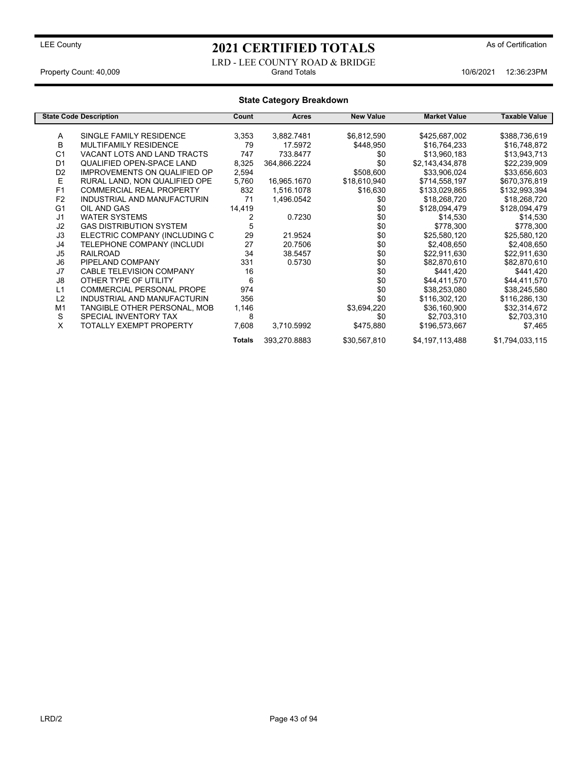LRD - LEE COUNTY ROAD & BRIDGE<br>Grand Totals Property Count: 40,009 **Accord Property Count: 40,009** Crand Totals 10/6/2021 12:36:23PM

## **State Category Breakdown**

|                | <b>State Code Description</b>       | Count         | Acres        | <b>New Value</b> | <b>Market Value</b> | Taxable Value   |
|----------------|-------------------------------------|---------------|--------------|------------------|---------------------|-----------------|
|                |                                     |               |              |                  |                     |                 |
| A              | SINGLE FAMILY RESIDENCE             | 3,353         | 3,882.7481   | \$6,812,590      | \$425,687,002       | \$388,736,619   |
| В              | <b>MULTIFAMILY RESIDENCE</b>        | 79            | 17.5972      | \$448,950        | \$16,764,233        | \$16,748,872    |
| C <sub>1</sub> | VACANT LOTS AND LAND TRACTS         | 747           | 733.8477     | \$0              | \$13,960,183        | \$13,943,713    |
| D <sub>1</sub> | QUALIFIED OPEN-SPACE LAND           | 8,325         | 364,866.2224 | \$0              | \$2,143,434,878     | \$22,239,909    |
| D <sub>2</sub> | <b>IMPROVEMENTS ON QUALIFIED OP</b> | 2,594         |              | \$508,600        | \$33,906,024        | \$33,656,603    |
| Е              | RURAL LAND, NON QUALIFIED OPE       | 5,760         | 16,965.1670  | \$18,610,940     | \$714,558,197       | \$670,376,819   |
| F1             | <b>COMMERCIAL REAL PROPERTY</b>     | 832           | 1,516.1078   | \$16,630         | \$133,029,865       | \$132,993,394   |
| F <sub>2</sub> | INDUSTRIAL AND MANUFACTURIN         | 71            | 1,496.0542   | \$0              | \$18,268,720        | \$18,268,720    |
| G <sub>1</sub> | OIL AND GAS                         | 14,419        |              | \$0              | \$128,094,479       | \$128,094,479   |
| J <sub>1</sub> | <b>WATER SYSTEMS</b>                | 2             | 0.7230       | \$0              | \$14,530            | \$14,530        |
| J <sub>2</sub> | <b>GAS DISTRIBUTION SYSTEM</b>      | 5             |              | \$0              | \$778,300           | \$778,300       |
| J3             | ELECTRIC COMPANY (INCLUDING C       | 29            | 21.9524      | \$0              | \$25,580,120        | \$25,580,120    |
| J4             | TELEPHONE COMPANY (INCLUDI          | 27            | 20.7506      | \$0              | \$2,408,650         | \$2,408,650     |
| J <sub>5</sub> | <b>RAILROAD</b>                     | 34            | 38.5457      | \$0              | \$22,911,630        | \$22,911,630    |
| J <sub>6</sub> | PIPELAND COMPANY                    | 331           | 0.5730       | \$0              | \$82,870,610        | \$82,870,610    |
| J7             | <b>CABLE TELEVISION COMPANY</b>     | 16            |              | \$0              | \$441,420           | \$441,420       |
| J8             | OTHER TYPE OF UTILITY               | 6             |              | \$0              | \$44,411,570        | \$44,411,570    |
| L1             | <b>COMMERCIAL PERSONAL PROPE</b>    | 974           |              | \$0              | \$38,253,080        | \$38,245,580    |
| L2             | INDUSTRIAL AND MANUFACTURIN         | 356           |              | \$0              | \$116,302,120       | \$116,286,130   |
| M <sub>1</sub> | TANGIBLE OTHER PERSONAL, MOB        | 1,146         |              | \$3,694,220      | \$36,160,900        | \$32,314,672    |
| S              | SPECIAL INVENTORY TAX               | 8             |              | \$0              | \$2,703,310         | \$2,703,310     |
| X              | TOTALLY EXEMPT PROPERTY             | 7,608         | 3,710.5992   | \$475,880        | \$196,573,667       | \$7,465         |
|                |                                     | <b>Totals</b> | 393,270.8883 | \$30,567,810     | \$4,197,113,488     | \$1,794,033,115 |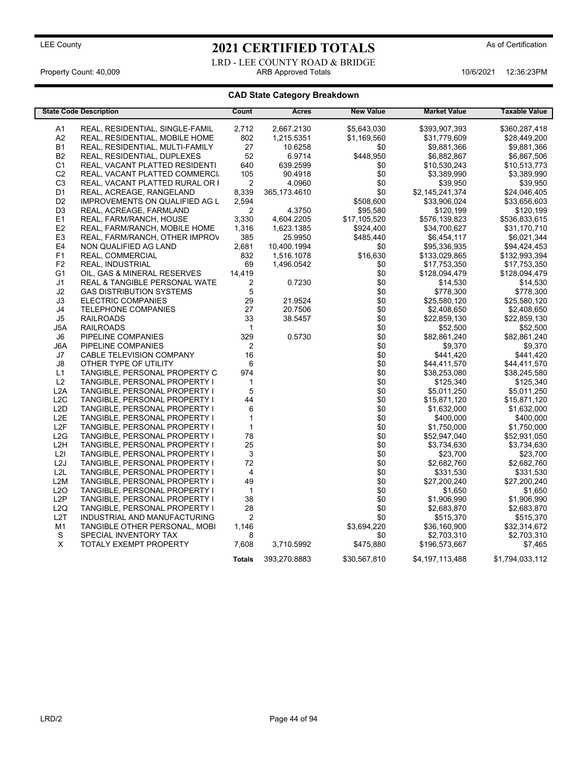## LEE County **2021 CERTIFIED TOTALS** As of Certification LRD - LEE COUNTY ROAD & BRIDGE

Property Count: 40,009 **ARB Approved Totals** 10/6/2021 12:36:23PM

## **CAD State Category Breakdown**

|                  | <b>State Code Description</b>            | Count                   | <b>Acres</b>   | <b>New Value</b> | <b>Market Value</b> | <b>Taxable Value</b> |
|------------------|------------------------------------------|-------------------------|----------------|------------------|---------------------|----------------------|
| A1               | REAL, RESIDENTIAL, SINGLE-FAMIL          | 2,712                   | 2,667.2130     | \$5,643,030      | \$393,907,393       | \$360,287,418        |
| A2               | REAL, RESIDENTIAL, MOBILE HOME           | 802                     | 1,215.5351     | \$1,169,560      | \$31,779,609        | \$28,449,200         |
| <b>B1</b>        | REAL, RESIDENTIAL, MULTI-FAMILY          | 27                      | 10.6258        | \$0              | \$9,881,366         | \$9,881,366          |
| B <sub>2</sub>   | REAL, RESIDENTIAL, DUPLEXES              | 52                      | 6.9714         | \$448,950        | \$6,882,867         | \$6,867,506          |
|                  |                                          |                         |                |                  |                     |                      |
| C1               | REAL, VACANT PLATTED RESIDENTI           | 640                     | 639.2599       | \$0              | \$10,530,243        | \$10,513,773         |
| C <sub>2</sub>   | REAL, VACANT PLATTED COMMERCI            | 105                     | 90.4918        | \$0              | \$3,389,990         | \$3,389,990          |
| C <sub>3</sub>   | REAL, VACANT PLATTED RURAL OR F          | $\boldsymbol{2}$        | 4.0960         | \$0              | \$39,950            | \$39,950             |
| D <sub>1</sub>   | REAL, ACREAGE, RANGELAND                 | 8,339                   | 365, 173. 4610 | \$0              | \$2,145,241,374     | \$24,046,405         |
| D <sub>2</sub>   | IMPROVEMENTS ON QUALIFIED AG L           | 2,594                   |                | \$508,600        | \$33,906,024        | \$33,656,603         |
| D <sub>3</sub>   | REAL, ACREAGE, FARMLAND                  | $\overline{2}$          | 4.3750         | \$95,580         | \$120,199           | \$120,199            |
| E1               | REAL, FARM/RANCH, HOUSE                  | 3,330                   | 4,604.2205     | \$17,105,520     | \$576,139,823       | \$536,833,615        |
| E <sub>2</sub>   | REAL, FARM/RANCH, MOBILE HOME            | 1,316                   | 1,623.1385     | \$924,400        | \$34,700,627        | \$31,170,710         |
| E <sub>3</sub>   | REAL, FARM/RANCH, OTHER IMPROV           | 385                     | 25.9950        | \$485,440        | \$6,454,117         | \$6,021,344          |
| E4               | NON QUALIFIED AG LAND                    | 2,681                   | 10,400.1994    | \$0              | \$95,336,935        | \$94,424,453         |
| F <sub>1</sub>   | REAL, COMMERCIAL                         | 832                     | 1,516.1078     | \$16,630         | \$133,029,865       | \$132,993,394        |
| F <sub>2</sub>   | REAL, INDUSTRIAL                         | 69                      | 1,496.0542     | \$0              | \$17,753,350        | \$17,753,350         |
| G <sub>1</sub>   | OIL, GAS & MINERAL RESERVES              | 14,419                  |                | \$0              | \$128,094,479       | \$128,094,479        |
| J1               | <b>REAL &amp; TANGIBLE PERSONAL WATE</b> | $\overline{\mathbf{c}}$ | 0.7230         | \$0              | \$14,530            | \$14,530             |
| J2               | <b>GAS DISTRIBUTION SYSTEMS</b>          | 5                       |                | \$0              | \$778,300           | \$778,300            |
| J3               | <b>ELECTRIC COMPANIES</b>                | 29                      | 21.9524        | \$0              | \$25,580,120        | \$25,580,120         |
| J4               | <b>TELEPHONE COMPANIES</b>               | 27                      | 20.7506        | \$0              | \$2,408,650         | \$2,408,650          |
| J5               | <b>RAILROADS</b>                         | 33                      | 38.5457        | \$0              | \$22,859,130        | \$22,859,130         |
| J5A              | <b>RAILROADS</b>                         | $\mathbf{1}$            |                | \$0              | \$52,500            | \$52,500             |
| J6               | PIPELINE COMPANIES                       | 329                     | 0.5730         | \$0              | \$82,861,240        | \$82,861,240         |
| J6A              | PIPELINE COMPANIES                       | $\boldsymbol{2}$        |                | \$0              | \$9,370             | \$9,370              |
| J7               | CABLE TELEVISION COMPANY                 | 16                      |                | \$0              | \$441,420           | \$441,420            |
| J8               | OTHER TYPE OF UTILITY                    | 6                       |                | \$0              | \$44,411,570        | \$44,411,570         |
| L1               | TANGIBLE, PERSONAL PROPERTY C            | 974                     |                | \$0              | \$38,253,080        | \$38,245,580         |
| L2               | TANGIBLE, PERSONAL PROPERTY I            | $\mathbf{1}$            |                | \$0              | \$125,340           | \$125,340            |
| L <sub>2</sub> A | TANGIBLE, PERSONAL PROPERTY I            | $\mathbf 5$             |                | \$0              | \$5,011,250         | \$5,011,250          |
| L2C              | TANGIBLE, PERSONAL PROPERTY I            | 44                      |                | \$0              | \$15,871,120        | \$15,871,120         |
| L <sub>2</sub> D | TANGIBLE, PERSONAL PROPERTY I            | 6                       |                | \$0              | \$1,632,000         | \$1,632,000          |
| L <sub>2</sub> E | TANGIBLE, PERSONAL PROPERTY I            | $\mathbf{1}$            |                | \$0              | \$400,000           | \$400,000            |
| L <sub>2F</sub>  | TANGIBLE, PERSONAL PROPERTY I            | $\mathbf{1}$            |                | \$0              | \$1,750,000         | \$1,750,000          |
| L2G              | TANGIBLE, PERSONAL PROPERTY I            | 78                      |                | \$0              | \$52,947,040        | \$52,931,050         |
| L <sub>2</sub> H | TANGIBLE, PERSONAL PROPERTY I            | 25                      |                | \$0              | \$3,734,630         | \$3,734,630          |
| L2I              |                                          | 3                       |                | \$0              | \$23,700            | \$23,700             |
| L2J              | TANGIBLE, PERSONAL PROPERTY I            | 72                      |                | \$0              | \$2,682,760         | \$2,682,760          |
|                  | TANGIBLE, PERSONAL PROPERTY I            |                         |                |                  |                     |                      |
| L <sub>2L</sub>  | TANGIBLE, PERSONAL PROPERTY I            | 4                       |                | \$0              | \$331,530           | \$331,530            |
| L <sub>2</sub> M | TANGIBLE, PERSONAL PROPERTY I            | 49                      |                | \$0              | \$27,200,240        | \$27,200,240         |
| L2O              | TANGIBLE, PERSONAL PROPERTY I            | $\mathbf{1}$            |                | \$0              | \$1,650             | \$1,650              |
| L2P              | TANGIBLE, PERSONAL PROPERTY I            | 38                      |                | \$0              | \$1,906,990         | \$1,906,990          |
| L2Q              | TANGIBLE, PERSONAL PROPERTY I            | 28                      |                | \$0              | \$2,683,870         | \$2,683,870          |
| L <sub>2</sub> T | INDUSTRIAL AND MANUFACTURING             | $\overline{2}$          |                | \$0              | \$515,370           | \$515,370            |
| M1               | TANGIBLE OTHER PERSONAL, MOBI            | 1,146                   |                | \$3,694,220      | \$36,160,900        | \$32,314,672         |
| ${\mathbb S}$    | SPECIAL INVENTORY TAX                    | 8                       |                | \$0              | \$2,703,310         | \$2,703,310          |
| $\sf X$          | TOTALY EXEMPT PROPERTY                   | 7,608                   | 3,710.5992     | \$475,880        | \$196,573,667       | \$7,465              |
|                  |                                          | <b>Totals</b>           | 393,270.8883   | \$30,567,810     | \$4,197,113,488     | \$1,794,033,112      |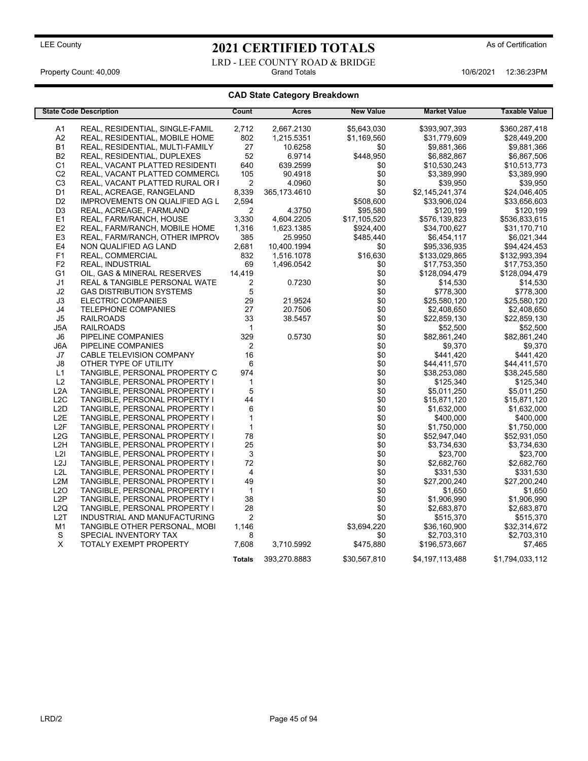LRD - LEE COUNTY ROAD & BRIDGE<br>Grand Totals Property Count: 40,009 **Accord Property Count: 40,009** Crand Totals 10/6/2021 12:36:23PM

## **CAD State Category Breakdown**

|                  | <b>State Code Description</b>            | Count                     | <b>Acres</b>   | <b>New Value</b> | <b>Market Value</b> | <b>Taxable Value</b> |
|------------------|------------------------------------------|---------------------------|----------------|------------------|---------------------|----------------------|
| A1               | REAL, RESIDENTIAL, SINGLE-FAMIL          | 2,712                     | 2,667.2130     | \$5,643,030      | \$393,907,393       | \$360,287,418        |
| A <sub>2</sub>   | REAL, RESIDENTIAL, MOBILE HOME           | 802                       | 1,215.5351     | \$1,169,560      | \$31,779,609        | \$28,449,200         |
| <b>B1</b>        | REAL, RESIDENTIAL, MULTI-FAMILY          | 27                        | 10.6258        | \$0              | \$9,881,366         | \$9,881,366          |
| <b>B2</b>        | REAL, RESIDENTIAL, DUPLEXES              | 52                        | 6.9714         | \$448,950        | \$6,882,867         | \$6,867,506          |
| C <sub>1</sub>   | REAL, VACANT PLATTED RESIDENTI           | 640                       | 639.2599       | \$0              | \$10,530,243        | \$10,513,773         |
| C <sub>2</sub>   | REAL, VACANT PLATTED COMMERCI.           | 105                       | 90.4918        | \$0              | \$3,389,990         | \$3,389,990          |
| C <sub>3</sub>   | REAL, VACANT PLATTED RURAL OR F          | $\overline{2}$            | 4.0960         | \$0              | \$39,950            | \$39,950             |
| D <sub>1</sub>   | REAL, ACREAGE, RANGELAND                 | 8,339                     | 365, 173. 4610 | \$0              | \$2,145,241,374     | \$24,046,405         |
| D <sub>2</sub>   | IMPROVEMENTS ON QUALIFIED AG L           | 2,594                     |                | \$508,600        | \$33,906,024        | \$33,656,603         |
| D <sub>3</sub>   | REAL, ACREAGE, FARMLAND                  | 2                         | 4.3750         | \$95,580         | \$120,199           | \$120,199            |
| E <sub>1</sub>   | REAL, FARM/RANCH, HOUSE                  | 3,330                     | 4,604.2205     | \$17,105,520     | \$576,139,823       | \$536,833,615        |
| E <sub>2</sub>   | REAL, FARM/RANCH, MOBILE HOME            | 1,316                     | 1,623.1385     | \$924,400        | \$34,700,627        | \$31,170,710         |
| E <sub>3</sub>   | REAL, FARM/RANCH, OTHER IMPROV           | 385                       | 25.9950        | \$485,440        | \$6,454,117         | \$6,021,344          |
| E4               | NON QUALIFIED AG LAND                    | 2,681                     | 10,400.1994    | \$0              | \$95,336,935        | \$94,424,453         |
| F <sub>1</sub>   | REAL, COMMERCIAL                         | 832                       | 1,516.1078     | \$16,630         | \$133,029,865       | \$132,993,394        |
| F <sub>2</sub>   | REAL, INDUSTRIAL                         | 69                        | 1,496.0542     | \$0              | \$17,753,350        | \$17,753,350         |
| G <sub>1</sub>   | OIL, GAS & MINERAL RESERVES              | 14,419                    |                | \$0              | \$128,094,479       | \$128,094,479        |
| J1               | <b>REAL &amp; TANGIBLE PERSONAL WATE</b> | 2                         | 0.7230         | \$0              | \$14,530            | \$14,530             |
| J2               | <b>GAS DISTRIBUTION SYSTEMS</b>          | 5                         |                | \$0              | \$778,300           | \$778,300            |
| J3               | <b>ELECTRIC COMPANIES</b>                | 29                        | 21.9524        | \$0              | \$25,580,120        | \$25,580,120         |
| J4               | <b>TELEPHONE COMPANIES</b>               | 27                        | 20.7506        | \$0              | \$2,408,650         | \$2,408,650          |
| J5               | <b>RAILROADS</b>                         | 33                        | 38.5457        | \$0              | \$22,859,130        | \$22,859,130         |
| J5A              | <b>RAILROADS</b>                         | $\mathbf 1$               |                | \$0              | \$52,500            | \$52,500             |
| J6               | PIPELINE COMPANIES                       | 329                       | 0.5730         | \$0              | \$82,861,240        | \$82,861,240         |
| J6A              | PIPELINE COMPANIES                       | 2                         |                | \$0              | \$9,370             | \$9,370              |
| J7               | CABLE TELEVISION COMPANY                 | 16                        |                | \$0              | \$441,420           | \$441,420            |
| J8               | OTHER TYPE OF UTILITY                    | 6                         |                | \$0              | \$44,411,570        | \$44,411,570         |
| L1               | TANGIBLE, PERSONAL PROPERTY C            | 974                       |                | \$0              | \$38,253,080        | \$38,245,580         |
| L <sub>2</sub>   | TANGIBLE, PERSONAL PROPERTY I            | 1                         |                | \$0              | \$125,340           | \$125,340            |
| L2A              | TANGIBLE, PERSONAL PROPERTY I            | 5                         |                | \$0              | \$5,011,250         | \$5,011,250          |
| L <sub>2</sub> C | TANGIBLE, PERSONAL PROPERTY I            | 44                        |                | \$0              | \$15,871,120        | \$15,871,120         |
| L <sub>2</sub> D | TANGIBLE, PERSONAL PROPERTY I            | $\,6$                     |                | \$0              | \$1,632,000         | \$1,632,000          |
| L <sub>2</sub> E | TANGIBLE, PERSONAL PROPERTY I            | $\mathbf{1}$              |                | \$0              | \$400,000           | \$400,000            |
| L <sub>2</sub> F | TANGIBLE, PERSONAL PROPERTY I            | $\mathbf{1}$              |                | \$0              | \$1,750,000         | \$1,750,000          |
| L2G              | <b>TANGIBLE, PERSONAL PROPERTY I</b>     | 78                        |                | \$0              | \$52,947,040        | \$52,931,050         |
| L <sub>2</sub> H | TANGIBLE, PERSONAL PROPERTY I            | 25                        |                | \$0              | \$3,734,630         | \$3,734,630          |
| L2I              | TANGIBLE, PERSONAL PROPERTY I            | $\ensuremath{\mathsf{3}}$ |                | \$0              | \$23,700            | \$23,700             |
| L <sub>2</sub> J | TANGIBLE, PERSONAL PROPERTY I            | 72                        |                | \$0              | \$2,682,760         | \$2,682,760          |
| L2L              | TANGIBLE, PERSONAL PROPERTY I            | $\overline{4}$            |                | \$0              | \$331,530           | \$331,530            |
| L <sub>2</sub> M | TANGIBLE, PERSONAL PROPERTY I            | 49                        |                | \$0              | \$27,200,240        | \$27,200,240         |
| L2O              | <b>TANGIBLE, PERSONAL PROPERTY I</b>     | $\mathbf{1}$              |                | \$0              | \$1,650             | \$1,650              |
| L2P              | TANGIBLE, PERSONAL PROPERTY I            | 38                        |                | \$0              | \$1,906,990         | \$1,906,990          |
| L2Q              | TANGIBLE, PERSONAL PROPERTY I            | 28                        |                | \$0              | \$2,683,870         | \$2,683,870          |
| L <sub>2</sub> T | INDUSTRIAL AND MANUFACTURING             | $\overline{2}$            |                | \$0              | \$515,370           | \$515,370            |
| M1               | TANGIBLE OTHER PERSONAL, MOBI            | 1,146                     |                | \$3,694,220      | \$36,160,900        | \$32,314,672         |
| S                | SPECIAL INVENTORY TAX                    | 8                         |                | \$0              | \$2,703,310         | \$2,703,310          |
| $\mathsf X$      | TOTALY EXEMPT PROPERTY                   | 7,608                     | 3,710.5992     | \$475,880        | \$196,573,667       | \$7,465              |
|                  |                                          | <b>Totals</b>             | 393,270.8883   | \$30,567,810     | \$4,197,113,488     | \$1,794,033,112      |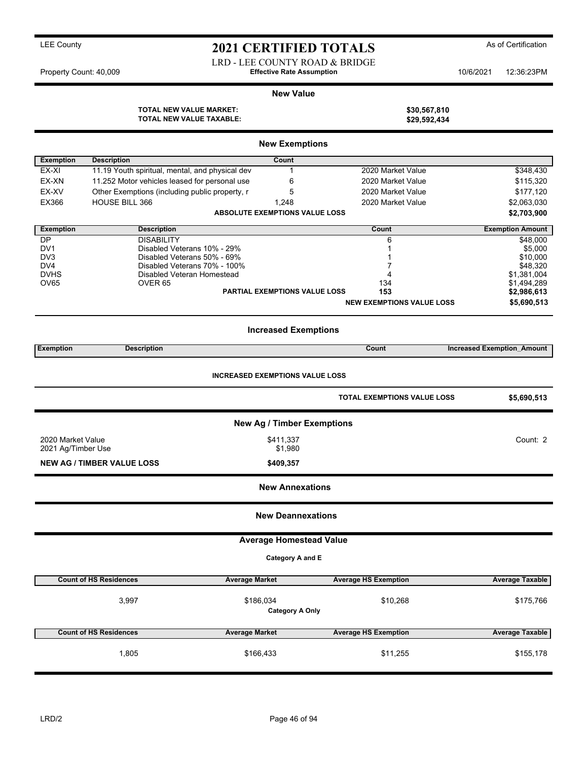LRD - LEE COUNTY ROAD & BRIDGE Property Count: 40,009 **Effective Rate Assumption** 10/6/2021 12:36:23PM

#### **New Value**

**TOTAL NEW VALUE MARKET: \$30,567,810 TOTAL NEW VALUE TAXABLE: \$29,592,434**

|                                         |                                                  | <b>New Exemptions</b>                 |                                    |                                   |  |  |  |  |  |
|-----------------------------------------|--------------------------------------------------|---------------------------------------|------------------------------------|-----------------------------------|--|--|--|--|--|
| <b>Exemption</b>                        | <b>Description</b>                               | Count                                 |                                    |                                   |  |  |  |  |  |
| EX-XI                                   | 11.19 Youth spiritual, mental, and physical dev  | 1                                     | 2020 Market Value                  | \$348,430                         |  |  |  |  |  |
| EX-XN                                   | 11.252 Motor vehicles leased for personal use    | 6                                     | 2020 Market Value                  | \$115,320                         |  |  |  |  |  |
| EX-XV                                   | Other Exemptions (including public property, r   | 5                                     | 2020 Market Value                  | \$177,120                         |  |  |  |  |  |
| EX366                                   | <b>HOUSE BILL 366</b>                            | 1,248                                 | 2020 Market Value                  | \$2,063,030                       |  |  |  |  |  |
|                                         |                                                  | <b>ABSOLUTE EXEMPTIONS VALUE LOSS</b> |                                    | \$2,703,900                       |  |  |  |  |  |
|                                         |                                                  |                                       |                                    |                                   |  |  |  |  |  |
| <b>Exemption</b>                        | <b>Description</b>                               |                                       | Count                              | <b>Exemption Amount</b>           |  |  |  |  |  |
| DP<br>DV <sub>1</sub>                   | <b>DISABILITY</b><br>Disabled Veterans 10% - 29% |                                       | 6<br>1                             | \$48,000<br>\$5,000               |  |  |  |  |  |
| DV3                                     | Disabled Veterans 50% - 69%                      |                                       |                                    | \$10,000                          |  |  |  |  |  |
| DV4                                     | Disabled Veterans 70% - 100%                     |                                       | 7                                  | \$48,320                          |  |  |  |  |  |
| <b>DVHS</b>                             | Disabled Veteran Homestead                       |                                       | 4                                  | \$1,381,004                       |  |  |  |  |  |
| OV65                                    | OVER 65                                          |                                       | 134                                | \$1,494,289                       |  |  |  |  |  |
|                                         |                                                  | <b>PARTIAL EXEMPTIONS VALUE LOSS</b>  | 153                                | \$2,986,613                       |  |  |  |  |  |
|                                         |                                                  |                                       | <b>NEW EXEMPTIONS VALUE LOSS</b>   | \$5,690,513                       |  |  |  |  |  |
|                                         |                                                  | <b>Increased Exemptions</b>           |                                    |                                   |  |  |  |  |  |
| <b>Exemption</b>                        | <b>Description</b>                               |                                       | Count                              | <b>Increased Exemption Amount</b> |  |  |  |  |  |
|                                         |                                                  |                                       |                                    |                                   |  |  |  |  |  |
| <b>INCREASED EXEMPTIONS VALUE LOSS</b>  |                                                  |                                       |                                    |                                   |  |  |  |  |  |
|                                         |                                                  |                                       | <b>TOTAL EXEMPTIONS VALUE LOSS</b> | \$5,690,513                       |  |  |  |  |  |
|                                         | New Ag / Timber Exemptions                       |                                       |                                    |                                   |  |  |  |  |  |
| 2020 Market Value<br>2021 Ag/Timber Use |                                                  | \$411,337<br>\$1,980                  |                                    | Count: 2                          |  |  |  |  |  |
|                                         |                                                  |                                       |                                    |                                   |  |  |  |  |  |
|                                         | <b>NEW AG / TIMBER VALUE LOSS</b>                | \$409,357                             |                                    |                                   |  |  |  |  |  |
|                                         |                                                  | <b>New Annexations</b>                |                                    |                                   |  |  |  |  |  |
|                                         |                                                  | <b>New Deannexations</b>              |                                    |                                   |  |  |  |  |  |
|                                         |                                                  | <b>Average Homestead Value</b>        |                                    |                                   |  |  |  |  |  |
|                                         |                                                  | Category A and E                      |                                    |                                   |  |  |  |  |  |
|                                         | <b>Count of HS Residences</b>                    | <b>Average Market</b>                 | <b>Average HS Exemption</b>        | <b>Average Taxable</b>            |  |  |  |  |  |
|                                         |                                                  |                                       |                                    |                                   |  |  |  |  |  |
|                                         | 3,997                                            | \$186,034                             | \$10,268                           | \$175,766                         |  |  |  |  |  |
|                                         |                                                  | <b>Category A Only</b>                |                                    |                                   |  |  |  |  |  |
|                                         | <b>Count of HS Residences</b>                    | <b>Average Market</b>                 | <b>Average HS Exemption</b>        | <b>Average Taxable</b>            |  |  |  |  |  |
|                                         |                                                  |                                       |                                    |                                   |  |  |  |  |  |
|                                         | 1,805                                            | \$166,433                             | \$11,255                           | \$155,178                         |  |  |  |  |  |
|                                         |                                                  |                                       |                                    |                                   |  |  |  |  |  |
|                                         |                                                  |                                       |                                    |                                   |  |  |  |  |  |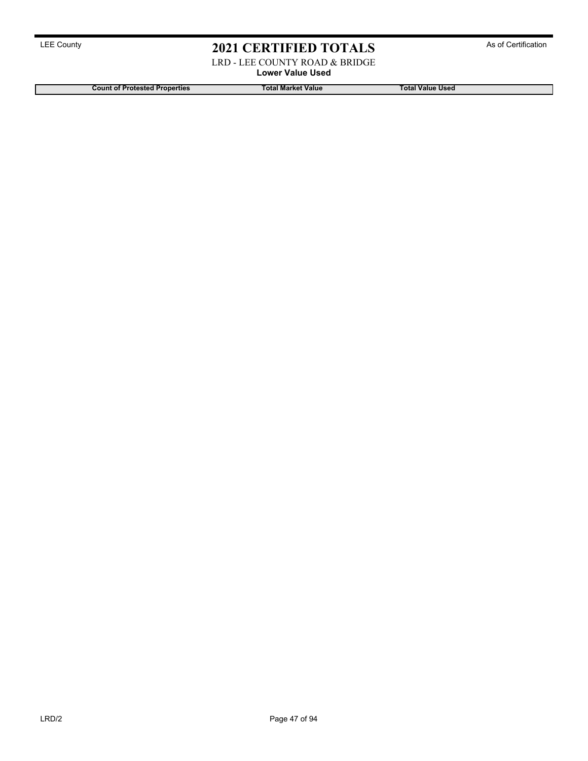LRD - LEE COUNTY ROAD & BRIDGE

**Lower Value Used**

**Count of Protested Properties Total Market Value Total Value Used**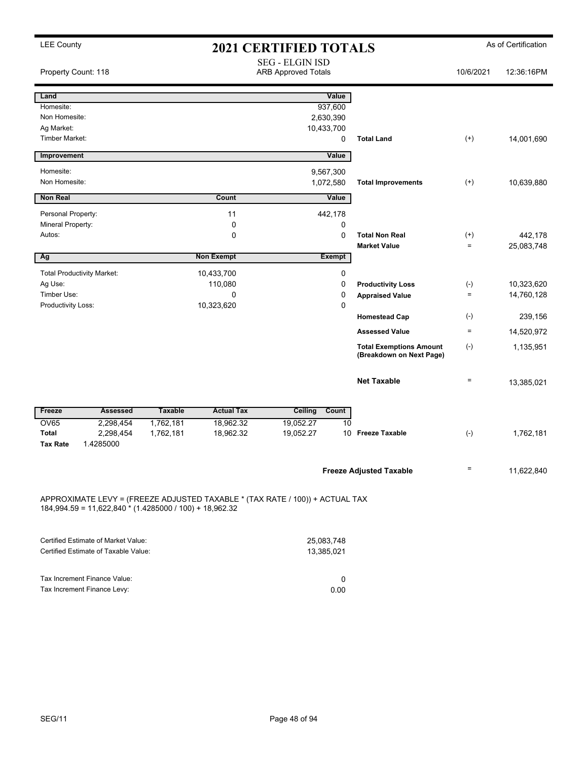| <b>LEE County</b>                                                                                                                       | <b>2021 CERTIFIED TOTALS</b>                         |                   |                          |               | As of Certification                                        |              |            |
|-----------------------------------------------------------------------------------------------------------------------------------------|------------------------------------------------------|-------------------|--------------------------|---------------|------------------------------------------------------------|--------------|------------|
| Property Count: 118                                                                                                                     | <b>SEG - ELGIN ISD</b><br><b>ARB Approved Totals</b> |                   |                          |               | 10/6/2021                                                  | 12:36:16PM   |            |
| Land                                                                                                                                    |                                                      |                   |                          | Value         |                                                            |              |            |
| Homesite:                                                                                                                               |                                                      |                   |                          | 937,600       |                                                            |              |            |
| Non Homesite:                                                                                                                           |                                                      |                   | 2,630,390                |               |                                                            |              |            |
| Ag Market:                                                                                                                              |                                                      |                   | 10,433,700               |               |                                                            |              |            |
| <b>Timber Market:</b>                                                                                                                   |                                                      |                   |                          | 0             | <b>Total Land</b>                                          | $^{(+)}$     | 14,001,690 |
| Improvement                                                                                                                             |                                                      |                   |                          | Value         |                                                            |              |            |
| Homesite:                                                                                                                               |                                                      |                   | 9,567,300                |               |                                                            |              |            |
| Non Homesite:                                                                                                                           |                                                      |                   | 1,072,580                |               | <b>Total Improvements</b>                                  | $^{(+)}$     | 10,639,880 |
| <b>Non Real</b>                                                                                                                         |                                                      | Count             |                          | Value         |                                                            |              |            |
| Personal Property:                                                                                                                      |                                                      | 11                |                          | 442,178       |                                                            |              |            |
| Mineral Property:                                                                                                                       |                                                      | 0                 |                          | 0             |                                                            |              |            |
| Autos:                                                                                                                                  |                                                      | 0                 |                          | 0             | <b>Total Non Real</b>                                      | $^{(+)}$     | 442.178    |
|                                                                                                                                         |                                                      |                   |                          |               | <b>Market Value</b>                                        | $\equiv$     | 25,083,748 |
| Ag                                                                                                                                      |                                                      | <b>Non Exempt</b> |                          | <b>Exempt</b> |                                                            |              |            |
| <b>Total Productivity Market:</b>                                                                                                       |                                                      | 10,433,700        |                          | 0             |                                                            |              |            |
| Ag Use:                                                                                                                                 |                                                      | 110,080           |                          | 0             | <b>Productivity Loss</b>                                   | $(-)$        | 10,323,620 |
| Timber Use:                                                                                                                             |                                                      | 0                 |                          | 0             | <b>Appraised Value</b>                                     | $\equiv$     | 14,760,128 |
| Productivity Loss:                                                                                                                      |                                                      | 10,323,620        |                          | 0             |                                                            |              |            |
|                                                                                                                                         |                                                      |                   |                          |               | <b>Homestead Cap</b>                                       | $(\text{-})$ | 239,156    |
|                                                                                                                                         |                                                      |                   |                          |               | <b>Assessed Value</b>                                      | $=$          | 14,520,972 |
|                                                                                                                                         |                                                      |                   |                          |               | <b>Total Exemptions Amount</b><br>(Breakdown on Next Page) | $(-)$        | 1,135,951  |
|                                                                                                                                         |                                                      |                   |                          |               | <b>Net Taxable</b>                                         | $\equiv$     | 13,385,021 |
| <b>Assessed</b><br>Freeze                                                                                                               | <b>Taxable</b>                                       | <b>Actual Tax</b> | <b>Ceiling</b>           | Count         |                                                            |              |            |
| <b>OV65</b><br>2,298,454                                                                                                                | 1,762,181                                            | 18,962.32         | 19,052.27                | 10            |                                                            |              |            |
| <b>Total</b><br>2,298,454<br><b>Tax Rate</b><br>1.4285000                                                                               | 1,762,181                                            | 18,962.32         | 19,052.27                | 10            | <b>Freeze Taxable</b>                                      | $(\text{-})$ | 1,762,181  |
|                                                                                                                                         |                                                      |                   |                          |               | <b>Freeze Adjusted Taxable</b>                             | $=$          | 11,622,840 |
| APPROXIMATE LEVY = (FREEZE ADJUSTED TAXABLE * (TAX RATE / 100)) + ACTUAL TAX<br>184,994.59 = 11,622,840 * (1.4285000 / 100) + 18,962.32 |                                                      |                   |                          |               |                                                            |              |            |
| Certified Estimate of Market Value:<br>Certified Estimate of Taxable Value:                                                             |                                                      |                   | 25,083,748<br>13,385,021 |               |                                                            |              |            |

| Tax Increment Finance Value: |      |
|------------------------------|------|
| Tax Increment Finance Levy:  | 0.00 |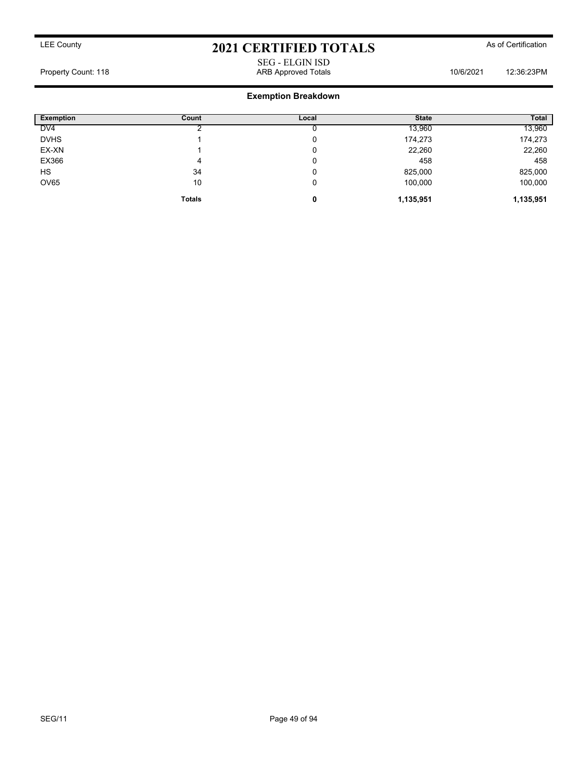SEG - ELGIN ISD Property Count: 118 ARB Approved Totals 10/6/2021 12:36:23PM

| <b>Exemption</b> | Count         | Local | <b>State</b> | <b>Total</b> |
|------------------|---------------|-------|--------------|--------------|
| DV4              |               |       | 13,960       | 13,960       |
| <b>DVHS</b>      |               | 0     | 174,273      | 174,273      |
| EX-XN            |               | υ     | 22,260       | 22,260       |
| EX366            | 4             | υ     | 458          | 458          |
| HS               | 34            | 0     | 825,000      | 825,000      |
| <b>OV65</b>      | 10            | 0     | 100,000      | 100,000      |
|                  | <b>Totals</b> | 0     | 1,135,951    | 1,135,951    |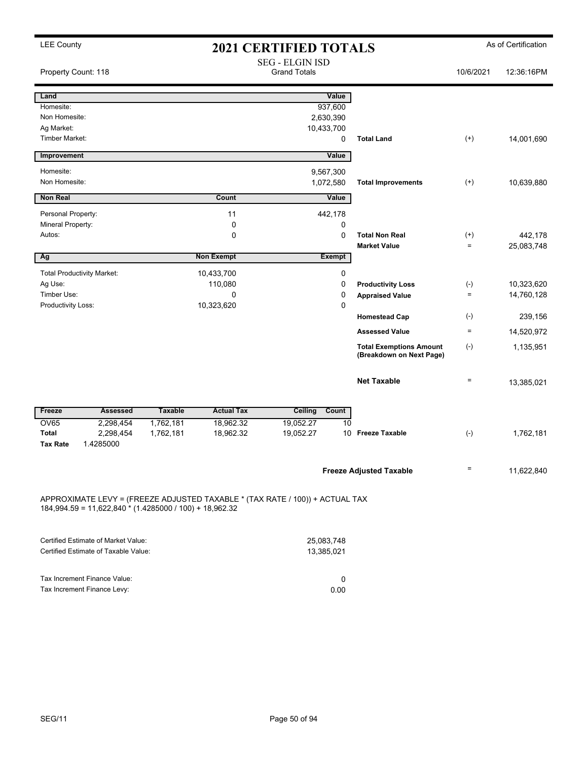| <b>LEE County</b>        |                                                         |                |                                                                              | <b>2021 CERTIFIED TOTALS</b>                  |               |                                                            |                       | As of Certification      |
|--------------------------|---------------------------------------------------------|----------------|------------------------------------------------------------------------------|-----------------------------------------------|---------------|------------------------------------------------------------|-----------------------|--------------------------|
| Property Count: 118      |                                                         |                |                                                                              | <b>SEG - ELGIN ISD</b><br><b>Grand Totals</b> |               |                                                            | 10/6/2021             | 12:36:16PM               |
| Land                     |                                                         |                |                                                                              |                                               | Value         |                                                            |                       |                          |
| Homesite:                |                                                         |                |                                                                              |                                               | 937,600       |                                                            |                       |                          |
| Non Homesite:            |                                                         |                |                                                                              | 2,630,390                                     |               |                                                            |                       |                          |
| Ag Market:               |                                                         |                |                                                                              | 10,433,700                                    |               |                                                            |                       |                          |
| Timber Market:           |                                                         |                |                                                                              |                                               | 0             | <b>Total Land</b>                                          | $^{(+)}$              | 14,001,690               |
| Improvement              |                                                         |                |                                                                              |                                               | Value         |                                                            |                       |                          |
| Homesite:                |                                                         |                |                                                                              | 9,567,300                                     |               |                                                            |                       |                          |
| Non Homesite:            |                                                         |                |                                                                              | 1,072,580                                     |               | <b>Total Improvements</b>                                  | $^{(+)}$              | 10,639,880               |
| <b>Non Real</b>          |                                                         |                | Count                                                                        |                                               | Value         |                                                            |                       |                          |
| Personal Property:       |                                                         |                | 11                                                                           |                                               | 442,178       |                                                            |                       |                          |
| <b>Mineral Property:</b> |                                                         |                | 0                                                                            |                                               | 0             |                                                            |                       |                          |
| Autos:                   |                                                         |                | $\mathbf 0$                                                                  |                                               | 0             | <b>Total Non Real</b>                                      | $^{(+)}$              | 442,178                  |
| Αg                       |                                                         |                | <b>Non Exempt</b>                                                            |                                               | <b>Exempt</b> | <b>Market Value</b>                                        | $\equiv$              | 25,083,748               |
|                          |                                                         |                |                                                                              |                                               |               |                                                            |                       |                          |
|                          | <b>Total Productivity Market:</b>                       |                | 10,433,700                                                                   |                                               | 0             |                                                            |                       |                          |
| Ag Use:<br>Timber Use:   |                                                         |                | 110,080<br>0                                                                 |                                               | 0<br>0        | <b>Productivity Loss</b>                                   | $(\cdot)$<br>$\equiv$ | 10,323,620<br>14,760,128 |
| Productivity Loss:       |                                                         |                | 10,323,620                                                                   |                                               | 0             | <b>Appraised Value</b>                                     |                       |                          |
|                          |                                                         |                |                                                                              |                                               |               | <b>Homestead Cap</b>                                       | $(\cdot)$             | 239,156                  |
|                          |                                                         |                |                                                                              |                                               |               | <b>Assessed Value</b>                                      | $\equiv$              | 14,520,972               |
|                          |                                                         |                |                                                                              |                                               |               | <b>Total Exemptions Amount</b><br>(Breakdown on Next Page) | $(\textnormal{-})$    | 1,135,951                |
|                          |                                                         |                |                                                                              |                                               |               | <b>Net Taxable</b>                                         | $\equiv$              | 13,385,021               |
| Freeze                   | <b>Assessed</b>                                         | <b>Taxable</b> | <b>Actual Tax</b>                                                            | Ceiling Count                                 |               |                                                            |                       |                          |
| <b>OV65</b>              | 2,298,454                                               | 1,762,181      | 18,962.32                                                                    | 19,052.27                                     | 10            |                                                            |                       |                          |
| Total                    | 2,298,454                                               | 1,762,181      | 18,962.32                                                                    | 19,052.27                                     |               | 10 Freeze Taxable                                          | $(\text{-})$          | 1,762,181                |
| <b>Tax Rate</b>          | 1.4285000                                               |                |                                                                              |                                               |               |                                                            |                       |                          |
|                          |                                                         |                |                                                                              |                                               |               | <b>Freeze Adjusted Taxable</b>                             | $=$                   | 11,622,840               |
|                          |                                                         |                |                                                                              |                                               |               |                                                            |                       |                          |
|                          | 184,994.59 = 11,622,840 * (1.4285000 / 100) + 18,962.32 |                | APPROXIMATE LEVY = (FREEZE ADJUSTED TAXABLE * (TAX RATE / 100)) + ACTUAL TAX |                                               |               |                                                            |                       |                          |
|                          | Certified Estimate of Market Value:                     |                |                                                                              | 25,083,748                                    |               |                                                            |                       |                          |
|                          | Certified Estimate of Taxable Value:                    |                |                                                                              | 13,385,021                                    |               |                                                            |                       |                          |
|                          |                                                         |                |                                                                              |                                               |               |                                                            |                       |                          |
|                          | Tax Increment Finance Value:                            |                |                                                                              |                                               | 0             |                                                            |                       |                          |
|                          | Tax Increment Finance Levy:                             |                |                                                                              |                                               | 0.00          |                                                            |                       |                          |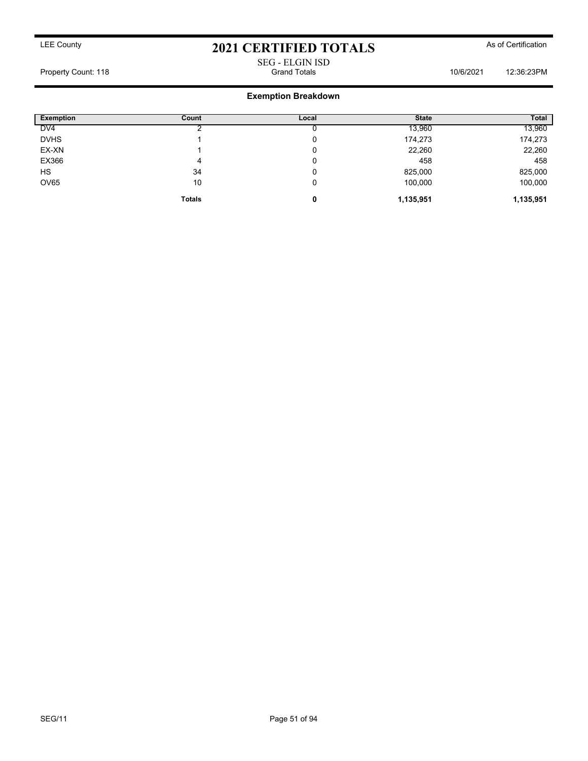## SEG - ELGIN ISD Property Count: 118 **Property Count: 118** Crand Totals **10/6/2021** 12:36:23PM

| <b>Exemption</b> | Count         | Local | <b>State</b> | <b>Total</b> |
|------------------|---------------|-------|--------------|--------------|
| DV <sub>4</sub>  |               |       | 13,960       | 13,960       |
| <b>DVHS</b>      |               | 0     | 174,273      | 174,273      |
| EX-XN            |               | 0     | 22,260       | 22,260       |
| EX366            |               | 0     | 458          | 458          |
| <b>HS</b>        | 34            | 0     | 825,000      | 825,000      |
| OV65             | 10            | 0     | 100,000      | 100,000      |
|                  | <b>Totals</b> | 0     | 1,135,951    | 1,135,951    |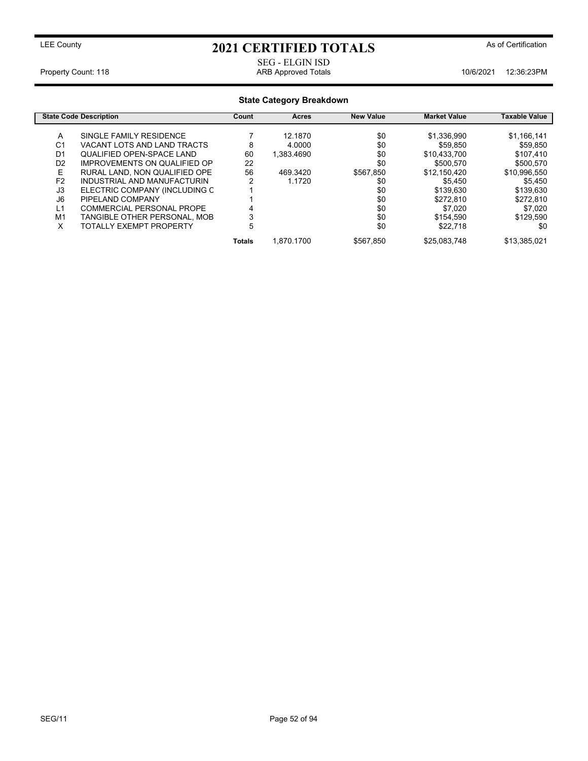SEG - ELGIN ISD<br>ARB Approved Totals

Property Count: 118 **ARB Approved Totals** 10/6/2021 12:36:23PM

## **State Category Breakdown**

|                | <b>State Code Description</b>       | Count  | Acres      | <b>New Value</b> | <b>Market Value</b> | <b>Taxable Value</b> |
|----------------|-------------------------------------|--------|------------|------------------|---------------------|----------------------|
| A              | SINGLE FAMILY RESIDENCE             |        | 12.1870    | \$0              | \$1,336,990         | \$1,166,141          |
| C <sub>1</sub> | VACANT LOTS AND LAND TRACTS         | 8      | 4.0000     | \$0              | \$59,850            | \$59.850             |
|                |                                     |        |            |                  |                     |                      |
| D <sub>1</sub> | <b>QUALIFIED OPEN-SPACE LAND</b>    | 60     | 1.383.4690 | \$0              | \$10.433.700        | \$107.410            |
| D <sub>2</sub> | <b>IMPROVEMENTS ON QUALIFIED OP</b> | 22     |            | \$0              | \$500,570           | \$500,570            |
| Е              | RURAL LAND. NON QUALIFIED OPE       | 56     | 469.3420   | \$567.850        | \$12,150,420        | \$10,996,550         |
| F <sub>2</sub> | INDUSTRIAL AND MANUFACTURIN         | 2      | 1.1720     | \$0              | \$5.450             | \$5.450              |
| J3             | ELECTRIC COMPANY (INCLUDING C       |        |            | \$0              | \$139,630           | \$139,630            |
| J <sub>6</sub> | PIPELAND COMPANY                    |        |            | \$0              | \$272,810           | \$272,810            |
| L1             | COMMERCIAL PERSONAL PROPE           | 4      |            | \$0              | \$7.020             | \$7.020              |
| M <sub>1</sub> | TANGIBLE OTHER PERSONAL, MOB        | 3      |            | \$0              | \$154.590           | \$129.590            |
| x              | TOTALLY EXEMPT PROPERTY             | 5      |            | \$0              | \$22.718            | \$0                  |
|                |                                     | Totals | 1.870.1700 | \$567.850        | \$25,083,748        | \$13,385,021         |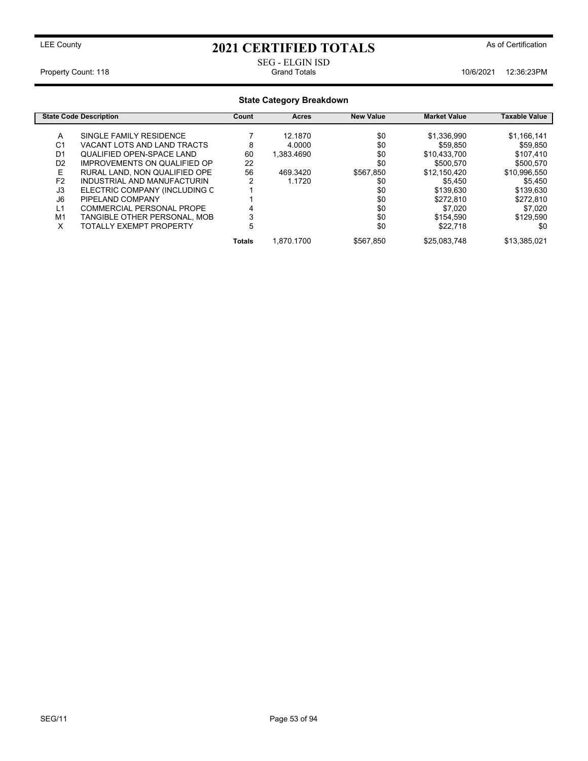SEG - ELGIN ISD

Property Count: 118 **Property Count: 118** Crand Totals 10/6/2021 12:36:23PM

### **State Category Breakdown State Code Description Count Acres New Value Market Value Taxable Value** A SINGLE FAMILY RESIDENCE 7 12.1870 \$0 \$1,336,990 \$1,166,141 VACANT LOTS AND LAND TRACTS 3<br>QUALIFIED OPEN-SPACE LAND \$60 01 QUALIFIED OPEN-SPACE LAND 60 1,383.4690 \$0 \$10,433,700 \$107,410<br>D2 IMPROVEMENTS ON QUALIFIED OP 22 \$0 \$500,570 \$500,570 IMPROVEMENTS ON QUALIFIED OP E RURAL LAND, NON QUALIFIED OPE 56 469.3420 \$567,850 \$12,150,420 \$10,996,550<br>F2 INDUSTRIAL AND MANUFACTURIN 2 1.1720 \$0 \$5,450 \$5,450 \$5,450 F2 INDUSTRIAL AND MANUFACTURIN 2 1.1720 \$0 \$5,450 \$5,450 \$5,450 \$5,450 \$5,450 \$5,450 \$5,450 \$5,450 \$5,450 \$5,450 \$5,450 \$5,450 \$139,630 \$139,630 \$139,630 \$139,630 \$139,630 \$139,630 \$139,630 \$139,630 \$139,630 \$139,630 \$139, J3 ELECTRIC COMPANY (INCLUDING C 1 \$0 \$139,630 \$139,630 J6 PIPELAND COMPANY 1 \$0 \$272,810 \$272,810 L1 COMMERCIAL PERSONAL PROPE 4<br>
M1 TANGIBLE OTHER PERSONAL, MOB 3 3 50 \$154,590 \$154,590 \$129,590 M1 TANGIBLE OTHER PERSONAL, MOB 3 \$0 \$154,590 \$129,590<br>X TOTALLY EXEMPT PROPERTY 5 \$0 \$22,718 \$0 TOTALLY EXEMPT PROPERTY 5 5 \$0 **Totals** 1,870.1700 \$567,850 \$25,083,748 \$13,385,021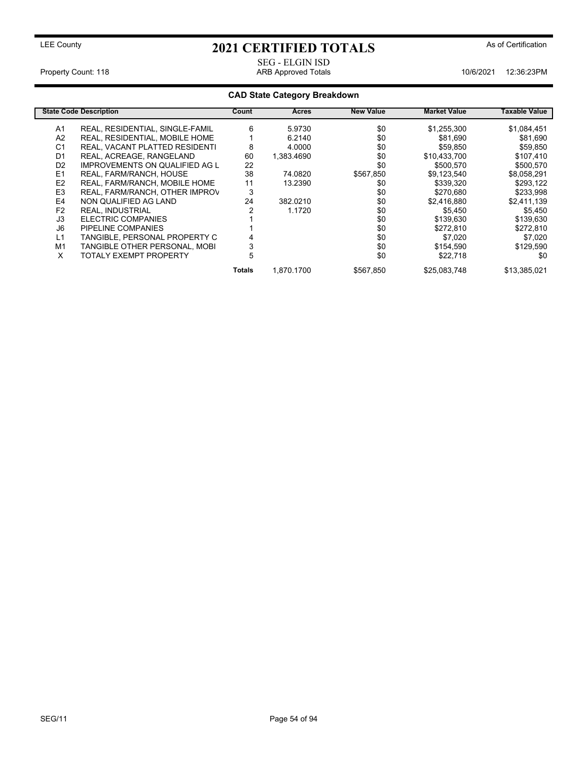SEG - ELGIN ISD<br>ARB Approved Totals

Property Count: 118 **ARB Approved Totals** 10/6/2021 12:36:23PM

## **CAD State Category Breakdown**

|                | <b>State Code Description</b>         | Count  | Acres      | <b>New Value</b> | <b>Market Value</b> | Taxable Value |
|----------------|---------------------------------------|--------|------------|------------------|---------------------|---------------|
| A1             | REAL, RESIDENTIAL, SINGLE-FAMIL       | 6      | 5.9730     | \$0              | \$1,255,300         | \$1,084,451   |
| A <sub>2</sub> | <b>REAL, RESIDENTIAL, MOBILE HOME</b> |        | 6.2140     | \$0              | \$81,690            | \$81,690      |
| C <sub>1</sub> | REAL, VACANT PLATTED RESIDENTI        | 8      | 4.0000     | \$0              | \$59,850            | \$59,850      |
| D <sub>1</sub> | REAL, ACREAGE, RANGELAND              | 60     | 1.383.4690 | \$0              | \$10,433,700        | \$107,410     |
| D <sub>2</sub> | <b>IMPROVEMENTS ON QUALIFIED AG L</b> | 22     |            | \$0              | \$500,570           | \$500,570     |
| E <sub>1</sub> | REAL, FARM/RANCH, HOUSE               | 38     | 74.0820    | \$567,850        | \$9,123,540         | \$8,058,291   |
| E <sub>2</sub> | REAL, FARM/RANCH, MOBILE HOME         | 11     | 13.2390    | \$0              | \$339,320           | \$293,122     |
| E <sub>3</sub> | REAL, FARM/RANCH, OTHER IMPROV        | 3      |            | \$0              | \$270,680           | \$233,998     |
| E4             | NON QUALIFIED AG LAND                 | 24     | 382.0210   | \$0              | \$2,416,880         | \$2,411,139   |
| F <sub>2</sub> | <b>REAL. INDUSTRIAL</b>               |        | 1.1720     | \$0              | \$5,450             | \$5,450       |
| J3             | ELECTRIC COMPANIES                    |        |            | \$0              | \$139,630           | \$139,630     |
| J6             | PIPELINE COMPANIES                    |        |            | \$0              | \$272,810           | \$272,810     |
| L1             | TANGIBLE, PERSONAL PROPERTY C         |        |            | \$0              | \$7.020             | \$7.020       |
| M1             | TANGIBLE OTHER PERSONAL, MOBI         | ۰.     |            | \$0              | \$154,590           | \$129,590     |
| X              | <b>TOTALY EXEMPT PROPERTY</b>         | 5      |            | \$0              | \$22,718            | \$0           |
|                |                                       | Totals | 1.870.1700 | \$567.850        | \$25.083.748        | \$13.385.021  |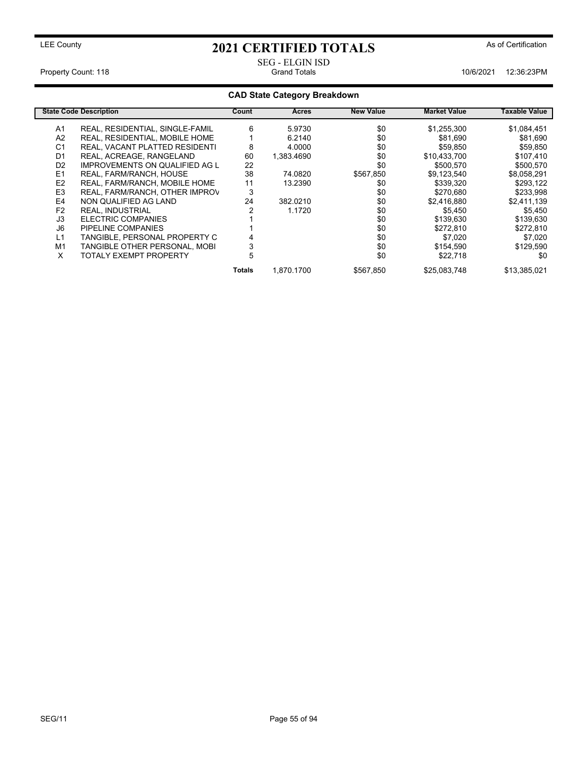# SEG - ELGIN ISD

Property Count: 118 **Property Count: 118** Crand Totals **10/6/2021** 12:36:23PM

## **CAD State Category Breakdown**

|                | <b>State Code Description</b>         | Count  | <b>Acres</b> | <b>New Value</b> | <b>Market Value</b> | Taxable Value |
|----------------|---------------------------------------|--------|--------------|------------------|---------------------|---------------|
| A1             | REAL, RESIDENTIAL, SINGLE-FAMIL       | 6      | 5.9730       | \$0              | \$1,255,300         | \$1,084,451   |
| A <sub>2</sub> | <b>REAL, RESIDENTIAL, MOBILE HOME</b> |        | 6.2140       | \$0              | \$81.690            | \$81,690      |
| C <sub>1</sub> | REAL, VACANT PLATTED RESIDENTI        | 8      | 4.0000       | \$0              | \$59,850            | \$59,850      |
| D <sub>1</sub> | REAL, ACREAGE, RANGELAND              | 60     | 1.383.4690   | \$0              | \$10.433.700        | \$107,410     |
| D <sub>2</sub> | <b>IMPROVEMENTS ON QUALIFIED AG L</b> | 22     |              | \$0              | \$500.570           | \$500,570     |
| E <sub>1</sub> | REAL, FARM/RANCH, HOUSE               | 38     | 74.0820      | \$567,850        | \$9,123,540         | \$8,058,291   |
| E2             | REAL, FARM/RANCH, MOBILE HOME         | 11     | 13.2390      | \$0              | \$339,320           | \$293,122     |
| E <sub>3</sub> | REAL, FARM/RANCH, OTHER IMPROV        | 3      |              | \$0              | \$270,680           | \$233,998     |
| E4             | NON QUALIFIED AG LAND                 | 24     | 382.0210     | \$0              | \$2.416.880         | \$2.411.139   |
| F <sub>2</sub> | <b>REAL, INDUSTRIAL</b>               |        | 1.1720       | \$0              | \$5.450             | \$5,450       |
| J3             | ELECTRIC COMPANIES                    |        |              | \$0              | \$139,630           | \$139,630     |
| J6             | PIPELINE COMPANIES                    |        |              | \$0              | \$272,810           | \$272,810     |
| L1             | TANGIBLE, PERSONAL PROPERTY C         |        |              | \$0              | \$7.020             | \$7.020       |
| M1             | TANGIBLE OTHER PERSONAL, MOBI         |        |              | \$0              | \$154,590           | \$129,590     |
| X              | <b>TOTALY EXEMPT PROPERTY</b>         | 5      |              | \$0              | \$22,718            | \$0           |
|                |                                       | Totals | 1.870.1700   | \$567.850        | \$25,083,748        | \$13.385.021  |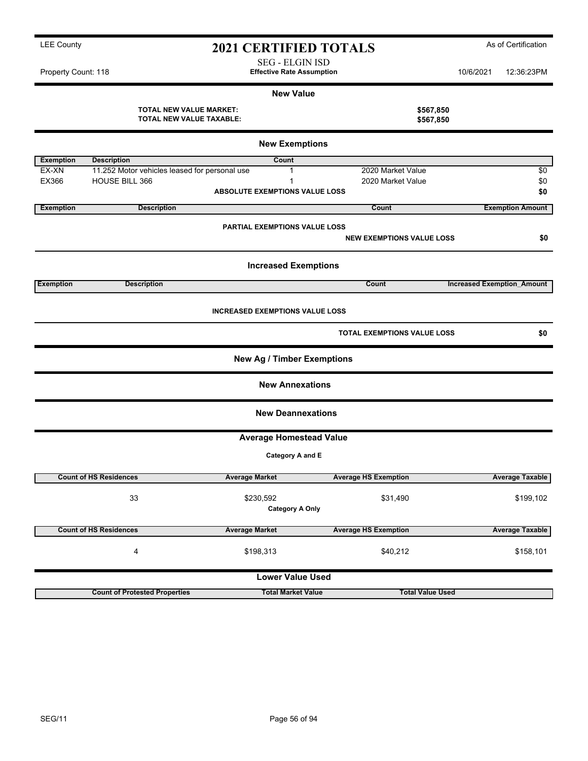|                       |                                                            | <b>New Value</b>                       |                                  |                                   |  |  |  |  |  |
|-----------------------|------------------------------------------------------------|----------------------------------------|----------------------------------|-----------------------------------|--|--|--|--|--|
|                       | <b>TOTAL NEW VALUE MARKET:</b><br>TOTAL NEW VALUE TAXABLE: |                                        | \$567,850<br>\$567,850           |                                   |  |  |  |  |  |
| <b>New Exemptions</b> |                                                            |                                        |                                  |                                   |  |  |  |  |  |
| <b>Exemption</b>      | <b>Description</b>                                         | Count                                  |                                  |                                   |  |  |  |  |  |
| EX-XN                 | 11.252 Motor vehicles leased for personal use              | $\mathbf{1}$                           | 2020 Market Value                | \$0                               |  |  |  |  |  |
| EX366                 | HOUSE BILL 366                                             | 1                                      | 2020 Market Value                | \$0                               |  |  |  |  |  |
|                       |                                                            | <b>ABSOLUTE EXEMPTIONS VALUE LOSS</b>  |                                  | \$0                               |  |  |  |  |  |
| <b>Exemption</b>      | <b>Description</b>                                         |                                        | Count                            | <b>Exemption Amount</b>           |  |  |  |  |  |
|                       |                                                            | PARTIAL EXEMPTIONS VALUE LOSS          |                                  |                                   |  |  |  |  |  |
|                       |                                                            |                                        | <b>NEW EXEMPTIONS VALUE LOSS</b> | \$0                               |  |  |  |  |  |
|                       |                                                            | <b>Increased Exemptions</b>            |                                  |                                   |  |  |  |  |  |
| <b>Exemption</b>      | <b>Description</b>                                         |                                        | Count                            | <b>Increased Exemption Amount</b> |  |  |  |  |  |
|                       |                                                            |                                        |                                  |                                   |  |  |  |  |  |
|                       |                                                            | <b>INCREASED EXEMPTIONS VALUE LOSS</b> |                                  |                                   |  |  |  |  |  |
|                       |                                                            |                                        | TOTAL EXEMPTIONS VALUE LOSS      | \$0                               |  |  |  |  |  |
|                       |                                                            | <b>New Ag / Timber Exemptions</b>      |                                  |                                   |  |  |  |  |  |
|                       |                                                            | <b>New Annexations</b>                 |                                  |                                   |  |  |  |  |  |
|                       |                                                            | <b>New Deannexations</b>               |                                  |                                   |  |  |  |  |  |
|                       |                                                            | <b>Average Homestead Value</b>         |                                  |                                   |  |  |  |  |  |
|                       |                                                            | Category A and E                       |                                  |                                   |  |  |  |  |  |
|                       | <b>Count of HS Residences</b>                              | <b>Average Market</b>                  | <b>Average HS Exemption</b>      | <b>Average Taxable</b>            |  |  |  |  |  |
|                       | 33                                                         | \$230,592                              | \$31,490                         | \$199,102                         |  |  |  |  |  |
|                       |                                                            | <b>Category A Only</b>                 |                                  |                                   |  |  |  |  |  |
|                       | <b>Count of HS Residences</b>                              | <b>Average Market</b>                  | <b>Average HS Exemption</b>      | <b>Average Taxable</b>            |  |  |  |  |  |
|                       | $\overline{\mathbf{4}}$                                    | \$198,313                              | \$40,212                         | \$158,101                         |  |  |  |  |  |
|                       | <b>Lower Value Used</b>                                    |                                        |                                  |                                   |  |  |  |  |  |
|                       | <b>Count of Protested Properties</b>                       | <b>Total Market Value</b>              | <b>Total Value Used</b>          |                                   |  |  |  |  |  |

## LEE County **As of Certification 2021 CERTIFIED TOTALS** As of Certification SEG - ELGIN ISD

Property Count: 118 **Effective Rate Assumption** 10/6/2021 12:36:23PM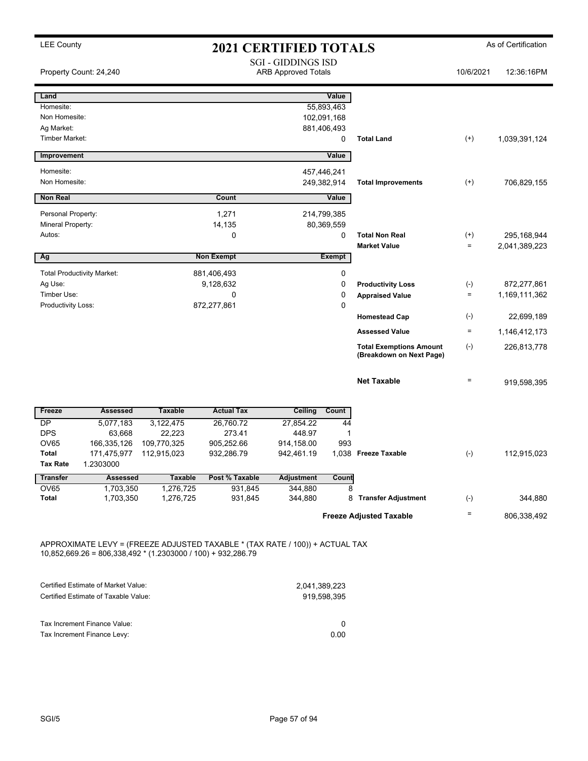| <b>LEE County</b>                                                                                                                              |                                     | <b>2021 CERTIFIED TOTALS</b> |                      |                                                         |                  |                                |                    | As of Certification |
|------------------------------------------------------------------------------------------------------------------------------------------------|-------------------------------------|------------------------------|----------------------|---------------------------------------------------------|------------------|--------------------------------|--------------------|---------------------|
|                                                                                                                                                | Property Count: 24,240              |                              |                      | <b>SGI - GIDDINGS ISD</b><br><b>ARB Approved Totals</b> |                  |                                | 10/6/2021          | 12:36:16PM          |
| Land                                                                                                                                           |                                     |                              |                      |                                                         | Value            |                                |                    |                     |
| Homesite:                                                                                                                                      |                                     |                              |                      |                                                         | 55,893,463       |                                |                    |                     |
| Non Homesite:                                                                                                                                  |                                     |                              |                      |                                                         | 102,091,168      |                                |                    |                     |
| Ag Market:<br><b>Timber Market:</b>                                                                                                            |                                     |                              |                      |                                                         | 881,406,493<br>0 | <b>Total Land</b>              | $^{(+)}$           | 1,039,391,124       |
|                                                                                                                                                |                                     |                              |                      |                                                         |                  |                                |                    |                     |
| Improvement                                                                                                                                    |                                     |                              |                      |                                                         | Value            |                                |                    |                     |
| Homesite:                                                                                                                                      |                                     |                              |                      | 457,446,241                                             |                  |                                |                    |                     |
| Non Homesite:                                                                                                                                  |                                     |                              |                      |                                                         | 249,382,914      | <b>Total Improvements</b>      | $^{(+)}$           | 706,829,155         |
| <b>Non Real</b>                                                                                                                                |                                     |                              | Count                |                                                         | Value            |                                |                    |                     |
| Personal Property:                                                                                                                             |                                     |                              | 1,271                |                                                         | 214,799,385      |                                |                    |                     |
| Mineral Property:                                                                                                                              |                                     |                              | 14,135               |                                                         | 80,369,559       |                                |                    |                     |
| Autos:                                                                                                                                         |                                     |                              | 0                    |                                                         | 0                | <b>Total Non Real</b>          | $^{(+)}$           | 295,168,944         |
|                                                                                                                                                |                                     |                              |                      |                                                         |                  | <b>Market Value</b>            | $\qquad \qquad =$  | 2,041,389,223       |
| Ag                                                                                                                                             |                                     |                              | <b>Non Exempt</b>    |                                                         | Exempt           |                                |                    |                     |
|                                                                                                                                                | <b>Total Productivity Market:</b>   |                              | 881,406,493          |                                                         | 0                |                                |                    |                     |
| Ag Use:                                                                                                                                        |                                     |                              | 9,128,632            |                                                         | 0                | <b>Productivity Loss</b>       | $(-)$              | 872,277,861         |
| Timber Use:<br>Productivity Loss:                                                                                                              |                                     |                              | 0<br>872,277,861     |                                                         | 0<br>0           | <b>Appraised Value</b>         | $\equiv$           | 1,169,111,362       |
|                                                                                                                                                |                                     |                              |                      |                                                         |                  | <b>Homestead Cap</b>           | $(\textnormal{-})$ | 22,699,189          |
|                                                                                                                                                |                                     |                              |                      |                                                         |                  | <b>Assessed Value</b>          | $\qquad \qquad =$  | 1,146,412,173       |
|                                                                                                                                                |                                     |                              |                      |                                                         |                  | <b>Total Exemptions Amount</b> | $(-)$              | 226,813,778         |
|                                                                                                                                                |                                     |                              |                      |                                                         |                  | (Breakdown on Next Page)       |                    |                     |
|                                                                                                                                                |                                     |                              |                      |                                                         |                  | <b>Net Taxable</b>             | $\equiv$           | 919,598,395         |
|                                                                                                                                                |                                     |                              |                      |                                                         |                  |                                |                    |                     |
| Freeze                                                                                                                                         | <b>Assessed</b>                     | <b>Taxable</b>               | <b>Actual Tax</b>    | <b>Ceiling</b>                                          | Count            |                                |                    |                     |
| <b>DP</b>                                                                                                                                      | 5,077,183                           | 3,122,475                    | 26,760.72            | 27,854.22                                               | 44               |                                |                    |                     |
| <b>DPS</b><br><b>OV65</b>                                                                                                                      | 63,668<br>166,335,126               | 22,223<br>109,770,325        | 273.41<br>905,252.66 | 448.97<br>914,158.00                                    | 1<br>993         |                                |                    |                     |
| Total                                                                                                                                          | 171,475,977                         | 112,915,023                  | 932,286.79           | 942,461.19                                              |                  | 1,038 Freeze Taxable           | $(-)$              | 112,915,023         |
| Tax Rate                                                                                                                                       | 1.2303000                           |                              |                      |                                                         |                  |                                |                    |                     |
| <b>Transfer</b>                                                                                                                                | <b>Assessed</b>                     | Taxable                      | Post % Taxable       | <b>Adjustment</b>                                       | Count            |                                |                    |                     |
| <b>OV65</b>                                                                                                                                    | 1,703,350                           | 1,276,725                    | 931,845              | 344,880                                                 | 8                |                                |                    |                     |
| Total                                                                                                                                          | 1,703,350                           | 1,276,725                    | 931,845              | 344,880                                                 |                  | 8 Transfer Adjustment          | $(-)$              | 344,880             |
|                                                                                                                                                |                                     |                              |                      |                                                         |                  | <b>Freeze Adjusted Taxable</b> | $\equiv$           | 806,338,492         |
| APPROXIMATE LEVY = (FREEZE ADJUSTED TAXABLE * (TAX RATE / 100)) + ACTUAL TAX<br>$10,852,669.26 = 806,338,492 * (1.2303000 / 100) + 932,286.79$ |                                     |                              |                      |                                                         |                  |                                |                    |                     |
|                                                                                                                                                | Certified Estimate of Market Value: |                              |                      | 2.041.389.223                                           |                  |                                |                    |                     |

|                                      | $-0.971,000,000$ |
|--------------------------------------|------------------|
| Certified Estimate of Taxable Value: | 919.598.395      |
| Tax Increment Finance Value:         |                  |
| Tax Increment Finance Levy:          | 0.00             |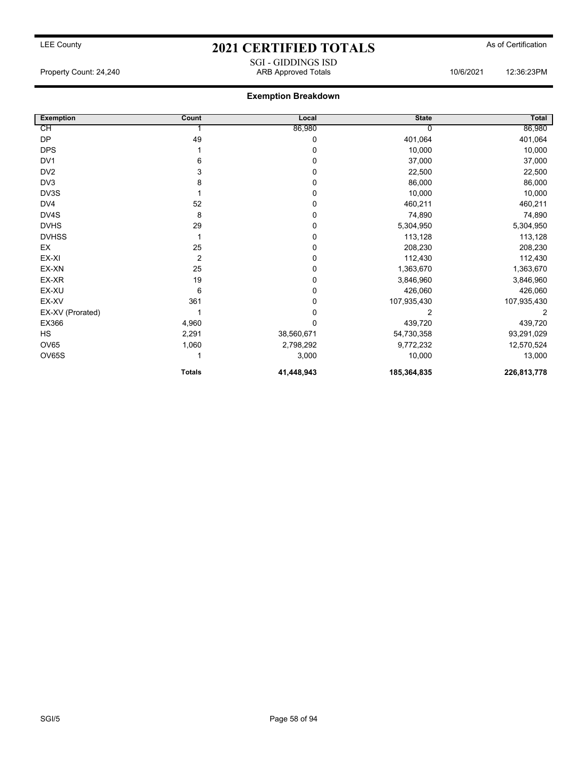## LEE County **2021 CERTIFIED TOTALS** As of Certification SGI - GIDDINGS ISD

Property Count: 24,240 ARB Approved Totals 10/6/2021 12:36:23PM

| <b>Exemption</b> | Count          | Local      | <b>State</b> | Total       |
|------------------|----------------|------------|--------------|-------------|
| CН               |                | 86,980     | 0            | 86,980      |
| <b>DP</b>        | 49             | 0          | 401,064      | 401,064     |
| <b>DPS</b>       |                | 0          | 10,000       | 10,000      |
| DV <sub>1</sub>  | 6              | 0          | 37,000       | 37,000      |
| DV <sub>2</sub>  | 3              | 0          | 22,500       | 22,500      |
| DV3              | 8              | 0          | 86,000       | 86,000      |
| DV3S             |                | 0          | 10,000       | 10,000      |
| DV4              | 52             | $\Omega$   | 460,211      | 460,211     |
| DV4S             | 8              | 0          | 74,890       | 74,890      |
| <b>DVHS</b>      | 29             | 0          | 5,304,950    | 5,304,950   |
| <b>DVHSS</b>     |                | 0          | 113,128      | 113,128     |
| EX               | 25             | 0          | 208,230      | 208,230     |
| EX-XI            | $\overline{2}$ | 0          | 112,430      | 112,430     |
| EX-XN            | 25             | 0          | 1,363,670    | 1,363,670   |
| EX-XR            | 19             | 0          | 3,846,960    | 3,846,960   |
| EX-XU            | 6              | 0          | 426,060      | 426,060     |
| EX-XV            | 361            | 0          | 107,935,430  | 107,935,430 |
| EX-XV (Prorated) |                |            | 2            | 2           |
| EX366            | 4,960          |            | 439,720      | 439,720     |
| <b>HS</b>        | 2,291          | 38,560,671 | 54,730,358   | 93,291,029  |
| OV65             | 1,060          | 2,798,292  | 9,772,232    | 12,570,524  |
| OV65S            |                | 3,000      | 10,000       | 13,000      |
|                  | <b>Totals</b>  | 41,448,943 | 185,364,835  | 226,813,778 |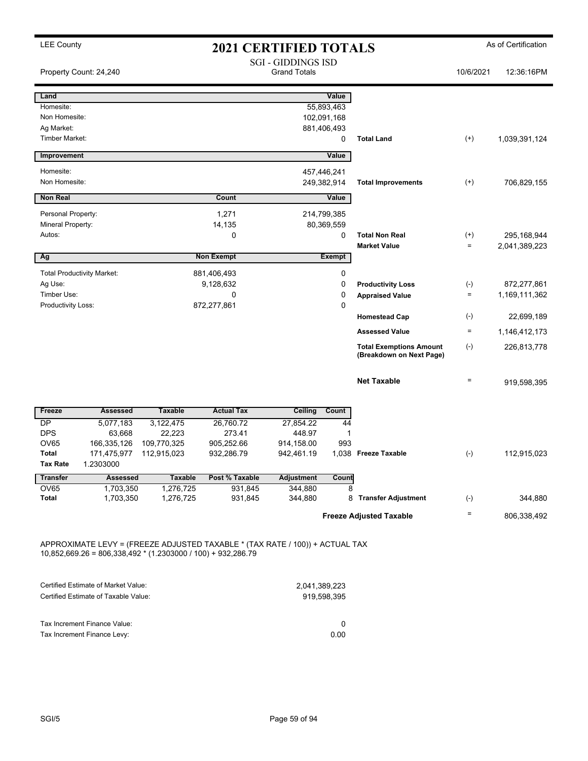| <b>LEE County</b>     |                                   |                                                                | <b>2021 CERTIFIED TOTALS</b>                                                 |                                                  |             |                                                            |                    | As of Certification |
|-----------------------|-----------------------------------|----------------------------------------------------------------|------------------------------------------------------------------------------|--------------------------------------------------|-------------|------------------------------------------------------------|--------------------|---------------------|
|                       | Property Count: 24,240            |                                                                |                                                                              | <b>SGI - GIDDINGS ISD</b><br><b>Grand Totals</b> |             |                                                            | 10/6/2021          | 12:36:16PM          |
| Land                  |                                   |                                                                |                                                                              |                                                  | Value       |                                                            |                    |                     |
| Homesite:             |                                   |                                                                |                                                                              |                                                  | 55,893,463  |                                                            |                    |                     |
| Non Homesite:         |                                   |                                                                |                                                                              |                                                  | 102,091,168 |                                                            |                    |                     |
| Ag Market:            |                                   |                                                                |                                                                              |                                                  | 881,406,493 |                                                            |                    |                     |
| <b>Timber Market:</b> |                                   |                                                                |                                                                              |                                                  | 0           | <b>Total Land</b>                                          | $^{(+)}$           | 1,039,391,124       |
| Improvement           |                                   |                                                                |                                                                              |                                                  | Value       |                                                            |                    |                     |
| Homesite:             |                                   |                                                                |                                                                              |                                                  | 457,446,241 |                                                            |                    |                     |
| Non Homesite:         |                                   |                                                                |                                                                              |                                                  | 249,382,914 | <b>Total Improvements</b>                                  | $^{(+)}$           | 706,829,155         |
| <b>Non Real</b>       |                                   |                                                                | Count                                                                        |                                                  | Value       |                                                            |                    |                     |
| Personal Property:    |                                   |                                                                | 1,271                                                                        |                                                  | 214,799,385 |                                                            |                    |                     |
| Mineral Property:     |                                   |                                                                | 14,135                                                                       |                                                  | 80,369,559  |                                                            |                    |                     |
| Autos:                |                                   |                                                                | 0                                                                            |                                                  | 0           | <b>Total Non Real</b>                                      | $^{(+)}$           | 295,168,944         |
|                       |                                   |                                                                |                                                                              |                                                  |             | <b>Market Value</b>                                        | $\qquad \qquad =$  | 2,041,389,223       |
| Ag                    |                                   |                                                                | <b>Non Exempt</b>                                                            |                                                  | Exempt      |                                                            |                    |                     |
|                       | <b>Total Productivity Market:</b> |                                                                | 881,406,493                                                                  |                                                  | 0           |                                                            |                    |                     |
| Ag Use:               |                                   |                                                                | 9,128,632                                                                    |                                                  | 0           | <b>Productivity Loss</b>                                   | $(\textnormal{-})$ | 872,277,861         |
| Timber Use:           |                                   |                                                                | 0                                                                            |                                                  | 0           | <b>Appraised Value</b>                                     | $\equiv$           | 1,169,111,362       |
| Productivity Loss:    |                                   |                                                                | 872,277,861                                                                  |                                                  | $\mathbf 0$ |                                                            |                    |                     |
|                       |                                   |                                                                |                                                                              |                                                  |             | <b>Homestead Cap</b>                                       | $(\textnormal{-})$ | 22,699,189          |
|                       |                                   |                                                                |                                                                              |                                                  |             | <b>Assessed Value</b>                                      | $\equiv$           | 1,146,412,173       |
|                       |                                   |                                                                |                                                                              |                                                  |             | <b>Total Exemptions Amount</b><br>(Breakdown on Next Page) | $(-)$              | 226,813,778         |
|                       |                                   |                                                                |                                                                              |                                                  |             | <b>Net Taxable</b>                                         | $\equiv$           | 919,598,395         |
| Freeze                | <b>Assessed</b>                   | <b>Taxable</b>                                                 | <b>Actual Tax</b>                                                            | Ceiling                                          | Count       |                                                            |                    |                     |
| <b>DP</b>             | 5,077,183                         | 3,122,475                                                      | 26,760.72                                                                    | 27,854.22                                        | 44          |                                                            |                    |                     |
| <b>DPS</b>            | 63,668                            | 22,223                                                         | 273.41                                                                       | 448.97                                           | 1           |                                                            |                    |                     |
| OV65                  | 166,335,126                       | 109,770,325                                                    | 905,252.66                                                                   | 914,158.00                                       | 993         |                                                            |                    |                     |
| Total                 | 171,475,977                       | 112,915,023                                                    | 932,286.79                                                                   | 942,461.19                                       |             | 1,038 Freeze Taxable                                       | $(-)$              | 112,915,023         |
| Tax Rate              | 1.2303000                         |                                                                |                                                                              |                                                  |             |                                                            |                    |                     |
| <b>Transfer</b>       | Assessed                          | Taxable                                                        | Post % Taxable                                                               | <b>Adjustment</b>                                | Count       |                                                            |                    |                     |
| OV65                  | 1,703,350                         | 1,276,725                                                      | 931,845                                                                      | 344,880                                          | 8           |                                                            |                    |                     |
| Total                 | 1,703,350                         | 1,276,725                                                      | 931,845                                                                      | 344,880                                          |             | 8 Transfer Adjustment                                      | $(\text{-})$       | 344,880             |
|                       |                                   |                                                                |                                                                              |                                                  |             | <b>Freeze Adjusted Taxable</b>                             | $\equiv$           | 806,338,492         |
|                       |                                   | $10,852,669.26 = 806,338,492 * (1.2303000 / 100) + 932,286.79$ | APPROXIMATE LEVY = (FREEZE ADJUSTED TAXABLE * (TAX RATE / 100)) + ACTUAL TAX |                                                  |             |                                                            |                    |                     |

| Certified Estimate of Market Value:  | 2,041,389,223 |
|--------------------------------------|---------------|
| Certified Estimate of Taxable Value: | 919.598.395   |
| Tax Increment Finance Value:         | $^{(1)}$      |
| Tax Increment Finance Levy:          | 0.00          |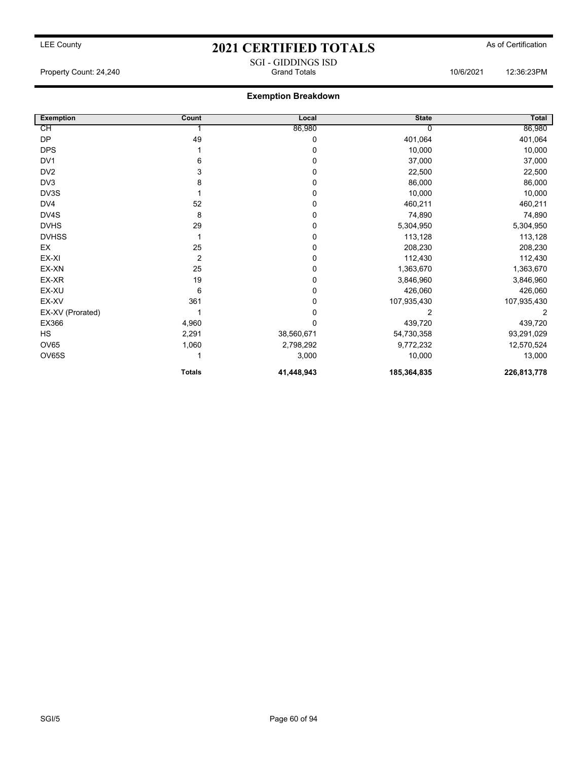## LEE County **2021 CERTIFIED TOTALS** As of Certification SGI - GIDDINGS ISD

Property Count: 24,240 Grand Totals 10/6/2021 12:36:23PM

| <b>Exemption</b> | Count         | Local      | <b>State</b> | Total       |
|------------------|---------------|------------|--------------|-------------|
| CH               |               | 86,980     |              | 86,980      |
| DP               | 49            | 0          | 401,064      | 401,064     |
| <b>DPS</b>       |               | 0          | 10,000       | 10,000      |
| DV1              | 6             | 0          | 37,000       | 37,000      |
| DV <sub>2</sub>  | 3             | 0          | 22,500       | 22,500      |
| DV3              | 8             | 0          | 86,000       | 86,000      |
| DV3S             |               | 0          | 10,000       | 10,000      |
| DV4              | 52            | 0          | 460,211      | 460,211     |
| DV4S             | 8             | 0          | 74,890       | 74,890      |
| <b>DVHS</b>      | 29            | 0          | 5,304,950    | 5,304,950   |
| <b>DVHSS</b>     |               | 0          | 113,128      | 113,128     |
| EX               | 25            | 0          | 208,230      | 208,230     |
| EX-XI            | 2             | 0          | 112,430      | 112,430     |
| EX-XN            | 25            | 0          | 1,363,670    | 1,363,670   |
| EX-XR            | 19            | 0          | 3,846,960    | 3,846,960   |
| EX-XU            | 6             | 0          | 426,060      | 426,060     |
| EX-XV            | 361           | 0          | 107,935,430  | 107,935,430 |
| EX-XV (Prorated) |               | 0          | 2            | 2           |
| EX366            | 4,960         | 0          | 439,720      | 439,720     |
| <b>HS</b>        | 2,291         | 38,560,671 | 54,730,358   | 93,291,029  |
| <b>OV65</b>      | 1,060         | 2,798,292  | 9,772,232    | 12,570,524  |
| OV65S            |               | 3,000      | 10,000       | 13,000      |
|                  | <b>Totals</b> | 41,448,943 | 185,364,835  | 226,813,778 |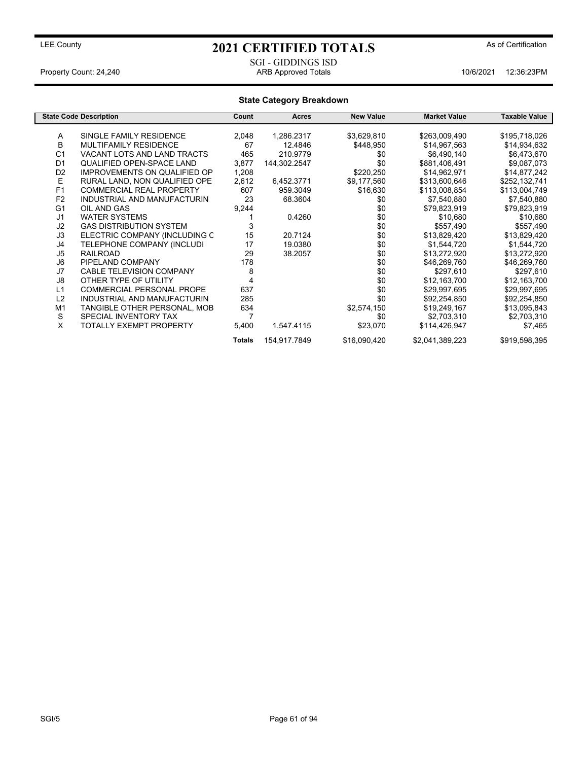SGI - GIDDINGS ISD

Property Count: 24,240 ARB Approved Totals 10/6/2021 12:36:23PM

## **State Category Breakdown**

|                | <b>State Code Description</b>       | Count  | <b>Acres</b> | <b>New Value</b> | <b>Market Value</b> | <b>Taxable Value</b> |
|----------------|-------------------------------------|--------|--------------|------------------|---------------------|----------------------|
|                |                                     |        |              |                  |                     |                      |
| A              | SINGLE FAMILY RESIDENCE             | 2,048  | 1,286.2317   | \$3,629,810      | \$263,009,490       | \$195,718,026        |
| В              | <b>MULTIFAMILY RESIDENCE</b>        | 67     | 12.4846      | \$448,950        | \$14,967,563        | \$14,934,632         |
| C <sub>1</sub> | VACANT LOTS AND LAND TRACTS         | 465    | 210.9779     | \$0              | \$6,490,140         | \$6,473,670          |
| D <sub>1</sub> | <b>QUALIFIED OPEN-SPACE LAND</b>    | 3,877  | 144,302.2547 | \$0              | \$881,406,491       | \$9,087,073          |
| D <sub>2</sub> | <b>IMPROVEMENTS ON QUALIFIED OP</b> | 1,208  |              | \$220,250        | \$14,962,971        | \$14,877,242         |
| Е              | RURAL LAND, NON QUALIFIED OPE       | 2,612  | 6,452.3771   | \$9,177,560      | \$313,600,646       | \$252,132,741        |
| F <sub>1</sub> | <b>COMMERCIAL REAL PROPERTY</b>     | 607    | 959.3049     | \$16,630         | \$113,008,854       | \$113,004,749        |
| F <sub>2</sub> | INDUSTRIAL AND MANUFACTURIN         | 23     | 68.3604      | \$0              | \$7,540,880         | \$7,540,880          |
| G <sub>1</sub> | OIL AND GAS                         | 9,244  |              | \$0              | \$79,823,919        | \$79,823,919         |
| J <sub>1</sub> | <b>WATER SYSTEMS</b>                |        | 0.4260       | \$0              | \$10.680            | \$10,680             |
| J2             | <b>GAS DISTRIBUTION SYSTEM</b>      | 3      |              | \$0              | \$557,490           | \$557,490            |
| J3             | ELECTRIC COMPANY (INCLUDING C       | 15     | 20.7124      | \$0              | \$13,829,420        | \$13,829,420         |
| J4             | TELEPHONE COMPANY (INCLUDI          | 17     | 19.0380      | \$0              | \$1,544,720         | \$1,544,720          |
| J5             | <b>RAILROAD</b>                     | 29     | 38.2057      | \$0              | \$13,272,920        | \$13,272,920         |
| J <sub>6</sub> | PIPELAND COMPANY                    | 178    |              | \$0              | \$46,269,760        | \$46,269,760         |
| J7             | <b>CABLE TELEVISION COMPANY</b>     | 8      |              | \$0              | \$297,610           | \$297,610            |
| J8             | OTHER TYPE OF UTILITY               | 4      |              | \$0              | \$12,163,700        | \$12,163,700         |
| L1             | <b>COMMERCIAL PERSONAL PROPE</b>    | 637    |              | \$0              | \$29,997,695        | \$29,997,695         |
| L2             | INDUSTRIAL AND MANUFACTURIN         | 285    |              | \$0              | \$92,254,850        | \$92,254,850         |
| M <sub>1</sub> | TANGIBLE OTHER PERSONAL, MOB        | 634    |              | \$2,574,150      | \$19,249,167        | \$13,095,843         |
| S              | SPECIAL INVENTORY TAX               | 7      |              | \$0              | \$2,703,310         | \$2,703,310          |
| X              | TOTALLY EXEMPT PROPERTY             | 5,400  | 1,547.4115   | \$23,070         | \$114,426,947       | \$7,465              |
|                |                                     | Totals | 154,917.7849 | \$16,090,420     | \$2,041,389,223     | \$919,598,395        |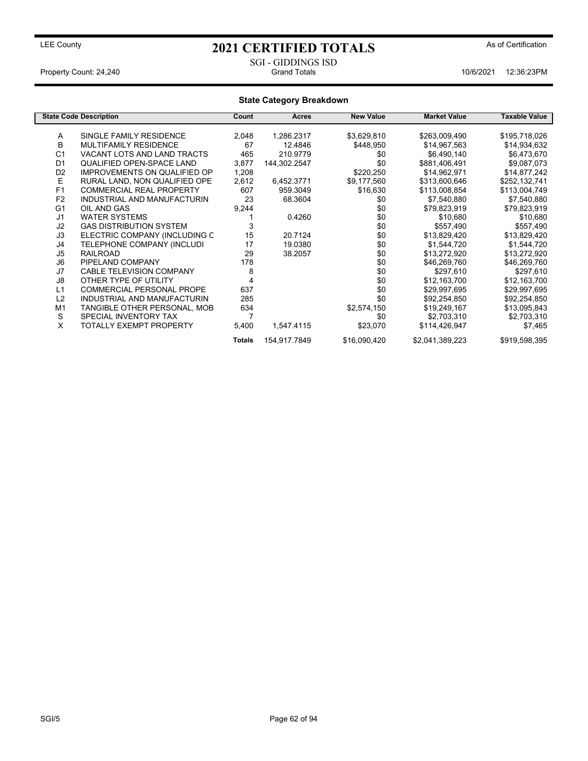# LEE County **As of Certification 2021 CERTIFIED TOTALS** As of Certification

#### SGI - GIDDINGS ISD Property Count: 24,240 **Count: 24,240** Grand Totals **10/6/2021** 12:36:23PM

| <b>State Category Breakdown</b> |                                     |                |              |                  |                     |                      |
|---------------------------------|-------------------------------------|----------------|--------------|------------------|---------------------|----------------------|
|                                 | <b>State Code Description</b>       | Count          | Acres        | <b>New Value</b> | <b>Market Value</b> | <b>Taxable Value</b> |
| A                               | SINGLE FAMILY RESIDENCE             | 2,048          | 1,286.2317   | \$3,629,810      | \$263,009,490       | \$195,718,026        |
| B                               | MULTIFAMILY RESIDENCE               | 67             | 12.4846      | \$448,950        | \$14,967,563        | \$14,934,632         |
| C <sub>1</sub>                  | VACANT LOTS AND LAND TRACTS         | 465            | 210.9779     | \$0              | \$6,490,140         | \$6,473,670          |
| D <sub>1</sub>                  | <b>QUALIFIED OPEN-SPACE LAND</b>    | 3,877          | 144,302.2547 | \$0              | \$881,406,491       | \$9,087,073          |
| D <sub>2</sub>                  | <b>IMPROVEMENTS ON QUALIFIED OP</b> | 1,208          |              | \$220,250        | \$14,962,971        | \$14,877,242         |
| E                               | RURAL LAND, NON QUALIFIED OPE       | 2,612          | 6,452.3771   | \$9,177,560      | \$313,600,646       | \$252,132,741        |
| F <sub>1</sub>                  | <b>COMMERCIAL REAL PROPERTY</b>     | 607            | 959.3049     | \$16,630         | \$113,008,854       | \$113,004,749        |
| F <sub>2</sub>                  | INDUSTRIAL AND MANUFACTURIN         | 23             | 68.3604      | \$0              | \$7,540,880         | \$7,540,880          |
| G <sub>1</sub>                  | OIL AND GAS                         | 9,244          |              | \$0              | \$79,823,919        | \$79,823,919         |
| J <sub>1</sub>                  | <b>WATER SYSTEMS</b>                |                | 0.4260       | \$0              | \$10,680            | \$10,680             |
| J2                              | <b>GAS DISTRIBUTION SYSTEM</b>      | 3              |              | \$0              | \$557,490           | \$557,490            |
| J3                              | ELECTRIC COMPANY (INCLUDING C       | 15             | 20.7124      | \$0              | \$13,829,420        | \$13,829,420         |
| J4                              | TELEPHONE COMPANY (INCLUDI          | 17             | 19.0380      | \$0              | \$1,544,720         | \$1,544,720          |
| J <sub>5</sub>                  | <b>RAILROAD</b>                     | 29             | 38.2057      | \$0              | \$13,272,920        | \$13,272,920         |
| J <sub>6</sub>                  | PIPELAND COMPANY                    | 178            |              | \$0              | \$46,269,760        | \$46,269,760         |
| J7                              | <b>CABLE TELEVISION COMPANY</b>     | 8              |              | \$0              | \$297,610           | \$297,610            |
| J8                              | OTHER TYPE OF UTILITY               | 4              |              | \$0              | \$12,163,700        | \$12,163,700         |
| L1                              | <b>COMMERCIAL PERSONAL PROPE</b>    | 637            |              | \$0              | \$29,997,695        | \$29,997,695         |
| L2                              | INDUSTRIAL AND MANUFACTURIN         | 285            |              | \$0              | \$92,254,850        | \$92,254,850         |
| M <sub>1</sub>                  | TANGIBLE OTHER PERSONAL, MOB        | 634            |              | \$2,574,150      | \$19,249,167        | \$13,095,843         |
| S                               | SPECIAL INVENTORY TAX               | $\overline{7}$ |              | \$0              | \$2,703,310         | \$2,703,310          |
| X                               | TOTALLY EXEMPT PROPERTY             | 5,400          | 1,547.4115   | \$23,070         | \$114,426,947       | \$7,465              |
|                                 |                                     | <b>Totals</b>  | 154,917.7849 | \$16,090,420     | \$2,041,389,223     | \$919,598,395        |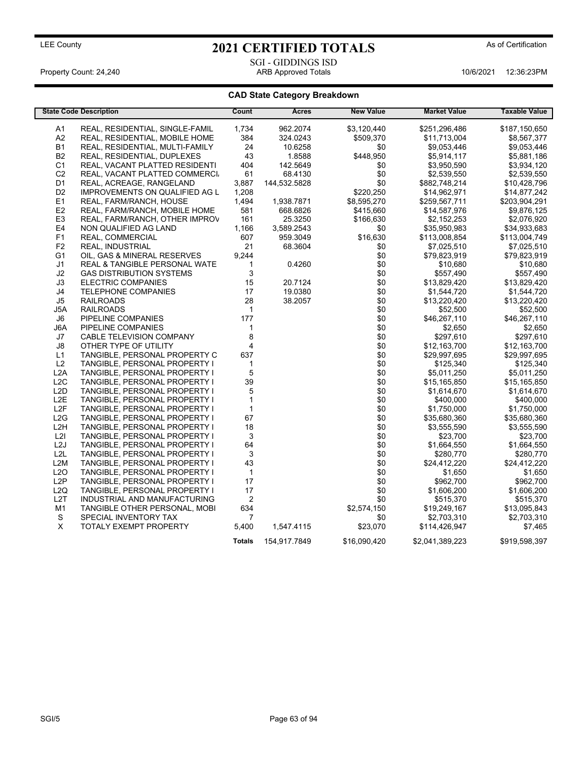# LEE County **As of Certification 2021 CERTIFIED TOTALS** As of Certification

#### SGI - GIDDINGS ISD Property Count: 24,240 ARB Approved Totals 10/6/2021 12:36:23PM

## **CAD State Category Breakdown**

|                        | <b>State Code Description</b>                                  | Count              | <b>Acres</b> | <b>New Value</b> | <b>Market Value</b>     | Taxable Value           |
|------------------------|----------------------------------------------------------------|--------------------|--------------|------------------|-------------------------|-------------------------|
| A1                     | REAL, RESIDENTIAL, SINGLE-FAMIL                                | 1,734              | 962.2074     | \$3,120,440      | \$251,296,486           | \$187,150,650           |
| A2                     | REAL, RESIDENTIAL, MOBILE HOME                                 | 384                | 324.0243     | \$509,370        | \$11,713,004            | \$8,567,377             |
| <b>B1</b>              | REAL, RESIDENTIAL, MULTI-FAMILY                                | 24                 | 10.6258      | \$0              | \$9,053,446             | \$9,053,446             |
| <b>B2</b>              | REAL, RESIDENTIAL, DUPLEXES                                    | 43                 | 1.8588       | \$448,950        | \$5,914,117             | \$5,881,186             |
| C <sub>1</sub>         | REAL, VACANT PLATTED RESIDENTI                                 | 404                | 142.5649     | \$0              | \$3,950,590             | \$3,934,120             |
| C <sub>2</sub>         | REAL, VACANT PLATTED COMMERCI.                                 | 61                 | 68.4130      | \$0              | \$2,539,550             | \$2,539,550             |
| D1                     | REAL, ACREAGE, RANGELAND                                       | 3.887              | 144,532.5828 | \$0              | \$882,748,214           | \$10,428,796            |
| D <sub>2</sub>         | IMPROVEMENTS ON QUALIFIED AG L                                 | 1,208              |              | \$220,250        | \$14,962,971            | \$14,877,242            |
| E <sub>1</sub>         | REAL, FARM/RANCH, HOUSE                                        | 1,494              | 1,938.7871   | \$8,595,270      | \$259,567,711           | \$203,904,291           |
| E <sub>2</sub>         | REAL, FARM/RANCH, MOBILE HOME                                  | 581                | 668.6826     | \$415,660        | \$14,587,976            | \$9,876,125             |
| E <sub>3</sub>         | REAL, FARM/RANCH, OTHER IMPROV                                 | 161                | 25.3250      | \$166,630        | \$2,152,253             | \$2,076,920             |
| E4                     | NON QUALIFIED AG LAND                                          | 1,166              | 3,589.2543   | \$0              | \$35,950,983            | \$34,933,683            |
| F <sub>1</sub>         | REAL, COMMERCIAL                                               | 607                | 959.3049     | \$16,630         | \$113,008,854           | \$113,004,749           |
| F <sub>2</sub>         | <b>REAL, INDUSTRIAL</b>                                        | 21                 | 68.3604      | \$0              | \$7,025,510             | \$7,025,510             |
| G <sub>1</sub>         | OIL, GAS & MINERAL RESERVES                                    | 9,244              |              | \$0              | \$79,823,919            | \$79,823,919            |
| J1                     | <b>REAL &amp; TANGIBLE PERSONAL WATE</b>                       | $\mathbf 1$        | 0.4260       | \$0              | \$10,680                | \$10,680                |
| J2                     | <b>GAS DISTRIBUTION SYSTEMS</b>                                | 3                  |              | \$0              | \$557,490               | \$557,490               |
| J3                     | <b>ELECTRIC COMPANIES</b>                                      | 15                 | 20.7124      | \$0              | \$13,829,420            | \$13,829,420            |
| J4                     | <b>TELEPHONE COMPANIES</b>                                     | 17                 | 19.0380      | \$0              | \$1,544,720             | \$1,544,720             |
| J5                     | <b>RAILROADS</b>                                               | 28                 | 38.2057      | \$0              | \$13,220,420            | \$13,220,420            |
| J5A                    | <b>RAILROADS</b>                                               | $\mathbf{1}$       |              | \$0              | \$52,500                | \$52,500                |
| J6                     | PIPELINE COMPANIES                                             | 177                |              | \$0              | \$46,267,110            | \$46,267,110            |
| J6A                    | PIPELINE COMPANIES                                             | 1                  |              | \$0              | \$2,650                 | \$2,650                 |
| J7                     | CABLE TELEVISION COMPANY                                       | 8                  |              | \$0              | \$297,610               | \$297,610               |
| $\mathsf{J}8$          | OTHER TYPE OF UTILITY                                          | 4                  |              | \$0              | \$12,163,700            | \$12,163,700            |
| L1                     | TANGIBLE, PERSONAL PROPERTY C                                  | 637                |              | \$0              | \$29,997,695            | \$29,997,695            |
| L <sub>2</sub>         | TANGIBLE, PERSONAL PROPERTY I                                  | $\mathbf{1}$       |              | \$0              | \$125,340               | \$125,340               |
| L2A                    | TANGIBLE, PERSONAL PROPERTY I                                  | 5                  |              | \$0              | \$5,011,250             | \$5,011,250             |
| L2C                    | TANGIBLE, PERSONAL PROPERTY I                                  | 39                 |              | \$0              | \$15,165,850            | \$15,165,850            |
| L <sub>2</sub> D       | TANGIBLE, PERSONAL PROPERTY I                                  | 5<br>$\mathbf{1}$  |              | \$0              | \$1,614,670             | \$1,614,670             |
| L <sub>2</sub> E       | TANGIBLE, PERSONAL PROPERTY I                                  |                    |              | \$0              | \$400,000               | \$400,000               |
| L <sub>2F</sub><br>L2G | TANGIBLE, PERSONAL PROPERTY I                                  | $\mathbf{1}$<br>67 |              | \$0<br>\$0       | \$1,750,000             | \$1,750,000             |
| L <sub>2</sub> H       | TANGIBLE, PERSONAL PROPERTY I                                  |                    |              | \$0              | \$35,680,360            | \$35,680,360            |
| L <sub>2</sub>         | TANGIBLE, PERSONAL PROPERTY I<br>TANGIBLE, PERSONAL PROPERTY I | 18<br>3            |              | \$0              | \$3,555,590<br>\$23,700 | \$3,555,590<br>\$23,700 |
| L2J                    | TANGIBLE, PERSONAL PROPERTY I                                  | 64                 |              | \$0              | \$1,664,550             | \$1,664,550             |
| L2L                    | TANGIBLE, PERSONAL PROPERTY I                                  | 3                  |              | \$0              | \$280,770               | \$280,770               |
| L <sub>2</sub> M       | TANGIBLE, PERSONAL PROPERTY I                                  | 43                 |              | \$0              | \$24,412,220            | \$24,412,220            |
| L2O                    | TANGIBLE, PERSONAL PROPERTY I                                  | $\mathbf{1}$       |              | \$0              | \$1,650                 | \$1,650                 |
| L2P                    | TANGIBLE, PERSONAL PROPERTY I                                  | 17                 |              | \$0              | \$962,700               | \$962,700               |
| L <sub>2</sub> Q       | TANGIBLE, PERSONAL PROPERTY I                                  | 17                 |              | \$0              | \$1,606,200             | \$1,606,200             |
| L <sub>2</sub> T       | INDUSTRIAL AND MANUFACTURING                                   | $\overline{2}$     |              | \$0              | \$515,370               | \$515,370               |
| M1                     | TANGIBLE OTHER PERSONAL, MOBI                                  | 634                |              | \$2,574,150      | \$19,249,167            | \$13,095,843            |
| S                      | SPECIAL INVENTORY TAX                                          | $\overline{7}$     |              | \$0              | \$2,703,310             | \$2,703,310             |
| X                      | TOTALY EXEMPT PROPERTY                                         | 5,400              | 1,547.4115   | \$23,070         | \$114,426,947           | \$7,465                 |
|                        |                                                                | <b>Totals</b>      | 154,917.7849 | \$16.090.420     | \$2,041,389,223         | \$919,598,397           |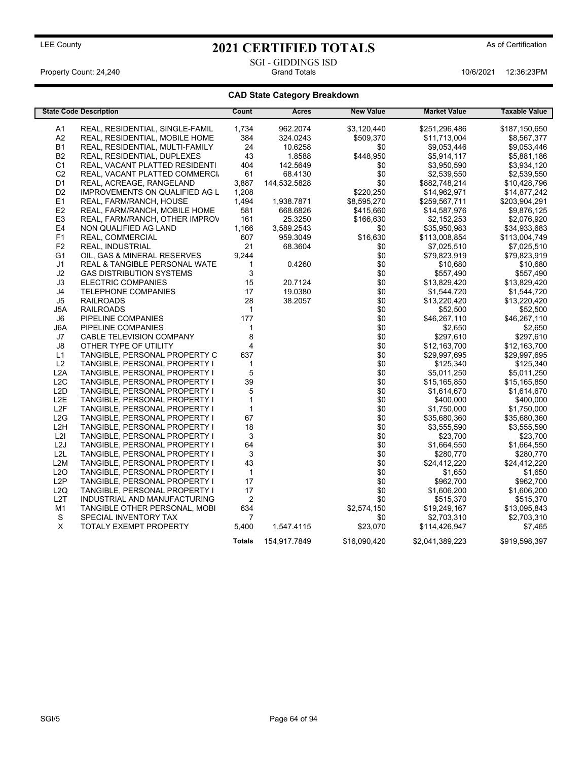## SGI - GIDDINGS ISD<br>Grand Totals Property Count: 24,240 **Count: 24,240** Grand Totals **10/6/2021 12:36:23PM**

## **CAD State Category Breakdown**

|                                      | <b>State Code Description</b>                                  | Count          | Acres        | <b>New Value</b> | <b>Market Value</b> | <b>Taxable Value</b>    |
|--------------------------------------|----------------------------------------------------------------|----------------|--------------|------------------|---------------------|-------------------------|
| A1                                   | REAL, RESIDENTIAL, SINGLE-FAMIL                                | 1,734          | 962.2074     | \$3,120,440      | \$251,296,486       | \$187,150,650           |
| A2                                   | REAL, RESIDENTIAL, MOBILE HOME                                 | 384            | 324.0243     | \$509,370        | \$11,713,004        | \$8,567,377             |
| <b>B1</b>                            | REAL, RESIDENTIAL, MULTI-FAMILY                                | 24             | 10.6258      | \$0              | \$9,053,446         | \$9,053,446             |
| B <sub>2</sub>                       | REAL, RESIDENTIAL, DUPLEXES                                    | 43             | 1.8588       | \$448,950        | \$5,914,117         | \$5,881,186             |
| C <sub>1</sub>                       | REAL, VACANT PLATTED RESIDENTI                                 | 404            | 142.5649     | \$0              | \$3,950,590         | \$3,934,120             |
| C <sub>2</sub>                       | REAL, VACANT PLATTED COMMERCI                                  | 61             | 68.4130      | \$0              | \$2,539,550         | \$2,539,550             |
| D1                                   | REAL, ACREAGE, RANGELAND                                       | 3,887          | 144,532.5828 | \$0              | \$882,748,214       | \$10,428,796            |
| D <sub>2</sub>                       | <b>IMPROVEMENTS ON QUALIFIED AG L</b>                          | 1,208          |              | \$220,250        | \$14,962,971        | \$14,877,242            |
| E <sub>1</sub>                       | REAL, FARM/RANCH, HOUSE                                        | 1,494          | 1,938.7871   | \$8,595,270      | \$259,567,711       | \$203,904,291           |
| E <sub>2</sub>                       | REAL, FARM/RANCH, MOBILE HOME                                  | 581            | 668.6826     | \$415,660        | \$14,587,976        | \$9,876,125             |
| E <sub>3</sub>                       | REAL, FARM/RANCH, OTHER IMPROV                                 | 161            | 25.3250      | \$166,630        | \$2,152,253         | \$2,076,920             |
| E <sub>4</sub>                       | NON QUALIFIED AG LAND                                          | 1,166          | 3,589.2543   | \$0              | \$35,950,983        | \$34,933,683            |
| F <sub>1</sub>                       | REAL, COMMERCIAL                                               | 607            | 959.3049     | \$16,630         | \$113,008,854       | \$113,004,749           |
| F <sub>2</sub>                       | REAL, INDUSTRIAL                                               | 21             | 68.3604      | \$0              | \$7,025,510         | \$7,025,510             |
| G <sub>1</sub>                       | OIL, GAS & MINERAL RESERVES                                    | 9,244          |              | \$0              | \$79,823,919        | \$79,823,919            |
| J <sub>1</sub>                       | <b>REAL &amp; TANGIBLE PERSONAL WATE</b>                       | $\mathbf{1}$   | 0.4260       | \$0              | \$10,680            | \$10,680                |
| J2                                   | <b>GAS DISTRIBUTION SYSTEMS</b>                                | 3              |              | \$0              | \$557,490           | \$557,490               |
| JЗ                                   | ELECTRIC COMPANIES                                             | 15             | 20.7124      | \$0              | \$13,829,420        | \$13,829,420            |
| J4                                   | <b>TELEPHONE COMPANIES</b>                                     | 17             | 19.0380      | \$0              | \$1,544,720         | \$1,544,720             |
| J5                                   | <b>RAILROADS</b>                                               | 28             | 38.2057      | \$0              | \$13,220,420        | \$13,220,420            |
| J5A                                  | <b>RAILROADS</b>                                               | $\mathbf{1}$   |              | \$0              | \$52,500            | \$52,500                |
| J6                                   | PIPELINE COMPANIES                                             | 177            |              | \$0              | \$46,267,110        | \$46,267,110            |
| J6A                                  | PIPELINE COMPANIES                                             | $\mathbf 1$    |              | \$0              | \$2,650             | \$2,650                 |
| J7                                   | CABLE TELEVISION COMPANY                                       | 8              |              | \$0              | \$297,610           | \$297,610               |
| $\mathsf{J}8$                        | OTHER TYPE OF UTILITY                                          | 4              |              | \$0              | \$12,163,700        | \$12,163,700            |
| L1                                   | TANGIBLE, PERSONAL PROPERTY C                                  | 637            |              | \$0              | \$29,997,695        | \$29,997,695            |
| L2                                   | TANGIBLE, PERSONAL PROPERTY I                                  | $\mathbf{1}$   |              | \$0              | \$125,340           | \$125,340               |
| L2A                                  | TANGIBLE, PERSONAL PROPERTY I                                  | 5              |              | \$0              | \$5,011,250         | \$5,011,250             |
| L2C                                  | TANGIBLE, PERSONAL PROPERTY I                                  | 39             |              | \$0              | \$15,165,850        | \$15,165,850            |
| L <sub>2</sub> D                     | TANGIBLE, PERSONAL PROPERTY I                                  | 5              |              | \$0              | \$1,614,670         | \$1,614,670             |
| L <sub>2</sub> E                     | TANGIBLE, PERSONAL PROPERTY I                                  | $\mathbf{1}$   |              | \$0              | \$400,000           | \$400,000               |
| L <sub>2</sub> F                     |                                                                | $\mathbf{1}$   |              | \$0              | \$1,750,000         |                         |
|                                      | TANGIBLE, PERSONAL PROPERTY I<br>TANGIBLE, PERSONAL PROPERTY I | 67             |              | \$0              |                     | \$1,750,000             |
| L <sub>2</sub> G<br>L <sub>2</sub> H |                                                                | 18             |              | \$0              | \$35,680,360        | \$35,680,360            |
| L2I                                  | TANGIBLE, PERSONAL PROPERTY I                                  | 3              |              | \$0              | \$3,555,590         | \$3,555,590<br>\$23,700 |
| L2J                                  | TANGIBLE, PERSONAL PROPERTY I                                  |                |              | \$0              | \$23,700            |                         |
|                                      | TANGIBLE, PERSONAL PROPERTY I                                  | 64             |              |                  | \$1,664,550         | \$1,664,550             |
| L2L                                  | TANGIBLE, PERSONAL PROPERTY I                                  | 3              |              | \$0              | \$280,770           | \$280,770               |
| L2M                                  | TANGIBLE, PERSONAL PROPERTY I                                  | 43             |              | \$0              | \$24,412,220        | \$24,412,220            |
| L2O                                  | TANGIBLE, PERSONAL PROPERTY I                                  | $\mathbf{1}$   |              | \$0              | \$1,650             | \$1,650                 |
| L <sub>2</sub> P                     | TANGIBLE, PERSONAL PROPERTY I                                  | 17             |              | \$0              | \$962,700           | \$962,700               |
| L2Q                                  | TANGIBLE, PERSONAL PROPERTY I                                  | 17             |              | \$0              | \$1,606,200         | \$1,606,200             |
| L <sub>2</sub> T                     | INDUSTRIAL AND MANUFACTURING                                   | $\overline{2}$ |              | \$0              | \$515,370           | \$515,370               |
| M <sub>1</sub>                       | TANGIBLE OTHER PERSONAL, MOBI                                  | 634            |              | \$2,574,150      | \$19,249,167        | \$13,095,843            |
| S                                    | SPECIAL INVENTORY TAX                                          | 7              |              | \$0              | \$2,703,310         | \$2,703,310             |
| X                                    | <b>TOTALY EXEMPT PROPERTY</b>                                  | 5,400          | 1,547.4115   | \$23,070         | \$114,426,947       | \$7,465                 |
|                                      |                                                                | <b>Totals</b>  | 154,917.7849 | \$16,090,420     | \$2,041,389,223     | \$919,598,397           |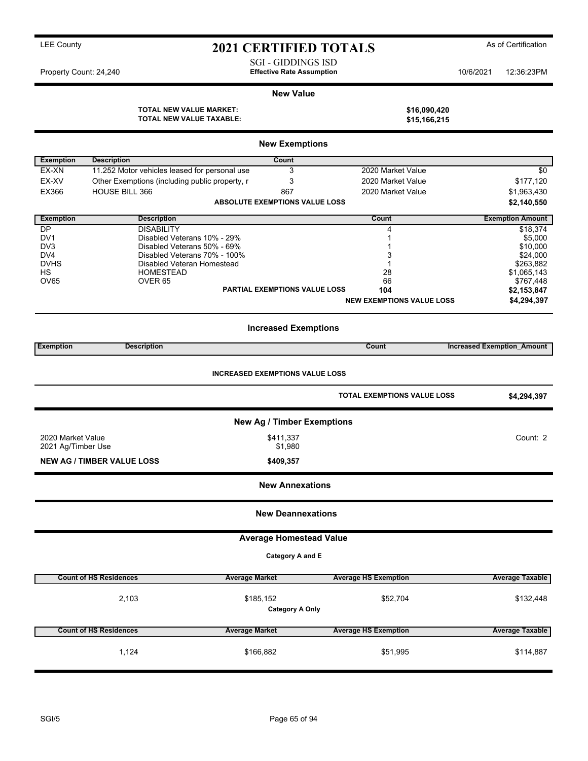| Property Count: 24,240                                                                                         |                                                                                                                                                                                                               | <b>SGI - GIDDINGS ISD</b><br><b>Effective Rate Assumption</b>       |                                                                             | 10/6/2021 | 12:36:23PM                                                                                                                                              |  |  |  |
|----------------------------------------------------------------------------------------------------------------|---------------------------------------------------------------------------------------------------------------------------------------------------------------------------------------------------------------|---------------------------------------------------------------------|-----------------------------------------------------------------------------|-----------|---------------------------------------------------------------------------------------------------------------------------------------------------------|--|--|--|
|                                                                                                                |                                                                                                                                                                                                               | <b>New Value</b>                                                    |                                                                             |           |                                                                                                                                                         |  |  |  |
|                                                                                                                | <b>TOTAL NEW VALUE MARKET:</b><br><b>TOTAL NEW VALUE TAXABLE:</b>                                                                                                                                             |                                                                     | \$16,090,420<br>\$15,166,215                                                |           |                                                                                                                                                         |  |  |  |
|                                                                                                                |                                                                                                                                                                                                               | <b>New Exemptions</b>                                               |                                                                             |           |                                                                                                                                                         |  |  |  |
| <b>Exemption</b>                                                                                               | <b>Description</b>                                                                                                                                                                                            | Count                                                               |                                                                             |           |                                                                                                                                                         |  |  |  |
| EX-XN                                                                                                          | 11.252 Motor vehicles leased for personal use                                                                                                                                                                 | 3                                                                   | 2020 Market Value                                                           |           | \$0                                                                                                                                                     |  |  |  |
| EX-XV                                                                                                          | Other Exemptions (including public property, r                                                                                                                                                                | 3                                                                   | 2020 Market Value                                                           |           | \$177,120                                                                                                                                               |  |  |  |
| EX366                                                                                                          | <b>HOUSE BILL 366</b>                                                                                                                                                                                         | 867                                                                 | 2020 Market Value                                                           |           | \$1,963,430                                                                                                                                             |  |  |  |
|                                                                                                                |                                                                                                                                                                                                               | <b>ABSOLUTE EXEMPTIONS VALUE LOSS</b>                               |                                                                             |           | \$2,140,550                                                                                                                                             |  |  |  |
| <b>Exemption</b>                                                                                               | <b>Description</b>                                                                                                                                                                                            |                                                                     | Count                                                                       |           | <b>Exemption Amount</b>                                                                                                                                 |  |  |  |
| DP<br>DV <sub>1</sub><br>DV <sub>3</sub><br>DV4<br><b>DVHS</b><br><b>HS</b><br><b>OV65</b><br><b>Exemption</b> | <b>DISABILITY</b><br>Disabled Veterans 10% - 29%<br>Disabled Veterans 50% - 69%<br>Disabled Veterans 70% - 100%<br>Disabled Veteran Homestead<br><b>HOMESTEAD</b><br>OVER <sub>65</sub><br><b>Description</b> | <b>PARTIAL EXEMPTIONS VALUE LOSS</b><br><b>Increased Exemptions</b> | 4<br>3<br>1<br>28<br>66<br>104<br><b>NEW EXEMPTIONS VALUE LOSS</b><br>Count |           | \$18,374<br>\$5,000<br>\$10,000<br>\$24,000<br>\$263,882<br>\$1,065,143<br>\$767,448<br>\$2,153,847<br>\$4,294,397<br><b>Increased Exemption Amount</b> |  |  |  |
| <b>INCREASED EXEMPTIONS VALUE LOSS</b>                                                                         |                                                                                                                                                                                                               |                                                                     |                                                                             |           |                                                                                                                                                         |  |  |  |
|                                                                                                                |                                                                                                                                                                                                               |                                                                     | <b>TOTAL EXEMPTIONS VALUE LOSS</b>                                          |           | \$4,294,397                                                                                                                                             |  |  |  |
|                                                                                                                | <b>New Ag / Timber Exemptions</b>                                                                                                                                                                             |                                                                     |                                                                             |           |                                                                                                                                                         |  |  |  |
| 2020 Market Value<br>2021 Ag/Timber Use                                                                        |                                                                                                                                                                                                               | \$411,337<br>\$1,980                                                |                                                                             |           | Count: 2                                                                                                                                                |  |  |  |

## **New Annexations**

**NEW AG / TIMBER VALUE LOSS \$409,357**

**New Deannexations**

**Average Homestead Value**

**Category A and E**

| <b>Count of HS Residences</b> | <b>Average Market</b> | <b>Average HS Exemption</b> | <b>Average Taxable</b> |
|-------------------------------|-----------------------|-----------------------------|------------------------|
| 2,103                         | \$132,448             |                             |                        |
| <b>Count of HS Residences</b> | <b>Average Market</b> | <b>Average HS Exemption</b> | <b>Average Taxable</b> |
| 1.124                         | \$166,882             | \$51,995                    | \$114,887              |

LEE County **As of Certification 2021 CERTIFIED TOTALS** As of Certification

SGI/5 Page 65 of 94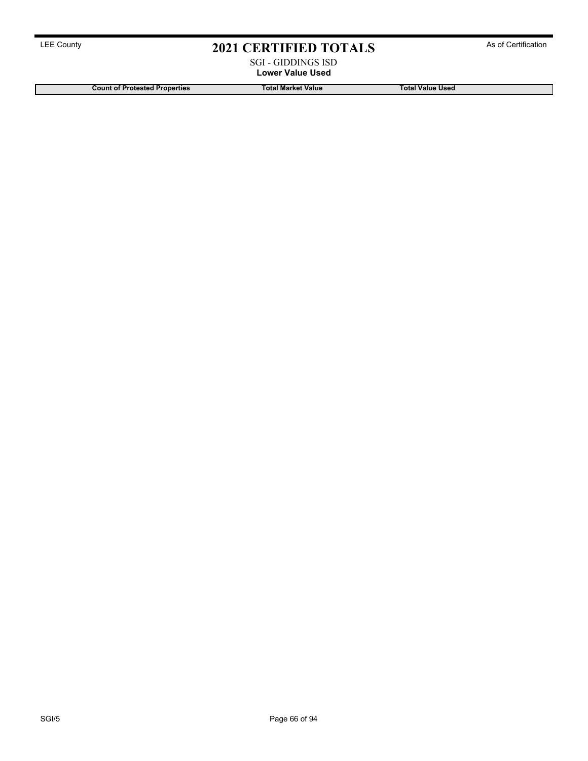#### SGI - GIDDINGS ISD **Lower Value Used**

**Count of Protested Properties Total Market Value Total Value Used**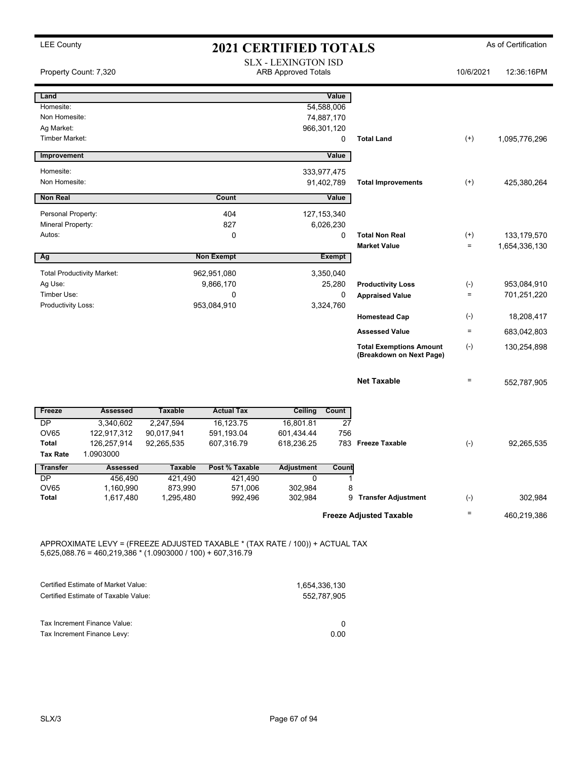|                                                  | Property Count: 7,320                                                                                                                         |                          |                          | <b>SLX - LEXINGTON ISD</b><br><b>ARB Approved Totals</b> |                                   |                                                            | 10/6/2021            | 12:36:16PM                     |
|--------------------------------------------------|-----------------------------------------------------------------------------------------------------------------------------------------------|--------------------------|--------------------------|----------------------------------------------------------|-----------------------------------|------------------------------------------------------------|----------------------|--------------------------------|
| Land<br>Homesite:<br>Non Homesite:<br>Ag Market: |                                                                                                                                               |                          |                          | 966,301,120                                              | Value<br>54,588,006<br>74,887,170 |                                                            |                      |                                |
| <b>Timber Market:</b>                            |                                                                                                                                               |                          |                          |                                                          | 0                                 | <b>Total Land</b>                                          | $^{(+)}$             | 1,095,776,296                  |
| Improvement                                      |                                                                                                                                               |                          |                          |                                                          | Value                             |                                                            |                      |                                |
| Homesite:<br>Non Homesite:                       |                                                                                                                                               |                          |                          | 333,977,475                                              | 91,402,789                        | <b>Total Improvements</b>                                  | $^{(+)}$             | 425,380,264                    |
| <b>Non Real</b>                                  |                                                                                                                                               |                          | Count                    |                                                          | Value                             |                                                            |                      |                                |
| Personal Property:<br>Mineral Property:          |                                                                                                                                               |                          | 404<br>827               | 127, 153, 340                                            | 6,026,230                         |                                                            |                      |                                |
| Autos:                                           |                                                                                                                                               |                          | 0                        |                                                          | 0                                 | <b>Total Non Real</b><br><b>Market Value</b>               | $^{(+)}$<br>$\equiv$ | 133, 179, 570<br>1,654,336,130 |
| Ag                                               |                                                                                                                                               |                          | <b>Non Exempt</b>        |                                                          | <b>Exempt</b>                     |                                                            |                      |                                |
|                                                  | <b>Total Productivity Market:</b>                                                                                                             |                          | 962,951,080              |                                                          | 3,350,040                         |                                                            |                      |                                |
| Ag Use:<br>Timber Use:                           |                                                                                                                                               |                          | 9,866,170<br>0           |                                                          | 25,280<br>0                       | <b>Productivity Loss</b>                                   | $(-)$<br>$\equiv$    | 953,084,910<br>701,251,220     |
| Productivity Loss:                               |                                                                                                                                               |                          | 953,084,910              |                                                          | 3,324,760                         | <b>Appraised Value</b>                                     |                      |                                |
|                                                  |                                                                                                                                               |                          |                          |                                                          |                                   | <b>Homestead Cap</b>                                       | $(-)$                | 18,208,417                     |
|                                                  |                                                                                                                                               |                          |                          |                                                          |                                   | <b>Assessed Value</b>                                      | $\quad \  \  =$      | 683,042,803                    |
|                                                  |                                                                                                                                               |                          |                          |                                                          |                                   | <b>Total Exemptions Amount</b><br>(Breakdown on Next Page) | $(-)$                | 130,254,898                    |
|                                                  |                                                                                                                                               |                          |                          |                                                          |                                   | <b>Net Taxable</b>                                         | $\equiv$             | 552,787,905                    |
| Freeze                                           | <b>Assessed</b>                                                                                                                               | <b>Taxable</b>           | <b>Actual Tax</b>        | <b>Ceiling</b>                                           | Count                             |                                                            |                      |                                |
| <b>DP</b>                                        | 3,340,602                                                                                                                                     | 2,247,594                | 16,123.75                | 16,801.81                                                | $\overline{27}$                   |                                                            |                      |                                |
| <b>OV65</b><br><b>Total</b><br><b>Tax Rate</b>   | 122,917,312<br>126,257,914<br>1.0903000                                                                                                       | 90,017,941<br>92,265,535 | 591,193.04<br>607,316.79 | 601,434.44<br>618,236.25                                 | 756                               | 783 Freeze Taxable                                         | $(-)$                | 92,265,535                     |
| <b>Transfer</b>                                  | <b>Assessed</b>                                                                                                                               | <b>Taxable</b>           | Post % Taxable           | <b>Adjustment</b>                                        | Count                             |                                                            |                      |                                |
| <b>DP</b>                                        | 456,490                                                                                                                                       | 421,490                  | 421,490                  | 0                                                        | 1                                 |                                                            |                      |                                |
| OV65                                             | 1,160,990                                                                                                                                     | 873,990                  | 571,006                  | 302,984                                                  | 8                                 |                                                            |                      |                                |
| Total                                            | 1,617,480                                                                                                                                     | 1,295,480                | 992,496                  | 302,984                                                  |                                   | 9 Transfer Adjustment                                      | $(-)$                | 302,984                        |
|                                                  |                                                                                                                                               |                          |                          |                                                          |                                   | <b>Freeze Adjusted Taxable</b>                             | $\quad \  \  =$      | 460,219,386                    |
|                                                  | APPROXIMATE LEVY = (FREEZE ADJUSTED TAXABLE * (TAX RATE / 100)) + ACTUAL TAX<br>$5,625,088.76 = 460,219,386 * (1.0903000 / 100) + 607,316.79$ |                          |                          |                                                          |                                   |                                                            |                      |                                |
|                                                  | Certified Estimate of Market Value:                                                                                                           |                          |                          |                                                          |                                   |                                                            |                      |                                |
|                                                  | Certified Estimate of Taxable Value:                                                                                                          |                          |                          | 1,654,336,130<br>552,787,905                             |                                   |                                                            |                      |                                |
|                                                  | Tax Increment Finance Value:<br>Tax Increment Finance Levy:                                                                                   |                          |                          |                                                          | $\mathbf 0$<br>0.00               |                                                            |                      |                                |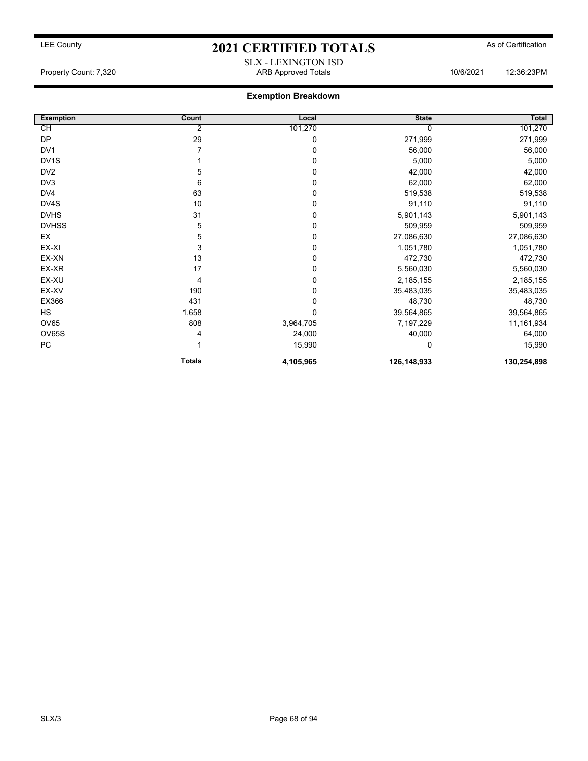## LEE County **2021 CERTIFIED TOTALS** As of Certification SLX - LEXINGTON ISD

Property Count: 7,320 ARB Approved Totals 10/6/2021 12:36:23PM

| <b>Exemption</b>  | Count         | Local       | <b>State</b> | Total       |
|-------------------|---------------|-------------|--------------|-------------|
| СH                | 2             | 101,270     |              | 101,270     |
| DP                | 29            | 0           | 271,999      | 271,999     |
| DV1               |               | 0           | 56,000       | 56,000      |
| DV <sub>1</sub> S |               | 0           | 5,000        | 5,000       |
| DV <sub>2</sub>   | 5             | 0           | 42,000       | 42,000      |
| DV3               | 6             | 0           | 62,000       | 62,000      |
| DV4               | 63            | 0           | 519,538      | 519,538     |
| DV4S              | 10            | 0           | 91,110       | 91,110      |
| <b>DVHS</b>       | 31            | 0           | 5,901,143    | 5,901,143   |
| <b>DVHSS</b>      | 5             | 0           | 509,959      | 509,959     |
| EX                | 5             | 0           | 27,086,630   | 27,086,630  |
| EX-XI             | 3             | 0           | 1,051,780    | 1,051,780   |
| EX-XN             | 13            | 0           | 472,730      | 472,730     |
| EX-XR             | 17            | 0           | 5,560,030    | 5,560,030   |
| EX-XU             | 4             | $\mathbf 0$ | 2,185,155    | 2,185,155   |
| EX-XV             | 190           | 0           | 35,483,035   | 35,483,035  |
| EX366             | 431           | 0           | 48,730       | 48,730      |
| <b>HS</b>         | 1,658         | 0           | 39,564,865   | 39,564,865  |
| <b>OV65</b>       | 808           | 3,964,705   | 7,197,229    | 11,161,934  |
| OV65S             | 4             | 24,000      | 40,000       | 64,000      |
| ${\sf PC}$        |               | 15,990      | 0            | 15,990      |
|                   | <b>Totals</b> | 4,105,965   | 126,148,933  | 130,254,898 |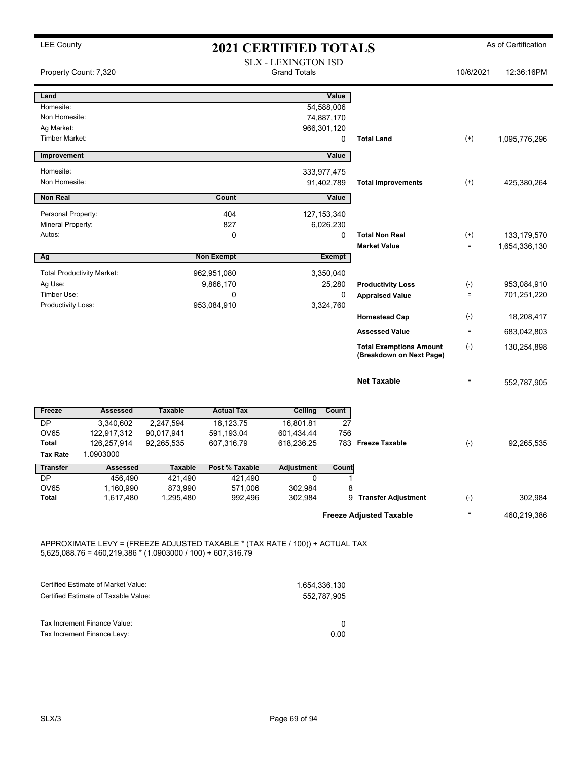LEE County **2021 CERTIFIED TOTALS** As of Certification SLX - LEXINGTON ISD Property Count: 7,320 **Property Count: 7,320** Crand Totals **10/6/2021** 12:36:16PM **Land Value** Homesite: 54,588,006 Non Homesite: 74,887,170<br>
Ag Market: 75,170<br>
966,301.120 966,301,120 Timber Market: 0 **Total Land** (+) 1,095,776,296 **Improvement Value** Homesite: 333,977,475 Non Homesite: 91,402,789 **Total Improvements** (+) 425,380,264 **Non Real Count Value** Personal Property: 27,153,340 Mineral Property: 6,026,230 Autos: 0 0 **Total Non Real** (+) 133,179,570 **Market Value**  $= 1,654,336,130$ **Ag Non Exempt Exempt** Total Productivity Market: 962,951,080 3,350,040 Ag Use: 9,866,170 25,280 **Productivity Loss** (-) 953,084,910 Timber Use: 0 0 **Appraised Value** = 701,251,220 Productivity Loss: 3,324,760 **Homestead Cap** (-) 18,208,417 **Assessed Value** = 683,042,803 **Total Exemptions Amount** (-) **(Breakdown on Next Page)** 130,254,898 **Net Taxable**  $= 552,787,905$ **Freeze Assessed Taxable Actual Tax Ceiling Count** DP 3,340,602 2,247,594 16,123.75 16,801.81 27 OV65 122,917,312 90,017,941 591,193.04 601,434.44 756 Total 126,257,914 92,265,535 607,316.79 618,236.25 783 **Freeze Taxable** (-) 92,265,535 **Tax Rate** 1.0903000 **Transfer Assessed Taxable Post % Taxable Adjustment Count**  DP 456,490 421,490 421,490 0 1 OV65 1,160,990 873,990 571,006 302,984 8 **Total** 1,617,480 1,295,480 992,496 302,984 9 **Transfer Adjustment** (-) 302,984 Freeze Adjusted Taxable **Freeze** Adjusted Taxable

APPROXIMATE LEVY = (FREEZE ADJUSTED TAXABLE \* (TAX RATE / 100)) + ACTUAL TAX 5,625,088.76 = 460,219,386 \* (1.0903000 / 100) + 607,316.79

| 1,654,336,130 |
|---------------|
| 552.787.905   |
|               |
|               |
| 0.00          |
|               |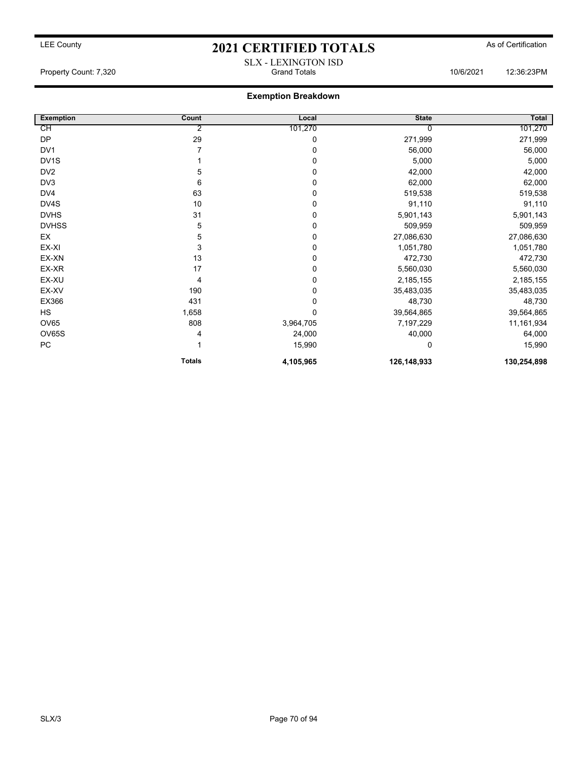## LEE County **2021 CERTIFIED TOTALS** As of Certification SLX - LEXINGTON ISD

Property Count: 7,320 Grand Totals 10/6/2021 12:36:23PM

| <b>Exemption</b>  | Count         | Local       | <b>State</b> | Total       |
|-------------------|---------------|-------------|--------------|-------------|
| СH                | 2             | 101,270     |              | 101,270     |
| <b>DP</b>         | 29            | 0           | 271,999      | 271,999     |
| DV <sub>1</sub>   |               | 0           | 56,000       | 56,000      |
| DV <sub>1</sub> S |               | 0           | 5,000        | 5,000       |
| DV <sub>2</sub>   | 5             | 0           | 42,000       | 42,000      |
| DV3               | 6             | 0           | 62,000       | 62,000      |
| DV4               | 63            | 0           | 519,538      | 519,538     |
| DV4S              | 10            | $\mathbf 0$ | 91,110       | 91,110      |
| <b>DVHS</b>       | 31            | 0           | 5,901,143    | 5,901,143   |
| <b>DVHSS</b>      | 5             | 0           | 509,959      | 509,959     |
| EX                | 5             | 0           | 27,086,630   | 27,086,630  |
| EX-XI             | 3             | 0           | 1,051,780    | 1,051,780   |
| EX-XN             | 13            | 0           | 472,730      | 472,730     |
| EX-XR             | 17            | $\mathbf 0$ | 5,560,030    | 5,560,030   |
| EX-XU             | 4             | 0           | 2,185,155    | 2,185,155   |
| EX-XV             | 190           | $\mathbf 0$ | 35,483,035   | 35,483,035  |
| EX366             | 431           | 0           | 48,730       | 48,730      |
| <b>HS</b>         | 1,658         | 0           | 39,564,865   | 39,564,865  |
| OV65              | 808           | 3,964,705   | 7,197,229    | 11,161,934  |
| <b>OV65S</b>      | 4             | 24,000      | 40,000       | 64,000      |
| <b>PC</b>         |               | 15,990      | $\Omega$     | 15,990      |
|                   | <b>Totals</b> | 4,105,965   | 126,148,933  | 130,254,898 |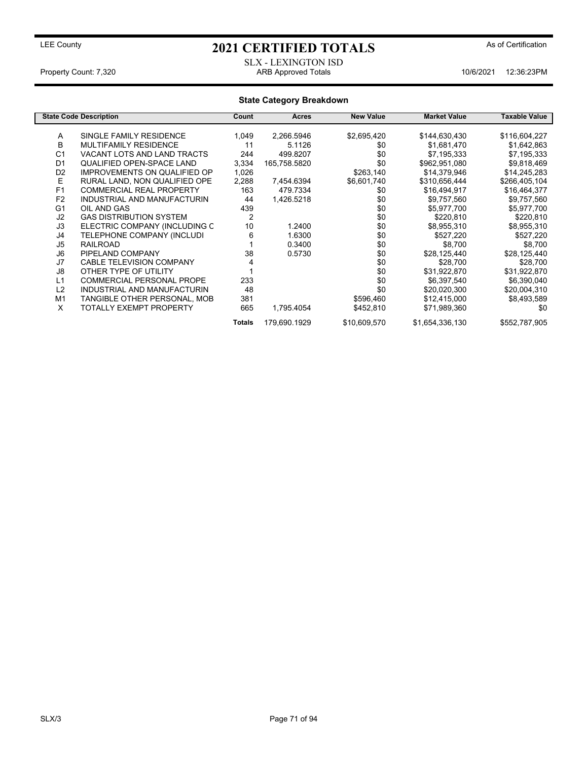#### SLX - LEXINGTON ISD Property Count: 7,320 **ARB Approved Totals** 10/6/2021 12:36:23PM

#### **State Category Breakdown State Code Description Count Acres New Value Market Value Taxable Value** A SINGLE FAMILY RESIDENCE 1,049 2,266.5946 \$2,695,420 \$144,630,430 \$116,604,227<br>B MULTIFAMILY RESIDENCE 11 5.1126 \$0 \$1.681.470 \$1.642.863 B MULTIFAMILY RESIDENCE 11 5.1126 \$0 \$1,681,470 \$1,642,863 C1 VACANT LOTS AND LAND TRACTS 244 499.8207 \$0 \$7,195,333 \$7,195,333<br>D1 QUALIFIED OPEN-SPACE LAND 3,334 165,758.5820 \$0 \$962,951,080 \$9,818,469 QUALIFIED OPEN-SPACE LAND D2 IMPROVEMENTS ON QUALIFIED OP 1,026 \$263,140 \$14,379,946 \$14,245,283<br>E RURAL LAND, NON QUALIFIED OPE 2.288 7.454.6394 \$6.601.740 \$310.656.444 \$266.405.104 E RURAL LAND, NON QUALIFIED OPE 2,288 7,454.6394 \$6,601,740 \$310,656,444 \$266,405,104<br>F1 COMMERCIAL REAL PROPERTY 163 479.7334 \$0 \$16,494,917 \$16,464,377 F1 COMMERCIAL REAL PROPERTY 163 479.7334 \$0 \$16,494,917 \$16,464,377<br>
F2 INDUSTRIAL AND MANUFACTURIN 44 1,426.5218 \$0 \$9,757,560 \$9,757,560 F2 INDUSTRIAL AND MANUFACTURIN 44 1,426.5218 \$0<br>G1 OIL AND GAS \$0 G1 OIL AND GAS 439 \$0 \$5,977,700 \$5,977,700 J2 GAS DISTRIBUTION SYSTEM 2 \$0 \$220,810 \$220,810 ELECTRIC COMPANY (INCLUDING C J4 TELEPHONE COMPANY (INCLUDI 6 1.6300 \$0 \$527,220 \$527,220 J5 RAILROAD 1 0.3400 \$0 \$8,700 \$8,700 J6 PIPELAND COMPANY 38 0.5730 \$0 \$28,125,440 \$28,125,440 J7 CABLE TELEVISION COMPANY 4 \$0 \$28,700 \$28,700 J8 OTHER TYPE OF UTILITY 1 1 1 30 \$31,922,870 L1 COMMERCIAL PERSONAL PROPE 233 233 \$0 \$6,397,540 \$6,390,040<br>L2 INDUSTRIAL AND MANUFACTURIN 48 48 \$0 \$20.020.300 \$20.004.310 INDUSTRIAL AND MANUFACTURIN 48 \$0 \$0<br>TANGIBLE OTHER PERSONAL, MOB 381 \$596,460 M1 TANGIBLE OTHER PERSONAL, MOB 381 \$596,460 \$12,415,000 \$8,493,589<br>X TOTALLY EXEMPT PROPERTY 665 1,795.4054 \$452,810 \$71,989,360 \$0

TOTALLY EXEMPT PROPERTY 665 1,795.4054 \$452,810 \$71,989,360 \$0

**Totals** 179,690.1929 \$10,609,570 \$1,654,336,130 \$552,787,905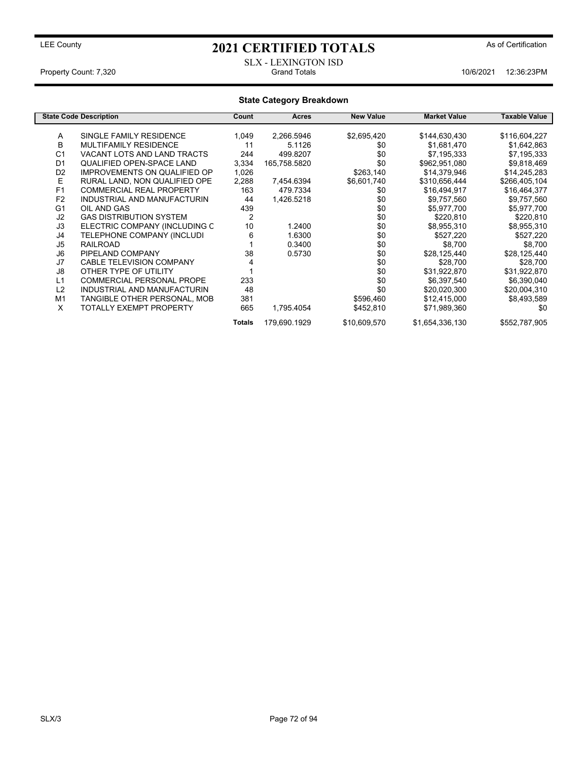SLX - LEXINGTON ISD Property Count: 7,320 **Crand Totals** 10/6/2021 12:36:23PM

#### **State Category Breakdown State Code Description Count Acres New Value Market Value Taxable Value** A SINGLE FAMILY RESIDENCE 1,049 2,266.5946 \$2,695,420 \$144,630,430 \$116,604,227<br>B MULTIFAMILY RESIDENCE 11 5.1126 \$0 \$1.681.470 \$1.642.863 B MULTIFAMILY RESIDENCE 11 5.1126 \$0 \$1,681,470 \$1,642,863 C1 VACANT LOTS AND LAND TRACTS 244 499.8207 \$0 \$7,195,333 \$7,195,333<br>D1 QUALIFIED OPEN-SPACE LAND 3,334 165,758.5820 \$0 \$962,951,080 \$9,818,469 QUALIFIED OPEN-SPACE LAND D2 IMPROVEMENTS ON QUALIFIED OP 1,026 \$263,140 \$14,379,946 \$14,245,283<br>E RURAL LAND, NON QUALIFIED OPE 2.288 7.454.6394 \$6.601.740 \$310.656.444 \$266.405.104 E RURAL LAND, NON QUALIFIED OPE 2,288 7,454.6394 \$6,601,740 \$310,656,444 \$266,405,104<br>F1 COMMERCIAL REAL PROPERTY 163 479.7334 \$0 \$16,494,917 \$16,464,377 F1 COMMERCIAL REAL PROPERTY 163 479.7334 \$0 \$16,494,917 \$16,464,377<br>
F2 INDUSTRIAL AND MANUFACTURIN 44 1,426.5218 \$0 \$9,757,560 \$9,757,560 F2 INDUSTRIAL AND MANUFACTURIN 44<br>G1 OIL AND GAS G1 OIL AND GAS 439 \$0 \$5,977,700 \$5,977,700 J2 GAS DISTRIBUTION SYSTEM 2 \$0 \$220,810 \$220,810 ELECTRIC COMPANY (INCLUDING C J4 TELEPHONE COMPANY (INCLUDI 6 1.6300 \$0 \$527,220 \$527,220 J5 RAILROAD 1 0.3400 \$0 \$8,700 \$8,700 J6 PIPELAND COMPANY 38 0.5730 \$0 \$28,125,440 \$28,125,440 J7 CABLE TELEVISION COMPANY 4 \$0 \$28,700 \$28,700 J8 OTHER TYPE OF UTILITY 1 1 1 30 \$31,922,870 L1 COMMERCIAL PERSONAL PROPE 233 233 \$0 \$6,397,540 \$6,390,040<br>L2 INDUSTRIAL AND MANUFACTURIN 48 48 \$0 \$20.020.300 \$20.004.310 INDUSTRIAL AND MANUFACTURIN 48 \$0 \$0<br>
TANGIBLE OTHER PERSONAL, MOB 381 \$596,460 M1 TANGIBLE OTHER PERSONAL, MOB 381 \$596,460 \$12,415,000 \$8,493,589<br>X TOTALLY EXEMPT PROPERTY 665 1,795.4054 \$452,810 \$71,989,360 \$0 TOTALLY EXEMPT PROPERTY 665 1,795.4054 \$452,810 \$71,989,360 \$0 **Totals** 179,690.1929 \$10,609,570 \$1,654,336,130 \$552,787,905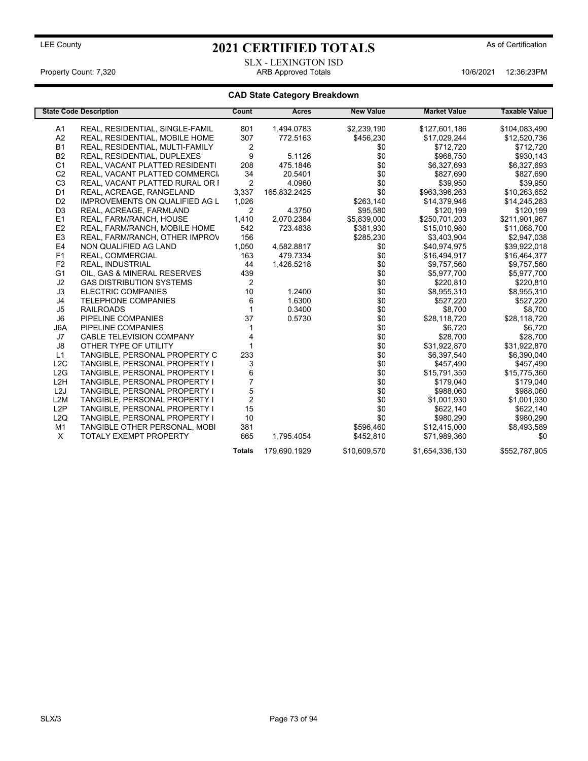### SLX - LEXINGTON ISD Property Count: 7,320 ARB Approved Totals 10/6/2021 12:36:23PM

|                  | <b>State Code Description</b>        | Count            | <b>Acres</b> | <b>New Value</b> | <b>Market Value</b> | <b>Taxable Value</b> |
|------------------|--------------------------------------|------------------|--------------|------------------|---------------------|----------------------|
| A1               | REAL, RESIDENTIAL, SINGLE-FAMIL      | 801              | 1.494.0783   | \$2,239,190      | \$127,601,186       | \$104,083,490        |
| A <sub>2</sub>   | REAL, RESIDENTIAL, MOBILE HOME       | 307              | 772.5163     | \$456,230        | \$17,029,244        | \$12.520.736         |
| <b>B1</b>        | REAL, RESIDENTIAL, MULTI-FAMILY      | 2                |              | \$0              | \$712,720           | \$712,720            |
| <b>B2</b>        | REAL, RESIDENTIAL, DUPLEXES          | 9                | 5.1126       | \$0              | \$968,750           | \$930,143            |
| C <sub>1</sub>   | REAL, VACANT PLATTED RESIDENTI       | 208              | 475.1846     | \$0              | \$6,327,693         | \$6,327,693          |
| C <sub>2</sub>   | REAL, VACANT PLATTED COMMERCI        | 34               | 20.5401      | \$0              | \$827,690           | \$827,690            |
| C <sub>3</sub>   | REAL, VACANT PLATTED RURAL OR I      | 2                | 4.0960       | \$0              | \$39,950            | \$39,950             |
| D <sub>1</sub>   | REAL, ACREAGE, RANGELAND             | 3,337            | 165,832.2425 | \$0              | \$963,396,263       | \$10,263,652         |
| D <sub>2</sub>   | IMPROVEMENTS ON QUALIFIED AG L       | 1,026            |              | \$263,140        | \$14,379,946        | \$14,245,283         |
| D <sub>3</sub>   | REAL, ACREAGE, FARMLAND              | 2                | 4.3750       | \$95,580         | \$120,199           | \$120,199            |
| E1               | REAL, FARM/RANCH, HOUSE              | 1,410            | 2,070.2384   | \$5,839,000      | \$250,701,203       | \$211,901,967        |
| E <sub>2</sub>   | REAL, FARM/RANCH, MOBILE HOME        | 542              | 723.4838     | \$381.930        | \$15.010.980        | \$11,068,700         |
| E <sub>3</sub>   | REAL, FARM/RANCH, OTHER IMPROV       | 156              |              | \$285,230        | \$3,403,904         | \$2,947,038          |
| E <sub>4</sub>   | NON QUALIFIED AG LAND                | 1,050            | 4,582.8817   | \$0              | \$40,974,975        | \$39,922,018         |
| F <sub>1</sub>   | REAL, COMMERCIAL                     | 163              | 479.7334     | \$0              | \$16,494,917        | \$16,464,377         |
| F <sub>2</sub>   | <b>REAL, INDUSTRIAL</b>              | 44               | 1,426.5218   | \$0              | \$9,757,560         | \$9,757,560          |
| G <sub>1</sub>   | OIL, GAS & MINERAL RESERVES          | 439              |              | \$0              | \$5,977,700         | \$5,977,700          |
| J2               | <b>GAS DISTRIBUTION SYSTEMS</b>      | 2                |              | \$0              | \$220,810           | \$220,810            |
| J3               | <b>ELECTRIC COMPANIES</b>            | 10               | 1.2400       | \$0              | \$8,955,310         | \$8,955,310          |
| J <sub>4</sub>   | <b>TELEPHONE COMPANIES</b>           | 6                | 1.6300       | \$0              | \$527,220           | \$527,220            |
| J5               | <b>RAILROADS</b>                     |                  | 0.3400       | \$0              | \$8.700             | \$8,700              |
| J <sub>6</sub>   | PIPELINE COMPANIES                   | 37               | 0.5730       | \$0              | \$28,118,720        | \$28,118,720         |
| J6A              | PIPELINE COMPANIES                   |                  |              | \$0              | \$6,720             | \$6,720              |
| J7               | <b>CABLE TELEVISION COMPANY</b>      | 4                |              | \$0              | \$28,700            | \$28,700             |
| J8               | OTHER TYPE OF UTILITY                |                  |              | \$0              | \$31,922,870        | \$31,922,870         |
| L1               | TANGIBLE, PERSONAL PROPERTY C        | 233              |              | \$0              | \$6,397,540         | \$6,390,040          |
| L2C              | <b>TANGIBLE, PERSONAL PROPERTY I</b> | 3                |              | \$0              | \$457,490           | \$457,490            |
| L2G              | <b>TANGIBLE, PERSONAL PROPERTY I</b> | 6                |              | \$0              | \$15,791,350        | \$15,775,360         |
| L <sub>2</sub> H | TANGIBLE, PERSONAL PROPERTY I        | $\overline{7}$   |              | \$0              | \$179,040           | \$179,040            |
| L <sub>2</sub> J | TANGIBLE, PERSONAL PROPERTY I        | 5                |              | \$0              | \$988,060           | \$988,060            |
| L2M              | TANGIBLE, PERSONAL PROPERTY I        | $\boldsymbol{2}$ |              | \$0              | \$1,001,930         | \$1,001,930          |
| L <sub>2</sub> P | TANGIBLE, PERSONAL PROPERTY I        | 15               |              | \$0              | \$622,140           | \$622,140            |
| L2Q              | TANGIBLE, PERSONAL PROPERTY I        | 10               |              | \$0              | \$980,290           | \$980,290            |
| M <sub>1</sub>   | TANGIBLE OTHER PERSONAL, MOBI        | 381              |              | \$596.460        | \$12,415,000        | \$8,493,589          |
| $\times$         | <b>TOTALY EXEMPT PROPERTY</b>        | 665              | 1,795.4054   | \$452,810        | \$71,989,360        | \$0                  |
|                  |                                      | <b>Totals</b>    | 179,690.1929 | \$10,609,570     | \$1,654,336,130     | \$552.787.905        |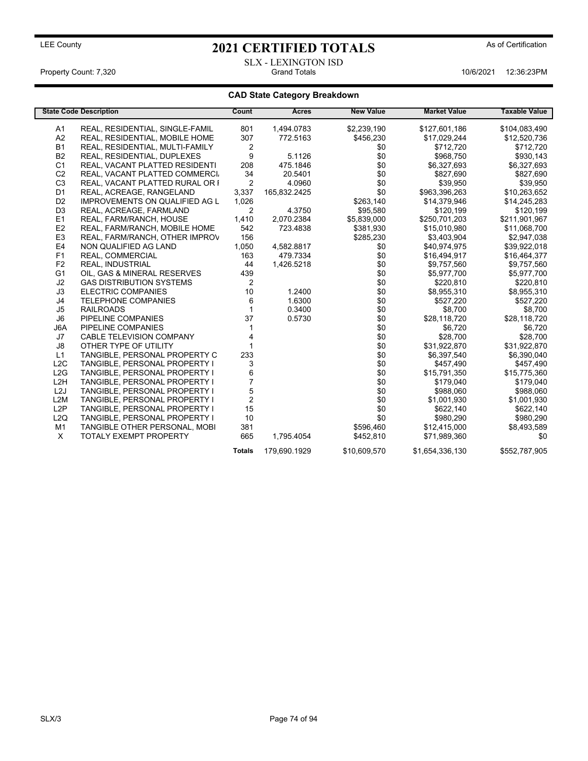### LEE County **2021 CERTIFIED TOTALS** As of Certification SLX - LEXINGTON ISD

Property Count: 7,320 Grand Totals 10/6/2021 12:36:23PM

|                  | <b>State Code Description</b>         | Count          | <b>Acres</b> | <b>New Value</b> | <b>Market Value</b> | <b>Taxable Value</b> |
|------------------|---------------------------------------|----------------|--------------|------------------|---------------------|----------------------|
| A1               | REAL, RESIDENTIAL, SINGLE-FAMIL       | 801            | 1.494.0783   | \$2,239,190      | \$127,601,186       | \$104,083,490        |
| A2               | REAL, RESIDENTIAL, MOBILE HOME        | 307            | 772.5163     | \$456,230        | \$17.029.244        | \$12.520.736         |
| <b>B1</b>        | REAL, RESIDENTIAL, MULTI-FAMILY       | 2              |              | \$0              | \$712,720           | \$712,720            |
| <b>B2</b>        | REAL, RESIDENTIAL, DUPLEXES           | 9              | 5.1126       | \$0              | \$968,750           | \$930,143            |
| C <sub>1</sub>   | REAL, VACANT PLATTED RESIDENTI        | 208            | 475.1846     | \$0              | \$6,327,693         | \$6,327,693          |
| C <sub>2</sub>   | REAL, VACANT PLATTED COMMERCI         | 34             | 20.5401      | \$0              | \$827,690           | \$827,690            |
| C <sub>3</sub>   | REAL, VACANT PLATTED RURAL OR I       | 2              | 4.0960       | \$0              | \$39,950            | \$39,950             |
| D <sub>1</sub>   | REAL, ACREAGE, RANGELAND              | 3,337          | 165,832.2425 | \$0              | \$963,396,263       | \$10,263,652         |
| D <sub>2</sub>   | <b>IMPROVEMENTS ON QUALIFIED AG L</b> | 1,026          |              | \$263,140        | \$14,379,946        | \$14,245,283         |
| D <sub>3</sub>   | REAL, ACREAGE, FARMLAND               | $\overline{c}$ | 4.3750       | \$95,580         | \$120,199           | \$120,199            |
| E1               | REAL, FARM/RANCH, HOUSE               | 1,410          | 2,070.2384   | \$5,839,000      | \$250,701,203       | \$211,901,967        |
| E2               | REAL, FARM/RANCH, MOBILE HOME         | 542            | 723.4838     | \$381,930        | \$15,010,980        | \$11,068,700         |
| E <sub>3</sub>   | REAL, FARM/RANCH, OTHER IMPROV        | 156            |              | \$285,230        | \$3,403,904         | \$2,947,038          |
| E <sub>4</sub>   | NON QUALIFIED AG LAND                 | 1,050          | 4,582.8817   | \$0              | \$40,974,975        | \$39,922,018         |
| F <sub>1</sub>   | <b>REAL. COMMERCIAL</b>               | 163            | 479.7334     | \$0              | \$16,494,917        | \$16,464,377         |
| F <sub>2</sub>   | <b>REAL, INDUSTRIAL</b>               | 44             | 1,426.5218   | \$0              | \$9,757,560         | \$9,757,560          |
| G <sub>1</sub>   | OIL, GAS & MINERAL RESERVES           | 439            |              | \$0              | \$5,977,700         | \$5,977,700          |
| J2               | <b>GAS DISTRIBUTION SYSTEMS</b>       | $\overline{2}$ |              | \$0              | \$220,810           | \$220,810            |
| J3               | <b>ELECTRIC COMPANIES</b>             | 10             | 1.2400       | \$0              | \$8,955,310         | \$8,955,310          |
| J4               | <b>TELEPHONE COMPANIES</b>            | 6              | 1.6300       | \$0              | \$527,220           | \$527,220            |
| J <sub>5</sub>   | <b>RAILROADS</b>                      |                | 0.3400       | \$0              | \$8.700             | \$8,700              |
| J <sub>6</sub>   | PIPELINE COMPANIES                    | 37             | 0.5730       | \$0              | \$28,118,720        | \$28,118,720         |
| J6A              | PIPELINE COMPANIES                    |                |              | \$0              | \$6,720             | \$6,720              |
| J7               | <b>CABLE TELEVISION COMPANY</b>       |                |              | \$0              | \$28,700            | \$28,700             |
| J8               | OTHER TYPE OF UTILITY                 |                |              | \$0              | \$31,922,870        | \$31,922,870         |
| L1               | TANGIBLE, PERSONAL PROPERTY C         | 233            |              | \$0              | \$6,397,540         | \$6,390,040          |
| L2C              | <b>TANGIBLE, PERSONAL PROPERTY I</b>  | 3              |              | \$0              | \$457,490           | \$457,490            |
| L2G              | <b>TANGIBLE, PERSONAL PROPERTY I</b>  | 6              |              | \$0              | \$15,791,350        | \$15,775,360         |
| L <sub>2</sub> H | TANGIBLE, PERSONAL PROPERTY I         | $\overline{7}$ |              | \$0              | \$179,040           | \$179,040            |
| L <sub>2</sub> J | TANGIBLE, PERSONAL PROPERTY I         | 5              |              | \$0              | \$988,060           | \$988,060            |
| L2M              | TANGIBLE, PERSONAL PROPERTY I         | $\overline{c}$ |              | \$0              | \$1,001,930         | \$1,001,930          |
| L <sub>2</sub> P | TANGIBLE, PERSONAL PROPERTY I         | 15             |              | \$0              | \$622,140           | \$622,140            |
| L2Q              | TANGIBLE, PERSONAL PROPERTY I         | 10             |              | \$0              | \$980,290           | \$980,290            |
| M <sub>1</sub>   | TANGIBLE OTHER PERSONAL, MOBI         | 381            |              | \$596,460        | \$12,415,000        | \$8,493,589          |
| X                | <b>TOTALY EXEMPT PROPERTY</b>         | 665            | 1,795.4054   | \$452,810        | \$71,989,360        | \$0                  |
|                  |                                       | <b>Totals</b>  | 179.690.1929 | \$10,609,570     | \$1,654,336,130     | \$552.787.905        |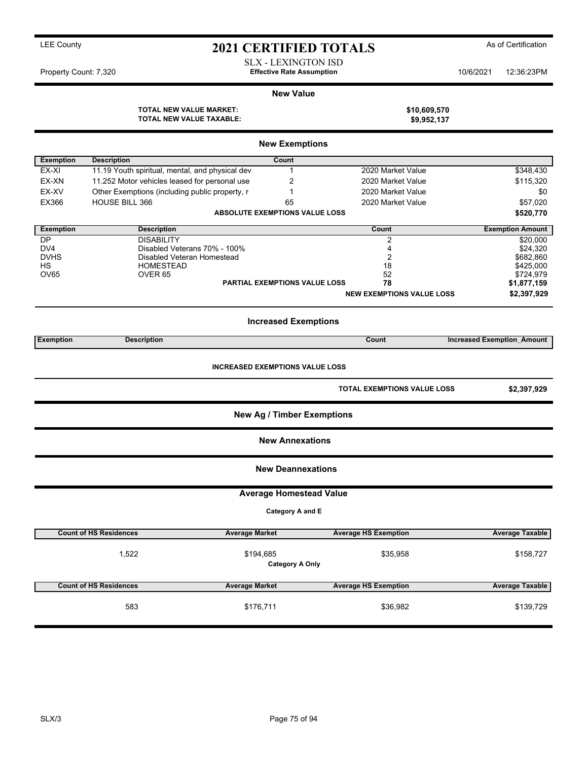| <b>LEE County</b>     |                                                                   | <b>2021 CERTIFIED TOTALS</b>                                   |                                    |                                   | As of Certification     |
|-----------------------|-------------------------------------------------------------------|----------------------------------------------------------------|------------------------------------|-----------------------------------|-------------------------|
| Property Count: 7,320 |                                                                   | <b>SLX - LEXINGTON ISD</b><br><b>Effective Rate Assumption</b> |                                    | 10/6/2021                         | 12:36:23PM              |
|                       |                                                                   | <b>New Value</b>                                               |                                    |                                   |                         |
|                       | <b>TOTAL NEW VALUE MARKET:</b><br><b>TOTAL NEW VALUE TAXABLE:</b> |                                                                | \$10,609,570<br>\$9,952,137        |                                   |                         |
|                       |                                                                   | <b>New Exemptions</b>                                          |                                    |                                   |                         |
| <b>Exemption</b>      | <b>Description</b>                                                | Count                                                          |                                    |                                   |                         |
| EX-XI                 | 11.19 Youth spiritual, mental, and physical dev                   | $\mathbf{1}$                                                   | 2020 Market Value                  |                                   | \$348,430               |
| EX-XN                 | 11.252 Motor vehicles leased for personal use                     | 2                                                              | 2020 Market Value                  |                                   | \$115,320               |
| EX-XV                 | Other Exemptions (including public property, r                    | $\mathbf{1}$                                                   | 2020 Market Value                  |                                   | \$0                     |
| EX366                 | <b>HOUSE BILL 366</b>                                             | 65                                                             | 2020 Market Value                  |                                   | \$57,020                |
|                       |                                                                   | <b>ABSOLUTE EXEMPTIONS VALUE LOSS</b>                          |                                    |                                   | \$520,770               |
| <b>Exemption</b>      | <b>Description</b>                                                |                                                                | Count                              |                                   | <b>Exemption Amount</b> |
| DP                    | <b>DISABILITY</b>                                                 |                                                                | 2                                  |                                   | \$20.000                |
| DV4                   | Disabled Veterans 70% - 100%                                      |                                                                | $\overline{4}$                     |                                   | \$24,320                |
| <b>DVHS</b>           | Disabled Veteran Homestead                                        |                                                                | $\overline{2}$                     |                                   | \$682,860               |
| <b>HS</b>             | <b>HOMESTEAD</b>                                                  |                                                                | 18                                 |                                   | \$425,000               |
| OV65                  | OVER <sub>65</sub>                                                |                                                                | 52                                 |                                   | \$724,979               |
|                       |                                                                   | <b>PARTIAL EXEMPTIONS VALUE LOSS</b>                           | 78                                 |                                   | \$1,877,159             |
|                       |                                                                   |                                                                | <b>NEW EXEMPTIONS VALUE LOSS</b>   |                                   | \$2,397,929             |
|                       |                                                                   | <b>Increased Exemptions</b>                                    |                                    |                                   |                         |
| <b>Exemption</b>      | <b>Description</b>                                                |                                                                | Count                              | <b>Increased Exemption Amount</b> |                         |
|                       |                                                                   | <b>INCREASED EXEMPTIONS VALUE LOSS</b>                         |                                    |                                   |                         |
|                       |                                                                   |                                                                | <b>TOTAL EXEMPTIONS VALUE LOSS</b> |                                   | \$2,397,929             |
|                       |                                                                   | <b>New Ag / Timber Exemptions</b>                              |                                    |                                   |                         |
|                       |                                                                   | <b>New Annexations</b>                                         |                                    |                                   |                         |

### **Average Homestead Value**

**Category A and E**

| <b>Count of HS Residences</b> | <b>Average Market</b> | <b>Average HS Exemption</b> | <b>Average Taxable</b> |
|-------------------------------|-----------------------|-----------------------------|------------------------|
| 522. ا                        | \$158,727             |                             |                        |
| <b>Count of HS Residences</b> | <b>Average Market</b> | <b>Average HS Exemption</b> | <b>Average Taxable</b> |
|                               | \$176,711             | \$36,982                    | \$139,729              |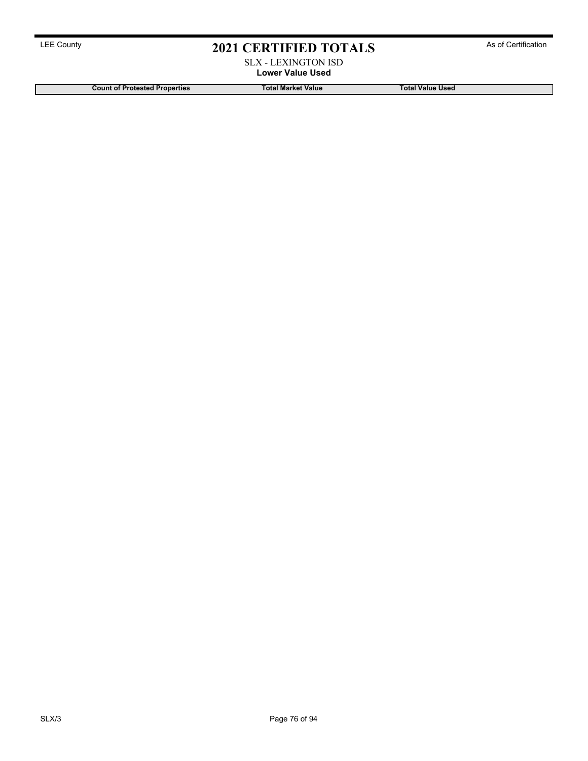### SLX - LEXINGTON ISD **Lower Value Used**

**Count of Protested Properties Total Market Value Total Value Used**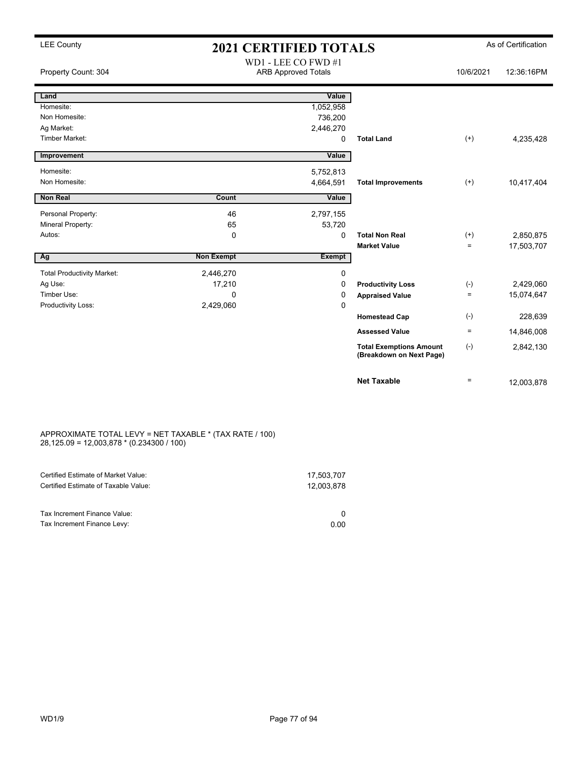### LEE County **2021 CERTIFIED TOTALS** As of Certification WD1 - LEE CO FWD #1

| Property Count: 304               |                   | WDI - LEE CO FWD #I<br><b>ARB Approved Totals</b> |                                                            | 10/6/2021         | 12:36:16PM |
|-----------------------------------|-------------------|---------------------------------------------------|------------------------------------------------------------|-------------------|------------|
| Land                              |                   | Value                                             |                                                            |                   |            |
| Homesite:                         |                   | 1,052,958                                         |                                                            |                   |            |
| Non Homesite:                     |                   | 736,200                                           |                                                            |                   |            |
| Ag Market:                        |                   | 2,446,270                                         |                                                            |                   |            |
| Timber Market:                    |                   | 0                                                 | <b>Total Land</b>                                          | $^{(+)}$          | 4,235,428  |
| Improvement                       |                   | Value                                             |                                                            |                   |            |
| Homesite:                         |                   | 5,752,813                                         |                                                            |                   |            |
| Non Homesite:                     |                   | 4,664,591                                         | <b>Total Improvements</b>                                  | $^{(+)}$          | 10,417,404 |
| <b>Non Real</b>                   | Count             | Value                                             |                                                            |                   |            |
| Personal Property:                | 46                | 2,797,155                                         |                                                            |                   |            |
| Mineral Property:                 | 65                | 53,720                                            |                                                            |                   |            |
| Autos:                            | 0                 | 0                                                 | <b>Total Non Real</b>                                      | $^{(+)}$          | 2,850,875  |
|                                   |                   |                                                   | <b>Market Value</b>                                        | $\qquad \qquad =$ | 17,503,707 |
| Ag                                | <b>Non Exempt</b> | <b>Exempt</b>                                     |                                                            |                   |            |
| <b>Total Productivity Market:</b> | 2,446,270         | 0                                                 |                                                            |                   |            |
| Ag Use:                           | 17,210            | 0                                                 | <b>Productivity Loss</b>                                   | $(-)$             | 2,429,060  |
| Timber Use:                       | 0                 | 0                                                 | <b>Appraised Value</b>                                     | $\equiv$          | 15,074,647 |
| Productivity Loss:                | 2,429,060         | 0                                                 |                                                            |                   |            |
|                                   |                   |                                                   | <b>Homestead Cap</b>                                       | $(\text{-})$      | 228,639    |
|                                   |                   |                                                   | <b>Assessed Value</b>                                      | $\equiv$          | 14,846,008 |
|                                   |                   |                                                   | <b>Total Exemptions Amount</b><br>(Breakdown on Next Page) | $(-)$             | 2,842,130  |
|                                   |                   |                                                   | <b>Net Taxable</b>                                         | $\equiv$          | 12,003,878 |

### APPROXIMATE TOTAL LEVY = NET TAXABLE \* (TAX RATE / 100) 28,125.09 = 12,003,878 \* (0.234300 / 100)

| Certified Estimate of Market Value:                         | 17,503,707 |
|-------------------------------------------------------------|------------|
| Certified Estimate of Taxable Value:                        | 12.003.878 |
| Tax Increment Finance Value:<br>Tax Increment Finance Levy: | 0.00       |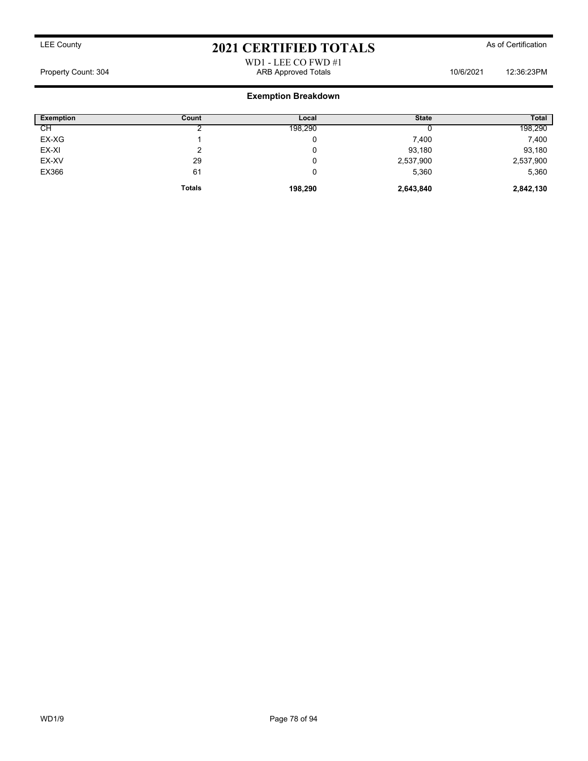WD1 - LEE CO FWD #1 Property Count: 304 ARB Approved Totals 10/6/2021 12:36:23PM

### **Exemption Breakdown**

| <b>Exemption</b> | Count         | Local   | <b>State</b> | <b>Total</b> |
|------------------|---------------|---------|--------------|--------------|
| СH               |               | 198,290 |              | 198,290      |
| EX-XG            |               | 0       | 7,400        | 7,400        |
| EX-XI            |               | 0       | 93,180       | 93,180       |
| EX-XV            | 29            | 0       | 2,537,900    | 2,537,900    |
| EX366            | 61            | 0       | 5,360        | 5,360        |
|                  | <b>Totals</b> | 198,290 | 2,643,840    | 2,842,130    |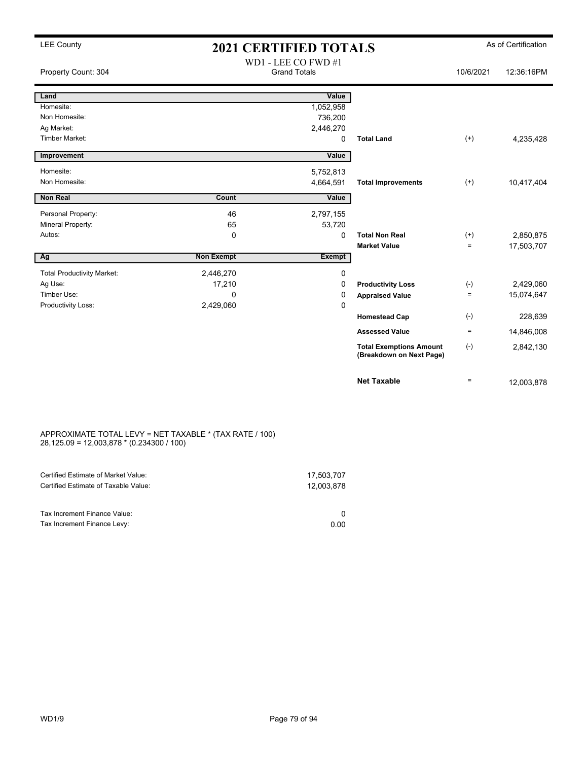| Property Count: 304               |                   | WD1 - LEE CO FWD #1<br><b>Grand Totals</b> |                                                            | 10/6/2021    | 12:36:16PM |
|-----------------------------------|-------------------|--------------------------------------------|------------------------------------------------------------|--------------|------------|
| Land                              |                   | Value                                      |                                                            |              |            |
| Homesite:                         |                   | 1,052,958                                  |                                                            |              |            |
| Non Homesite:                     |                   | 736,200                                    |                                                            |              |            |
| Ag Market:                        |                   | 2,446,270                                  |                                                            |              |            |
| <b>Timber Market:</b>             |                   | 0                                          | <b>Total Land</b>                                          | $(+)$        | 4,235,428  |
| Improvement                       |                   | Value                                      |                                                            |              |            |
| Homesite:                         |                   | 5,752,813                                  |                                                            |              |            |
| Non Homesite:                     |                   | 4,664,591                                  | <b>Total Improvements</b>                                  | $(+)$        | 10,417,404 |
| <b>Non Real</b>                   | Count             | Value                                      |                                                            |              |            |
| Personal Property:                | 46                | 2,797,155                                  |                                                            |              |            |
| Mineral Property:                 | 65                | 53,720                                     |                                                            |              |            |
| Autos:                            | 0                 | 0                                          | <b>Total Non Real</b>                                      | $^{(+)}$     | 2,850,875  |
|                                   |                   |                                            | <b>Market Value</b>                                        | $=$          | 17,503,707 |
| Ag                                | <b>Non Exempt</b> | <b>Exempt</b>                              |                                                            |              |            |
| <b>Total Productivity Market:</b> | 2,446,270         | 0                                          |                                                            |              |            |
| Ag Use:                           | 17,210            | 0                                          | <b>Productivity Loss</b>                                   | $(\text{-})$ | 2,429,060  |
| Timber Use:                       | $\mathbf 0$       | 0                                          | <b>Appraised Value</b>                                     | $\equiv$     | 15,074,647 |
| Productivity Loss:                | 2,429,060         | 0                                          |                                                            |              |            |
|                                   |                   |                                            | <b>Homestead Cap</b>                                       | $(-)$        | 228,639    |
|                                   |                   |                                            | <b>Assessed Value</b>                                      | $=$          | 14,846,008 |
|                                   |                   |                                            | <b>Total Exemptions Amount</b><br>(Breakdown on Next Page) | $(-)$        | 2,842,130  |
|                                   |                   |                                            | <b>Net Taxable</b>                                         | $\equiv$     | 12,003,878 |

### APPROXIMATE TOTAL LEVY = NET TAXABLE \* (TAX RATE / 100) 28,125.09 = 12,003,878 \* (0.234300 / 100)

| Certified Estimate of Market Value:  | 17,503,707 |
|--------------------------------------|------------|
| Certified Estimate of Taxable Value: | 12.003.878 |
|                                      |            |
| Tax Increment Finance Value:         |            |
| Tax Increment Finance Levy:          | 0.00       |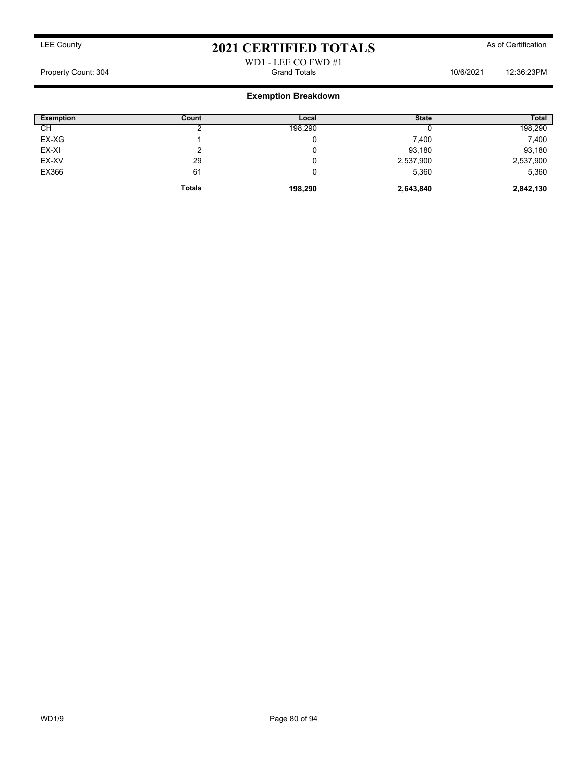### WD1 - LEE CO FWD #1 Property Count: 304 Grand Totals 10/6/2021 12:36:23PM

### **Exemption Breakdown**

| <b>Exemption</b> | Count         | Local   | <b>State</b> | <b>Total</b> |
|------------------|---------------|---------|--------------|--------------|
| СH               |               | 198,290 |              | 198,290      |
| EX-XG            |               | 0       | 7,400        | 7,400        |
| EX-XI            |               | 0       | 93,180       | 93,180       |
| EX-XV            | 29            | 0       | 2,537,900    | 2,537,900    |
| EX366            | 61            | 0       | 5,360        | 5,360        |
|                  | <b>Totals</b> | 198,290 | 2,643,840    | 2,842,130    |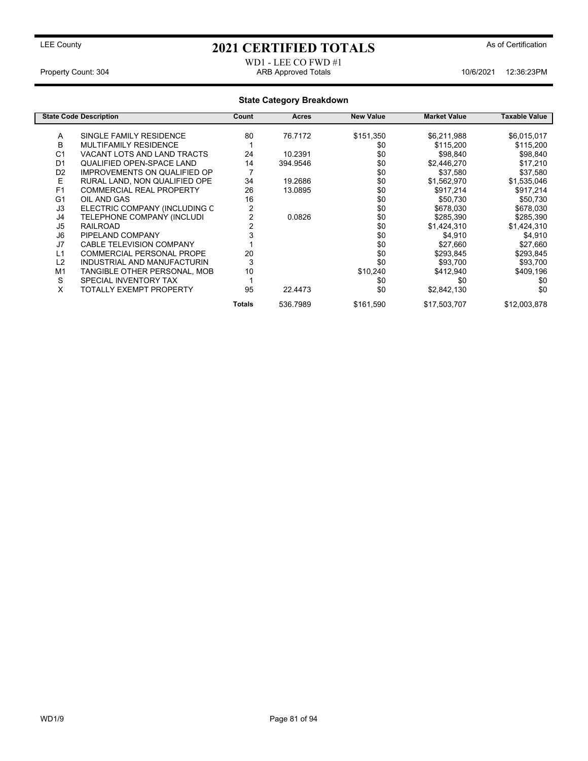### WD1 - LEE CO FWD #1 Property Count: 304 ARB Approved Totals 10/6/2021 12:36:23PM

|                | <b>State Code Description</b>       | Count  | Acres    | <b>New Value</b> | <b>Market Value</b> | Taxable Value |
|----------------|-------------------------------------|--------|----------|------------------|---------------------|---------------|
| Α              | SINGLE FAMILY RESIDENCE             | 80     | 76.7172  | \$151,350        | \$6,211,988         | \$6,015,017   |
| B              | MULTIFAMILY RESIDENCE               |        |          | \$0              | \$115,200           | \$115,200     |
| C <sub>1</sub> | <b>VACANT LOTS AND LAND TRACTS</b>  | 24     | 10.2391  | \$0              | \$98,840            | \$98,840      |
| D <sub>1</sub> | QUALIFIED OPEN-SPACE LAND           | 14     | 394.9546 | \$0              | \$2,446,270         | \$17,210      |
| D <sub>2</sub> | <b>IMPROVEMENTS ON QUALIFIED OP</b> |        |          | \$0              | \$37,580            | \$37,580      |
| E              | RURAL LAND, NON QUALIFIED OPE       | 34     | 19.2686  | \$0              | \$1,562,970         | \$1,535,046   |
| F <sub>1</sub> | <b>COMMERCIAL REAL PROPERTY</b>     | 26     | 13.0895  | \$0              | \$917,214           | \$917,214     |
| G <sub>1</sub> | OIL AND GAS                         | 16     |          | \$0              | \$50,730            | \$50,730      |
| J3             | ELECTRIC COMPANY (INCLUDING C       | 2      |          | \$0              | \$678,030           | \$678,030     |
| J4             | TELEPHONE COMPANY (INCLUDI          |        | 0.0826   | \$0              | \$285,390           | \$285,390     |
| J <sub>5</sub> | <b>RAILROAD</b>                     |        |          | \$0              | \$1,424,310         | \$1,424,310   |
| J <sub>6</sub> | PIPELAND COMPANY                    |        |          | \$0              | \$4,910             | \$4,910       |
| J7             | <b>CABLE TELEVISION COMPANY</b>     |        |          | \$0              | \$27,660            | \$27,660      |
| L1             | COMMERCIAL PERSONAL PROPE           | 20     |          | \$0              | \$293,845           | \$293,845     |
| L <sub>2</sub> | INDUSTRIAL AND MANUFACTURIN         | 3      |          | \$0              | \$93.700            | \$93,700      |
| M <sub>1</sub> | TANGIBLE OTHER PERSONAL, MOB        | 10     |          | \$10,240         | \$412,940           | \$409,196     |
| S              | SPECIAL INVENTORY TAX               |        |          | \$0              | \$0                 | \$0           |
| X              | TOTALLY EXEMPT PROPERTY             | 95     | 22,4473  | \$0              | \$2,842,130         | \$0           |
|                |                                     | Totals | 536.7989 | \$161,590        | \$17,503,707        | \$12,003,878  |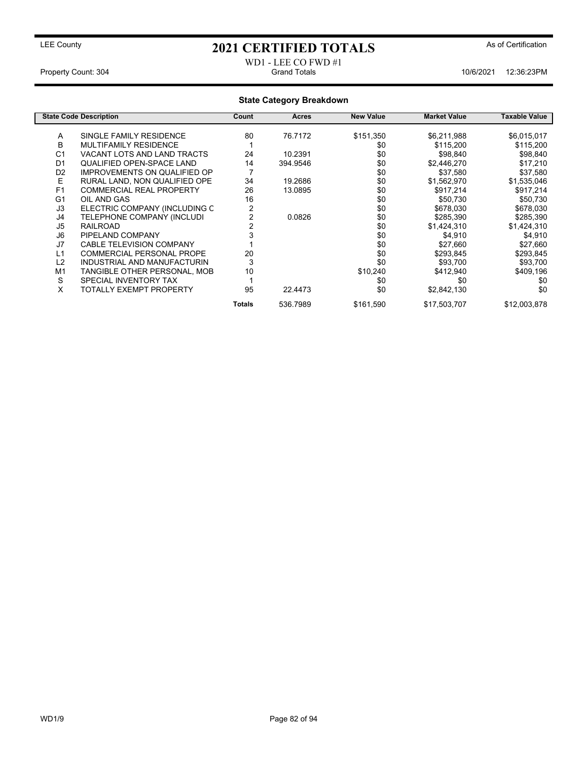### WD1 - LEE CO FWD #1 Property Count: 304 Grand Totals 10/6/2021 12:36:23PM

|                | <b>State Code Description</b>       | Count  | Acres    | <b>New Value</b> | <b>Market Value</b> | Taxable Value |
|----------------|-------------------------------------|--------|----------|------------------|---------------------|---------------|
|                |                                     |        |          |                  |                     |               |
| A              | SINGLE FAMILY RESIDENCE             | 80     | 76.7172  | \$151,350        | \$6,211,988         | \$6,015,017   |
| B              | <b>MULTIFAMILY RESIDENCE</b>        |        |          | \$0              | \$115,200           | \$115,200     |
| C <sub>1</sub> | VACANT LOTS AND LAND TRACTS         | 24     | 10.2391  | \$0              | \$98,840            | \$98,840      |
| D <sub>1</sub> | QUALIFIED OPEN-SPACE LAND           | 14     | 394.9546 | \$0              | \$2,446,270         | \$17,210      |
| D <sub>2</sub> | <b>IMPROVEMENTS ON QUALIFIED OP</b> |        |          | \$0              | \$37,580            | \$37,580      |
| E              | RURAL LAND. NON QUALIFIED OPE       | 34     | 19.2686  | \$0              | \$1,562,970         | \$1,535,046   |
| F <sub>1</sub> | <b>COMMERCIAL REAL PROPERTY</b>     | 26     | 13.0895  | \$0              | \$917,214           | \$917,214     |
| G <sub>1</sub> | OIL AND GAS                         | 16     |          | \$0              | \$50,730            | \$50,730      |
| J3             | ELECTRIC COMPANY (INCLUDING C       |        |          | \$0              | \$678,030           | \$678,030     |
| J4             | TELEPHONE COMPANY (INCLUDI          |        | 0.0826   | \$0              | \$285,390           | \$285,390     |
| J <sub>5</sub> | <b>RAILROAD</b>                     |        |          | \$0              | \$1,424,310         | \$1,424,310   |
| J <sub>6</sub> | PIPELAND COMPANY                    |        |          | \$0              | \$4,910             | \$4,910       |
| J7             | <b>CABLE TELEVISION COMPANY</b>     |        |          | \$0              | \$27,660            | \$27,660      |
| L1             | <b>COMMERCIAL PERSONAL PROPE</b>    | 20     |          | \$0              | \$293,845           | \$293,845     |
| L <sub>2</sub> | INDUSTRIAL AND MANUFACTURIN         | 3      |          | \$0              | \$93,700            | \$93,700      |
| M <sub>1</sub> | TANGIBLE OTHER PERSONAL, MOB        | 10     |          | \$10,240         | \$412,940           | \$409,196     |
| S              | SPECIAL INVENTORY TAX               |        |          | \$0              | \$0                 | \$0           |
| X              | TOTALLY EXEMPT PROPERTY             | 95     | 22.4473  | \$0              | \$2,842,130         | \$0           |
|                |                                     | Totals | 536.7989 | \$161,590        | \$17,503,707        | \$12,003,878  |
|                |                                     |        |          |                  |                     |               |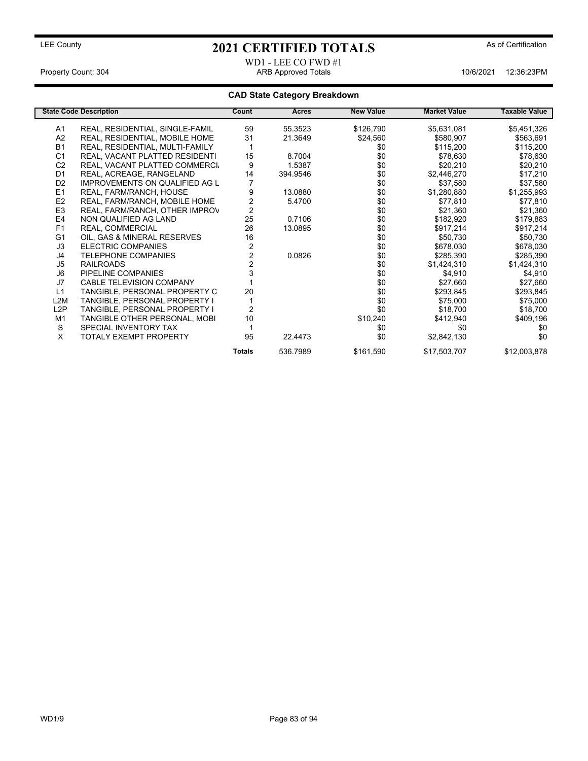### WD1 - LEE CO FWD #1 Property Count: 304 ARB Approved Totals 10/6/2021 12:36:23PM

| <b>State Code Description</b> |                                       | Count          | <b>Acres</b> | <b>New Value</b> | <b>Market Value</b> | <b>Taxable Value</b> |
|-------------------------------|---------------------------------------|----------------|--------------|------------------|---------------------|----------------------|
| A1                            | REAL, RESIDENTIAL, SINGLE-FAMIL       | 59             | 55.3523      | \$126,790        | \$5,631,081         | \$5,451,326          |
| A2                            | REAL, RESIDENTIAL, MOBILE HOME        | 31             | 21.3649      | \$24,560         | \$580,907           | \$563,691            |
| <b>B1</b>                     | REAL, RESIDENTIAL, MULTI-FAMILY       |                |              | \$0              | \$115,200           | \$115,200            |
| C <sub>1</sub>                | REAL, VACANT PLATTED RESIDENTI        | 15             | 8.7004       | \$0              | \$78,630            | \$78,630             |
| C <sub>2</sub>                | REAL, VACANT PLATTED COMMERCI.        | 9              | 1.5387       | \$0              | \$20,210            | \$20,210             |
| D <sub>1</sub>                | REAL, ACREAGE, RANGELAND              | 14             | 394.9546     | \$0              | \$2,446,270         | \$17,210             |
| D <sub>2</sub>                | <b>IMPROVEMENTS ON QUALIFIED AG L</b> |                |              | \$0              | \$37,580            | \$37,580             |
| E1                            | REAL, FARM/RANCH, HOUSE               | 9              | 13.0880      | \$0              | \$1,280,880         | \$1,255,993          |
| E <sub>2</sub>                | REAL, FARM/RANCH, MOBILE HOME         | 2              | 5.4700       | \$0              | \$77,810            | \$77,810             |
| E <sub>3</sub>                | REAL, FARM/RANCH, OTHER IMPROV        | $\overline{2}$ |              | \$0              | \$21,360            | \$21,360             |
| E <sub>4</sub>                | NON QUALIFIED AG LAND                 | 25             | 0.7106       | \$0              | \$182,920           | \$179,883            |
| F <sub>1</sub>                | REAL, COMMERCIAL                      | 26             | 13.0895      | \$0              | \$917,214           | \$917,214            |
| G <sub>1</sub>                | OIL, GAS & MINERAL RESERVES           | 16             |              | \$0              | \$50,730            | \$50,730             |
| J3                            | <b>ELECTRIC COMPANIES</b>             | $\overline{2}$ |              | \$0              | \$678,030           | \$678,030            |
| J4                            | <b>TELEPHONE COMPANIES</b>            |                | 0.0826       | \$0              | \$285,390           | \$285,390            |
| J <sub>5</sub>                | <b>RAILROADS</b>                      |                |              | \$0              | \$1,424,310         | \$1,424,310          |
| J <sub>6</sub>                | PIPELINE COMPANIES                    |                |              | \$0              | \$4,910             | \$4,910              |
| J7                            | <b>CABLE TELEVISION COMPANY</b>       |                |              | \$0              | \$27,660            | \$27,660             |
| L1                            | TANGIBLE, PERSONAL PROPERTY C         | 20             |              | \$0              | \$293,845           | \$293,845            |
| L2M                           | TANGIBLE, PERSONAL PROPERTY I         |                |              | \$0              | \$75,000            | \$75,000             |
| L2P                           | TANGIBLE, PERSONAL PROPERTY I         | $\overline{2}$ |              | \$0              | \$18,700            | \$18,700             |
| M <sub>1</sub>                | TANGIBLE OTHER PERSONAL, MOBI         | 10             |              | \$10,240         | \$412,940           | \$409,196            |
| S                             | SPECIAL INVENTORY TAX                 |                |              | \$0              | \$0                 | \$0                  |
| X                             | TOTALY EXEMPT PROPERTY                | 95             | 22.4473      | \$0              | \$2,842,130         | \$0                  |
|                               |                                       | <b>Totals</b>  | 536.7989     | \$161,590        | \$17,503,707        | \$12,003,878         |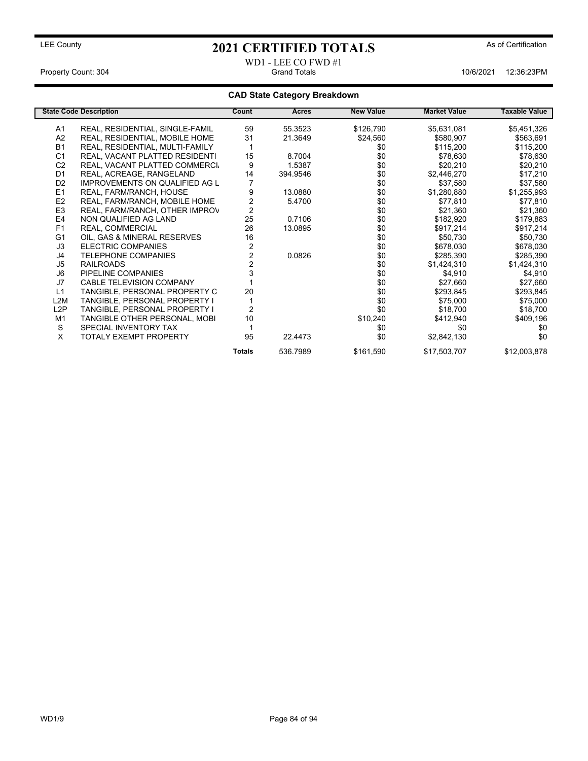# WD1 - LEE CO FWD #1

Property Count: 304 Grand Totals 10/6/2021 12:36:23PM

|                  | <b>State Code Description</b>         | Count  | Acres    | <b>New Value</b> | <b>Market Value</b> | <b>Taxable Value</b> |
|------------------|---------------------------------------|--------|----------|------------------|---------------------|----------------------|
| A1               | REAL, RESIDENTIAL, SINGLE-FAMIL       | 59     | 55.3523  | \$126,790        | \$5,631,081         | \$5,451,326          |
| A2               | REAL, RESIDENTIAL, MOBILE HOME        | 31     | 21.3649  | \$24,560         | \$580,907           | \$563,691            |
| <b>B1</b>        | REAL, RESIDENTIAL, MULTI-FAMILY       |        |          | \$0              | \$115,200           | \$115,200            |
| C <sub>1</sub>   | REAL, VACANT PLATTED RESIDENTI        | 15     | 8.7004   | \$0              | \$78,630            | \$78,630             |
| C <sub>2</sub>   | REAL, VACANT PLATTED COMMERCI         | 9      | 1.5387   | \$0              | \$20,210            | \$20,210             |
| D <sub>1</sub>   | REAL, ACREAGE, RANGELAND              | 14     | 394.9546 | \$0              | \$2,446,270         | \$17,210             |
| D <sub>2</sub>   | <b>IMPROVEMENTS ON QUALIFIED AG L</b> |        |          | \$0              | \$37,580            | \$37,580             |
| E <sub>1</sub>   | REAL, FARM/RANCH, HOUSE               | 9      | 13.0880  | \$0              | \$1,280,880         | \$1,255,993          |
| E2               | REAL, FARM/RANCH, MOBILE HOME         | 2      | 5.4700   | \$0              | \$77,810            | \$77,810             |
| E <sub>3</sub>   | REAL, FARM/RANCH, OTHER IMPROV        | 2      |          | \$0              | \$21,360            | \$21,360             |
| E4               | NON QUALIFIED AG LAND                 | 25     | 0.7106   | \$0              | \$182,920           | \$179,883            |
| F <sub>1</sub>   | REAL, COMMERCIAL                      | 26     | 13.0895  | \$0              | \$917,214           | \$917,214            |
| G <sub>1</sub>   | OIL, GAS & MINERAL RESERVES           | 16     |          | \$0              | \$50,730            | \$50,730             |
| J3               | <b>ELECTRIC COMPANIES</b>             | 2      |          | \$0              | \$678,030           | \$678,030            |
| J4               | <b>TELEPHONE COMPANIES</b>            |        | 0.0826   | \$0              | \$285,390           | \$285,390            |
| J <sub>5</sub>   | <b>RAILROADS</b>                      |        |          | \$0              | \$1,424,310         | \$1,424,310          |
| J <sub>6</sub>   | PIPELINE COMPANIES                    |        |          | \$0              | \$4,910             | \$4,910              |
| J7               | <b>CABLE TELEVISION COMPANY</b>       |        |          | \$0              | \$27,660            | \$27,660             |
| L1               | TANGIBLE, PERSONAL PROPERTY C         | 20     |          | \$0              | \$293,845           | \$293,845            |
| L <sub>2</sub> M | TANGIBLE, PERSONAL PROPERTY I         |        |          | \$0              | \$75,000            | \$75,000             |
| L <sub>2</sub> P | TANGIBLE, PERSONAL PROPERTY I         | 2      |          | \$0              | \$18,700            | \$18,700             |
| M <sub>1</sub>   | TANGIBLE OTHER PERSONAL, MOBI         | 10     |          | \$10,240         | \$412,940           | \$409,196            |
| S                | SPECIAL INVENTORY TAX                 |        |          | \$0              | \$0                 | \$0                  |
| X                | <b>TOTALY EXEMPT PROPERTY</b>         | 95     | 22.4473  | \$0              | \$2,842,130         | \$0                  |
|                  |                                       | Totals | 536.7989 | \$161,590        | \$17,503,707        | \$12,003,878         |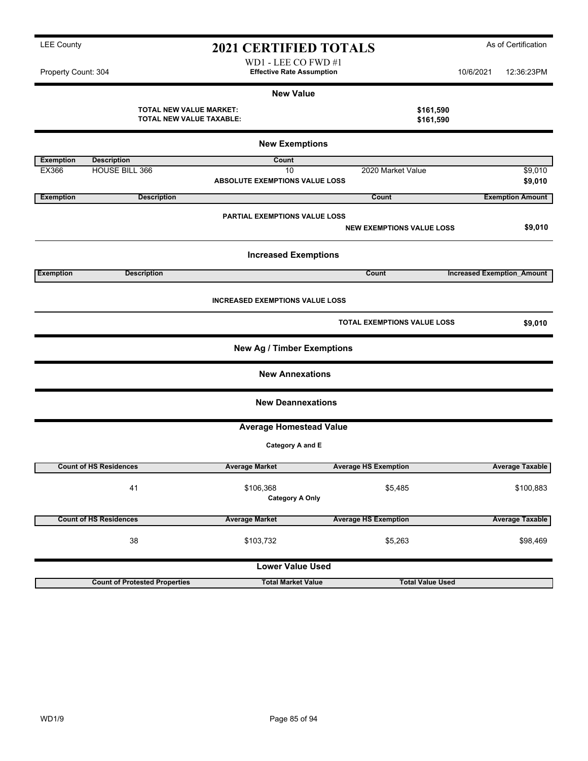| Property Count: 304 |                                                            | <b>Effective Rate Assumption</b>            |                                    | 10/6/2021                         | 12:36:23PM              |
|---------------------|------------------------------------------------------------|---------------------------------------------|------------------------------------|-----------------------------------|-------------------------|
|                     |                                                            | <b>New Value</b>                            |                                    |                                   |                         |
|                     | <b>TOTAL NEW VALUE MARKET:</b><br>TOTAL NEW VALUE TAXABLE: |                                             | \$161,590<br>\$161,590             |                                   |                         |
|                     |                                                            | <b>New Exemptions</b>                       |                                    |                                   |                         |
| <b>Exemption</b>    | <b>Description</b>                                         | Count                                       |                                    |                                   |                         |
| EX366               | HOUSE BILL 366                                             | 10<br><b>ABSOLUTE EXEMPTIONS VALUE LOSS</b> | 2020 Market Value                  |                                   | \$9,010<br>\$9,010      |
| <b>Exemption</b>    | <b>Description</b>                                         |                                             | Count                              |                                   | <b>Exemption Amount</b> |
|                     |                                                            | <b>PARTIAL EXEMPTIONS VALUE LOSS</b>        | <b>NEW EXEMPTIONS VALUE LOSS</b>   |                                   | \$9,010                 |
|                     |                                                            | <b>Increased Exemptions</b>                 |                                    |                                   |                         |
| <b>Exemption</b>    | <b>Description</b>                                         |                                             | Count                              | <b>Increased Exemption Amount</b> |                         |
|                     |                                                            | <b>INCREASED EXEMPTIONS VALUE LOSS</b>      |                                    |                                   |                         |
|                     |                                                            |                                             | <b>TOTAL EXEMPTIONS VALUE LOSS</b> |                                   | \$9,010                 |
|                     |                                                            | <b>New Ag / Timber Exemptions</b>           |                                    |                                   |                         |
|                     |                                                            | <b>New Annexations</b>                      |                                    |                                   |                         |
|                     |                                                            | <b>New Deannexations</b>                    |                                    |                                   |                         |
|                     |                                                            | <b>Average Homestead Value</b>              |                                    |                                   |                         |
|                     |                                                            | Category A and E                            |                                    |                                   |                         |
|                     | <b>Count of HS Residences</b>                              | <b>Average Market</b>                       | <b>Average HS Exemption</b>        |                                   | <b>Average Taxable</b>  |
|                     | 41                                                         | \$106,368<br><b>Category A Only</b>         | \$5,485                            |                                   | \$100,883               |
|                     | <b>Count of HS Residences</b>                              | <b>Average Market</b>                       | <b>Average HS Exemption</b>        |                                   | <b>Average Taxable</b>  |
|                     | 38                                                         | \$103,732                                   | \$5,263                            |                                   | \$98,469                |
|                     |                                                            | <b>Lower Value Used</b>                     |                                    |                                   |                         |
|                     | <b>Count of Protested Properties</b>                       | <b>Total Market Value</b>                   | <b>Total Value Used</b>            |                                   |                         |

LEE County **2021 CERTIFIED TOTALS** As of Certification WD1 - LEE CO FWD #1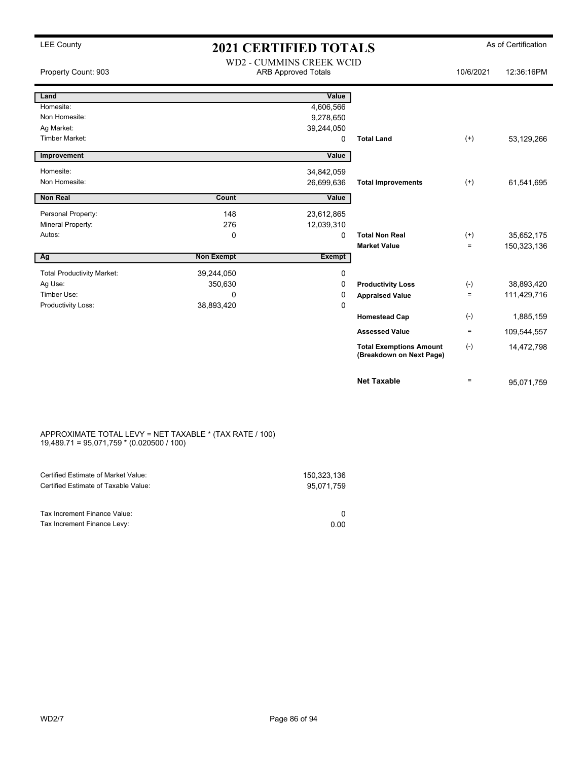## LEE County **As of Certification 2021 CERTIFIED TOTALS** As of Certification

|                                   |                   | <b>WD2 - CUMMINS CREEK WCID</b> |                                                            |           |             |
|-----------------------------------|-------------------|---------------------------------|------------------------------------------------------------|-----------|-------------|
| Property Count: 903               |                   | <b>ARB Approved Totals</b>      |                                                            | 10/6/2021 | 12:36:16PM  |
|                                   |                   |                                 |                                                            |           |             |
| Land                              |                   | Value                           |                                                            |           |             |
| Homesite:                         |                   | 4,606,566                       |                                                            |           |             |
| Non Homesite:                     |                   | 9,278,650                       |                                                            |           |             |
| Ag Market:                        |                   | 39,244,050                      |                                                            |           |             |
| <b>Timber Market:</b>             |                   | 0                               | <b>Total Land</b>                                          | $(+)$     | 53,129,266  |
| Improvement                       |                   | Value                           |                                                            |           |             |
| Homesite:                         |                   | 34,842,059                      |                                                            |           |             |
| Non Homesite:                     |                   | 26,699,636                      | <b>Total Improvements</b>                                  | $(+)$     | 61,541,695  |
| <b>Non Real</b>                   | Count             | Value                           |                                                            |           |             |
| Personal Property:                | 148               | 23,612,865                      |                                                            |           |             |
| Mineral Property:                 | 276               | 12,039,310                      |                                                            |           |             |
| Autos:                            | $\Omega$          | 0                               | <b>Total Non Real</b>                                      | $(+)$     | 35,652,175  |
|                                   |                   |                                 | <b>Market Value</b>                                        | $\equiv$  | 150,323,136 |
| Ag                                | <b>Non Exempt</b> | <b>Exempt</b>                   |                                                            |           |             |
| <b>Total Productivity Market:</b> | 39,244,050        | 0                               |                                                            |           |             |
| Ag Use:                           | 350,630           | 0                               | <b>Productivity Loss</b>                                   | $(-)$     | 38,893,420  |
| Timber Use:                       | $\Omega$          | 0                               | <b>Appraised Value</b>                                     | $\equiv$  | 111,429,716 |
| Productivity Loss:                | 38,893,420        | 0                               |                                                            |           |             |
|                                   |                   |                                 | <b>Homestead Cap</b>                                       | $(-)$     | 1,885,159   |
|                                   |                   |                                 | <b>Assessed Value</b>                                      | $\equiv$  | 109,544,557 |
|                                   |                   |                                 | <b>Total Exemptions Amount</b><br>(Breakdown on Next Page) | $(-)$     | 14,472,798  |
|                                   |                   |                                 | <b>Net Taxable</b>                                         | $\equiv$  | 95,071,759  |

### APPROXIMATE TOTAL LEVY = NET TAXABLE \* (TAX RATE / 100) 19,489.71 = 95,071,759 \* (0.020500 / 100)

| Certified Estimate of Market Value:  | 150.323.136 |
|--------------------------------------|-------------|
| Certified Estimate of Taxable Value: | 95.071.759  |
|                                      |             |
| Tax Increment Finance Value:         |             |
| Tax Increment Finance Levy:          | 0.00        |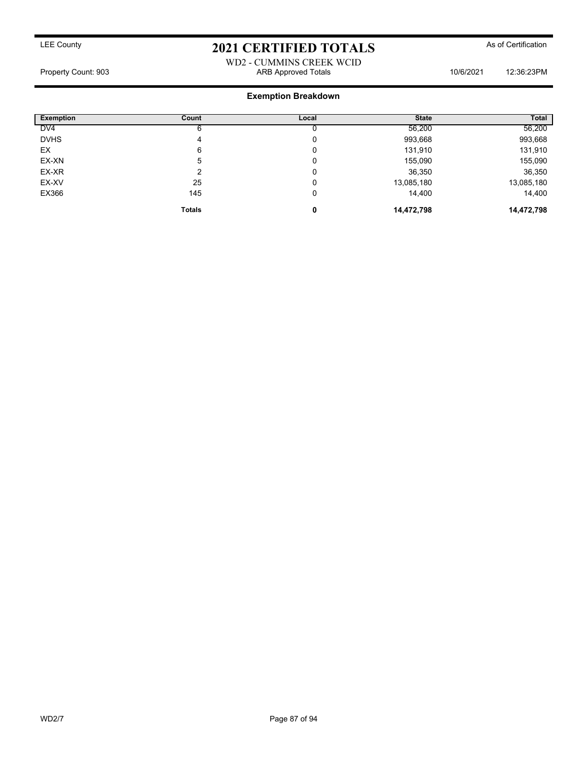WD2 - CUMMINS CREEK WCID Property Count: 903 ARB Approved Totals 10/6/2021 12:36:23PM

### **Exemption Breakdown**

| <b>Exemption</b> | Count         | Local | <b>State</b> | <b>Total</b> |
|------------------|---------------|-------|--------------|--------------|
| DV <sub>4</sub>  |               |       | 56,200       | 56,200       |
| <b>DVHS</b>      | 4             | U     | 993,668      | 993,668      |
| EX               | 6             | 0     | 131,910      | 131,910      |
| EX-XN            | 5             | 0     | 155,090      | 155,090      |
| EX-XR            | ◠             | 0     | 36,350       | 36,350       |
| EX-XV            | 25            | U     | 13,085,180   | 13,085,180   |
| EX366            | 145           | 0     | 14,400       | 14,400       |
|                  | <b>Totals</b> | 0     | 14,472,798   | 14,472,798   |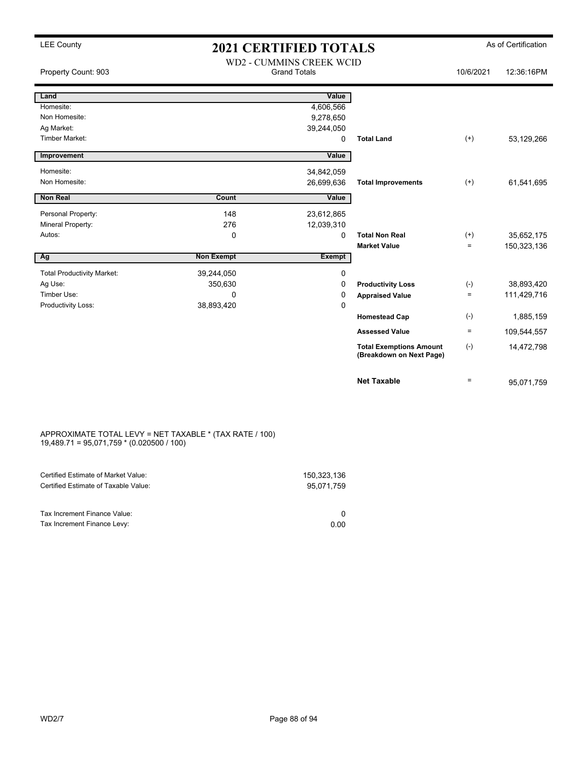### LEE County **2021 CERTIFIED TOTALS** As of Certification WD2 - CUMMINS CREEK WCID

| Property Count: 903               |                   | WDZ - CUMMINS CREEK WCID<br><b>Grand Totals</b> |                                                            | 10/6/2021    | 12:36:16PM  |
|-----------------------------------|-------------------|-------------------------------------------------|------------------------------------------------------------|--------------|-------------|
| Land                              |                   | Value                                           |                                                            |              |             |
| Homesite:                         |                   | 4,606,566                                       |                                                            |              |             |
| Non Homesite:                     |                   | 9,278,650                                       |                                                            |              |             |
| Ag Market:                        |                   | 39,244,050                                      |                                                            |              |             |
| <b>Timber Market:</b>             |                   | 0                                               | <b>Total Land</b>                                          | $^{(+)}$     | 53,129,266  |
| Improvement                       |                   | Value                                           |                                                            |              |             |
| Homesite:                         |                   | 34,842,059                                      |                                                            |              |             |
| Non Homesite:                     |                   | 26,699,636                                      | <b>Total Improvements</b>                                  | $^{(+)}$     | 61,541,695  |
| <b>Non Real</b>                   | Count             | Value                                           |                                                            |              |             |
| Personal Property:                | 148               | 23,612,865                                      |                                                            |              |             |
| Mineral Property:                 | 276               | 12,039,310                                      |                                                            |              |             |
| Autos:                            | 0                 | 0                                               | <b>Total Non Real</b>                                      | $^{(+)}$     | 35,652,175  |
|                                   |                   |                                                 | <b>Market Value</b>                                        | $\equiv$     | 150,323,136 |
| Ag                                | <b>Non Exempt</b> | <b>Exempt</b>                                   |                                                            |              |             |
| <b>Total Productivity Market:</b> | 39,244,050        | 0                                               |                                                            |              |             |
| Ag Use:                           | 350,630           | 0                                               | <b>Productivity Loss</b>                                   | $(-)$        | 38,893,420  |
| Timber Use:                       | 0                 | 0                                               | <b>Appraised Value</b>                                     | $=$          | 111,429,716 |
| Productivity Loss:                | 38,893,420        | 0                                               |                                                            |              |             |
|                                   |                   |                                                 | <b>Homestead Cap</b>                                       | $(\text{-})$ | 1,885,159   |
|                                   |                   |                                                 | <b>Assessed Value</b>                                      | $\equiv$     | 109,544,557 |
|                                   |                   |                                                 | <b>Total Exemptions Amount</b><br>(Breakdown on Next Page) | $(-)$        | 14,472,798  |
|                                   |                   |                                                 | <b>Net Taxable</b>                                         | $\equiv$     | 95,071,759  |

### APPROXIMATE TOTAL LEVY = NET TAXABLE \* (TAX RATE / 100) 19,489.71 = 95,071,759 \* (0.020500 / 100)

| Certified Estimate of Market Value:  | 150.323.136 |
|--------------------------------------|-------------|
| Certified Estimate of Taxable Value: | 95.071.759  |
|                                      |             |
| Tax Increment Finance Value:         |             |
| Tax Increment Finance Levy:          | 0.00        |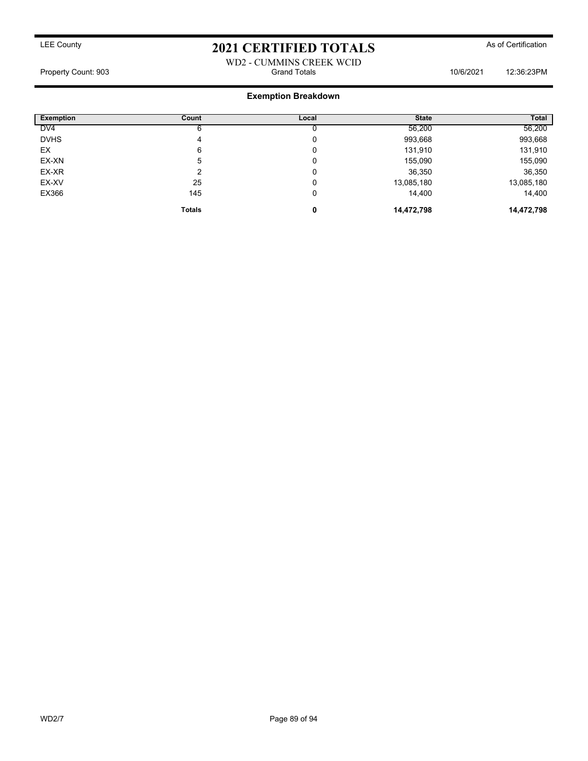### WD2 - CUMMINS CREEK WCID Property Count: 903 Grand Totals 10/6/2021 12:36:23PM

### **Exemption Breakdown**

| <b>Exemption</b> | Count         | Local | <b>State</b> | <b>Total</b> |
|------------------|---------------|-------|--------------|--------------|
| DV <sub>4</sub>  | 6             |       | 56,200       | 56,200       |
| <b>DVHS</b>      | 4             | 0     | 993,668      | 993,668      |
| EX               | 6             | 0     | 131,910      | 131,910      |
| EX-XN            | 5             | 0     | 155,090      | 155,090      |
| EX-XR            | ົ             | 0     | 36,350       | 36,350       |
| EX-XV            | 25            | 0     | 13,085,180   | 13,085,180   |
| EX366            | 145           | 0     | 14,400       | 14,400       |
|                  | <b>Totals</b> | 0     | 14,472,798   | 14,472,798   |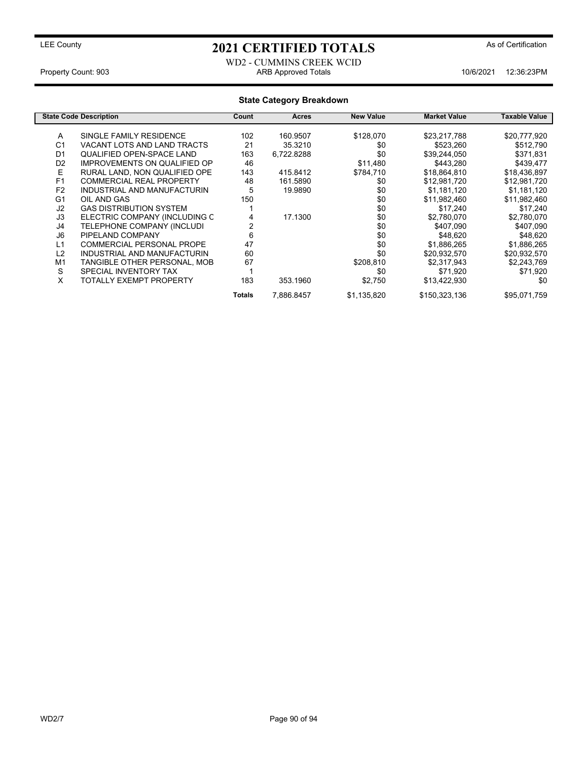### WD2 - CUMMINS CREEK WCID Property Count: 903 ARB Approved Totals 10/6/2021 12:36:23PM

|                | <b>State Code Description</b>       | Count  | Acres      | <b>New Value</b> | <b>Market Value</b> | Taxable Value |
|----------------|-------------------------------------|--------|------------|------------------|---------------------|---------------|
|                |                                     |        |            |                  |                     |               |
| A              | SINGLE FAMILY RESIDENCE             | 102    | 160.9507   | \$128,070        | \$23,217,788        | \$20,777,920  |
| C <sub>1</sub> | VACANT LOTS AND LAND TRACTS         | 21     | 35.3210    | \$0              | \$523,260           | \$512,790     |
| D <sub>1</sub> | QUALIFIED OPEN-SPACE LAND           | 163    | 6,722.8288 | \$0              | \$39,244,050        | \$371,831     |
| D <sub>2</sub> | <b>IMPROVEMENTS ON QUALIFIED OP</b> | 46     |            | \$11,480         | \$443,280           | \$439,477     |
| E              | RURAL LAND. NON QUALIFIED OPE       | 143    | 415.8412   | \$784,710        | \$18,864,810        | \$18,436,897  |
| F <sub>1</sub> | <b>COMMERCIAL REAL PROPERTY</b>     | 48     | 161.5890   | \$0              | \$12,981,720        | \$12,981,720  |
| F <sub>2</sub> | INDUSTRIAL AND MANUFACTURIN         | 5      | 19.9890    | \$0              | \$1,181,120         | \$1,181,120   |
| G <sub>1</sub> | OIL AND GAS                         | 150    |            | \$0              | \$11,982,460        | \$11,982,460  |
| J2             | <b>GAS DISTRIBUTION SYSTEM</b>      |        |            | \$0              | \$17,240            | \$17,240      |
| J3             | ELECTRIC COMPANY (INCLUDING C       |        | 17.1300    | \$0              | \$2,780,070         | \$2,780,070   |
| J4             | TELEPHONE COMPANY (INCLUDI          | 2      |            | \$0              | \$407,090           | \$407,090     |
| J <sub>6</sub> | PIPELAND COMPANY                    | 6      |            | \$0              | \$48,620            | \$48,620      |
| L1             | <b>COMMERCIAL PERSONAL PROPE</b>    | 47     |            | \$0              | \$1,886,265         | \$1,886,265   |
| L2             | INDUSTRIAL AND MANUFACTURIN         | 60     |            | \$0              | \$20,932,570        | \$20,932,570  |
| M <sub>1</sub> | TANGIBLE OTHER PERSONAL, MOB        | 67     |            | \$208,810        | \$2,317,943         | \$2,243,769   |
| S              | SPECIAL INVENTORY TAX               |        |            | \$0              | \$71,920            | \$71,920      |
| X              | TOTALLY EXEMPT PROPERTY             | 183    | 353.1960   | \$2,750          | \$13,422,930        | \$0           |
|                |                                     | Totals | 7,886.8457 | \$1,135,820      | \$150,323,136       | \$95,071,759  |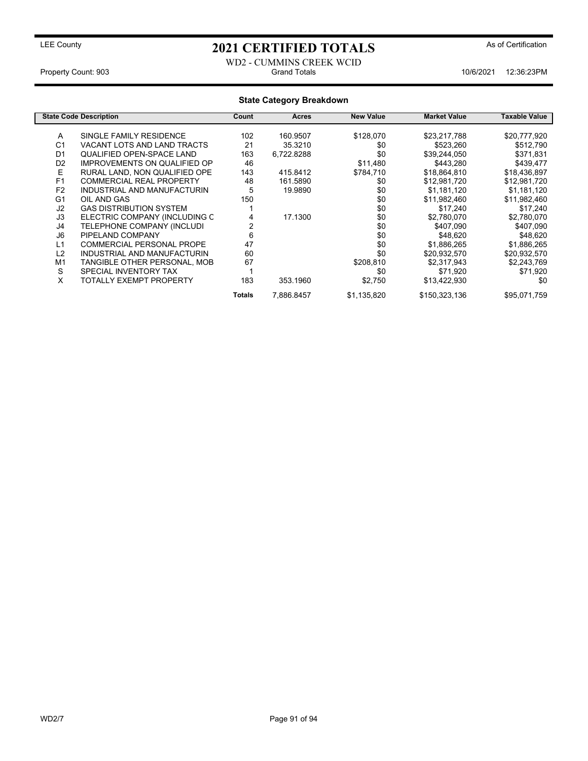WD2 - CUMMINS CREEK WCID Property Count: 903 **Crand Totals** 10/6/2021 12:36:23PM

### **State Category Breakdown State Code Description Count Acres New Value Market Value Taxable Value** A SINGLE FAMILY RESIDENCE 102 160.9507 \$128,070 \$23,217,788 \$20,777,920<br>C1 VACANT LOTS AND LAND TRACTS 21 35.3210 \$0 \$523.260 \$512.790 VACANT LOTS AND LAND TRACTS  $21$  35.3210 \$0 \$523,260 \$512,790 D1 QUALIFIED OPEN-SPACE LAND 163 6,722.8288 \$0 \$39,244,050 \$371,831<br>D2 IMPROVEMENTS ON QUALIFIED OP 46 \$11,480 \$443,280 \$439,477 IMPROVEMENTS ON QUALIFIED OP E RURAL LAND, NON QUALIFIED OPE 143 415.8412 \$784,710 \$18,864,810 \$18,436,897<br>F1 COMMERCIAL REAL PROPERTY 48 161.5890 \$0 \$12.981,720 \$12.981,720 F1 COMMERCIAL REAL PROPERTY 48 161.5890<br>
F2 INDUSTRIAL AND MANUFACTURIN 5 19.9890 \$0 F2 INDUSTRIAL AND MANUFACTURIN 5 19.9890 \$0 \$1,181,120 \$1,181,120 G1 OIL AND GAS 150 \$0 \$11,982,460 \$11,982,460 J2 GAS DISTRIBUTION SYSTEM 1 \$0 \$17,240 \$17,240 J3 ELECTRIC COMPANY (INCLUDING C 4 17.1300 \$0 \$2,780,070 \$2,780,070 TELEPHONE COMPANY (INCLUDI J6 PIPELAND COMPANY 6 \$0 \$48,620 \$48,620 L1 COMMERCIAL PERSONAL PROPE 47 47 \$0 \$1,886,265 \$1,886,265 \$1,886,265 \$1,886,265 \$1,886,265 \$1,886,265 \$1,886,265 \$1,886,265 \$1,886,265 \$1,886,265 \$1,886,265 \$1,886,265 \$1,886,265 \$1,886,265 \$1,886,265 \$1,932,570 \$20,932, INDUSTRIAL AND MANUFACTURIN 60 \$0 \$0<br>TANGIBLE OTHER PERSONAL, MOB 67 \$208,810 M1 TANGIBLE OTHER PERSONAL, MOB 67 \$208,810 \$2,317,943 \$2,243,769 S
SPECIAL INVENTORY TAX
50
50
50
52,750
52,750
52,750
52,750
52,750
52,750
52,750
52,750
52,750
52,750
52,750
52,750
52,750
52,750
52,750
52,750
52,750
52,750
52,750
52,750
52,750
52,750
52,750 TOTALLY EXEMPT PROPERTY 183 353.1960 \$2,750 \$13,422,930 \$0 Totals 7,886.8457 \$1,135,820 \$150,323,136 \$95,071,759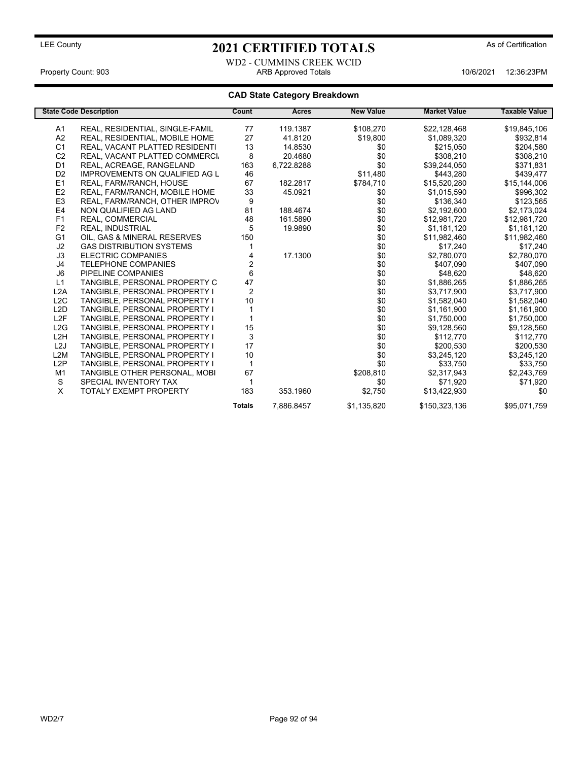WD2 - CUMMINS CREEK WCID Property Count: 903 ARB Approved Totals 10/6/2021 12:36:23PM

|                  | <b>State Code Description</b>         | Count          | Acres      | <b>New Value</b> | <b>Market Value</b> | <b>Taxable Value</b> |
|------------------|---------------------------------------|----------------|------------|------------------|---------------------|----------------------|
| A1               | REAL, RESIDENTIAL, SINGLE-FAMIL       | 77             | 119.1387   | \$108,270        | \$22,128,468        | \$19,845,106         |
| A <sub>2</sub>   | REAL, RESIDENTIAL, MOBILE HOME        | 27             | 41.8120    | \$19,800         | \$1,089,320         | \$932,814            |
| C <sub>1</sub>   | REAL, VACANT PLATTED RESIDENTI        | 13             | 14.8530    | \$0              | \$215,050           | \$204,580            |
| C <sub>2</sub>   | REAL, VACANT PLATTED COMMERCI         | 8              | 20.4680    | \$0              | \$308,210           | \$308,210            |
| D <sub>1</sub>   | REAL, ACREAGE, RANGELAND              | 163            | 6,722.8288 | \$0              | \$39,244,050        | \$371,831            |
| D <sub>2</sub>   | <b>IMPROVEMENTS ON QUALIFIED AG L</b> | 46             |            | \$11,480         | \$443,280           | \$439,477            |
| E1               | REAL, FARM/RANCH, HOUSE               | 67             | 182.2817   | \$784,710        | \$15,520,280        | \$15,144,006         |
| E <sub>2</sub>   | REAL, FARM/RANCH, MOBILE HOME         | 33             | 45.0921    | \$0              | \$1,015,590         | \$996,302            |
| E <sub>3</sub>   | REAL, FARM/RANCH, OTHER IMPROV        | 9              |            | \$0              | \$136,340           | \$123,565            |
| E <sub>4</sub>   | NON QUALIFIED AG LAND                 | 81             | 188.4674   | \$0              | \$2,192,600         | \$2,173,024          |
| F1               | REAL, COMMERCIAL                      | 48             | 161.5890   | \$0              | \$12,981,720        | \$12,981,720         |
| F <sub>2</sub>   | <b>REAL. INDUSTRIAL</b>               | 5              | 19.9890    | \$0              | \$1,181,120         | \$1,181,120          |
| G <sub>1</sub>   | OIL, GAS & MINERAL RESERVES           | 150            |            | \$0              | \$11,982,460        | \$11,982,460         |
| J2               | <b>GAS DISTRIBUTION SYSTEMS</b>       |                |            | \$0              | \$17,240            | \$17,240             |
| J3               | <b>ELECTRIC COMPANIES</b>             |                | 17.1300    | \$0              | \$2,780,070         | \$2,780,070          |
| J4               | <b>TELEPHONE COMPANIES</b>            | 2              |            | \$0              | \$407,090           | \$407,090            |
| J <sub>6</sub>   | PIPELINE COMPANIES                    | 6              |            | \$0              | \$48,620            | \$48,620             |
| L1               | TANGIBLE, PERSONAL PROPERTY C         | 47             |            | \$0              | \$1,886,265         | \$1,886,265          |
| L2A              | TANGIBLE, PERSONAL PROPERTY I         | $\overline{c}$ |            | \$0              | \$3,717,900         | \$3,717,900          |
| L <sub>2</sub> C | TANGIBLE, PERSONAL PROPERTY I         | 10             |            | \$0              | \$1,582,040         | \$1,582,040          |
| L <sub>2</sub> D | TANGIBLE, PERSONAL PROPERTY I         |                |            | \$0              | \$1,161,900         | \$1,161,900          |
| L <sub>2F</sub>  | TANGIBLE, PERSONAL PROPERTY I         |                |            | \$0              | \$1,750,000         | \$1,750,000          |
| L2G              | TANGIBLE, PERSONAL PROPERTY I         | 15             |            | \$0              | \$9,128,560         | \$9,128,560          |
| L <sub>2</sub> H | TANGIBLE, PERSONAL PROPERTY I         | $\sqrt{3}$     |            | \$0              | \$112,770           | \$112,770            |
| L <sub>2</sub> J | TANGIBLE, PERSONAL PROPERTY I         | 17             |            | \$0              | \$200,530           | \$200,530            |
| L2M              | TANGIBLE, PERSONAL PROPERTY I         | 10             |            | \$0              | \$3,245,120         | \$3,245,120          |
| L2P              | TANGIBLE, PERSONAL PROPERTY I         | 1              |            | \$0              | \$33,750            | \$33,750             |
| M1               | TANGIBLE OTHER PERSONAL, MOBI         | 67             |            | \$208,810        | \$2,317,943         | \$2,243,769          |
| S                | SPECIAL INVENTORY TAX                 |                |            | \$0              | \$71,920            | \$71,920             |
| X                | <b>TOTALY EXEMPT PROPERTY</b>         | 183            | 353.1960   | \$2,750          | \$13,422,930        | \$0                  |
|                  |                                       | <b>Totals</b>  | 7,886.8457 | \$1,135,820      | \$150,323,136       | \$95,071,759         |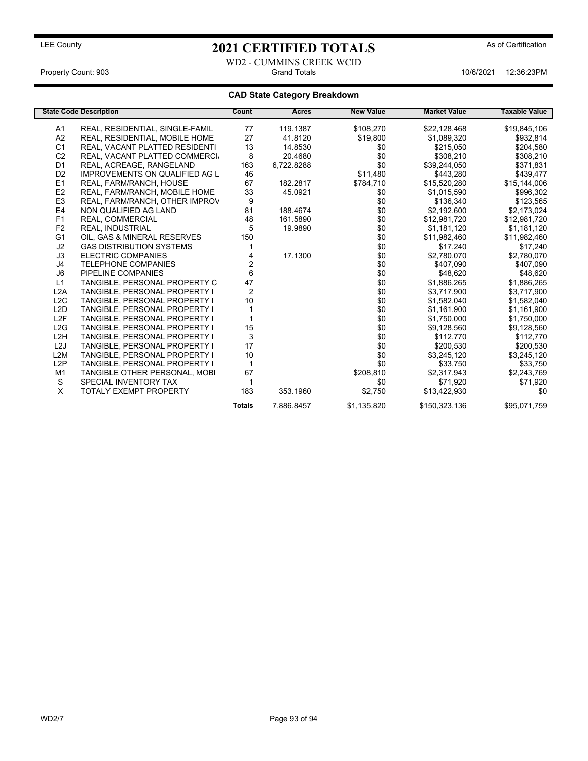WD2 - CUMMINS CREEK WCID Property Count: 903 Grand Totals 10/6/2021 12:36:23PM

|                  | <b>State Code Description</b>         | Count         | <b>Acres</b> | <b>New Value</b> | <b>Market Value</b> | <b>Taxable Value</b> |
|------------------|---------------------------------------|---------------|--------------|------------------|---------------------|----------------------|
| A1               | REAL, RESIDENTIAL, SINGLE-FAMIL       | 77            | 119.1387     | \$108,270        | \$22,128,468        | \$19,845,106         |
| A2               | REAL, RESIDENTIAL, MOBILE HOME        | 27            | 41.8120      | \$19,800         | \$1,089,320         | \$932,814            |
| C <sub>1</sub>   | REAL, VACANT PLATTED RESIDENTI        | 13            | 14.8530      | \$0              | \$215,050           | \$204,580            |
| C <sub>2</sub>   | REAL, VACANT PLATTED COMMERCI         | 8             | 20.4680      | \$0              | \$308,210           | \$308,210            |
| D <sub>1</sub>   | REAL, ACREAGE, RANGELAND              | 163           | 6,722.8288   | \$0              | \$39,244,050        | \$371,831            |
| D <sub>2</sub>   | <b>IMPROVEMENTS ON QUALIFIED AG L</b> | 46            |              | \$11,480         | \$443,280           | \$439,477            |
| E1               | REAL, FARM/RANCH, HOUSE               | 67            | 182.2817     | \$784,710        | \$15,520,280        | \$15,144,006         |
| E2               | REAL, FARM/RANCH, MOBILE HOME         | 33            | 45.0921      | \$0              | \$1,015,590         | \$996,302            |
| E <sub>3</sub>   | REAL, FARM/RANCH, OTHER IMPROV        | 9             |              | \$0              | \$136,340           | \$123,565            |
| E <sub>4</sub>   | NON QUALIFIED AG LAND                 | 81            | 188.4674     | \$0              | \$2,192,600         | \$2,173,024          |
| F1               | REAL, COMMERCIAL                      | 48            | 161.5890     | \$0              | \$12,981,720        | \$12,981,720         |
| F <sub>2</sub>   | <b>REAL. INDUSTRIAL</b>               | 5             | 19.9890      | \$0              | \$1,181,120         | \$1,181,120          |
| G <sub>1</sub>   | OIL, GAS & MINERAL RESERVES           | 150           |              | \$0              | \$11,982,460        | \$11,982,460         |
| J2               | <b>GAS DISTRIBUTION SYSTEMS</b>       |               |              | \$0              | \$17,240            | \$17,240             |
| J3               | <b>ELECTRIC COMPANIES</b>             | 4             | 17.1300      | \$0              | \$2,780,070         | \$2,780,070          |
| J4               | <b>TELEPHONE COMPANIES</b>            | 2             |              | \$0              | \$407,090           | \$407,090            |
| J <sub>6</sub>   | PIPELINE COMPANIES                    | 6             |              | \$0              | \$48,620            | \$48,620             |
| L1               | TANGIBLE, PERSONAL PROPERTY C         | 47            |              | \$0              | \$1,886,265         | \$1,886,265          |
| L2A              | TANGIBLE, PERSONAL PROPERTY I         | 2             |              | \$0              | \$3,717,900         | \$3,717,900          |
| L <sub>2</sub> C | TANGIBLE, PERSONAL PROPERTY I         | 10            |              | \$0              | \$1,582,040         | \$1,582,040          |
| L <sub>2</sub> D | TANGIBLE, PERSONAL PROPERTY I         |               |              | \$0              | \$1,161,900         | \$1,161,900          |
| L <sub>2F</sub>  | TANGIBLE, PERSONAL PROPERTY I         |               |              | \$0              | \$1,750,000         | \$1,750,000          |
| L2G              | TANGIBLE, PERSONAL PROPERTY I         | 15            |              | \$0              | \$9,128,560         | \$9,128,560          |
| L <sub>2</sub> H | TANGIBLE, PERSONAL PROPERTY I         | 3             |              | \$0              | \$112,770           | \$112,770            |
| L <sub>2</sub> J | TANGIBLE, PERSONAL PROPERTY I         | 17            |              | \$0              | \$200,530           | \$200,530            |
| L2M              | <b>TANGIBLE, PERSONAL PROPERTY I</b>  | 10            |              | \$0              | \$3,245,120         | \$3,245,120          |
| L2P              | <b>TANGIBLE, PERSONAL PROPERTY I</b>  | 1             |              | \$0              | \$33,750            | \$33,750             |
| M1               | TANGIBLE OTHER PERSONAL, MOBI         | 67            |              | \$208,810        | \$2,317,943         | \$2,243,769          |
| S                | SPECIAL INVENTORY TAX                 | 1             |              | \$0              | \$71,920            | \$71,920             |
| X                | <b>TOTALY EXEMPT PROPERTY</b>         | 183           | 353.1960     | \$2,750          | \$13,422,930        | \$0                  |
|                  |                                       | <b>Totals</b> | 7,886.8457   | \$1,135,820      | \$150,323,136       | \$95,071,759         |